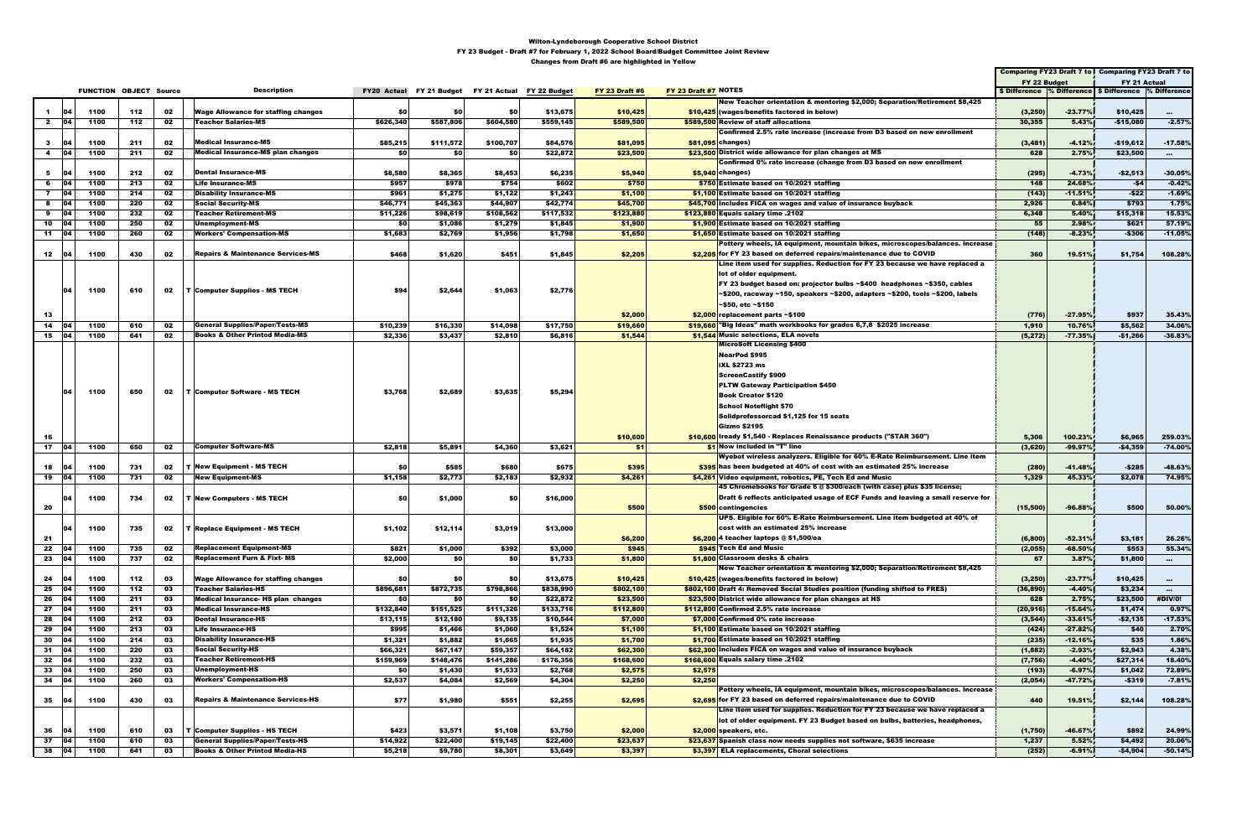|               |              |      |                               |    |                                              |           |                                                    |            |           |                       |                      |                                                                                 | Comparing FY23 Draft 7 to Comparing FY23 Draft 7 to       |           |              |               |
|---------------|--------------|------|-------------------------------|----|----------------------------------------------|-----------|----------------------------------------------------|------------|-----------|-----------------------|----------------------|---------------------------------------------------------------------------------|-----------------------------------------------------------|-----------|--------------|---------------|
|               |              |      |                               |    |                                              |           |                                                    |            |           |                       |                      |                                                                                 | FY 22 Budget                                              |           | FY 21 Actual |               |
|               |              |      | <b>FUNCTION OBJECT Source</b> |    | <b>Description</b>                           |           | FY20 Actual FY 21 Budget FY 21 Actual FY 22 Budget |            |           | <b>FY 23 Draft #6</b> | FY 23 Draft #7 NOTES |                                                                                 | \$ Difference % Difference   \$ Difference   % Difference |           |              |               |
|               |              |      |                               |    |                                              |           |                                                    |            |           |                       |                      | New Teacher orientation & mentoring \$2,000; Separation/Retirement \$8,425      |                                                           |           |              |               |
| $\mathbf{1}$  | 04           | 1100 | 112                           | 02 | <b>Wage Allowance for staffing changes</b>   | SO I      | \$0                                                | <b>\$0</b> | \$13,675  | \$10,425              |                      | \$10,425 (wages/benefits factored in below)                                     | (3,250)                                                   | $-23.77%$ | \$10,425     | $\mathbf{m}$  |
| $\mathbf{2}$  | 04           | 1100 | 112                           | 02 | <b>Teacher Salaries-MS</b>                   | \$626,340 | \$587,806                                          | \$604,580  | \$559,145 | \$589,500             |                      | \$589,500 Review of staff allocations                                           | 30,355                                                    | 5.43%     | $-$15,080$   | $-2.57%$      |
|               |              |      |                               |    |                                              |           |                                                    |            |           |                       |                      | Confirmed 2.5% rate increase (increase from D3 based on new enrollment          |                                                           |           |              |               |
| $\mathbf{3}$  | 104          | 1100 | 211                           | 02 | <b>Medical Insurance-MS</b>                  | \$85,215  | \$111,572                                          | \$100,707  | \$84,576  | \$81,095              |                      | \$81,095 changes)                                                               | (3, 481)                                                  | $-4.12%$  | $-$19,612$   | $-17.58%$     |
| 4             | 04           | 1100 | 211                           | 02 | <b>Medical Insurance-MS plan changes</b>     | \$0       | \$0                                                | \$0        | \$22,872  | \$23,500              |                      | \$23,500 District wide allowance for plan changes at MS                         | 628                                                       | 2.75%     | \$23,500     | $\sim$ $\sim$ |
|               |              |      |                               |    |                                              |           |                                                    |            |           |                       |                      | Confirmed 0% rate increase (change from D3 based on new enrollment              |                                                           |           |              |               |
| 5             | 104          | 1100 | 212                           | 02 | <b>Dental Insurance-MS</b>                   | \$8,580   | \$8,365                                            | \$8,453    | \$6,235   | \$5,940               |                      | $$5.940$ changes)                                                               | (295)                                                     | $-4.73%$  | $-$ \$2,513  | $-30.05%$     |
| 6             | <b>104</b>   | 1100 | 213                           | 02 | <b>Life Insurance-MS</b>                     | \$957     | \$978                                              | \$754      | \$602     | \$750                 |                      | \$750 Estimate based on 10/2021 staffing                                        | 148                                                       | 24.68%    | -\$4         | $-0.42%$      |
| $\mathbf{7}$  | 04           | 1100 | 214                           | 02 | <b>Disability Insurance-MS</b>               | \$961     | \$1,275                                            | \$1,122    | \$1,243   | \$1,100               |                      | \$1,100 Estimate based on 10/2021 staffing                                      | (143)                                                     | $-11.51%$ | $-522$       | $-1.69%$      |
| 8             | - 04         | 1100 | 220                           | 02 | <b>Social Security-MS</b>                    | \$46,771  | \$45,363                                           | \$44,907   | \$42,774  | \$45,700              |                      | \$45.700 Includes FICA on wages and value of insurance buyback                  | 2,926                                                     | 6.84%     | \$793        | 1.75%         |
| 9             | 04           | 1100 | 232                           | 02 | <b>Teacher Retirement-MS</b>                 | \$11,226  | \$98,619                                           | \$108,562  | \$117,532 | \$123,880             |                      | \$123,880 Equals salary time .2102                                              | 6,348                                                     | 5.40%     | \$15,318     | 15.53%        |
| 10            |              | 1100 | 250                           | 02 | <b>Unemployment-MS</b>                       | \$0       | \$1,086                                            | \$1,279    | \$1,845   | \$1,900               |                      | \$1,900 Estimate based on 10/2021 staffing                                      | 55                                                        | 2.98%     | \$621        | 57.19%        |
| $11 \t 04$    |              | 1100 | 260                           | 02 | <b>Workers' Compensation-MS</b>              | \$1,683   | \$2,769                                            | \$1,956    | \$1,798   | \$1,650               |                      | \$1,650 Estimate based on 10/2021 staffing                                      | (148)                                                     | $-8.23%$  | $-$306$      | $-11.05%$     |
|               |              |      |                               |    |                                              |           |                                                    |            |           |                       |                      | Pottery wheels, IA equipment, mountain bikes, microscopes/balances. Increase    |                                                           |           |              |               |
| 12            | - 104        | 1100 | 430                           | 02 | <b>Repairs &amp; Maintenance Services-MS</b> | \$468     | \$1,620                                            | \$451      | \$1,845   | \$2,205               |                      | \$2,205 for FY 23 based on deferred repairs/maintenance due to COVID            | 360                                                       | 19.51%    | \$1,754      | 108.28%       |
|               |              |      |                               |    |                                              |           |                                                    |            |           |                       |                      | Line item used for supplies. Reduction for FY 23 because we have replaced a     |                                                           |           |              |               |
|               |              |      |                               |    |                                              |           |                                                    |            |           |                       |                      | lot of older equipment.                                                         |                                                           |           |              |               |
|               |              |      |                               |    |                                              |           |                                                    |            |           |                       |                      | FY 23 budget based on: projector bulbs ~\$400 headphones ~\$350, cables         |                                                           |           |              |               |
|               | 104          | 1100 | 610                           | 02 | <b>T Computer Supplies - MS TECH</b>         | \$94      | \$2,644                                            | \$1,063    | \$2,776   |                       |                      |                                                                                 |                                                           |           |              |               |
|               |              |      |                               |    |                                              |           |                                                    |            |           |                       |                      | ~\$200, raceway ~150, speakers ~\$200, adapters ~\$200, tools ~\$200, labels    |                                                           |           |              |               |
|               |              |      |                               |    |                                              |           |                                                    |            |           |                       |                      | ~\$50, etc ~\$150                                                               |                                                           |           |              |               |
| 13            |              |      |                               |    |                                              |           |                                                    |            |           | \$2,000               |                      | $$2,000$ replacement parts ~\$100                                               | (776)                                                     | $-27.95%$ | \$937        | 35.43%        |
| 14            | 104          | 1100 | 610                           | 02 | <b>General Supplies/Paper/Tests-MS</b>       | \$10,239  | \$16,330                                           | \$14,098   | \$17,750  | \$19,660              |                      | \$19,660 Big Ideas" math workbooks for grades 6,7,8 \$2025 increase             | 1,910                                                     | 10.76%    | \$5,562      | 34.06%        |
| 15 04         |              | 1100 | 641                           | 02 | <b>Books &amp; Other Printed Media-MS</b>    | \$2,336   | \$3,437                                            | \$2,810    | \$6,816   | \$1,544               |                      | \$1,544 Music selections, ELA novels                                            | (5, 272)                                                  | $-77.35%$ | $-$1,266$    | $-36.83%$     |
|               |              |      |                               |    |                                              |           |                                                    |            |           |                       |                      | <b>MicroSoft Licensing \$400</b>                                                |                                                           |           |              |               |
|               |              |      |                               |    |                                              |           |                                                    |            |           |                       |                      | NearPod \$995                                                                   |                                                           |           |              |               |
|               |              |      |                               |    |                                              |           |                                                    |            |           |                       |                      | <b>iXL \$2723 ms</b>                                                            |                                                           |           |              |               |
|               |              |      |                               |    |                                              |           |                                                    |            |           |                       |                      | <b>ScreenCastify \$900</b>                                                      |                                                           |           |              |               |
|               |              |      |                               |    |                                              |           |                                                    |            |           |                       |                      | <b>PLTW Gateway Participation \$450</b>                                         |                                                           |           |              |               |
|               | 04           | 1100 | 650                           | 02 | T Computer Software - MS TECH                | \$3,768   | \$2,689                                            | \$3,635    | \$5,294   |                       |                      | <b>Book Creator \$120</b>                                                       |                                                           |           |              |               |
|               |              |      |                               |    |                                              |           |                                                    |            |           |                       |                      | <b>School Noteflight \$70</b>                                                   |                                                           |           |              |               |
|               |              |      |                               |    |                                              |           |                                                    |            |           |                       |                      | Solidprofessorcad \$1,125 for 15 seats                                          |                                                           |           |              |               |
|               |              |      |                               |    |                                              |           |                                                    |            |           |                       |                      | <b>Gizmo \$2195</b>                                                             |                                                           |           |              |               |
| 16            |              |      |                               |    |                                              |           |                                                    |            |           | \$10,600              |                      | \$10,600   Iready \$1,540 - Replaces Renaissance products ("STAR 360")          | 5,306                                                     | 100.23%   | \$6,965      | 259.03%       |
| $17 \t 04$    |              | 1100 | 650                           | 02 | <b>Computer Software-MS</b>                  | \$2,818   | \$5,891                                            | \$4,360    | \$3,621   | \$1                   |                      | \$1 Now included in "T" line                                                    | (3,620)                                                   | $-99.97%$ | $-$4,359$    | $-74.00%$     |
|               |              |      |                               |    |                                              |           |                                                    |            |           |                       |                      | Wyebot wireless analyzers. Eligible for 60% E-Rate Reimbursement. Line item     |                                                           |           |              |               |
|               |              |      |                               |    |                                              |           |                                                    |            |           |                       |                      |                                                                                 |                                                           |           |              |               |
| 18            | - 04         | 1100 | 731                           | 02 | <b>T New Equipment - MS TECH</b>             | \$0       | \$585                                              | \$680      | \$675     | \$395                 |                      | \$395 has been budgeted at 40% of cost with an estimated 25% increase           | (280)                                                     | $-41.48%$ | $-$285$      | $-48.63%$     |
| 19   04       |              | 1100 | 731                           | 02 | <b>New Equipment-MS</b>                      | \$1,158   | \$2,773                                            | \$2,183    | \$2,932   | \$4,261               |                      | \$4,261 Video equipment, robotics, PE, Tech Ed and Music                        | 1,329                                                     | 45.33%    | \$2,078      | 74.95%        |
|               |              |      |                               |    |                                              |           |                                                    |            |           |                       |                      | 45 Chromebooks for Grade 6 @ \$300/each (with case) plus \$35 license;          |                                                           |           |              |               |
|               | 104          | 1100 | 734                           | 02 | <b>T New Computers - MS TECH</b>             | SO.       | \$1,000                                            | \$0        | \$16,000  |                       |                      | Draft 6 reflects anticipated usage of ECF Funds and leaving a small reserve for |                                                           |           |              |               |
| 20            |              |      |                               |    |                                              |           |                                                    |            |           | \$500                 |                      | \$500 contingencies                                                             | (15,500)                                                  | $-96.88$  | \$500        | 50.00%        |
|               |              |      |                               |    |                                              |           |                                                    |            |           |                       |                      | UPS. Eligible for 60% E-Rate Reimbursement. Line item budgeted at 40% of        |                                                           |           |              |               |
|               |              | 1100 | 735                           | 02 | <b>T Replace Equipment - MS TECH</b>         | \$1,102   | \$12,114                                           | \$3,019    | \$13,000  |                       |                      | cost with an estimated 25% increase                                             |                                                           |           |              |               |
| 21            |              |      |                               |    |                                              |           |                                                    |            |           | \$6,200               |                      | $$6,200$ 4 teacher laptops $@$1,500/ea$                                         | (6,800)                                                   | $-52.31%$ | \$3,181      | 26.26%        |
| $22 \t   04$  |              | 1100 | 735                           | 02 | <b>Replacement Equipment-MS</b>              | \$821     | \$1,000                                            | \$392      | \$3,000   | \$945                 |                      | \$945 Tech Ed and Music                                                         | (2,055)                                                   | $-68.50%$ | \$553        | 55.34%        |
| 23 04         |              | 1100 | 737                           | 02 | <b>Replacement Furn &amp; Fixt- MS</b>       | \$2,000   | \$O                                                | SO I       | \$1,733   | \$1,800               |                      | \$1,800 Classroom desks & chairs                                                | 67                                                        | 3.87%     | \$1,800      | $\cdots$      |
|               |              |      |                               |    |                                              |           |                                                    |            |           |                       |                      | New Teacher orientation & mentoring \$2,000; Separation/Retirement \$8,425      |                                                           |           |              |               |
| 24            | 04           | 1100 | 112                           | 03 | <b>Wage Allowance for staffing changes</b>   | SO.       | \$0                                                | \$0        | \$13,675  | \$10,425              |                      | \$10,425 (wages/benefits factored in below)                                     | (3,250)                                                   | $-23.77%$ | \$10,425     | $\cdots$      |
| 25            | 04           | 1100 | 112                           | 03 | <b>Teacher Salaries-HS</b>                   | \$896,681 | \$872,735                                          | \$798,866  | \$838,990 | \$802,100             |                      | \$802.100 Draft 4: Removed Social Studies position (funding shifted to FRES)    | (36, 890)                                                 | $-4.40%$  | \$3,234      | $\sim 100$    |
| 26 04         |              | 1100 | 211                           | 03 | Medical Insurance- HS plan changes           | \$0       | \$0                                                | <b>\$0</b> | \$22,872  | \$23,500              |                      | \$23.500 District wide allowance for plan changes at HS                         | 628                                                       | 2.75%     | \$23,500     | #DIV/0!       |
| 27 04         |              | 1100 | 211                           | 03 | <b>Medical Insurance-HS</b>                  | \$132,840 | \$151,525                                          | \$111,326  | \$133,716 | \$112,800             |                      | \$112,800 Confirmed 2.5% rate increase                                          | (20, 916)                                                 | $-15.64%$ | \$1,474      | 0.97%         |
| 28 04         |              | 1100 | 212                           | 03 | <b>Dental Insurance-HS</b>                   | \$13,115  | \$12,180                                           | \$9,135    | \$10,544  | \$7,000               |                      | \$7,000 Confirmed 0% rate increase                                              | (3, 544)                                                  | $-33.61%$ | $-$2,135$    | $-17.53%$     |
| 29            | 04           | 1100 | 213                           | 03 | <b>Life Insurance-HS</b>                     | \$995     | \$1,466                                            | \$1,060    | \$1,524   | \$1,100               |                      | \$1.100 Estimate based on 10/2021 staffing                                      | (424)                                                     | $-27.82%$ | \$40         | 2.70%         |
| 30            | - 04         | 1100 | 214                           | 03 | <b>Disability Insurance-HS</b>               | \$1,321   | \$1,882                                            | \$1,665    | \$1,935   | \$1,700               |                      | \$1,700 Estimate based on 10/2021 staffing                                      | (235)                                                     | $-12.16%$ | \$35         | 1.86%         |
| $31 \quad 04$ |              | 1100 | 220                           | 03 | <b>Social Security-HS</b>                    | \$66,321  | \$67,147                                           | \$59,357   | \$64,182  | \$62,300              |                      | \$62,300 Includes FICA on wages and value of insurance buyback                  | (1,882)                                                   | $-2.93%$  | \$2,943      | 4.38%         |
| $32 \t 04$    |              | 1100 | 232                           | 03 | <b>Teacher Retirement-HS</b>                 | \$159,969 | \$148,476                                          | \$141,286  | \$176,356 | \$168,600             |                      | \$168,600 Equals salary time .2102                                              | (7, 756)                                                  | $-4.40%$  | \$27,314     | 18.40%        |
|               |              | 1100 |                               |    | <b>Unemployment-HS</b>                       | SO I      |                                                    |            |           |                       |                      |                                                                                 |                                                           | $-6.97%$  | \$1,042      | 72.89%        |
| 33   04       |              |      | 250                           | 03 | <b>Workers' Compensation-HS</b>              |           | \$1,430                                            | \$1,533    | \$2,768   | \$2,575               | \$2,575              |                                                                                 | (193)                                                     |           |              |               |
| $34 \mid 04$  |              | 1100 | 260                           | 03 |                                              | \$2,537   | \$4,084                                            | \$2,569    | \$4,304   | \$2,250               | \$2,250              |                                                                                 | (2,054)                                                   | $-47.72%$ | $-$319$      | $-7.81%$      |
|               |              |      |                               |    |                                              |           |                                                    |            |           |                       |                      | Pottery wheels, IA equipment, mountain bikes, microscopes/balances. Increase    |                                                           |           |              |               |
| $35$ 04       |              | 1100 | 430                           | 03 | <b>Repairs &amp; Maintenance Services-HS</b> | \$77      | \$1,980                                            | \$551      | \$2,255   | \$2,695               |                      | \$2.695 for FY 23 based on deferred repairs/maintenance due to COVID            | 440                                                       | 19.51%    | \$2,144      | 108.28%       |
|               |              |      |                               |    |                                              |           |                                                    |            |           |                       |                      | Line item used for supplies. Reduction for FY 23 because we have replaced a     |                                                           |           |              |               |
|               |              |      |                               |    |                                              |           |                                                    |            |           |                       |                      | lot of older equipment. FY 23 Budget based on bulbs, batteries, headphones,     |                                                           |           |              |               |
| 36            | 04           | 1100 | 610                           | 03 | T Computer Supplies - HS TECH                | \$423     | \$3,571                                            | \$1,108    | \$3,750   | \$2,000               |                      | \$2.000 speakers, etc.                                                          | (1,750)                                                   | -46.67%   | \$892        | 24.99%        |
| 37            | $ 04\rangle$ | 1100 | 610                           | 03 | <b>General Supplies/Paper/Tests-HS</b>       | \$14,922  | \$22,400                                           | \$19,145   | \$22,400  | \$23,637              |                      | \$23,637 Spanish class now needs supplies not software, \$635 increase          | 1,237                                                     | 5.52%     | \$4,492      | 20.06%        |
| 38 04         |              | 1100 | 641                           | 03 | <b>Books &amp; Other Printed Media-HS</b>    | \$5,218   | \$9,780                                            | \$8,301    | \$3,649   | \$3,397               |                      | \$3,397 ELA replacements, Choral selections                                     | (252)                                                     | $-6.91%$  | $-$4,904$    | $-50.14%$     |
|               |              |      |                               |    |                                              |           |                                                    |            |           |                       |                      |                                                                                 |                                                           |           |              |               |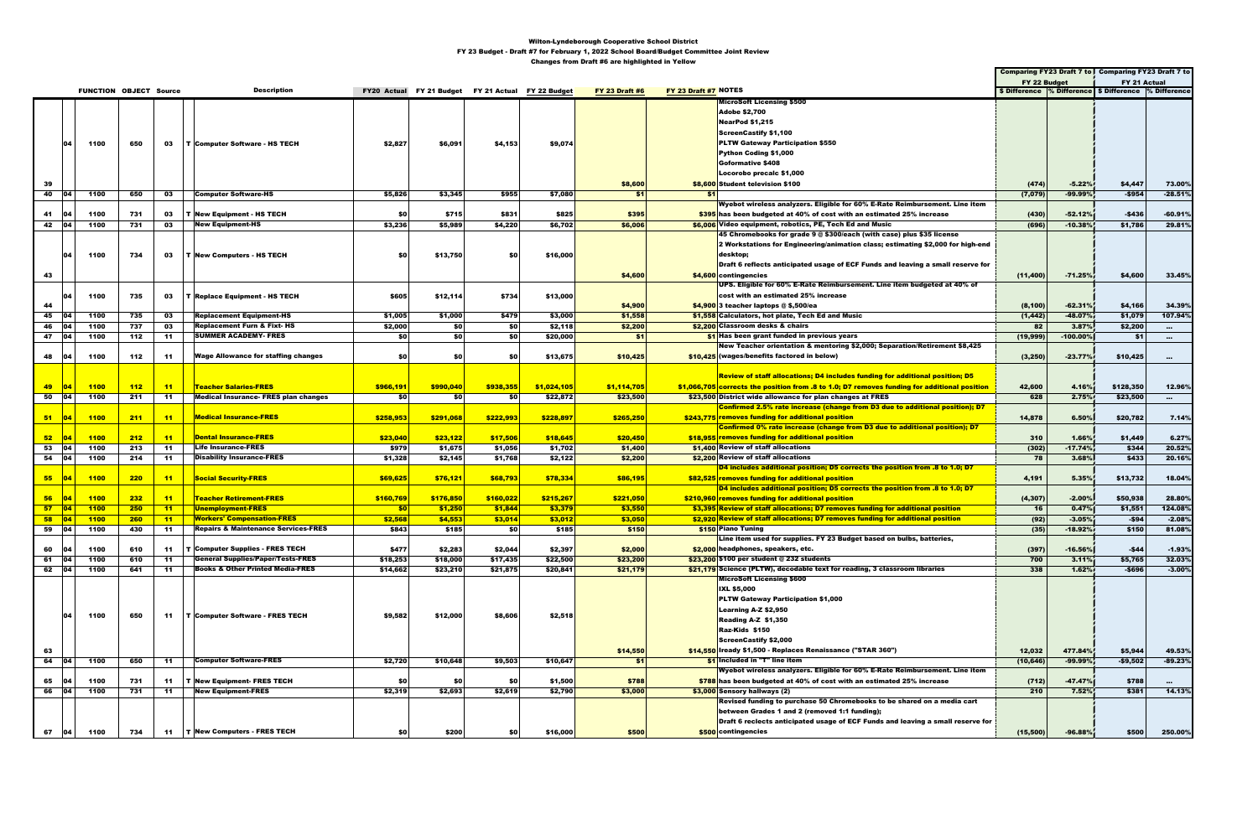|                 |                |             |                               |       |                                                |           |                                                    |            |             |                       |                      |                                                                                              |              |            | Comparing FY23 Draft 7 to Comparing FY23 Draft 7 to      |                   |
|-----------------|----------------|-------------|-------------------------------|-------|------------------------------------------------|-----------|----------------------------------------------------|------------|-------------|-----------------------|----------------------|----------------------------------------------------------------------------------------------|--------------|------------|----------------------------------------------------------|-------------------|
|                 |                |             |                               |       |                                                |           |                                                    |            |             |                       |                      |                                                                                              | FY 22 Budget |            | FY 21 Actual                                             |                   |
|                 |                |             | <b>FUNCTION OBJECT Source</b> |       | <b>Description</b>                             |           | FY20 Actual FY 21 Budget FY 21 Actual FY 22 Budget |            |             | <b>FY 23 Draft #6</b> | FY 23 Draft #7 NOTES |                                                                                              |              |            | \$ Difference % Difference   \$ Difference  % Difference |                   |
|                 |                |             |                               |       |                                                |           |                                                    |            |             |                       |                      | <b>MicroSoft Licensing \$500</b>                                                             |              |            |                                                          |                   |
|                 |                |             |                               |       |                                                |           |                                                    |            |             |                       |                      | <b>Adobe \$2,700</b>                                                                         |              |            |                                                          |                   |
|                 |                |             |                               |       |                                                |           |                                                    |            |             |                       |                      | NearPod \$1,215                                                                              |              |            |                                                          |                   |
|                 |                |             |                               |       |                                                |           |                                                    |            |             |                       |                      | <b>ScreenCastify \$1,100</b>                                                                 |              |            |                                                          |                   |
|                 |                | 1100        |                               |       |                                                |           |                                                    |            |             |                       |                      | <b>PLTW Gateway Participation \$550</b>                                                      |              |            |                                                          |                   |
|                 |                |             | 650                           | 03    | T Computer Software - HS TECH                  | \$2,827   | \$6,091                                            | \$4,153    | \$9,074     |                       |                      |                                                                                              |              |            |                                                          |                   |
|                 |                |             |                               |       |                                                |           |                                                    |            |             |                       |                      | Python Coding \$1,000                                                                        |              |            |                                                          |                   |
|                 |                |             |                               |       |                                                |           |                                                    |            |             |                       |                      | <b>Goformative \$408</b>                                                                     |              |            |                                                          |                   |
|                 |                |             |                               |       |                                                |           |                                                    |            |             |                       |                      | Locorobo precalc \$1,000                                                                     |              |            |                                                          |                   |
| 39              |                |             |                               |       |                                                |           |                                                    |            |             | \$8,600               |                      | \$8,600 Student television \$100                                                             | (474)        | $-5.22%$   | \$4,447                                                  | 73.00%            |
| 40 04           |                | 1100        | 650                           | 03    | <b>Computer Software-HS</b>                    | \$5,826   | \$3,345                                            | \$955      | \$7,080     | -\$1                  | - \$1                |                                                                                              | (7,079)      | $-99.99%$  | $-$954$                                                  | $-28.51%$         |
|                 |                |             |                               |       |                                                |           |                                                    |            |             |                       |                      | Wyebot wireless analyzers. Eligible for 60% E-Rate Reimbursement. Line item                  |              |            |                                                          |                   |
| 41              |                | 1100        | 731                           | 03    | T New Equipment - HS TECH                      | -\$0      | \$715                                              | \$831      | \$825       | \$395                 |                      | \$395 has been budgeted at 40% of cost with an estimated 25% increase                        | (430)        | $-52.12%$  | $-$436$                                                  | $-60.91%$         |
| 42 04           |                | 1100        | 731                           | 03    | <b>New Equipment-HS</b>                        | \$3,236   | \$5,989                                            | \$4,220    | \$6,702     | \$6,006               |                      | \$6,006 Video equipment, robotics, PE, Tech Ed and Music                                     | (696)        | $-10.38%$  | \$1,786                                                  | 29.81%            |
|                 |                |             |                               |       |                                                |           |                                                    |            |             |                       |                      | 45 Chromebooks for grade 9 @ \$300/each (with case) plus \$35 license                        |              |            |                                                          |                   |
|                 |                |             |                               |       |                                                |           |                                                    |            |             |                       |                      | 2 Workstations for Engineering/animation class; estimating \$2,000 for high-end              |              |            |                                                          |                   |
|                 | 04             | 1100        | 734                           | 03    | <b>T New Computers - HS TECH</b>               | SO.       | \$13,750                                           | <b>\$0</b> | \$16,000    |                       |                      | desktop;                                                                                     |              |            |                                                          |                   |
|                 |                |             |                               |       |                                                |           |                                                    |            |             |                       |                      | Draft 6 reflects anticipated usage of ECF Funds and leaving a small reserve for              |              |            |                                                          |                   |
| 43              |                |             |                               |       |                                                |           |                                                    |            |             | \$4,600               |                      | \$4,600 contingencies                                                                        | (11,400)     | $-71.25%$  | \$4,600                                                  | 33.45%            |
|                 |                |             |                               |       |                                                |           |                                                    |            |             |                       |                      | UPS. Eligible for 60% E-Rate Reimbursement. Line item budgeted at 40% of                     |              |            |                                                          |                   |
|                 |                |             |                               |       |                                                |           |                                                    |            |             |                       |                      | cost with an estimated 25% increase                                                          |              |            |                                                          |                   |
|                 | ۱o             | 1100        | 735                           | 03    | <b>T Replace Equipment - HS TECH</b>           | \$605     | \$12,114                                           | \$734      | \$13,000    |                       |                      |                                                                                              |              |            |                                                          |                   |
| 44              |                |             |                               |       |                                                |           |                                                    |            |             | \$4,900               |                      | $$4,900$ 3 teacher laptops $@$ \$,500/ea                                                     | (8, 100)     | $-62.31%$  | \$4,166                                                  | 34.39%            |
| 45              |                | 1100        | 735                           | 03    | <b>Replacement Equipment-HS</b>                | \$1,005   | \$1,000                                            | \$479      | \$3,000     | \$1,558               |                      | \$1,558 Calculators, hot plate, Tech Ed and Music                                            | (1, 442)     | $-48.07%$  | \$1,079                                                  | 107.94%           |
| 46              | - 104          | 1100        | 737                           | 03    | <b>Replacement Furn &amp; Fixt-HS</b>          | \$2,000   | \$0                                                | <b>\$0</b> | \$2,118     | \$2,200               |                      | \$2,200 Classroom desks & chairs                                                             | 82           | 3.87%      | \$2,200                                                  | $\sim$ 0.0 $\sim$ |
| 47 04           |                | 1100        | 112                           | -11   | <b>SUMMER ACADEMY- FRES</b>                    | \$0       | \$0                                                | <b>\$0</b> | \$20,000    | -\$1                  |                      | \$1 Has been grant funded in previous years                                                  | (19,999)     | $-100.00%$ | \$1                                                      | $\cdots$          |
|                 |                |             |                               |       |                                                |           |                                                    |            |             |                       |                      | New Teacher orientation & mentoring \$2,000; Separation/Retirement \$8,425                   |              |            |                                                          |                   |
| 48 04           |                | 1100        | 112                           | 11    | <b>Wage Allowance for staffing changes</b>     | SO I      | \$0                                                | \$0        | \$13,675    | \$10,425              |                      | \$10,425 (wages/benefits factored in below)                                                  | (3, 250)     | $-23.77%$  | \$10,425                                                 | $\sim$            |
|                 |                |             |                               |       |                                                |           |                                                    |            |             |                       |                      |                                                                                              |              |            |                                                          |                   |
|                 |                |             |                               |       |                                                |           |                                                    |            |             |                       |                      | Review of staff allocations; D4 includes funding for additional position; D5                 |              |            |                                                          |                   |
| 49              | $\blacksquare$ | <b>1100</b> | 112                           | $-11$ | <b>Teacher Salaries-FRES</b>                   | \$966,191 | \$990,040                                          | \$938,355  | \$1,024,105 | \$1,114,705           |                      | \$1,066,705 corrects the position from .8 to 1.0; D7 removes funding for additional position | 42,600       | 4.16%      | \$128,350                                                | 12.96%            |
| 50              | 04             | 1100        | 211                           | 11    | <b>Medical Insurance- FRES plan changes</b>    | - \$0     | -\$0                                               | <b>\$0</b> | \$22,872    | \$23,500              |                      | \$23,500 District wide allowance for plan changes at FRES                                    | 628          | 2.75%      | \$23,500                                                 | $\sim$ $\sim$     |
|                 |                |             |                               |       |                                                |           |                                                    |            |             |                       |                      | Confirmed 2.5% rate increase (change from D3 due to additional position); D7                 |              |            |                                                          |                   |
| 51              | 04             | 1100        | 211                           | $-11$ | <b>Medical Insurance-FRES</b>                  | \$258,953 | \$291,068                                          | \$222,993  | \$228,897   | \$265,250             |                      | \$243,775 removes funding for additional position                                            | 14,878       | 6.50%      | \$20,782                                                 | 7.14%             |
|                 |                |             |                               |       |                                                |           |                                                    |            |             |                       |                      | <b>Confirmed 0% rate increase (change from D3 due to additional position); D7</b>            |              |            |                                                          |                   |
|                 |                |             |                               |       | <b>Dental Insurance-FRES</b>                   | \$23,040  |                                                    |            |             |                       |                      |                                                                                              |              |            |                                                          |                   |
| 52 <sub>z</sub> | 04             | 1100        | 212                           | $-11$ |                                                |           | \$23,122                                           | \$17,506   | \$18,645    | \$20,450              |                      | \$18,955 removes funding for additional position                                             | 310          | 1.66%      | \$1,449                                                  | 6.27%             |
| 53              | 04             | 1100        | 213                           | $-11$ | <b>Life Insurance-FRES</b>                     | \$979     | \$1,675                                            | \$1,056    | \$1,702     | \$1,400               |                      | \$1,400 Review of staff allocations                                                          | (302)        | $-17.74%$  | \$344                                                    | 20.52%            |
| 54 04           |                | 1100        | 214                           | -11   | <b>Disability Insurance-FRES</b>               | \$1,328   | \$2,145                                            | \$1,768    | \$2,122     | \$2,200               |                      | \$2,200 Review of staff allocations                                                          | 78           | 3.68%      | \$433                                                    | 20.16%            |
|                 |                |             |                               |       |                                                |           |                                                    |            |             |                       |                      | D4 includes additional position; D5 corrects the position from .8 to 1.0; D7                 |              |            |                                                          |                   |
| 55 <sub>5</sub> | 04             | <b>1100</b> | 220                           | $-11$ | <b>Social Security-FRES</b>                    | \$69,625  | \$76,121                                           | \$68,793   | \$78,334    | \$86,195              |                      | \$82,525 removes funding for additional position                                             | 4,191        | 5.35%      | \$13,732                                                 | 18.04%            |
|                 |                |             |                               |       |                                                |           |                                                    |            |             |                       |                      | D4 includes additional position; D5 corrects the position from .8 to 1.0; D7                 |              |            |                                                          |                   |
| 56 <sub>5</sub> | <b>O4</b>      | 1100        | 232                           | $-11$ | <b>Teacher Retirement-FRES</b>                 | \$160,769 | \$176,850                                          | \$160,022  | \$215,267   | \$221,050             |                      | \$210,960 removes funding for additional position                                            | (4, 307)     | $-2.00%$   | \$50,938                                                 | 28.80%            |
| $57$ 04         |                | 1100        | 250                           | $-11$ | <b>Unemployment-FRES</b>                       | \$0       | \$1,250                                            | \$1,844    | \$3,379     | \$3,550               |                      | \$3,395 Review of staff allocations; D7 removes funding for additional position              | 16           | 0.47%      | \$1,551                                                  | 124.08%           |
| $58$ 04         |                | 1100        | 260                           | $-11$ | <b>Workers' Compensation-FRES</b>              | \$2,568   | \$4,553                                            | \$3,014    | \$3,012     | \$3,050               |                      | \$2,920 Review of staff allocations; D7 removes funding for additional position              | (92)         | $-3.05%$   | $-$94$                                                   | $-2.08%$          |
| 59              | $ 04\rangle$   | 1100        | 430                           | -11   | <b>Repairs &amp; Maintenance Services-FRES</b> | \$843     | \$185                                              | -\$0       | \$185       | \$150                 |                      | \$150 Piano Tuning                                                                           | (35)         | $-18.92%$  | \$150                                                    | 81.08%            |
|                 |                |             |                               |       |                                                |           |                                                    |            |             |                       |                      | Line item used for supplies. FY 23 Budget based on bulbs, batteries,                         |              |            |                                                          |                   |
| 60              | <b>04</b>      | 1100        | 610                           | 11    | <b>T</b> Computer Supplies - FRES TECH         | \$477     | \$2,283                                            | \$2,044    | \$2,397     | \$2,000               |                      | \$2,000 headphones, speakers, etc.                                                           | (397)        | $-16.56%$  | -\$44                                                    | $-1.93%$          |
| 61              | - 104          | 1100        | 610                           | 11    | <b>General Supplies/Paper/Tests-FRES</b>       | \$18,253  | \$18,000                                           | \$17,435   | \$22,500    | \$23,200              |                      | $$23,200$ \$100 per student @ 232 students                                                   | 700          | 3.11%      | \$5,765                                                  | 32.03%            |
| 62 04           |                | 1100        | 641                           | 11    | <b>Books &amp; Other Printed Media-FRES</b>    | \$14,662  | \$23,210                                           | \$21,875   | \$20,841    | \$21,179              |                      | \$21,179 Science (PLTW), decodable text for reading, 3 classroom libraries                   | 338          | 1.62%      | $-$696$                                                  | $-3.00%$          |
|                 |                |             |                               |       |                                                |           |                                                    |            |             |                       |                      | <b>MicroSoft Licensing \$600</b>                                                             |              |            |                                                          |                   |
|                 |                |             |                               |       |                                                |           |                                                    |            |             |                       |                      | <b>IXL \$5,000</b>                                                                           |              |            |                                                          |                   |
|                 |                |             |                               |       |                                                |           |                                                    |            |             |                       |                      | <b>PLTW Gateway Participation \$1,000</b>                                                    |              |            |                                                          |                   |
|                 |                |             |                               |       |                                                |           |                                                    |            |             |                       |                      | Learning A-Z \$2,950                                                                         |              |            |                                                          |                   |
|                 | 04             | 1100        | 650                           | 11    | T Computer Software - FRES TECH                | \$9,582   | \$12,000                                           | \$8,606    | \$2,518     |                       |                      | Reading A-Z \$1,350                                                                          |              |            |                                                          |                   |
|                 |                |             |                               |       |                                                |           |                                                    |            |             |                       |                      | Raz-Kids \$150                                                                               |              |            |                                                          |                   |
|                 |                |             |                               |       |                                                |           |                                                    |            |             |                       |                      |                                                                                              |              |            |                                                          |                   |
|                 |                |             |                               |       |                                                |           |                                                    |            |             |                       |                      | ScreenCastify \$2,000                                                                        |              |            |                                                          |                   |
| 63              |                |             |                               |       |                                                |           |                                                    |            |             | \$14,550              |                      | \$14,550 Iready \$1,500 - Replaces Renaissance ("STAR 360")                                  | 12,032       | 477.84%    | \$5,944                                                  | 49.53%            |
| 64 04           |                | 1100        | 650                           | 11    | <b>Computer Software-FRES</b>                  | \$2,720   | \$10,648                                           | \$9,503    | \$10,647    | \$1                   |                      | \$1 Included in "T" line item                                                                | (10, 646)    | -99.99%    | $-$9,502$                                                | $-89.23%$         |
|                 |                |             |                               |       |                                                |           |                                                    |            |             |                       |                      | Wyebot wireless analyzers. Eligible for 60% E-Rate Reimbursement. Line item                  |              |            |                                                          |                   |
| 65              | <b>104</b>     | 1100        | 731                           | 11    | <b>T New Equipment- FRES TECH</b>              | \$0       | \$0                                                | \$0        | \$1,500     | \$788                 |                      | $$788$ has been budgeted at 40% of cost with an estimated 25% increase                       | (712)        | $-47.47%$  | \$788                                                    | $\cdots$          |
| 66              | 04             | 1100        | 731                           | -11   | <b>New Equipment-FRES</b>                      | \$2,319   | \$2,693                                            | \$2,619    | \$2,790     | \$3,000               |                      | \$3,000 Sensory hallways (2)                                                                 | 210          | 7.52%      | \$381                                                    | 14.13%            |
|                 |                |             |                               |       |                                                |           |                                                    |            |             |                       |                      | Revised funding to purchase 50 Chromebooks to be shared on a media cart                      |              |            |                                                          |                   |
|                 |                |             |                               |       |                                                |           |                                                    |            |             |                       |                      | between Grades 1 and 2 (removed 1:1 funding);                                                |              |            |                                                          |                   |
|                 |                |             |                               |       |                                                |           |                                                    |            |             |                       |                      | Draft 6 reclects anticipated usage of ECF Funds and leaving a small reserve for              |              |            |                                                          |                   |
| 67              | $ 04\rangle$   | 1100        | 734                           |       | 11   T   New Computers - FRES TECH             | \$0       | \$200                                              | \$0        | \$16,000    | \$500                 |                      | \$500 contingencies                                                                          | (15,500)     | $-96.88$   | \$500                                                    | 250.00%           |
|                 |                |             |                               |       |                                                |           |                                                    |            |             |                       |                      |                                                                                              |              |            |                                                          |                   |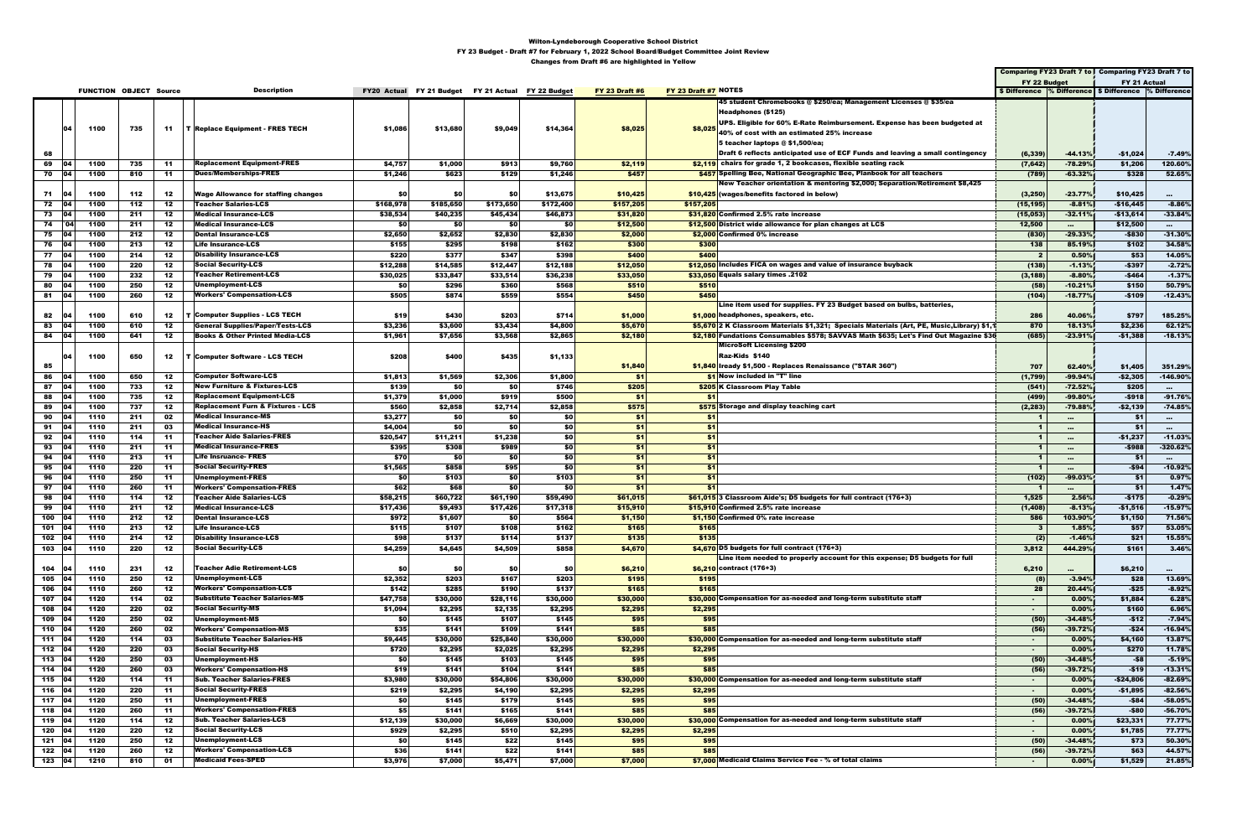|              |           |      |                               |       |                                              |           |                                                    |            |           |                       |                      |                                                                                            |                      |                 | Comparing FY23 Draft 7 to Comparing FY23 Draft 7 to       |                 |
|--------------|-----------|------|-------------------------------|-------|----------------------------------------------|-----------|----------------------------------------------------|------------|-----------|-----------------------|----------------------|--------------------------------------------------------------------------------------------|----------------------|-----------------|-----------------------------------------------------------|-----------------|
|              |           |      |                               |       |                                              |           |                                                    |            |           |                       |                      |                                                                                            | FY 22 Budget         |                 | FY 21 Actual                                              |                 |
|              |           |      | <b>FUNCTION OBJECT Source</b> |       | <b>Description</b>                           |           | FY20 Actual FY 21 Budget FY 21 Actual FY 22 Budget |            |           | <b>FY 23 Draft #6</b> | FY 23 Draft #7 NOTES |                                                                                            |                      |                 | \$ Difference % Difference   \$ Difference   % Difference |                 |
|              |           |      |                               |       |                                              |           |                                                    |            |           |                       |                      | 45 student Chromebooks @ \$250/ea; Management Licenses @ \$35/ea                           |                      |                 |                                                           |                 |
|              |           |      |                               |       |                                              |           |                                                    |            |           |                       |                      | Headphones (\$125)                                                                         |                      |                 |                                                           |                 |
|              | 04        | 1100 | 735                           |       | 11   T Replace Equipment - FRES TECH         | \$1,086   | \$13,680                                           | \$9,049    | \$14,364  | \$8,025               |                      | UPS. Eligible for 60% E-Rate Reimbursement. Expense has been budgeted at                   |                      |                 |                                                           |                 |
|              |           |      |                               |       |                                              |           |                                                    |            |           |                       |                      | $ \$8,025 $ 40% of cost with an estimated 25% increase                                     |                      |                 |                                                           |                 |
|              |           |      |                               |       |                                              |           |                                                    |            |           |                       |                      | 5 teacher laptops $@$ \$1,500/ea;                                                          |                      |                 |                                                           |                 |
| 68           |           |      |                               |       |                                              |           |                                                    |            |           |                       |                      | Draft 6 reflects anticipated use of ECF Funds and leaving a small contingency              | (6, 339)             | $-44.13%$       | -\$1,024                                                  | $-7.49%$        |
| 69           | 04        | 1100 | 735                           | -11   | <b>Replacement Equipment-FRES</b>            | \$4,757   | \$1,000                                            | \$913      | \$9,760   | \$2,119               |                      | \$2,119 chairs for grade 1, 2 bookcases, flexible seating rack                             | (7, 642)             | $-78.29%$       | \$1,206                                                   | 120.60%         |
| 70 04        |           | 1100 | 810                           | 11    | <b>Dues/Memberships-FRES</b>                 | \$1,246   | \$623                                              | \$129      | \$1,246   | \$457                 |                      | \$457 Spelling Bee, National Geographic Bee, Planbook for all teachers                     | (789)                | $-63.32%$       | \$328                                                     | 52.65%          |
|              |           |      |                               |       |                                              |           |                                                    |            |           |                       |                      | New Teacher orientation & mentoring \$2,000; Separation/Retirement \$8,425                 |                      |                 |                                                           |                 |
| 71           | - 104     | 1100 | 112                           | 12    | <b>Wage Allowance for staffing changes</b>   | -\$0      | \$0                                                | \$0        | \$13,675  | \$10,425              |                      | \$10,425 (wages/benefits factored in below)                                                | (3, 250)             | $-23.77%$       | \$10,425                                                  | $\sim$          |
| 72 04        |           | 1100 | 112                           | 12    | <b>Teacher Salaries-LCS</b>                  | \$168,978 | \$185,650                                          | \$173,650  | \$172,400 | \$157,205             | \$157,205            |                                                                                            | (15, 195)            | $-8.81%$        | $-$16,445$                                                | $-8.86%$        |
| 73           | - 04      | 1100 | 211                           | 12    | <b>Medical Insurance-LCS</b>                 | \$38,534  | \$40,235                                           | \$45,434   | \$46,873  | \$31,820              |                      | \$31,820 Confirmed 2.5% rate increase                                                      | (15,053)             | $-32.11%$       | $-$13,614$                                                | $-33.84%$       |
|              | 74   04   | 1100 | 211                           | 12    | <b>Medical Insurance-LCS</b>                 | \$0       | \$0                                                | \$0        | \$0       | \$12,500              |                      | \$12,500 District wide allowance for plan changes at LCS                                   | 12,500               | $\sim 10^{-11}$ | \$12,500                                                  | $\sim 10^{-11}$ |
| 75           | <b>04</b> | 1100 | 212                           | 12    | <b>Dental Insurance-LCS</b>                  | \$2,650   | \$2,652                                            | \$2,830    | \$2,830   | \$2,000               |                      | \$2,000 Confirmed 0% increase                                                              | (830)                | $-29.33%$       | $-$830$                                                   | $-31.30%$       |
| 76 04        |           | 1100 | 213                           | 12    | <b>Life Insurance-LCS</b>                    | \$155     | \$295                                              | \$198      | \$162     | \$300                 | \$300                |                                                                                            | 138                  | 85.19%          | \$102                                                     | 34.58%          |
| 77 04        |           | 1100 | 214                           | 12    | <b>Disability Insurance-LCS</b>              | \$220     | \$377                                              | \$347      | \$398     | \$400                 | \$400                |                                                                                            | $\overline{2}$       | 0.50%           | \$53                                                      | 14.05%          |
| 78   04      |           | 1100 | 220                           | 12    | <b>Social Security-LCS</b>                   | \$12,288  | \$14,585                                           | \$12,447   | \$12,188  | \$12,050              |                      | \$12,050 Includes FICA on wages and value of insurance buyback                             | (138)                | $-1.13%$        | -\$397                                                    | $-2.72%$        |
| 79 04        |           | 1100 | 232                           | 12    | Teacher Retirement-LCS                       | \$30,025  | \$33,847                                           | \$33,514   | \$36,238  | \$33,050              |                      | \$33,050 Equals salary times .2102                                                         | (3, 188)             | $-8.80%$        | $-$464$                                                   | $-1.37%$        |
| 80           |           | 1100 | 250                           | 12    | Unemployment-LCS                             | \$0       | \$296                                              | \$360      | \$568     | \$510                 | \$510                |                                                                                            | (58)                 | $-10.21%$       | \$150                                                     | 50.79%          |
| 81 04        |           | 1100 | 260                           | 12    | <b>Workers' Compensation-LCS</b>             | \$505     | \$874                                              | \$559      | \$554     | \$450                 | \$450                |                                                                                            | (104)                | $-18.77%$       | -\$109                                                    | $-12.43%$       |
|              |           |      |                               |       |                                              |           |                                                    |            |           |                       |                      | Line item used for supplies. FY 23 Budget based on bulbs, batteries,                       |                      |                 |                                                           |                 |
| 82           |           | 1100 | 610                           | 12    | <b>T</b> Computer Supplies - LCS TECH        | \$19      | \$430                                              | \$203      | \$714     | \$1,000               |                      | \$1,000 headphones, speakers, etc.                                                         | 286                  | 40.06%          | \$797                                                     | 185.25%         |
| 83           |           | 1100 | 610                           | 12    | General Supplies/Paper/Tests-LCS             | \$3,236   | \$3,600                                            | \$3,434    | \$4,800   | \$5,670               |                      | \$5,670 2 K Classroom Materials \$1,321; Specials Materials (Art, PE, Music,Library) \$1,1 | 870                  | 18.13%          | \$2,236                                                   | 62.12%          |
| 84 04        |           | 1100 | 641                           | 12    | <b>Books &amp; Other Printed Media-LCS</b>   | \$1,961   | \$7,656                                            | \$3,568    | \$2,865   | \$2,180               |                      | \$2,180 Fundations Consumables \$578; SAVVAS Math \$635; Let's Find Out Magazine \$36      | (685)                | $-23.91%$       | $-$1,388$                                                 | $-18.13%$       |
|              |           |      |                               |       |                                              |           |                                                    |            |           |                       |                      | <b>MicroSoft Licensing \$200</b>                                                           |                      |                 |                                                           |                 |
|              | ، ۱       | 1100 | 650                           | 12    | <b>T Computer Software - LCS TECH</b>        | \$208     | \$400                                              | \$435      | \$1,133   |                       |                      | Raz-Kids \$140                                                                             |                      |                 |                                                           |                 |
| 85           |           |      |                               |       |                                              |           |                                                    |            |           | \$1,840               |                      | \$1,840 Iready \$1,500 - Replaces Renaissance ("STAR 360")                                 | 707                  | 62.40%          | \$1,405                                                   | 351.29%         |
| 86           |           | 1100 | 650                           | 12    | <b>Computer Software-LCS</b>                 | \$1,813   | \$1,569                                            | \$2,306    | \$1,800   | \$1                   |                      | \$1 Now included in "T" line                                                               | (1,799)              | $-99.94%$       | $-$2,305$                                                 | $-146.90%$      |
| 87           |           | 1100 | 733                           | 12    | <b>New Furniture &amp; Fixtures-LCS</b>      | \$139     | \$0                                                | <b>\$0</b> | \$746     | \$205                 |                      | \$205 K Classroom Play Table                                                               | (541)                | $-72.52%$       | \$205                                                     | $\sim 10^{-1}$  |
| 88           |           | 1100 | 735                           | 12    | <b>Replacement Equipment-LCS</b>             | \$1,379   | \$1,000                                            | \$919      | \$500     | \$1                   | \$1                  |                                                                                            | (499)                | $-99.80%$       | $-$918$                                                   | $-91.76%$       |
| 89   04      |           | 1100 | 737                           | 12    | <b>Replacement Furn &amp; Fixtures - LCS</b> | \$560     | \$2,858                                            | \$2,714    | \$2,858   | \$575                 |                      | \$575 Storage and display teaching cart                                                    | (2, 283)             | $-79.88%$       | -\$2,139                                                  | $-74.85%$       |
| 90           | - 04      | 1110 | 211                           | 02    | <b>Medical Insurance-MS</b>                  | \$3,277   | \$0                                                | -\$0       | \$0       | \$1                   | - \$1                |                                                                                            | $\mathbf{1}$         | $\cdots$        | \$1                                                       | $\sim$          |
| $91 \t   04$ |           | 1110 | 211                           | 03    | <b>Medical Insurance-HS</b>                  | \$4,004   | \$0                                                | <b>\$0</b> | \$0       | \$1                   | \$1                  |                                                                                            | $\blacktriangleleft$ | $\cdots$        | \$1                                                       | $\sim$          |
| 92 04        |           | 1110 | 114                           | -11   | <b>Teacher Aide Salaries-FRES</b>            | \$20,547  | \$11,211                                           | \$1,238    | \$0       | \$1                   | \$1                  |                                                                                            | 1                    | $\cdots$        | -\$1,237                                                  | $-11.03%$       |
| 93           | - 04      | 1110 | 211                           | -11   | <b>Medical Insurance-FRES</b>                | \$395     | \$308                                              | \$989      | \$0       | \$1                   | \$1                  |                                                                                            | $\mathbf{1}$         | $\cdots$        | -\$988                                                    | $-320.62%$      |
| 94           |           | 1110 | 213                           | -11   | <b>Life Insruance- FRES</b>                  | \$70      | \$0                                                | <b>\$0</b> | \$0       | \$1                   | \$1                  |                                                                                            | $\mathbf{1}$         | $\cdots$        | - \$1                                                     | $\sim 10^{-1}$  |
| 95           |           | 1110 | 220                           | 11    | <b>Social Security-FRES</b>                  | \$1,565   | \$858                                              | \$95       | \$0       | \$1                   | \$1                  |                                                                                            | -1                   | $\cdots$        | -\$94                                                     | $-10.92%$       |
| 96           |           | 1110 | 250                           | -11   | Unemployment-FRES                            | \$0       | \$103                                              | \$0        | \$103     | \$1                   | - \$1                |                                                                                            | (102)                | $-99.03%$       | - \$1                                                     | 0.97%           |
| 97           |           | 1110 | 260                           | -11   | <b>Workers' Compensation-FRES</b>            | \$62      | \$68                                               | <b>\$0</b> | \$0       | \$1                   | \$1                  |                                                                                            | - 1                  | $\cdots$        | \$1                                                       | 1.47%           |
| 98           |           | 1110 | 114                           | 12    | <b>Teacher Aide Salaries-LCS</b>             | \$58,215  | \$60,722                                           | \$61,190   | \$59,490  | \$61,015              |                      | $$61,015$ 3 Classroom Aide's; D5 budgets for full contract (176+3)                         | 1,525                | 2.56%           | $-$175$                                                   | $-0.29%$        |
| 99           |           | 1110 | 211                           | 12    | <b>Medical Insurance-LCS</b>                 | \$17,436  | \$9,493                                            | \$17,426   | \$17,318  | \$15,910              |                      | \$15,910 Confirmed 2.5% rate increase                                                      | (1, 408)             | $-8.13%$        | $-$1,516$                                                 | $-15.97%$       |
| 100   04     |           | 1110 | 212                           | 12    | <b>Dental Insurance-LCS</b>                  | \$972     | \$1,607                                            | <b>\$0</b> | \$564     | \$1,150               |                      | \$1.150 Confirmed 0% rate increase                                                         | 586                  | 103.90%         | \$1,150                                                   | 71.56%          |
| 101   04     |           | 1110 | 213                           | 12    | Life Insurance-LCS                           | \$115     | \$107                                              | \$108      | \$162     | \$165                 | \$165                |                                                                                            | -3                   | 1.85%           | \$57                                                      | 53.05%          |
| 102 04       |           | 1110 | 214                           | 12    | <b>Disability Insurance-LCS</b>              | \$98      | \$137                                              | \$114      | \$137     | \$135                 | \$135                |                                                                                            | (2)                  | $-1.46%$        | \$21                                                      | 15.55%          |
| 103 04       |           | 1110 | 220                           | 12    | <b>Social Security-LCS</b>                   | \$4,259   | \$4,645                                            | \$4,509    | \$858     | \$4,670               |                      | \$4,670 D5 budgets for full contract (176+3)                                               | 3,812                | 444.29%         | \$161                                                     | 3.46%           |
|              |           |      |                               |       |                                              |           |                                                    |            |           |                       |                      | Line item needed to properly account for this expense; D5 budgets for full                 |                      |                 |                                                           |                 |
| 104          |           | 1110 | 231                           | 12    | <b>Teacher Adie Retirement-LCS</b>           | \$0       | \$0                                                | <b>\$0</b> | \$0       | \$6,210               |                      | \$6,210 contract (176+3)                                                                   | 6,210                | $\cdots$        | \$6,210                                                   | $\sim 10^{-1}$  |
| 105          |           | 1110 | 250                           | 12    | Unemployment-LCS                             | \$2,352   | \$203                                              | \$167      | \$203     | \$195                 | \$195                |                                                                                            | (8)                  | $-3.94%$        | \$28                                                      | 13.69%          |
| 106 04       |           | 1110 | 260                           | 12    | <b>Workers' Compensation-LCS</b>             | \$142     | \$285                                              | \$190      | \$137     | \$165                 | \$165                |                                                                                            | 28                   | 20.44%          | $-$ \$25                                                  | $-8.92%$        |
| 107 04       |           | 1120 | 114                           | 02    | <b>Substitute Teacher Salaries-MS</b>        | \$47,758  | \$30,000                                           | \$28,116   | \$30,000  | \$30,000              |                      | \$30,000 Compensation for as-needed and long-term substitute staff                         | $\sim$               | 0.00%           | \$1,884                                                   | 6.28%           |
| 108 04       |           | 1120 | 220                           | 02    | <b>Social Security-MS</b>                    | \$1,094   | \$2,295                                            | \$2,135    | \$2,295   | \$2,295               | \$2,295              |                                                                                            | $\sim$               | 0.00%           | \$160                                                     | 6.96%           |
| 109 04       |           | 1120 | 250                           | 02    | <b>Unemployment-MS</b>                       | \$0       | \$145                                              | \$107      | \$145     | \$95                  | \$95                 |                                                                                            | (50)                 | $-34.48%$       | $-$12$                                                    | $-7.94%$        |
| 110 04       |           | 1120 | 260                           | 02    | <b>Workers' Compensation-MS</b>              | \$35      | \$141                                              | \$109      | \$141     | \$85                  | \$85                 |                                                                                            | (56)                 | $-39.72%$       | $-$24$                                                    | $-16.94%$       |
| 111   04     |           | 1120 | 114                           | 03    | <b>Substitute Teacher Salaries-HS</b>        | \$9,445   | \$30,000                                           | \$25,840   | \$30,000  | \$30,000              |                      | \$30,000 Compensation for as-needed and long-term substitute staff                         | $\sim$               | 0.00%           | \$4,160                                                   | 13.87%          |
| 112 04       |           | 1120 | 220                           | 03    | <b>Social Security-HS</b>                    | \$720     | \$2,295                                            | \$2,025    | \$2,295   | \$2,295               | \$2,295              |                                                                                            | $\sim$               | 0.00%           | \$270                                                     | 11.78%          |
| 113 04       |           | 1120 | 250                           | 03    | Unemployment-HS                              | \$0       | \$145                                              | \$103      | \$145     | \$95                  | \$95                 |                                                                                            | (50)                 | $-34.48%$       | $-58$                                                     | $-5.19%$        |
| 114 04       |           | 1120 | 260                           | 03    | <b>Workers' Compensation-HS</b>              | \$19      | \$141                                              | \$104      | \$141     | \$85                  | \$85                 |                                                                                            | (56)                 | $-39.72%$       | $-$19$                                                    | $-13.31%$       |
| 115   04     |           | 1120 | 114                           | $-11$ | <b>Sub. Teacher Salaries-FRES</b>            | \$3,980   | \$30,000                                           | \$54,806   | \$30,000  | \$30,000              |                      | \$30,000 Compensation for as-needed and long-term substitute staff                         | $\sim$               | 0.00%           | $-$24,806$                                                | $-82.69%$       |
| 116   04     |           | 1120 | 220                           | 11    | <b>Social Security-FRES</b>                  | \$219     | \$2,295                                            | \$4,190    | \$2,295   | \$2,295               | \$2,295              |                                                                                            | $\sim$               | 0.00%           | -\$1,895                                                  | $-82.56%$       |
| 117 04       |           | 1120 | 250                           | $-11$ | <b>Unemployment-FRES</b>                     | \$0       | \$145                                              | \$179      | \$145     | \$95                  | \$95                 |                                                                                            | (50)                 | $-34.48%$       | $-$84$                                                    | $-58.05%$       |
| 118 04       |           | 1120 | 260                           | $-11$ | <b>Workers' Compensation-FRES</b>            | \$5       | \$141                                              | \$165      | \$141     | \$85                  | \$85                 |                                                                                            | (56)                 | $-39.72%$       | -\$80                                                     | $-56.70%$       |
| 119 04       |           | 1120 | 114                           | 12    | <b>Sub. Teacher Salaries-LCS</b>             | \$12,139  | \$30,000                                           | \$6,669    | \$30,000  | \$30,000              |                      | \$30,000 Compensation for as-needed and long-term substitute staff                         | $\sim$               | 0.00%           | \$23,331                                                  | 77.77%          |
| 120 04       |           | 1120 | 220                           | 12    | <b>Social Security-LCS</b>                   | \$929     | \$2,295                                            | \$510      | \$2,295   | \$2,295               | \$2,295              |                                                                                            | $\sim$               | 0.00%           | \$1,785                                                   | 77.77%          |
| 121 04       |           | 1120 | 250                           | 12    | <b>Unemployment-LCS</b>                      | \$0       | \$145                                              | \$22       | \$145     | \$95                  | \$95                 |                                                                                            | (50)                 | $-34.48%$       | \$73                                                      | 50.30%          |
| 122 04       |           | 1120 | 260                           | 12    | <b>Workers' Compensation-LCS</b>             | \$36      | \$141                                              | \$22       | \$141     | \$85                  | \$85                 |                                                                                            | (56)                 | $-39.72%$       | \$63                                                      | 44.57%          |
| 123 04       |           | 1210 | 810                           | 01    | <b>Medicaid Fees-SPED</b>                    | \$3,976   | \$7,000                                            | \$5,471    | \$7,000   | \$7,000               |                      | \$7,000 Medicaid Claims Service Fee - % of total claims                                    | $\sim$               | 0.00%           | \$1,529                                                   | 21.85%          |
|              |           |      |                               |       |                                              |           |                                                    |            |           |                       |                      |                                                                                            |                      |                 |                                                           |                 |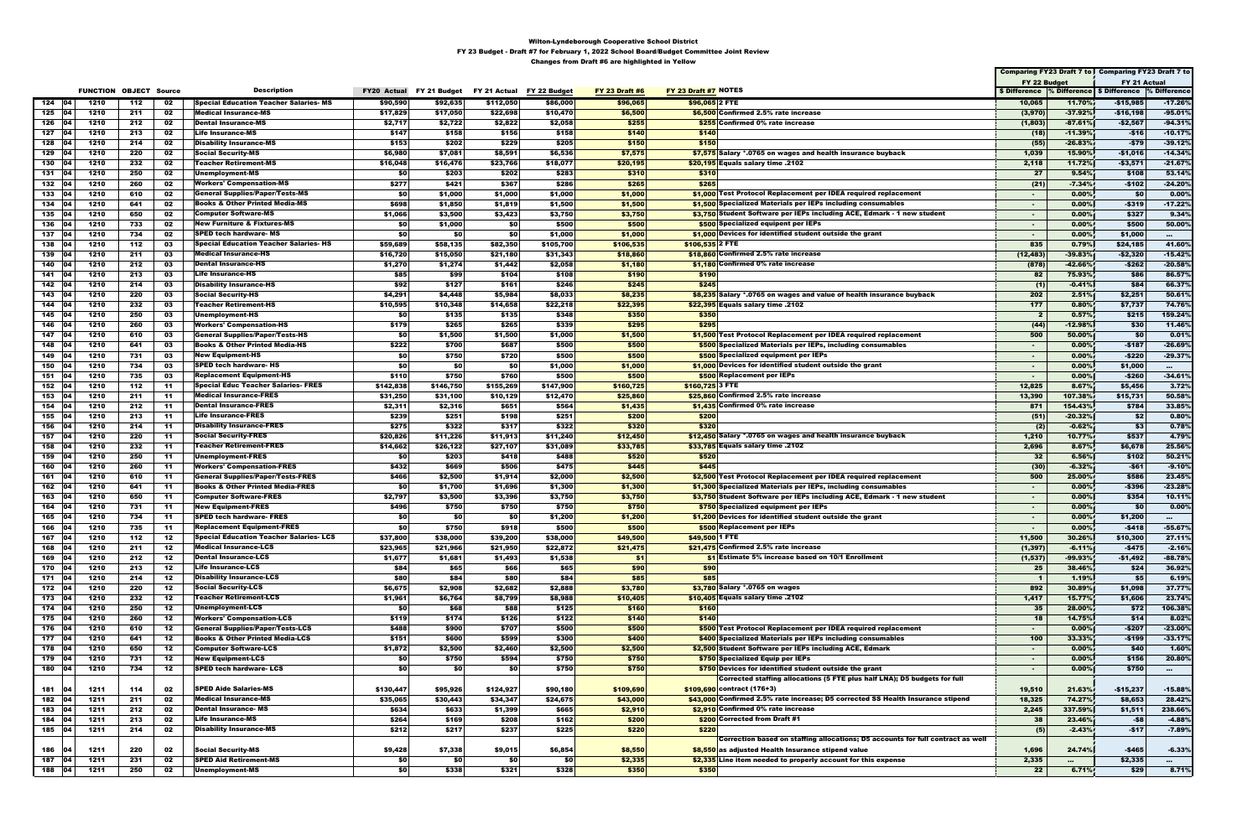|                  |              |                               |       |                                                   |                    |                    |                           |           |                       |                                                                                                  |                                                       |                    | Comparing FY23 Draft 7 to Comparing FY23 Draft 7 to |                    |
|------------------|--------------|-------------------------------|-------|---------------------------------------------------|--------------------|--------------------|---------------------------|-----------|-----------------------|--------------------------------------------------------------------------------------------------|-------------------------------------------------------|--------------------|-----------------------------------------------------|--------------------|
|                  |              |                               |       |                                                   |                    |                    |                           |           |                       |                                                                                                  | FY 22 Budget                                          |                    | FY 21 Actual                                        |                    |
|                  |              | <b>FUNCTION OBJECT Source</b> |       | <b>Description</b>                                | <b>FY20 Actual</b> | FY 21 Budget       | FY 21 Actual FY 22 Budget |           | <b>FY 23 Draft #6</b> | FY 23 Draft #7 NOTES                                                                             | \$ Difference % Difference \$ Difference % Difference |                    |                                                     |                    |
| $124$ 04         | 1210         | 112                           | 02    | <b>Special Education Teacher Salaries-MS</b>      | \$90,590           | \$92,635           | \$112,050                 | \$86,000  | \$96,065              | \$96,065 2 FTE                                                                                   | 10,065                                                | 11.70%             | $-$15,985$                                          | $-17.26%$          |
| 125 04           | 1210         | 211                           | 02    | <b>Medical Insurance-MS</b>                       | \$17,829           | \$17,050           | \$22,698                  | \$10,470  | \$6,500               | \$6,500 Confirmed 2.5% rate increase                                                             | (3,970)                                               | $-37.92%$          | -\$16,198                                           | $-95.01%$          |
| 126 04           | 1210         | 212                           | 02    | <b>Dental Insurance-MS</b>                        | \$2,717            | \$2,722            | \$2,822                   | \$2,058   | \$255                 | \$255 Confirmed 0% rate increase                                                                 | (1,803)                                               | $-87.61%$          | -\$2,567                                            | $-94.31%$          |
| 127              | 1210         | 213                           | 02    | <b>Life Insurance-MS</b>                          | \$147              | \$158              | \$156                     | \$158     | \$140                 | \$140                                                                                            | (18)                                                  | $-11.39%$          | $-$16$                                              | $-10.17%$          |
| 128              | 1210         | 214                           | 02    | Disability Insurance-MS                           | \$153              | \$202              | \$229                     | \$205     | \$150                 | \$150                                                                                            | (55)                                                  | $-26.83%$          | -\$79                                               | $-39.12%$          |
| 129              | 1210         | 220                           | 02    | <b>Social Security-MS</b>                         | \$6,980            | \$7,081            | \$8,591                   | \$6,536   | \$7,575               | \$7,575 Salary *.0765 on wages and health insurance buyback                                      | 1,039                                                 | 15.90%             | -\$1,016                                            | $-14.34%$          |
| 130<br>104       | 1210         | 232                           | 02    | <b>Teacher Retirement-MS</b>                      | \$16,048           | \$16,476           | \$23,766                  | \$18,077  | \$20,195              | 2102. \$20,195 Equals salary time                                                                | 2,118                                                 | 11.72%             | -\$3,571                                            | $-21.67%$          |
| 131<br>104       | 1210         | 250                           | 02    | Unemployment-MS                                   | \$0                | \$203              | \$202                     | \$283     | \$310                 | \$310                                                                                            | 27                                                    | 9.54%              | \$108                                               | 53.14%             |
| 132              | 1210         | 260                           | 02    | <b>Workers' Compensation-MS</b>                   | \$277              | \$421              | \$367                     | \$286     | \$265                 | \$265                                                                                            | (21)                                                  | $-7.34%$           | $-$102$                                             | $-24.20%$          |
| 133<br>04        | 1210         | 610                           | 02    | General Supplies/Paper/Tests-MS                   | \$0                | \$1,000            | \$1,000                   | \$1,000   | \$1,000               | \$1,000 Test Protocol Replacement per IDEA required replacement                                  | $\sim$                                                | $0.00\%$           | \$0                                                 | $0.00\%$           |
| 134<br>104       | 1210         | 641                           | 02    | <b>Books &amp; Other Printed Media-MS</b>         | \$698              | \$1,850            | \$1,819                   | \$1,500   | \$1,500               | \$1,500 Specialized Materials per IEPs including consumables                                     | $\sim$                                                | $0.00\%$           | $-$319$                                             | $-17.22%$          |
| 135              | 1210         | 650                           | 02    | Computer Software-MS                              | \$1,066            | \$3,500            | \$3,423                   | \$3,750   | \$3,750               | \$3,750 Student Software per IEPs including ACE, Edmark - 1 new student                          | $\sim$                                                | 0.00%              | \$327                                               | 9.34%              |
| 136<br>104       | 1210         | 733                           | 02    | New Furniture & Fixtures-MS                       | \$0                | \$1,000            | \$0                       | \$500     | \$500                 | \$500 Specialized equipent per IEPs                                                              | $\sim$                                                | 0.00%              | \$500                                               | 50.00%             |
| 137<br>104       | 1210         | 734                           | 02    | <b>SPED tech hardware- MS</b>                     | \$0                | \$0                | \$0                       | \$1,000   | \$1,000               | \$1,000 Devices for identified student outside the grant                                         | $\sim$                                                | 0.00%              | \$1,000                                             | $\sim$             |
| 138<br>04 ا      | 1210         | 112                           | 03    | Special Education Teacher Salaries- HS            | \$59,689           | \$58,135           | \$82,350                  | \$105,700 | \$106,535             | $$106,535$ 2 FTE                                                                                 | 835                                                   | 0.79%              | \$24,185                                            | 41.60%             |
| 139              | 1210         | 211                           | 03    | <b>Medical Insurance-HS</b>                       | \$16,720           | \$15,050           | \$21,180                  | \$31,343  | \$18,860              | \$18,860 Confirmed 2.5% rate increase                                                            | (12, 483)                                             | $-39.83%$          | -\$2,320                                            | $-15.42%$          |
| 140              | 1210         | 212                           | 03    | <b>Dental Insurance-HS</b>                        | \$1,270            | \$1,274            | \$1,442                   | \$2,058   | \$1,180               | \$1,180 Confirmed 0% rate increase                                                               | (878)                                                 | $-42.66%$          | -\$262                                              | $-20.58%$          |
| 141 04           | 1210         | 213                           | 03    | <b>Life Insurance-HS</b>                          | \$85               | \$99               | \$104                     | \$108     | \$190                 | \$190                                                                                            | 82                                                    | 75.93%             | \$86                                                | 86.57%             |
| 142<br>104       | 1210         | 214                           | 03    | <b>Disability Insurance-HS</b>                    | \$92               | \$127              | \$161                     | \$246     | \$245                 | \$245                                                                                            | (1)                                                   | $-0.41%$           | \$84                                                | 66.37%             |
| 143              | 1210         | 220                           | 03    | <b>Social Security-HS</b>                         | \$4,291            | \$4,448            | \$5,984                   | \$8,033   | \$8,235               | \$8,235 Salary *.0765 on wages and value of health insurance buyback                             | 202                                                   | 2.51%              | \$2,251                                             | 50.61%             |
| 144<br>104       | 1210         | 232                           | 03    | Teacher Retirement-HS                             | \$10,595           | \$10,348           | \$14,658                  | \$22,218  | \$22,395              | 2102. \$22,395 Equals salary time                                                                | 177                                                   | 0.80%              | \$7,737                                             | 74.76%             |
| 145<br>104       | 1210         | 250                           | 03    | Unemployment-HS                                   | \$0                | \$135              | \$135                     | \$348     | \$350                 | \$350                                                                                            | $\mathbf{2}$                                          | 0.57%              | \$215                                               | 159.24%            |
| 146              | 1210         | 260                           | 03    | <b>Workers' Compensation-HS</b>                   | \$179              | \$265              | \$265                     | \$339     | \$295                 | \$295                                                                                            | (44)                                                  | $-12.98%$          | \$30                                                | 11.46%             |
| 147<br>- 04      | 1210         | 610                           | 03    | <b>General Supplies/Paper/Tests-HS</b>            | <b>\$0</b>         | \$1,500            | \$1,500                   | \$1,000   | \$1,500               | \$1,500 Test Protocol Replacement per IDEA required replacement                                  | 500                                                   | 50.00%             | \$0                                                 | 0.01%              |
| 148<br>104       | 1210         | 641                           | 03    | <b>Books &amp; Other Printed Media-HS</b>         | \$222              | \$700              | \$687                     | \$500     | \$500                 | \$500 Specialized Materials per IEPs, including consumables                                      | $\blacksquare$                                        | 0.00%              | $-$187$                                             | $-26.69%$          |
| 149<br>04 ا      | 1210         | 731                           | 03    |                                                   | \$0                |                    | \$720                     | \$500     | \$500                 |                                                                                                  | $\sim$                                                | $0.00\%$           | -\$220                                              | $-29.37%$          |
| 104              |              | 734                           |       | New Equipment-HS<br><b>SPED tech hardware- HS</b> | \$0                | \$750<br>\$0       |                           |           |                       | \$500 Specialized equipment per IEPs<br>\$1,000 Devices for identified student outside the grant |                                                       | 0.00%              |                                                     |                    |
| 150<br>104       | 1210         |                               | 03    | Replacement Equipment-HS                          |                    |                    | \$0                       | \$1,000   | \$1,000               |                                                                                                  | ж.                                                    |                    | \$1,000                                             | $\sim$ 100 $\pm$   |
| 151<br>152       | 1210<br>1210 | 735<br>112                    | 03    |                                                   | \$110              | \$750<br>\$146,750 | \$760                     | \$500     | \$500                 | \$500 Replacement per IEPs                                                                       | $\sim$<br>12,825                                      | 0.00%<br>8.67%     | $-$ \$260                                           | $-34.61%$<br>3.72% |
|                  |              |                               | -11   | Special Educ Teacher Salaries- FRES               | \$142,838          |                    | \$155,269                 | \$147,900 | \$160,725             | $$160,725$ 3 FTE                                                                                 |                                                       |                    | \$5,456                                             |                    |
| 153              | 1210         | 211                           | -11   | <b>Medical Insurance-FRES</b>                     | \$31,250           | \$31,100           | \$10,129                  | \$12,470  | \$25,860              | \$25,860 Confirmed 2.5% rate increase                                                            | 13,390                                                | 107.38%<br>154.43% | \$15,731                                            | 50.58%             |
| 154<br>104       | 1210         | 212                           | -11   | <b>Dental Insurance-FRES</b>                      | \$2,311            | \$2,316            | \$651                     | \$564     | \$1,435               | \$1,435 Confirmed 0% rate increase                                                               | 871                                                   |                    | \$784                                               | 33.85%             |
| 155              | 1210         | 213                           | -11   | <b>Life Insurance-FRES</b>                        | \$239              | \$251              | \$198                     | \$251     | \$200                 | \$200                                                                                            | (51)                                                  | $-20.32%$          | -\$2                                                | 0.80%              |
| 156              | 1210         | 214                           | -11   | <b>Disability Insurance-FRES</b>                  | \$275              | \$322              | \$317                     | \$322     | \$320                 | \$320                                                                                            | (2)                                                   | $-0.62%$           | \$3                                                 | 0.78%              |
| 157              | 1210         | 220                           | -11   | <b>Social Security-FRES</b>                       | \$20,826           | \$11,226           | \$11,913                  | \$11,240  | \$12,450              | \$12,450 Salary *.0765 on wages and health insurance buyback                                     | 1,210                                                 | 10.77%             | \$537                                               | 4.79%              |
| 158<br>104       | 1210         | 232                           | -11   | <b>Teacher Retirement-FRES</b>                    | \$14,662           | \$26,122           | \$27,107                  | \$31,089  | \$33,785              | \$33,785 Equals salary time .2102                                                                | 2,696                                                 | 8.67%              | \$6,678                                             | 25.56%             |
| 159<br>104       | 1210         | 250                           | -11   | Unemployment-FRES                                 | \$0                | \$203              | \$418                     | \$488     | \$520                 | \$520                                                                                            | 32                                                    | 6.56%              | \$102                                               | 50.21%             |
| 160              | 1210         | 260                           | -11   | <b>Workers' Compensation-FRES</b>                 | \$432              | \$669              | \$506                     | \$475     | \$445                 | \$445                                                                                            | (30)                                                  | $-6.32%$           | $-$61$                                              | $-9.10%$           |
| 161<br>- 04      | 1210         | 610                           | -11   | General Supplies/Paper/Tests-FRES                 | \$466              | \$2,500            | \$1,914                   | \$2,000   | \$2,500               | \$2,500 Test Protocol Replacement per IDEA required replacement                                  | 500                                                   | 25.00%             | \$586                                               | 23.45%             |
| 162<br>104       | 1210         | 641                           | -11   | <b>Books &amp; Other Printed Media-FRES</b>       | \$0                | \$1,700            | \$1,696                   | \$1,300   | \$1,300               | \$1,300 Specialized Materials per IEPs, including consumables                                    | $\sim$                                                | 0.00%              | $-$396$                                             | $-23.28%$          |
| 163              | 1210         | 650                           | -11   | <b>Computer Software-FRES</b>                     | \$2,797            | \$3,500            | \$3,396                   | \$3,750   | \$3,750               | \$3,750 Student Software per IEPs including ACE, Edmark - 1 new student                          | $\sim$                                                | $0.00\%$           | \$354                                               | 10.11%             |
| 164              | 1210         | 731                           | $-11$ | <b>New Equipment-FRES</b>                         | \$496              | \$750              | \$750                     | \$750     | \$750                 | \$750 Specialized equipment per IEPs                                                             | $\blacksquare$                                        | 0.00%              | \$0                                                 | 0.00%              |
| 165   04         | 1210         | 734                           | -11   | <b>SPED tech hardware- FRES</b>                   | \$0                | -\$0               | \$0                       | \$1,200   | \$1,200               | $\frac{1}{2}$ ,200 Devices for identified student outside the grant                              | $\sim$                                                | 0.00%              | \$1,200                                             |                    |
| 166              | 1210         | 735                           | -11   | <b>Replacement Equipment-FRES</b>                 | \$O                | \$750              | \$918                     | \$500     | \$500                 | <b>\$500 Replacement per IEPs</b>                                                                | $\blacksquare$                                        | $0.00\%$           | -\$418                                              | $-55.67\%$         |
| 167<br>04        | 1210         | 112                           | 12    | <b>Special Education Teacher Salaries-LCS</b>     | \$37,800           | \$38,000           | \$39,200                  | \$38,000  | \$49,500              | \$49,500 1 FTE                                                                                   | 11,500                                                | 30.26%             | \$10,300                                            | 27.11%             |
| 168<br>04        | 1210         | 211                           | 12    | <b>Medical Insurance-LCS</b>                      | \$23,965           | \$21,966           | \$21,950                  | \$22,872  | \$21,475              | \$21,475 Confirmed 2.5% rate increase                                                            | (1, 397)                                              | $-6.11%$           | $-$475$                                             | $-2.16%$           |
| 04 <br>169       | 1210         | 212                           | 12    | <b>Dental Insurance-LCS</b>                       | \$1,677            | \$1,681            | \$1,493                   | \$1,538   | \$1                   | \$1 Estimate 5% increase based on 10/1 Enrollment                                                | (1, 537)                                              | -99.93%            | $-$1,492$                                           | $-88.78%$          |
| 170   04         | 1210         | 213                           | 12    | <b>Life Insurance-LCS</b>                         | \$84               | \$65               | \$66                      | \$65      | \$90                  | \$90                                                                                             | 25                                                    | 38.46%             | \$24                                                | 36.92%             |
| 171 04           | 1210         | 214                           | 12    | <b>Disability Insurance-LCS</b>                   | \$80               | \$84               | \$80                      | \$84      | \$85                  | \$85                                                                                             | $\blacksquare$                                        | 1.19%              | \$5                                                 | 6.19%              |
| 172   04         | 1210         | 220                           | 12    | <b>Social Security-LCS</b>                        | \$6,675            | \$2,908            | \$2,682                   | \$2,888   | \$3,780               | \$3,780 Salary *.0765 on wages                                                                   | 892                                                   | 30.89%             | \$1,098                                             | 37.77%             |
| 173 04           | 1210         | 232                           | 12    | <b>Teacher Retirement-LCS</b>                     | \$1,961            | \$6,764            | \$8,799                   | \$8,988   | \$10,405              | \$10.405 Equals salary time .2102                                                                | 1,417                                                 | 15.77%             | \$1,606                                             | 23.74%             |
| 174 04           | 1210         | 250                           | 12    | Unemployment-LCS                                  | \$0                | \$68               | \$88                      | \$125     | \$160                 | \$160                                                                                            | 35                                                    | 28.00%             | \$72                                                | 106.38%            |
| 175   04         | 1210         | 260                           | 12    | <b>Workers' Compensation-LCS</b>                  | \$119              | \$174              | \$126                     | \$122     | \$140                 | \$140                                                                                            | 18                                                    | 14.75%             | \$14                                                | 8.02%              |
| 176<br> 04       | 1210         | 610                           | 12    | <b>General Supplies/Paper/Tests-LCS</b>           | \$488              | \$900              | \$707                     | \$500     | \$500                 | \$500 Test Protocol Replacement per IDEA required replacement                                    | $\sim$                                                | 0.00%              | $-$207$                                             | $-23.00%$          |
| 177 04           | 1210         | 641                           | 12    | <b>Books &amp; Other Printed Media-LCS</b>        | \$151              | \$600              | \$599                     | \$300     | \$400                 | \$400 Specialized Materials per IEPs including consumables                                       | 100                                                   | 33.33%             | $-$199$                                             | $-33.17%$          |
| 178<br> 04       | 1210         | 650                           | 12    | <b>Computer Software-LCS</b>                      | \$1,872            | \$2,500            | \$2,460                   | \$2,500   | \$2,500               | \$2,500 Student Software per IEPs including ACE, Edmark                                          | $\sim$                                                | 0.00%              | \$40                                                | 1.60%              |
| 179   04         | 1210         | 731                           | 12    | <b>New Equipment-LCS</b>                          | \$0                | \$750              | \$594                     | \$750     | \$750                 | \$750 Specialized Equip per IEPs                                                                 | $\sim$                                                | 0.00%              | \$156                                               | 20.80%             |
| 180 04           | 1210         | 734                           | 12    | <b>SPED tech hardware- LCS</b>                    | <b>SO</b>          | \$0                | \$0                       | \$750     | \$750                 | \$750 Devices for identified student outside the grant                                           | $\sim$                                                | 0.00%              | \$750                                               | $\cdots$           |
|                  |              |                               |       |                                                   |                    |                    |                           |           |                       | Corrected staffing allocations (5 FTE plus half LNA); D5 budgets for full                        |                                                       |                    |                                                     |                    |
| 181              | 1211         | 114                           | 02    | <b>SPED Aide Salaries-MS</b>                      | \$130,447          | \$95,926           | \$124,927                 | \$90,180  | \$109,690             | \$109,690 contract (176+3)                                                                       | 19,510                                                | 21.63%             | $-$15,237$                                          | $-15.88%$          |
| 182<br>04        | 1211         | 211                           | 02    | <b>Medical Insurance-MS</b>                       | \$35,065           | \$30,443           | \$34,347                  | \$24,675  | \$43,000              | \$43,000 Confirmed 2.5% rate increase; D5 corrected SS Health Insurance stipend                  | 18,325                                                | 74.27%             | \$8,653                                             | 28.42%             |
| 183<br>04        | 1211         | 212                           | 02    | <b>Dental Insurance-MS</b>                        | \$634              | \$633              | \$1,399                   | \$665     | \$2,910               | \$2,910 Confirmed 0% rate increase                                                               | 2,245                                                 | 337.59%            | \$1,511                                             | 238.66%            |
| 184<br>104       | 1211         | 213                           | 02    | <b>Life Insurance-MS</b>                          | \$264              | \$169              | \$208                     | \$162     | \$200                 | \$200 Corrected from Draft #1                                                                    | 38                                                    | 23.46%             | $-58$                                               | $-4.88%$           |
| 185   04         | 1211         | 214                           | 02    | <b>Disability Insurance-MS</b>                    | \$212              | \$217              | \$237                     | \$225     | \$220                 | \$220                                                                                            | (5)                                                   | $-2.43%$           | $-$17$                                              | $-7.89%$           |
|                  |              |                               |       |                                                   |                    |                    |                           |           |                       | Correction based on staffing allocations; D5 accounts for full contract as well                  |                                                       |                    |                                                     |                    |
| 186              | 1211         | 220                           | 02    | <b>Social Security-MS</b>                         | \$9,428            | \$7,338            | \$9,015                   | \$6,854   | \$8,550               | \$8,550 as adjusted Health Insurance stipend value                                               | 1,696                                                 | 24.74%             | $-$465$                                             | $-6.33%$           |
| 187<br><b>O4</b> | 1211         | 231                           | 02    | <b>SPED Aid Retirement-MS</b>                     | \$0                | \$0                | \$0                       | \$0       | \$2,335               | \$2,335 Line item needed to properly account for this expense                                    | 2,335                                                 | $\cdots$           | \$2,335                                             | $\sim$ $\sim$      |
| 188   04         | 1211         | 250                           | 02    | <b>Unemployment-MS</b>                            | \$0                | \$338              | \$321                     | \$328     | \$350                 | \$350                                                                                            | 22                                                    | $6.71\%$           | \$29                                                | 8.71%              |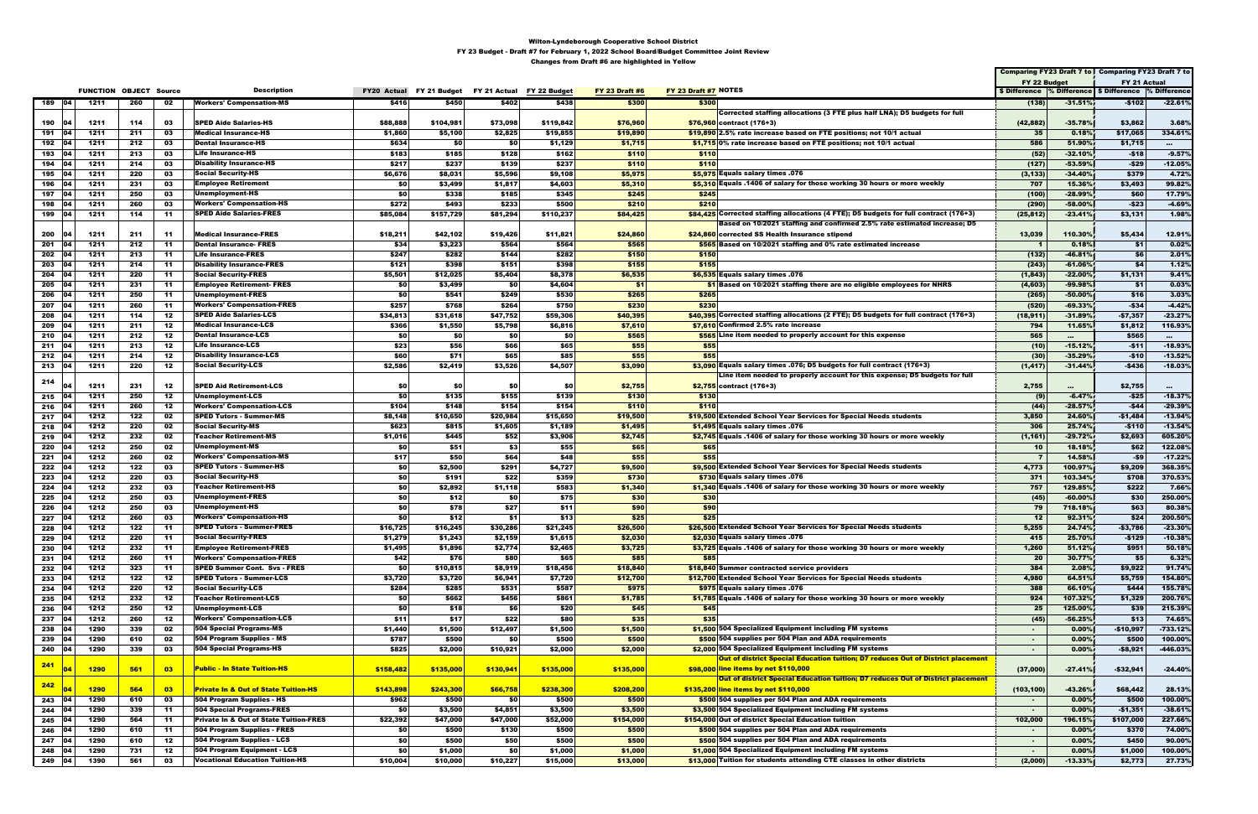|     |           |                               |     |     |                                                   |           |                          |                           |           |                       |                                                                                       |                |           | Comparing FY23 Draft 7 to   Comparing FY23 Draft 7 to |                 |
|-----|-----------|-------------------------------|-----|-----|---------------------------------------------------|-----------|--------------------------|---------------------------|-----------|-----------------------|---------------------------------------------------------------------------------------|----------------|-----------|-------------------------------------------------------|-----------------|
|     |           |                               |     |     |                                                   |           |                          |                           |           |                       |                                                                                       | FY 22 Budget   |           | FY 21 Actual                                          |                 |
|     |           | <b>FUNCTION OBJECT Source</b> |     |     | <b>Description</b>                                |           | FY20 Actual FY 21 Budget | FY 21 Actual FY 22 Budget |           | <b>FY 23 Draft #6</b> | FY 23 Draft #7 NOTES                                                                  |                |           | \$ Difference % Difference \$ Difference % Difference |                 |
|     | 189 04    | 1211                          | 260 | 02  | <b>Workers' Compensation-MS</b>                   | \$416     | \$450                    | \$402                     | \$438     | \$300                 | \$300                                                                                 | (138)          | $-31.51%$ | $-$102$                                               | $-22.61%$       |
|     |           |                               |     |     |                                                   |           |                          |                           |           |                       | Corrected staffing allocations (3 FTE plus half LNA); D5 budgets for full             |                |           |                                                       |                 |
| 190 |           | 1211                          | 114 | 03  | <b>SPED Aide Salaries-HS</b>                      | \$88,888  | \$104,981                | \$73,098                  | \$119,842 | \$76,960              | $$76,960$ contract (176+3)                                                            | (42, 882)      | $-35.78%$ | \$3,862                                               | 3.68%           |
| 191 | 104       | 1211                          | 211 | 03  | Medical Insurance-HS                              | \$1,860   | \$5,100                  | \$2,825                   | \$19,855  | \$19,890              | \$19,890 2.5% rate increase based on FTE positions; not 10/1 actual                   | - 35           | 0.18%     | \$17,065                                              | 334.61%         |
| 192 | 04        | 1211                          | 212 | 03  | <b>Dental Insurance-HS</b>                        | \$634     | <b>\$0</b>               | \$0                       | \$1,129   | \$1,715               | \$1,715 0% rate increase based on FTE positions; not 10/1 actual                      | 586            | 51.90%    | \$1,715                                               | $\sim 10^{-11}$ |
| 193 |           | 1211                          | 213 | 03  | Life Insurance-HS                                 | \$183     | \$185                    | \$128                     | \$162     | \$110                 | \$110                                                                                 | (52)           | $-32.10%$ | -\$18                                                 | $-9.57%$        |
| 194 | 104       | 1211                          | 214 | 03  | <b>Disability Insurance-HS</b>                    | \$217     | \$237                    | \$139                     | \$237     | \$110                 | \$110                                                                                 | (127)          | $-53.59%$ | -\$29                                                 | $-12.05%$       |
| 195 | 04        | 1211                          | 220 | 03  | <b>Social Security-HS</b>                         | \$6,676   | \$8,031                  | \$5,596                   | \$9,108   | \$5,975               | \$5,975 Equals salary times .076                                                      | (3, 133)       | $-34.40%$ | \$379                                                 | 4.72%           |
| 196 |           | 1211                          | 231 | 03  | <b>Employee Retirement</b>                        | \$0       | \$3,499                  | \$1,817                   | \$4,603   | \$5,310               | \$5,310 Equals .1406 of salary for those working 30 hours or more weekly              | 707            | 15.36%    | \$3,493                                               | 99.82%          |
| 197 | 104       | 1211                          | 250 | 03  | Unemployment-HS                                   | \$0       | \$338                    | \$185                     | \$345     | \$245                 | \$245                                                                                 | (100)          | $-28.99%$ | \$60                                                  | 17.79%          |
| 198 | 04        | 1211                          | 260 | 03  | <b>Workers' Compensation-HS</b>                   | \$272     | \$493                    | \$233                     | \$500     | \$210                 | \$210                                                                                 | (290)          | $-58.00%$ | $-$23$                                                | $-4.69%$        |
| 199 | 04        | 1211                          | 114 | -11 | <b>SPED Aide Salaries-FRES</b>                    | \$85,084  | \$157,729                | \$81,294                  | \$110,237 | \$84,425              | \$84,425 Corrected staffing allocations (4 FTE); D5 budgets for full contract (176+3) | (25, 812)      | $-23.41%$ | \$3,131                                               | 1.98%           |
|     |           |                               |     |     |                                                   |           |                          |                           |           |                       | Based on 10/2021 staffing and confirmed 2.5% rate estimated increase; D5              |                |           |                                                       |                 |
| 200 |           | 1211                          | 211 | 11  | <b>Medical Insurance-FRES</b>                     | \$18,211  | \$42,102                 | \$19,426                  | \$11,821  | \$24,860              | \$24,860 corrected SS Health Insurance stipend                                        | 13,039         | 110.30%   | \$5,434                                               | 12.91%          |
| 201 | 04        | 1211                          | 212 | 11  | <b>Dental Insurance- FRES</b>                     | \$34      | \$3,223                  | \$564                     | \$564     | \$565                 | \$565 Based on 10/2021 staffing and 0% rate estimated increase                        | $\blacksquare$ | 0.18%     | \$1                                                   | 0.02%           |
| 202 | 04        | 1211                          | 213 | 11  | <b>Life Insurance-FRES</b>                        | \$247     | \$282                    | \$144                     | \$282     | \$150                 | \$150                                                                                 | (132)          | $-46.81%$ | \$6                                                   | 2.01%           |
| 203 | 04        | 1211                          | 214 | 11  | <b>Disability Insurance-FRES</b>                  | \$121     | \$398                    | \$151                     | \$398     | \$155                 | \$155                                                                                 | (243)          | $-61.06%$ | \$4                                                   | 1.12%           |
| 204 | 04        | 1211                          | 220 | 11  | <b>Social Security-FRES</b>                       | \$5,501   | \$12,025                 | \$5,404                   | \$8,378   | \$6,535               | \$6,535 Equals salary times .076                                                      | (1, 843)       | $-22.00%$ | \$1,131                                               | 9.41%           |
| 205 | 04        | 1211                          | 231 | -11 | <b>Employee Retirement- FRES</b>                  | \$0       | \$3,499                  | \$0                       | \$4,604   | \$1                   | \$1 Based on 10/2021 staffing there are no eligible employees for NHRS                | (4, 603)       | -99.98%   | \$1                                                   | 0.03%           |
| 206 |           | 1211                          | 250 | 11  | Unemployment-FRES                                 | \$0       | \$541                    | \$249                     | \$530     | \$265                 | \$265                                                                                 | (265)          | $-50.00%$ | \$16                                                  | 3.03%           |
| 207 | 04        | 1211                          | 260 | -11 | <b>Workers' Compensation-FRES</b>                 | \$257     | \$768                    | \$264                     | \$750     | \$230                 | \$230                                                                                 | (520)          | $-69.33%$ | $-$ \$34                                              | $-4.42%$        |
| 208 | 04        | 1211                          | 114 | 12  | <b>SPED Aide Salaries-LCS</b>                     | \$34,813  | \$31,618                 | \$47,752                  | \$59,306  | \$40,395              | \$40,395 Corrected staffing allocations (2 FTE); D5 budgets for full contract (176+3) | (18, 911)      | $-31.89%$ | $-57,357$                                             | $-23.27%$       |
| 209 | 04        | 1211                          | 211 | 12  | Medical Insurance-LCS                             | \$366     | \$1,550                  | \$5,798                   | \$6,816   | \$7,610               | \$7,610 Confirmed 2.5% rate increase                                                  | 794            | 11.65%    | \$1,812                                               | 116.93%         |
| 210 |           | 1211                          | 212 | 12  | <b>Dental Insurance-LCS</b>                       | \$0       | <b>\$0</b>               | \$0                       | \$0       | \$565                 | \$565 Line item needed to properly account for this expense                           | 565            | $\sim$    | \$565                                                 | $\sim 10^{-1}$  |
| 211 | 04        | 1211                          | 213 | 12  | <b>Life Insurance-LCS</b>                         | \$23      | \$56                     | \$66                      | \$65      | \$55                  | \$55                                                                                  | (10)           | $-15.12%$ | $-511$                                                | $-18.93%$       |
| 212 |           | 1211                          | 214 | 12  | <b>Disability Insurance-LCS</b>                   | \$60      | \$71                     | \$65                      | \$85      | \$55                  | \$55                                                                                  | (30)           | $-35.29%$ | $-$10$                                                | $-13.52%$       |
| 213 | - 04      | 1211                          | 220 | 12  | <b>Social Security-LCS</b>                        | \$2,586   | \$2,419                  | \$3,526                   | \$4,507   | \$3,090               | \$3,090 Equals salary times .076; D5 budgets for full contract (176+3)                | (1, 417)       | $-31.44%$ | $-$436$                                               | $-18.03%$       |
|     |           |                               |     |     |                                                   |           |                          |                           |           |                       | Line item needed to properly account for this expense; D5 budgets for full            |                |           |                                                       |                 |
| 214 |           | 1211                          | 231 | 12  | <b>SPED Aid Retirement-LCS</b>                    | \$0       | \$0                      | \$0                       | \$0       | \$2,755               | $$2,755$ contract (176+3)                                                             | 2,755          | $\cdots$  | \$2,755                                               | $\sim$          |
| 215 | 104       | 1211                          | 250 | 12  | Unemployment-LCS                                  | \$0       | \$135                    | \$155                     | \$139     | \$130                 | \$130                                                                                 | (9)            | $-6.47%$  | $-$25$                                                | $-18.37%$       |
| 216 |           | 1211                          | 260 | 12  | <b>Workers' Compensation-LCS</b>                  | \$104     | \$148                    | \$154                     | \$154     | \$110                 | \$110                                                                                 | (44)           | $-28.57%$ | -\$44                                                 | $-29.39%$       |
| 217 | 104       | 1212                          | 122 | 02  | <b>SPED Tutors - Summer-MS</b>                    | \$8,148   | \$10,650                 | \$20,984                  | \$15,650  | \$19,500              | \$19,500 Extended School Year Services for Special Needs students                     | 3,850          | 24.60%    | $-$1,484$                                             | $-13.94%$       |
| 218 | 04        | 1212                          | 220 | 02  | <b>Social Security-MS</b>                         | \$623     | \$815                    | \$1,605                   | \$1,189   | \$1,495               | \$1,495 Equals salary times .076                                                      | 306            | 25.74%    | $-$110$                                               | $-13.54%$       |
| 219 |           | 1212                          | 232 | 02  | <b>Teacher Retirement-MS</b>                      | \$1,016   | \$445                    | \$52                      | \$3,906   | \$2,745               | \$2,745 Equals .1406 of salary for those working 30 hours or more weekly              | (1, 161)       | $-29.72%$ | \$2,693                                               | 605.20%         |
| 220 | 04        | 1212                          | 250 | 02  | Unemployment-MS                                   | \$0       | \$51                     | \$3                       | \$55      | \$65                  | \$65                                                                                  | 10             | 18.18%    | \$62                                                  | 122.08%         |
| 221 | 104       | 1212                          | 260 | 02  | <b>Workers' Compensation-MS</b>                   | \$17      | \$50                     | \$64                      | \$48      | \$55                  | \$55                                                                                  | $\overline{7}$ | 14.58%    | -\$9                                                  | $-17.22%$       |
| 222 | 04        | 1212                          | 122 | 03  | <b>SPED Tutors - Summer-HS</b>                    | \$0       | \$2,500                  | \$291                     | \$4,727   | \$9,500               | \$9,500 Extended School Year Services for Special Needs students                      | 4,773          | 100.97%   | \$9,209                                               | 368.35%         |
| 223 |           | 1212                          | 220 | 03  | <b>Social Security-HS</b>                         | \$O       | \$191                    | \$22                      | \$359     | \$730                 | <b>\$730 Equals salary times .076</b>                                                 | 371            | 103.34%   | \$708                                                 | 370.53%         |
| 224 | 104       | 1212                          | 232 | 03  | <b>Teacher Retirement-HS</b>                      | \$0       | \$2,892                  | \$1,118                   | \$583     | \$1,340               | \$1,340 Equals .1406 of salary for those working 30 hours or more weekly              | 757            | 129.85%   | \$222                                                 | 7.66%           |
| 225 |           | 1212                          | 250 | 03  | Unemployment-FRES                                 | \$0       | \$12                     | \$0                       | \$75      | \$30                  | \$30                                                                                  | (45)           | $-60.00%$ | \$30                                                  | 250.00%         |
| 226 |           | 1212                          | 250 | 03  | Unemployment-HS                                   | \$0       | \$78                     | \$27                      | \$11      | \$90                  | \$90                                                                                  | 79             | 718.18%   | \$63                                                  | 80.38%          |
| 227 | <b>04</b> | 1212                          | 260 | 03  | <b>Workers' Compensation-HS</b>                   | SO I      | \$12                     | \$1                       | \$13      | \$25                  | \$25                                                                                  | 12             | 92.31%    | \$24                                                  | 200.50%         |
| 228 |           | 1212                          | 122 | -11 | <b>SPED Tutors - Summer-FRES</b>                  | \$16,725  | \$16,245                 | \$30,286                  | \$21,245  | \$26,500              | \$26,500 Extended School Year Services for Special Needs students                     | 5,255          | 24.74%    | -\$3,786                                              | $-23.30\%$      |
| 229 | 04        | 1212                          | 220 | 11  | <b>Social Security-FRES</b>                       | \$1,279   | \$1,243                  | \$2,159                   | \$1,615   | \$2,030               | \$2,030 Equals salary times .076                                                      | 415            | 25.70%    | $-$129$                                               | $-10.38%$       |
| 230 |           | 1212                          | 232 | 11  | <b>Employee Retirement-FRES</b>                   | \$1,495   | \$1,896                  | \$2,774                   | \$2,465   | \$3,725               | \$3,725 Equals .1406 of salary for those working 30 hours or more weekly              | 1,260          | 51.12%    | \$951                                                 | 50.18%          |
| 231 | 104       | 1212                          | 260 | -11 | <b>Workers' Compensation-FRES</b>                 | \$42      | \$76                     | \$80                      | \$65      | \$85                  | \$85                                                                                  | - 20           | 30.77%    | <b>\$5</b>                                            | 6.32%           |
| 232 | 104       | 1212                          | 323 | 11  | <b>SPED Summer Cont. Svs - FRES</b>               | \$0       | \$10,815                 | \$8,919                   | \$18,456  | \$18,840              | \$18,840 Summer contracted service providers                                          | 384            | 2.08%     | \$9,922                                               | 91.74%          |
| 233 | 04        | 1212                          | 122 | 12  | <b>SPED Tutors - Summer-LCS</b>                   | \$3,720   | \$3,720                  | \$6,941                   | \$7,720   | \$12,700              | \$12.700 Extended School Year Services for Special Needs students                     | 4,980          | 64.51%    | \$5,759                                               | 154.80%         |
| 234 | <b>04</b> | 1212                          | 220 | 12  | <b>Social Security-LCS</b>                        | \$284     | \$285                    | \$531                     | \$587     | \$975                 | \$975 Equals salary times .076                                                        | 388            | 66.10%    | \$444                                                 | 155.78%         |
| 235 | 04        | 1212                          | 232 | 12  | <b>Teacher Retirement-LCS</b>                     | \$0       | \$662                    | \$456                     | \$861     | \$1,785               | \$1,785 Equals .1406 of salary for those working 30 hours or more weekly              | 924            | 107.32%   | \$1,329                                               | 200.76%         |
| 236 | 04        | 1212                          | 250 | 12  | Unemployment-LCS                                  | \$0       | \$18                     | <b>\$6</b>                | \$20      | \$45                  | \$45                                                                                  | 25             | 125.00%   | \$39                                                  | 215.39%         |
| 237 |           | 1212                          | 260 | 12  | <b>Workers' Compensation-LCS</b>                  | \$11      | \$17                     | \$22                      | \$80      | \$35                  | \$35                                                                                  | (45)           | $-56.25%$ | \$13                                                  | 74.65%          |
| 238 | 04        | 1290                          | 339 | 02  | 504 Special Programs-MS                           | \$1,440   | \$1,500                  | \$12,497                  | \$1,500   | \$1,500               | \$1,500 504 Specialized Equipment including FM systems                                | $\sim$         | 0.00%     | $-$10,997$                                            | $-733.12%$      |
| 239 | 04        | 1290                          | 610 | 02  | 504 Program Supplies - MS                         | \$787     | \$500                    | \$0                       | \$500     | \$500                 | \$500 504 supplies per 504 Plan and ADA requirements                                  | $\sim$         | 0.00%     | \$500                                                 | 100.00%         |
| 240 | 04        | 1290                          | 339 | 03  | <b>504 Special Programs-HS</b>                    | \$825     | \$2,000                  | \$10,921                  | \$2,000   | \$2,000               | \$2,000 504 Specialized Equipment including FM systems                                | $\sim$         | 0.00%     | $-$ \$8,921                                           | $-446.03%$      |
|     |           |                               |     |     |                                                   |           |                          |                           |           |                       | Out of district Special Education tuition; D7 reduces Out of District placement       |                |           |                                                       |                 |
| 241 | 04        | <b>1290</b>                   | 561 | 03  | <b>Public - In State Tuition-HS</b>               | \$158,482 | \$135,000                | \$130,941                 | \$135,000 | \$135,000             | \$98,000 line items by net \$110,000                                                  | (37,000)       | $-27.41%$ | $-$32,941$                                            | $-24.40%$       |
|     |           |                               |     |     |                                                   |           |                          |                           |           |                       | Out of district Special Education tuition; D7 reduces Out of District placement       |                |           |                                                       |                 |
| 242 |           | <b>1290</b>                   | 564 | 03  | <b>Private In &amp; Out of State Tuition-HS</b>   | \$143,898 | \$243,300                | \$66,758                  | \$238,300 | \$208,200             | \$135,200 line items by net \$110,000                                                 | (103, 100)     | $-43.26%$ | \$68,442                                              | 28.13%          |
| 243 | 104       | 1290                          | 610 | 03  | 504 Program Supplies - HS                         | \$962     | \$500                    | <b>\$0</b>                | \$500     | \$500                 | \$500 504 supplies per 504 Plan and ADA requirements                                  | $\sim$         | 0.00%     | \$500                                                 | 100.00%         |
| 244 | 104       | 1290                          | 339 | -11 | <b>504 Special Programs-FRES</b>                  | \$0       | \$3,500                  | \$4,851                   | \$3,500   | \$3,500               | \$3,500 504 Specialized Equipment including FM systems                                | $\sim$         | 0.00%     | $-$1,351$                                             | $-38.61%$       |
| 245 | 04        | 1290                          | 564 | 11  | <b>Private In &amp; Out of State Tuition-FRES</b> | \$22,392  | \$47,000                 | \$47,000                  | \$52,000  | \$154,000             | \$154,000 Out of district Special Education tuition                                   | 102,000        | 196.15%   | \$107,000                                             | 227.66%         |
| 246 | 04        | 1290                          | 610 | -11 | 504 Program Supplies - FRES                       | \$0       | \$500                    | \$130                     | \$500     | \$500                 | \$500 504 supplies per 504 Plan and ADA requirements                                  | $\sim$         | 0.00%     | \$370                                                 | 74.00%          |
| 247 | 04        | 1290                          | 610 | 12  | 504 Program Supplies - LCS                        | \$0       | \$500                    | \$50                      | \$500     | \$500                 | \$500 504 supplies per 504 Plan and ADA requirements                                  | $\sim$         | 0.00%     | \$450                                                 | 90.00%          |
| 248 | 04        | 1290                          | 731 | 12  | 504 Program Equipment - LCS                       | \$0       | \$1,000                  | \$0                       | \$1,000   | \$1,000               | \$1,000 504 Specialized Equipment including FM systems                                | $\sim$         | 0.00%     | \$1,000                                               | 100.00%         |
|     | 249 04    | 1390                          | 561 | 03  | <b>Vocational Education Tuition-HS</b>            | \$10,004  | \$10,000                 | \$10,227                  | \$15,000  | \$13,000              | \$13,000 Tuition for students attending CTE classes in other districts                | (2,000)        | $-13.33%$ | \$2,773                                               | 27.73%          |
|     |           |                               |     |     |                                                   |           |                          |                           |           |                       |                                                                                       |                |           |                                                       |                 |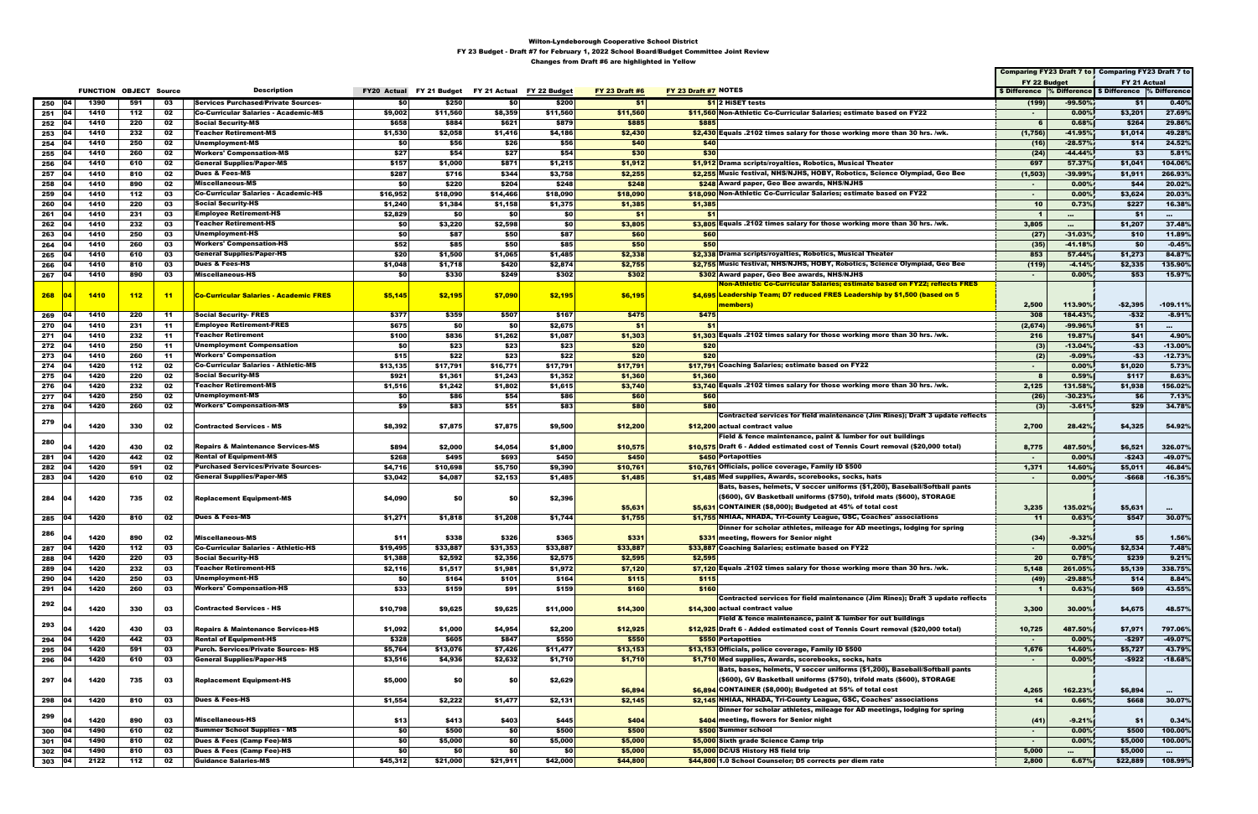|            |           |              |                               |          |                                               |                          |                   |                           |                   |                       |                                                                                                                                     |                 |                   | Comparing FY23 Draft 7 to   Comparing FY23 Draft 7 to    |                             |
|------------|-----------|--------------|-------------------------------|----------|-----------------------------------------------|--------------------------|-------------------|---------------------------|-------------------|-----------------------|-------------------------------------------------------------------------------------------------------------------------------------|-----------------|-------------------|----------------------------------------------------------|-----------------------------|
|            |           |              |                               |          |                                               |                          |                   |                           |                   |                       |                                                                                                                                     | FY 22 Budget    |                   | FY 21 Actual                                             |                             |
|            |           |              | <b>FUNCTION OBJECT Source</b> |          | <b>Description</b>                            | FY20 Actual FY 21 Budget |                   | FY 21 Actual FY 22 Budget |                   | <b>FY 23 Draft #6</b> | FY 23 Draft #7 NOTES                                                                                                                |                 |                   | \$ Difference % Difference   \$ Difference  % Difference |                             |
| 250        | 104       | 1390         | 591                           | 03       | <b>Services Purchased/Private Sources-</b>    | SO I                     | \$250             | <b>\$0</b>                | \$200             | \$1                   | <b>S12 HiSET tests</b>                                                                                                              | (199)           | -99.50%           | \$1                                                      | 0.40%                       |
| 251        | 04        | 1410         | 112                           | 02       | <b>Co-Curricular Salaries - Academic-MS</b>   | \$9,002                  | \$11,560          | \$8,359                   | \$11,560          | \$11,560              | \$11,560 Non-Athletic Co-Curricular Salaries; estimate based on FY22                                                                | $\sim$          | 0.00%             | \$3,201                                                  | 27.69%                      |
| 252        |           | 1410         | 220                           | 02       | <b>Social Security-MS</b>                     | \$658                    | \$884             | \$621                     | \$879             | \$885                 | \$885                                                                                                                               |                 | 0.68%             | \$264                                                    | 29.86%                      |
| 253        | 104       | 1410         | 232                           | 02       | <b>Teacher Retirement-MS</b>                  | \$1,530                  | \$2,058           | \$1,416                   | \$4,186           | \$2,430               | \$2,430 Equals .2102 times salary for those working more than 30 hrs. /wk.                                                          | (1,756)         | $-41.95%$         | \$1,014                                                  | 49.28%                      |
| 254        | 04        | 1410         | 250                           | 02       | Unemployment-MS                               | \$0                      | \$56              | \$26                      | \$56              | \$40                  | \$40                                                                                                                                | (16)            | $-28.57%$         | \$14                                                     | 24.52%                      |
| 255        |           | 1410         | 260                           | 02       | <b>Workers' Compensation-MS</b>               | \$27                     | \$54              | \$27                      | \$54              | \$30                  | \$30                                                                                                                                | (24)            | $-44.44%$         | \$3                                                      | 5.81%                       |
| 256        | 104       | 1410         | 610                           | 02       | <b>General Supplies/Paper-MS</b>              | \$157                    | \$1,000           | \$871                     | \$1,215           | \$1,912               | \$1,912 Drama scripts/royalties, Robotics, Musical Theater                                                                          | 697             | 57.37%            | \$1,041                                                  | 104.06%                     |
| 257        | 104       | 1410         | 810                           | 02       | <b>Dues &amp; Fees-MS</b>                     | \$287                    | \$716             | \$344                     | \$3,758           | \$2,255               | \$2,255 Music festival, NHS/NJHS, HOBY, Robotics, Science Olympiad, Geo Bee                                                         | (1, 503)        | -39.99%           | \$1,911                                                  | 266.93%                     |
| 258        | 04        | 1410         | 890                           | 02       | Miscellaneous-MS                              | \$O                      | \$220             | \$204                     | \$248             | \$248                 | \$248 Award paper, Geo Bee awards, NHS/NJHS                                                                                         | $\sim$          | 0.00%             | \$44                                                     | 20.02%                      |
| 259        |           | 1410         | 112                           | 03       | <b>Co-Curricular Salaries - Academic-HS</b>   | \$16,952                 | \$18,090          | \$14,466                  | \$18,090          | \$18,090              | \$18,090 Non-Athletic Co-Curricular Salaries; estimate based on FY22                                                                | $\sim$          | 0.00%             | \$3,624                                                  | 20.03%                      |
| 260        | 104       | 1410         | 220                           | 03       | <b>Social Security-HS</b>                     | \$1,240                  | \$1,384           | \$1,158                   | \$1,375           | \$1,385               | \$1,385                                                                                                                             | 10              | 0.73%             | \$227                                                    | 16.38%                      |
| 261        | 04        | 1410         | 231                           | 03       | <b>Employee Retirement-HS</b>                 | \$2,829                  | \$0               | \$0                       | \$0               | \$1                   | \$1                                                                                                                                 | -1              | $\cdots$          | \$1                                                      | $\sim$ 0.0 $\sim$           |
| 262        | 04        | 1410         | 232                           | 03       | <b>Teacher Retirement-HS</b>                  | \$0                      | \$3,220           | \$2,598                   | \$0               | \$3,805               | \$3,805 Equals .2102 times salary for those working more than 30 hrs. /wk.                                                          | 3,805           | $\cdots$          | \$1,207                                                  | 37.48%                      |
| 263        |           | 1410         | 250                           | 03       | Unemployment-HS                               | \$0                      | \$87              | \$50                      | \$87              | \$60                  | \$60                                                                                                                                | (27)            | $-31.03%$         | \$10                                                     | 11.89%                      |
| 264        | 104       | 1410         | 260                           | 03       | <b>Workers' Compensation-HS</b>               | \$52<br>\$20             | \$85              | \$50                      | \$85              | \$50                  | \$50                                                                                                                                | (35)            | $-41.18%$         | \$0                                                      | $-0.45%$                    |
| 265        | 104<br>04 | 1410         | 610                           | 03       | <b>General Supplies/Paper-HS</b>              |                          | \$1,500           | \$1,065                   | \$1,485           | \$2,338               | \$2,338 Drama scripts/royalties, Robotics, Musical Theater                                                                          | 853             | 57.44%            | \$1,273                                                  | 84.87%                      |
| 266        |           | 1410         | 810                           | 03       | <b>Dues &amp; Fees-HS</b>                     | \$1,048                  | \$1,718<br>\$330  | \$420                     | \$2,874           | \$2,755               | \$2,755 Music festival, NHS/NJHS, HOBY, Robotics, Science Olympiad, Geo Bee                                                         | (119)           | $-4.14%$          | \$2,335                                                  | 135.90%                     |
| 267        | - 04      | 1410         | 890                           | 03       | Miscellaneous-HS                              | \$0                      |                   | \$249                     | \$302             | \$302                 | \$302 Award paper, Geo Bee awards, NHS/NJHS<br><u>Non-Athletic Co-Curricular Salaries; estimate based on FY22; reflects FRES</u>    | $\sim$          | 0.00%             | \$53                                                     | 15.97%                      |
|            |           |              |                               |          |                                               |                          |                   |                           |                   |                       |                                                                                                                                     |                 |                   |                                                          |                             |
| 268        |           | 1410         | 112                           | $-11$    | <b>Co-Curricular Salaries - Academic FRES</b> | \$5,145                  | \$2,195           | \$7,090                   | \$2,195           | \$6,195               | \$4,695 Leadership Team; D7 reduced FRES Leadership by \$1,500 (based on 5                                                          |                 |                   |                                                          |                             |
|            |           |              |                               |          | <b>Social Security- FRES</b>                  |                          |                   |                           |                   |                       | members)                                                                                                                            | 2,500           | 113.90%           | $-$ \$2,395                                              | $-109.11%$                  |
| 269        | 04        | 1410         | 220                           | -11      |                                               | \$377                    | \$359             | \$507                     | \$167             | \$475                 | \$475                                                                                                                               | 308             | 184.43%           | $-$32$                                                   | $-8.91%$                    |
| 270        | 04        | 1410         | 231                           | 11       | <b>Employee Retirement-FRES</b>               | \$675                    | \$0               | \$0                       | \$2,675           | \$1                   | \$1<br>\$1,303 Equals .2102 times salary for those working more than 30 hrs. /wk.                                                   | (2,674)         | -99.96%           | \$1                                                      | $\cdots$                    |
| 271        | 04        | 1410         | 232                           | 11       | Teacher Retirement                            | \$100                    | \$836             | \$1,262                   | \$1,087           | \$1,303               |                                                                                                                                     | 216             | 19.87%            | \$41                                                     | 4.90%                       |
| 272        | - 04      | 1410         | 250                           | 11       | Unemployment Compensation                     | \$0                      | \$23              | \$23                      | \$23              | \$20                  | \$20                                                                                                                                | (3)             | $-13.04%$         | $-53$                                                    | $-13.00\%$                  |
| 273        | 04        | 1410         | 260                           | 11       | <b>Workers' Compensation</b>                  | \$15                     | \$22              | \$23                      | \$22              | \$20                  | \$20                                                                                                                                | (2)             | $-9.09%$          | $-53$                                                    | $-12.73%$                   |
| 274        | 104<br>04 | 1420         | 112                           | 02       | <b>Co-Curricular Salaries - Athletic-MS</b>   | \$13,135                 | \$17,791          | \$16,771                  | \$17,791          | \$17,791              | \$17,791 Coaching Salaries; estimate based on FY22                                                                                  | $\sim$          | 0.00%             | \$1,020                                                  | 5.73%                       |
| 275        |           | 1420         | 220                           | 02       | <b>Social Security-MS</b>                     | \$921                    | \$1,361           | \$1,243                   | \$1,352           | \$1,360               | \$1,360                                                                                                                             |                 | 0.59%             | \$117                                                    | 8.63%                       |
| 276        | 104       | 1420         | 232                           | 02       | Teacher Retirement-MS                         | \$1,516                  | \$1,242           | \$1,802                   | \$1,615           | \$3,740               | \$3,740 Equals .2102 times salary for those working more than 30 hrs. /wk.                                                          | 2,125           | 131.58%           | \$1,938                                                  | 156.02%                     |
| 277        | 104       | 1420         | 250                           | 02       | Unemployment-MS                               | \$0                      | \$86              | \$54                      | \$86              | \$60                  | \$60                                                                                                                                | (26)            | $-30.23%$         | \$6                                                      | 7.13%                       |
| 278        | 04        | 1420         | 260                           | 02       | <b>Workers' Compensation-MS</b>               | \$9                      | \$83              | \$51                      | \$83              | \$80                  | \$80                                                                                                                                | (3)             | $-3.61%$          | \$29                                                     | 34.78%                      |
| 279        |           |              |                               |          | <b>Contracted Services - MS</b>               |                          |                   |                           |                   |                       | Contracted services for field maintenance (Jim Rines); Draft 3 update reflects                                                      |                 |                   |                                                          |                             |
|            | 04        | 1420         | 330                           | 02       |                                               | \$8,392                  | \$7,875           | \$7,875                   | \$9,500           | \$12,200              | \$12,200 actual contract value                                                                                                      | 2,700           | 28.42%            | \$4,325                                                  | 54.92%                      |
| 280        |           |              |                               |          |                                               |                          |                   |                           |                   |                       | Field & fence maintenance, paint & lumber for out buildings                                                                         |                 |                   |                                                          |                             |
|            |           | 1420         | 430                           | 02       | <b>Repairs &amp; Maintenance Services-MS</b>  | \$894                    | \$2,000           | \$4,054                   | \$1,800           | \$10,575              | \$10,575 Draft 6 - Added estimated cost of Tennis Court removal (\$20,000 total)                                                    | 8,775           | 487.50%           | \$6,521                                                  | 326.07%                     |
| 281        | 104       | 1420         | 442                           | 02       | <b>Rental of Equipment-MS</b>                 | \$268                    | \$495             | \$693                     | \$450             | \$450                 | \$450 Portapotties                                                                                                                  | $\sim$          | 0.00%             | $-$243$                                                  | $-49.07%$                   |
| 282        | 04        | 1420         | 591                           | 02       | <b>Purchased Services/Private Sources-</b>    | \$4,716                  | \$10,698          | \$5,750                   | \$9,390           | \$10,761              | \$10,761 Officials, police coverage, Family ID \$500                                                                                | 1,371           | 14.60%            | \$5,011                                                  | 46.84%                      |
| 283        | 04        | 1420         | 610                           | 02       | <b>General Supplies/Paper-MS</b>              | \$3,042                  | \$4,087           | \$2,153                   | \$1,485           | \$1,485               | \$1,485 Med supplies, Awards, scorebooks, socks, hats<br>Bats, bases, helmets, V soccer uniforms (\$1,200), Baseball/Softball pants | $\sim$          | 0.00%             | $-$ \$668                                                | $-16.35%$                   |
|            |           |              |                               |          |                                               |                          |                   |                           |                   |                       | (\$600), GV Basketball uniforms (\$750), trifold mats (\$600), STORAGE                                                              |                 |                   |                                                          |                             |
| 284        |           | 1420         | 735                           | 02       | <b>Replacement Equipment-MS</b>               | \$4,090                  | \$0               | \$0                       | \$2,396           |                       | \$5,631 CONTAINER (\$8,000); Budgeted at 45% of total cost                                                                          |                 |                   |                                                          |                             |
|            | 04        |              |                               | 02       | <b>Dues &amp; Fees-MS</b>                     |                          | \$1,818           |                           | \$1,744           | \$5,631               | \$1,755 NHIAA, NHADA, Tri-County League, GSC, Coaches' associations                                                                 | 3,235<br>11     | 135.02%           | \$5,631                                                  | $\cdots$                    |
| 285        |           | 1420         | 810                           |          |                                               | \$1,271                  |                   | \$1,208                   |                   | \$1,755               |                                                                                                                                     |                 | 0.63%             | \$547                                                    | 30.07%                      |
| 286        |           |              |                               |          | Miscellaneous-MS                              |                          |                   |                           |                   |                       | Dinner for scholar athletes, mileage for AD meetings, lodging for sprin<br>\$331 meeting, flowers for Senior night                  |                 |                   |                                                          |                             |
|            | 04<br>04  | 1420<br>1420 | 890<br>112                    | 02<br>03 | <b>Co-Curricular Salaries - Athletic-HS</b>   | \$11<br>\$19,495         | \$338<br>\$33,887 | \$326<br>\$31,353         | \$365<br>\$33,887 | \$331<br>\$33,887     | \$33,887 Coaching Salaries; estimate based on FY22                                                                                  | (34)            | $-9.32%$<br>0.00% | \$5<br>\$2,534                                           | 1.56%<br>7.48%              |
| 287        | <b>04</b> | 1420         |                               | 03       | <b>Social Security-HS</b>                     | \$1,388                  | \$2,592           | \$2,356                   | \$2,575           | \$2,595               | \$2,595                                                                                                                             | $\sim$<br>20    | 0.78%             | \$239                                                    | 9.21%                       |
| 288        | 04        | 1420         | 220<br>232                    | 03       | <b>Teacher Retirement-HS</b>                  | \$2,116                  | \$1,517           | \$1,981                   | \$1,972           | \$7,120               | \$7,120 Equals .2102 times salary for those working more than 30 hrs. /wk.                                                          | 5,148           | 261.05%           | \$5,139                                                  | 338.75%                     |
| 289<br>290 | 04        | 1420         | 250                           | 03       | Unemployment-HS                               | \$0                      | \$164             | \$101                     | \$164             | \$115                 | \$115                                                                                                                               | (49)            | $-29.88%$         | \$14                                                     | 8.84%                       |
| 291        | 04        | 1420         | 260                           | 03       | <b>Workers' Compensation-HS</b>               | \$33                     | \$159             | \$91                      | \$159             | \$160                 | \$160                                                                                                                               | -1              | 0.63%             | \$69                                                     | 43.55%                      |
|            |           |              |                               |          |                                               |                          |                   |                           |                   |                       | Contracted services for field maintenance (Jim Rines); Draft 3 update reflects                                                      |                 |                   |                                                          |                             |
| 292        | 04        | 1420         | 330                           | 03       | <b>Contracted Services - HS</b>               | \$10,798                 | \$9,625           | \$9,625                   | \$11,000          | \$14,300              | \$14,300 actual contract value                                                                                                      | 3,300           | 30.00%            | \$4,675                                                  | 48.57%                      |
|            |           |              |                               |          |                                               |                          |                   |                           |                   |                       | Field & fence maintenance, paint & lumber for out buildings                                                                         |                 |                   |                                                          |                             |
| 293        |           | 1420         | 430                           | 03       | <b>Repairs &amp; Maintenance Services-HS</b>  | \$1,092                  | \$1,000           | \$4,954                   | \$2,200           | \$12,925              | \$12,925 Draft 6 - Added estimated cost of Tennis Court removal (\$20,000 total)                                                    | 10,725          | 487.50%           | \$7,971                                                  | 797.06%                     |
| 294        | 04        | 1420         | 442                           | 03       | <b>Rental of Equipment-HS</b>                 | \$328                    | \$605             | \$847                     | \$550             | \$550                 | \$550 Portapotties                                                                                                                  | $\sim$ $\sim$   | 0.00%             | $-$297$                                                  | $-49.07%$                   |
| 295        | 04        | 1420         | 591                           | 03       | <b>Purch. Services/Private Sources-HS</b>     | \$5,764                  | \$13,076          | \$7,426                   | \$11,477          | \$13,153              | \$13,153 Officials, police coverage, Family ID \$500                                                                                | 1,676           | 14.60%            | \$5,727                                                  | 43.79%                      |
| 296 04     |           | 1420         | 610                           | 03       | <b>General Supplies/Paper-HS</b>              | \$3,516                  | \$4,936           | \$2,632                   | \$1,710           | \$1,710               | \$1,710 Med supplies, Awards, scorebooks, socks, hats                                                                               | $\sim$          | 0.00%             | $-$922$                                                  | $-18.68%$                   |
|            |           |              |                               |          |                                               |                          |                   |                           |                   |                       | Bats, bases, helmets, V soccer uniforms (\$1,200), Baseball/Softball pants                                                          |                 |                   |                                                          |                             |
| 297        | 104       | 1420         | 735                           | 03       | <b>Replacement Equipment-HS</b>               | \$5,000                  | SO I              | \$0                       | \$2,629           |                       | (\$600), GV Basketball uniforms (\$750), trifold mats (\$600), STORAGE                                                              |                 |                   |                                                          |                             |
|            |           |              |                               |          |                                               |                          |                   |                           |                   | \$6,894               | $$6,894$ CONTAINER (\$8,000); Budgeted at 55% of total cost                                                                         | 4,265           | 162.23%           | \$6,894                                                  |                             |
| 298        | 04        | 1420         | 810                           | 03       | <b>Dues &amp; Fees-HS</b>                     | \$1,554                  | \$2,222           | \$1,477                   | \$2,131           | \$2,145               | \$2,145 NHIAA, NHADA, Tri-County League, GSC, Coaches' associations                                                                 | 14              | 0.66%             | \$668                                                    | $\sim$ 0.00 $\pm$<br>30.07% |
|            |           |              |                               |          |                                               |                          |                   |                           |                   |                       | Dinner for scholar athletes, mileage for AD meetings, lodging for spring                                                            |                 |                   |                                                          |                             |
| 299        | 04        | 1420         | 890                           | 03       | <b>Miscellaneous-HS</b>                       | \$13                     | \$413             | \$403                     | \$445             | \$404                 | \$404 meeting, flowers for Senior night                                                                                             |                 | $-9.21%$          | \$1                                                      | 0.34%                       |
|            | 104       | 1490         | 610                           | 02       | <b>Summer School Supplies - MS</b>            | \$0                      | \$500             | \$0                       | \$500             | \$500                 | \$500 Summer school                                                                                                                 | (41)            | 0.00%             | \$500                                                    | 100.00%                     |
| 300        | 104       | 1490         |                               |          | Dues & Fees (Camp Fee)-MS                     | \$0                      | \$5,000           | \$0                       |                   | \$5,000               | \$5,000 Sixth grade Science Camp trip                                                                                               | $\sim$          | 0.00%             | \$5,000                                                  | 100.00%                     |
| 301<br>302 | 04        | 1490         | 810<br>810                    | 02<br>03 | Dues & Fees (Camp Fee)-HS                     | \$0                      | \$0               | <b>\$0</b>                | \$5,000<br>\$0    | \$5,000               | \$5,000 DC/US History HS field trip                                                                                                 | $\sim$<br>5,000 |                   | \$5,000                                                  |                             |
|            |           | 2122         |                               |          | <b>Guidance Salaries-MS</b>                   |                          |                   |                           |                   |                       | \$44,800 1.0 School Counselor; D5 corrects per diem rate                                                                            |                 | $\cdots$          |                                                          | $\sim$                      |
| 303   04   |           |              | 112                           | 02       |                                               | \$45,312                 | \$21,000          | \$21,911                  | \$42,000          | \$44,800              |                                                                                                                                     | 2,800           | 6.67%             | \$22,889                                                 | 108.99%                     |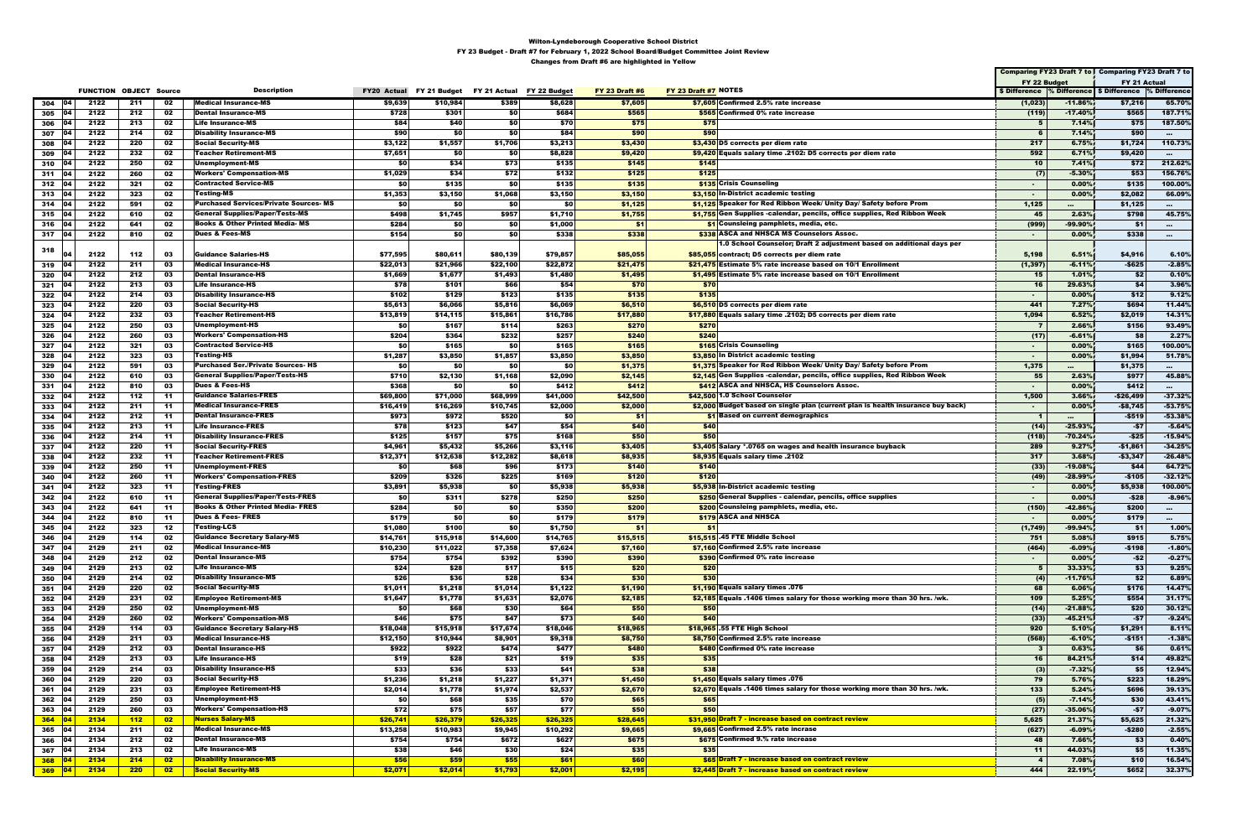|                          |              |                               |                  |                                                                                     |                      |                      |                                        |                      |                       |                                                                                                                         |                         |                    | Comparing FY23 Draft 7 to   Comparing FY23 Draft 7 to    |                         |
|--------------------------|--------------|-------------------------------|------------------|-------------------------------------------------------------------------------------|----------------------|----------------------|----------------------------------------|----------------------|-----------------------|-------------------------------------------------------------------------------------------------------------------------|-------------------------|--------------------|----------------------------------------------------------|-------------------------|
|                          |              |                               |                  |                                                                                     |                      |                      |                                        |                      |                       |                                                                                                                         | FY 22 Budget            |                    | FY 21 Actual                                             |                         |
|                          |              | <b>FUNCTION OBJECT Source</b> |                  | <b>Description</b>                                                                  | <b>FY20 Actual</b>   |                      | FY 21 Budget FY 21 Actual FY 22 Budget |                      | <b>FY 23 Draft #6</b> | FY 23 Draft #7 NOTES                                                                                                    |                         |                    | \$ Difference % Difference   \$ Difference  % Difference |                         |
| 04<br>304                | 2122         | 211                           | 02               | <b>Medical Insurance-MS</b><br>Dental Insurance-MS                                  | \$9,639              | \$10,984             | \$389                                  | \$8,628              | \$7,605               | \$7,605 Confirmed 2.5% rate increase                                                                                    | (1,023)                 | $-11.86%$          | \$7,216                                                  | 65.70%                  |
| 305<br>104<br>306<br>104 | 2122<br>2122 | 212<br>213                    | 02<br>02         | <b>Life Insurance-MS</b>                                                            | \$728<br>\$84        | \$301<br>\$40        | \$0<br>\$0                             | \$684<br>\$70        | \$565<br>\$75         | \$565 Confirmed 0% rate increase<br>\$75                                                                                | (119)<br>5              | $-17.40%$<br>7.14% | \$565<br>\$75                                            | 187.71%<br>187.50%      |
| 307<br>104               | 2122         | 214                           | 02               | <b>Disability Insurance-MS</b>                                                      | \$90                 | -\$0                 | \$0                                    | \$84                 | \$90                  | \$90                                                                                                                    | 6                       | 7.14%              | \$90                                                     | $\sim$ 100 $\pm$        |
| 308<br>104               | 2122         | 220                           | 02               | Social Security-MS                                                                  | \$3,122              | \$1,557              | \$1,706                                | \$3,213              | \$3,430               | \$3,430 D5 corrects per diem rate                                                                                       | 217                     | 6.75%              | \$1,724                                                  | 110.73%                 |
| 309<br>104               | 2122         | 232                           | 02               | Teacher Retirement-MS                                                               | \$7,651              | \$0                  | \$0                                    | \$8,828              | \$9,420               | \$9,420 Equals salary time .2102: D5 corrects per diem rate                                                             | 592                     | 6.71%              | \$9,420                                                  |                         |
| 310<br>104               | 2122         | 250                           | 02               | Unemployment-MS                                                                     | \$0                  | \$34                 | \$73                                   | \$135                | \$145                 | \$145                                                                                                                   | 10                      | 7.41%              | \$72                                                     | 212.62%                 |
| 311 04                   | 2122         | 260                           | 02               | <b>Workers' Compensation-MS</b>                                                     | \$1,029              | \$34                 | \$72                                   | \$132                | \$125                 | \$125                                                                                                                   | (7)                     | $-5.30%$           | \$53                                                     | 156.76%                 |
| $312 \quad 04$           | 2122<br>2122 | 321<br>323                    | 02<br>02         | Contracted Service-MS<br>Testing-MS                                                 | \$0                  | \$135                | \$0                                    | \$135                | \$135                 | \$135 Crisis Counseling                                                                                                 | $\sim$                  | 0.00%<br>0.00%     | \$135                                                    | 100.00%<br>66.09%       |
| $313$ 04<br>$314$ 04     | 2122         | 591                           | 02               | <b>Purchased Services/Private Sources-MS</b>                                        | \$1,353<br>\$0       | \$3,150<br>-\$0      | \$1,068<br>\$0                         | \$3,150<br>\$0       | \$3,150<br>\$1,125    | \$3,150 In-District academic testing<br>\$1,125 Speaker for Red Ribbon Week/ Unity Day/ Safety before Prom              | $\sim$<br>1,125         | $\sim$             | \$2,082<br>\$1,125                                       | $\sim$ 0.0 $\sim$       |
| $315$ 04                 | 2122         | 610                           | 02               | General Supplies/Paper/Tests-MS                                                     | \$498                | \$1,745              | \$957                                  | \$1,710              | \$1,755               | \$1,755 Gen Supplies -calendar, pencils, office supplies, Red Ribbon Week                                               | 45                      | 2.63%              | \$798                                                    | 45.75%                  |
| 316<br>104               | 2122         | 641                           | 02               | <b>Books &amp; Other Printed Media- MS</b>                                          | \$284                | \$0                  | \$0                                    | \$1,000              | -\$1                  | \$1 Counsleing pamphlets, media, etc.                                                                                   | (999)                   | -99.90%            | - \$1                                                    | $\sim$                  |
| $317$ 04                 | 2122         | 810                           | 02               | <b>Dues &amp; Fees-MS</b>                                                           | \$154                | \$0                  | \$0                                    | \$338                | \$338                 | \$338 ASCA and NHSCA MS Counselors Assoc.                                                                               | $\sim$                  | 0.00%              | \$338                                                    | $\cdots$                |
| 318                      |              |                               |                  |                                                                                     |                      |                      |                                        |                      |                       | 1.0 School Counselor; Draft 2 adjustment based on additional days per                                                   |                         |                    |                                                          |                         |
| 104                      | 2122         | 112                           | 03               | Guidance Salaries-HS                                                                | \$77,595             | \$80,611             | \$80,139                               | \$79,857             | \$85,055              | \$85,055 contract; D5 corrects per diem rate                                                                            | 5,198                   | 6.51%              | \$4,916                                                  | 6.10%                   |
| 104<br>319               | 2122         | 211                           | 03               | Medical Insurance-HS                                                                | \$22,013             | \$21,966             | \$22,100                               | \$22,872             | \$21,475              | \$21,475 Estimate 5% rate increase based on 10/1 Enrollment                                                             | (1, 397)                | $-6.11%$           | -\$625                                                   | $-2.85%$                |
| 320<br>104               | 2122<br>2122 | 212                           | 03               | Dental Insurance-HS                                                                 | \$1,669              | \$1,677              | \$1,493                                | \$1,480<br>\$54      | \$1,495<br>\$70       | \$1,495 Estimate 5% rate increase based on 10/1 Enrollment                                                              | 15<br>16                | 1.01%              | \$2<br>\$4                                               | 0.10%<br>3.96%          |
| $321$ 04<br>322<br>104   | 2122         | 213<br>214                    | 03<br>03         | Life Insurance-HS<br><b>Disability Insurance-HS</b>                                 | \$78<br>\$102        | \$101<br>\$129       | \$66<br>\$123                          | \$135                | \$135                 | \$70<br>\$135                                                                                                           | $\sim$                  | 29.63%<br>0.00%    | \$12                                                     | 9.12%                   |
| 323<br>104               | 2122         | 220                           | 03               | Social Security-HS                                                                  | \$5,613              | \$6,066              | \$5,816                                | \$6,069              | \$6,510               | \$6,510 D5 corrects per diem rate                                                                                       | 441                     | 7.27%              | \$694                                                    | 11.44%                  |
| 324<br>104               | 2122         | 232                           | 03               | <b>Teacher Retirement-HS</b>                                                        | \$13,819             | \$14,115             | \$15,861                               | \$16,786             | \$17,880              | \$17,880 Equals salary time .2102; D5 corrects per diem rate                                                            | 1,094                   | 6.52%              | \$2,019                                                  | 14.31%                  |
| 325<br>104               | 2122         | 250                           | 03               | Unemployment-HS                                                                     | \$0                  | \$167                | \$114                                  | \$263                | \$270                 | \$270                                                                                                                   | $\mathbf{z}$            | 2.66%              | \$156                                                    | 93.49%                  |
| 326<br>04                | 2122         | 260                           | 03               | <b>Workers' Compensation-HS</b>                                                     | \$204                | \$364                | \$232                                  | \$257                | \$240                 | \$240                                                                                                                   | (17)                    | $-6.61%$           | \$8                                                      | 2.27%                   |
| 327<br>104               | 2122         | 321                           | 03               | <b>Contracted Service-HS</b>                                                        | \$0                  | \$165                | \$0                                    | \$165                | \$165                 | <b>\$165</b> Crisis Counseling                                                                                          | $\sim$                  | 0.00%              | \$165                                                    | 100.00%                 |
| 328<br>104               | 2122         | 323                           | 03               | Testing-HS                                                                          | \$1,287              | \$3,850              | \$1,857                                | \$3,850              | \$3,850               | \$3,850 In District academic testing                                                                                    | $\blacksquare$          | 0.00%              | \$1,994                                                  | 51.78%                  |
| 329<br>104<br>104        | 2122<br>2122 | 591<br>610                    | 03               | <b>Purchased Ser./Private Sources- HS</b><br><b>General Supplies/Paper/Tests-HS</b> | \$0                  | -\$0                 | \$0                                    | \$0                  | \$1,375               | \$1,375 Speaker for Red Ribbon Week/ Unity Day/ Safety before Prom                                                      | 1,375<br>55             | $\sim$             | \$1,375<br>\$977                                         | $\sim$ 100 $\pm$        |
| 330<br>331<br>104        | 2122         | 810                           | 03<br>03         | Dues & Fees-HS                                                                      | \$710<br>\$368       | \$2,130<br>\$0       | \$1,168<br>\$0                         | \$2,090<br>\$412     | \$2,145<br>\$412      | \$2,145 Gen Supplies -calendar, pencils, office supplies, Red Ribbon Week<br>\$412 ASCA and NHSCA, HS Counselors Assoc. | $\sim$                  | 2.63%<br>0.00%     | \$412                                                    | 45.88%<br>$\sim$ $\sim$ |
| 332<br>104               | 2122         | 112                           | -11              | <b>Guidance Salaries-FRES</b>                                                       | \$69,800             | \$71,000             | \$68,999                               | \$41,000             | \$42,500              | \$42,500 1.0 School Counselor                                                                                           | 1,500                   | 3.66%              | $-$26,499$                                               | $-37.32%$               |
| 333<br>104               | 2122         | 211                           | -11              | Medical Insurance-FRES                                                              | \$16,419             | \$16,269             | \$10,745                               | \$2,000              | \$2,000               | \$2,000 Budget based on single plan (current plan is health insurance buy back)                                         | $\sim$                  | 0.00%              | -\$8,745                                                 | $-53.75%$               |
| 334<br>104               | 2122         | 212                           | -11              | <b>Dental Insurance-FRES</b>                                                        | \$973                | \$972                | \$520                                  | \$0                  | \$1                   | \$1 Based on current demographics                                                                                       | - 1                     |                    | $-5519$                                                  | $-53.38%$               |
| 335<br>104               | 2122         | 213                           | -11              | Life Insurance-FRES                                                                 | \$78                 | \$123                | \$47                                   | \$54                 | \$40                  | \$40                                                                                                                    | (14)                    | $-25.93%$          | -\$7                                                     | $-5.64%$                |
| 336<br>104               | 2122         | 214                           | -11              | <b>Disability Insurance-FRES</b>                                                    | \$125                | \$157                | \$75                                   | \$168                | \$50                  | \$50                                                                                                                    | (118)                   | $-70.24%$          | -\$25                                                    | $-15.94%$               |
| 337<br>104               | 2122         | 220                           | -11              | Social Security-FRES                                                                | \$4,961              | \$5,432              | \$5,266                                | \$3,116              | \$3,405               | \$3,405 Salary *.0765 on wages and health insurance buyback                                                             | 289                     | 9.27%              | $-$1,861$                                                | $-34.25%$               |
| 338<br>104               | 2122<br>2122 | 232<br>250                    | -11<br>-11       | <b>Teacher Retirement-FRES</b><br><b>Unemployment-FRES</b>                          | \$12,371<br>\$0      | \$12,638<br>\$68     | \$12,282                               | \$8,618<br>\$173     | \$8,935<br>\$140      | \$8,935 Equals salary time .2102<br>\$140                                                                               | 317                     | 3.68%<br>$-19.08%$ | $-$3,347$<br>\$44                                        | $-26.48%$<br>64.72%     |
| 339<br>340<br>104        | 2122         | 260                           | -11              | <b>Workers' Compensation-FRES</b>                                                   | \$209                | \$326                | \$96<br>\$225                          | \$169                | \$120                 | \$120                                                                                                                   | (33)<br>(49)            | $-28.99%$          | -\$105                                                   | $-32.12%$               |
| 341<br>104               | 2122         | 323                           | -11              | Testing-FRES                                                                        | \$3,891              | \$5,938              | \$0                                    | \$5,938              | \$5,938               | \$5,938 In-District academic testing                                                                                    | $\sim$                  | $0.00\%$           | \$5,938                                                  | 100.00%                 |
| 342<br>104               | 2122         | 610                           | -11              | General Supplies/Paper/Tests-FRES                                                   | \$0                  | \$311                | \$278                                  | \$250                | \$250                 | \$250 General Supplies - calendar, pencils, office supplies                                                             | $\sim$                  | $0.00\%$           | $-$28$                                                   | $-8.96%$                |
| 343<br>104               | 2122         | 641                           | -11              | <b>Books &amp; Other Printed Media- FRES</b>                                        | \$284                | \$0                  | \$0                                    | \$350                | \$200                 | \$200 Counsleing pamphlets, media, etc.                                                                                 | (150)                   | $-42.86%$          | \$200                                                    |                         |
| $344$   04               | 2122         | 810                           | -11              | <b>Dues &amp; Fees- FRES</b>                                                        | \$179                | SO I                 | \$0                                    | \$179                | \$179                 | \$179 ASCA and NHSCA                                                                                                    | $\sim$                  | 0.00%              | \$179                                                    | $\sim$                  |
| 345<br>104               | 2122         | 323                           | 12               | Testing-LCS                                                                         | \$1,080              | \$100                | \$0                                    | \$1,750              | -\$1                  | -\$1                                                                                                                    | (1,749)                 | $-99.94%$          | - \$1                                                    | 1.00%                   |
| 346<br>04                | 2129         | 114                           | 02               | <b>Guidance Secretary Salary-MS</b>                                                 | \$14,761             | \$15,918             | \$14,600                               | \$14,765             | \$15,515              | \$15,515 .45 FTE Middle School                                                                                          | 751                     | 5.08%              | \$915                                                    | 5.75%                   |
| 347<br>104<br>348<br>104 | 2129<br>2129 | 211<br>212                    | 02<br>02         | <b>Medical Insurance-MS</b><br><b>Dental Insurance-MS</b>                           | \$10,230<br>\$754    | \$11,022<br>\$754    | \$7,358<br>\$392                       | \$7,624<br>\$390     | \$7,160<br>\$390      | \$7,160 Confirmed 2.5% rate increase<br>\$390 Confirmed 0% rate increase                                                | (464)<br>$\sim$         | $-6.09%$<br>0.00%  | $-$198$<br>$-52$                                         | $-1.80%$<br>$-0.27%$    |
| 104<br>349               | 2129         | 213                           | 02               | <b>Life Insurance-MS</b>                                                            | \$24                 | \$28                 | \$17                                   | \$15                 | \$20                  | \$20                                                                                                                    | 5                       | 33.33%             | \$3                                                      | 9.25%                   |
| 350                      | 2129         | 214                           | 02               | <b>Disability Insurance-MS</b>                                                      | \$26                 | \$36                 | \$28                                   | \$34                 | \$30                  | \$30                                                                                                                    | (4)                     | $-11.76%$          | \$2                                                      | 6.89%                   |
| 351<br>04                | 2129         | 220                           | 02               | <b>Social Security-MS</b>                                                           | \$1,011              | \$1,218              | \$1,014                                | \$1,122              | \$1,190               | \$1,190 Equals salary times .076                                                                                        | 68                      | 6.06%              | \$176                                                    | 14.47%                  |
| 352<br> 04               | 2129         | 231                           | 02               | <b>Employee Retirement-MS</b>                                                       | \$1,647              | \$1,778              | \$1,631                                | \$2,076              | \$2,185               | \$2.185 Equals .1406 times salary for those working more than 30 hrs. /wk.                                              | 109                     | 5.25%              | \$554                                                    | 31.17%                  |
| 353<br>104               | 2129         | 250                           | 02               | <b>Unemployment-MS</b>                                                              | \$0                  | \$68                 | \$30                                   | \$64                 | \$50                  | \$50                                                                                                                    | (14)                    | $-21.88%$          | \$20                                                     | 30.12%                  |
| 354<br>104               | 2129         | 260                           | 02               | <b>Workers' Compensation-MS</b>                                                     | \$46                 | \$75                 | \$47                                   | \$73                 | \$40                  | \$40                                                                                                                    | (33)                    | $-45.21%$          | $-57$                                                    | $-9.24%$                |
| 355<br> 04<br>104        | 2129<br>2129 | 114<br>211                    | 03<br>03         | <b>Guidance Secretary Salary-HS</b><br><b>Medical Insurance-HS</b>                  | \$18,048             | \$15,918<br>\$10,944 | \$17,674<br>\$8,901                    | \$18,046<br>\$9,318  | \$18,965<br>\$8,750   | \$18,965 .55 FTE High School<br>\$8.750 Confirmed 2.5% rate increase                                                    | 920                     | 5.10%<br>$-6.10%$  | \$1,291<br>$-$151$                                       | 8.11%<br>$-1.38%$       |
| 356<br>357<br>104        | 2129         | 212                           | 03               | <b>Dental Insurance-HS</b>                                                          | \$12,150<br>\$922    | \$922                | \$474                                  | \$477                | \$480                 | \$480 Confirmed 0% rate increase                                                                                        | (568)<br>- 3            | 0.63%              | \$6                                                      | 0.61%                   |
| 358<br>104               | 2129         | 213                           | 03               | <b>Life Insurance-HS</b>                                                            | \$19                 | \$28                 | \$21                                   | \$19                 | \$35                  | \$35                                                                                                                    | 16                      | 84.21%             | \$14                                                     | 49.82%                  |
| 359<br>104               | 2129         | 214                           | 03               | <b>Disability Insurance-HS</b>                                                      | \$33                 | \$36                 | \$33                                   | \$41                 | \$38                  | \$38                                                                                                                    | (3)                     | $-7.32%$           | \$5                                                      | 12.94%                  |
| 360<br>104               | 2129         | 220                           | 03               | <b>Social Security-HS</b>                                                           | \$1,236              | \$1,218              | \$1,227                                | \$1,371              | \$1,450               | \$1,450 Equals salary times .076                                                                                        | 79                      | 5.76%              | \$223                                                    | 18.29%                  |
| 361<br>04                | 2129         | 231                           | 03               | <b>Employee Retirement-HS</b>                                                       | \$2,014              | \$1,778              | \$1,974                                | \$2,537              | \$2,670               | \$2,670 Equals .1406 times salary for those working more than 30 hrs. /wk.                                              | 133                     | 5.24%              | \$696                                                    | 39.13%                  |
| 362<br>04                | 2129         | 250                           | 03               | <b>Unemployment-HS</b>                                                              | \$0                  | \$68                 | \$35                                   | \$70                 | \$65                  | \$65                                                                                                                    | (5)                     | $-7.14%$           | \$30                                                     | 43.41%                  |
| 363<br>104               | 2129         | 260                           | 03               | <b>Workers' Compensation-HS</b>                                                     | \$72                 | \$75                 | \$57                                   | \$77                 | \$50                  | \$50                                                                                                                    | (27)                    | $-35.06%$          | $-57$                                                    | $-9.07%$                |
| $364$ 04<br>104          | 2134<br>2134 | 112<br>211                    | $^{\circ}$<br>02 | <b>Nurses Salary-MS</b><br><b>Medical Insurance-MS</b>                              | \$26,741<br>\$13,258 | \$26,379<br>\$10,983 | \$26,325<br>\$9,945                    | \$26,325<br>\$10,292 | \$28,645<br>\$9,665   | \$31,950 Draft 7 - increase based on contract review<br>\$9,665 Confirmed 2.5% rate incrase                             | 5,625<br>(627)          | 21.37%<br>$-6.09%$ | \$5,625<br>$-$280$                                       | 21.32%<br>$-2.55%$      |
| 365<br>366<br>104        | 2134         | 212                           | 02               | <b>Dental Insurance-MS</b>                                                          | \$754                | \$754                | \$672                                  | \$627                | \$675                 | \$675 Confirmed 9.% rate increase                                                                                       | 48                      | 7.66%              | \$3                                                      | 0.40%                   |
| 367 04                   | 2134         | 213                           | 02               | <b>Life Insurance-MS</b>                                                            | \$38                 | \$46                 | \$30                                   | \$24                 | \$35                  | \$35                                                                                                                    | 11                      | 44.03%             | \$5                                                      | 11.35%                  |
| $368$ 04                 | 2134         | 214                           | $^{\circ}$       | <b>Disability Insurance-MS</b>                                                      | \$56                 | \$59                 | \$55                                   | \$61                 | \$60                  | <b>S65 Draft 7 - increase based on contract review</b>                                                                  | $\overline{\mathbf{4}}$ | 7.08%              | \$10                                                     | 16.54%                  |
| $369$ 04                 | 2134         | <b>220</b>                    | $\overline{02}$  | <b>Social Security-MS</b>                                                           | \$2,071              | \$2,014              | \$1,793                                | \$2,001              | \$2,195               | \$2,445 Draft 7 - increase based on contract review                                                                     | 444                     | 22.19%             | \$652                                                    | 32.37%                  |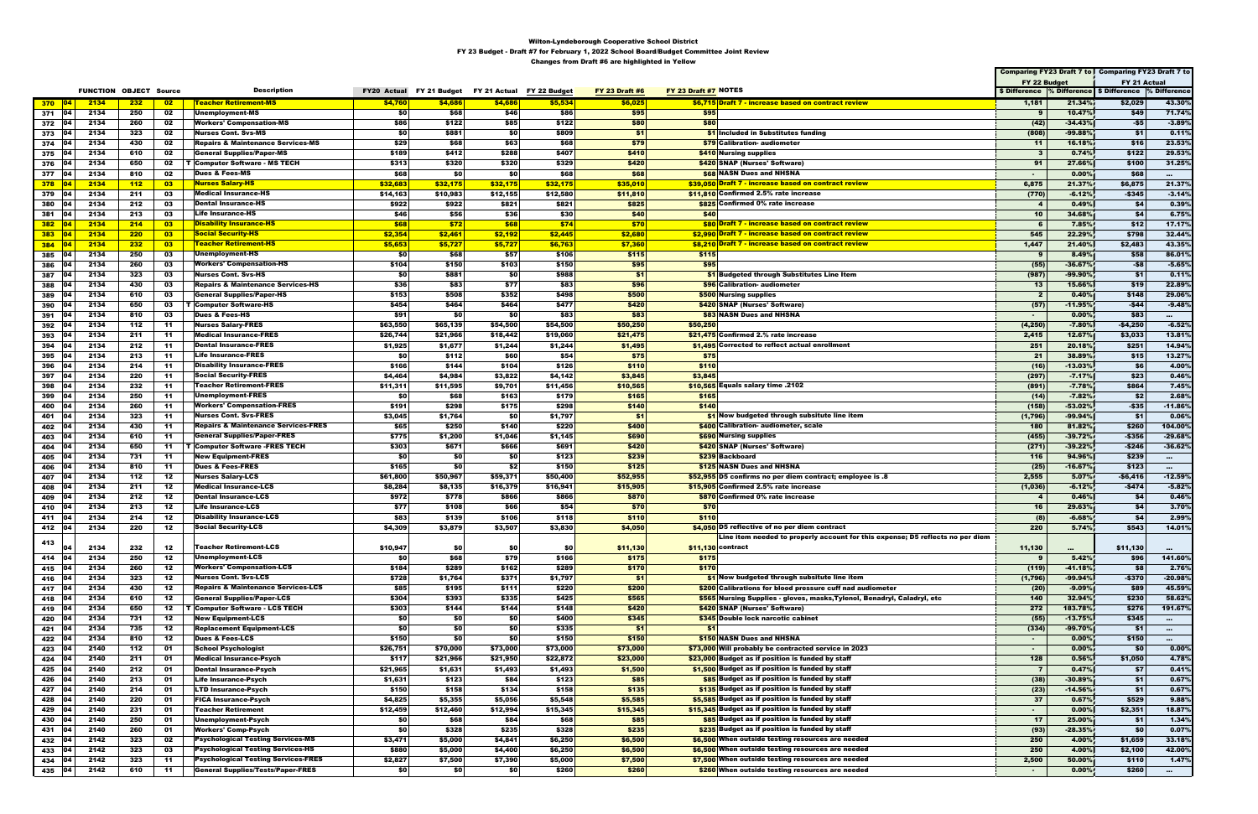|                   |      |                               |                          |                                                |                    |            |                                        |          |                       |                      |                                                                                |                         |           | Comparing FY23 Draft 7 to Comparing FY23 Draft 7 to   |                   |
|-------------------|------|-------------------------------|--------------------------|------------------------------------------------|--------------------|------------|----------------------------------------|----------|-----------------------|----------------------|--------------------------------------------------------------------------------|-------------------------|-----------|-------------------------------------------------------|-------------------|
|                   |      |                               |                          |                                                |                    |            |                                        |          |                       |                      |                                                                                | FY 22 Budget            |           | FY 21 Actual                                          |                   |
|                   |      | <b>FUNCTION OBJECT Source</b> |                          | <b>Description</b>                             | <b>FY20 Actual</b> |            | FY 21 Budget FY 21 Actual FY 22 Budget |          | <b>FY 23 Draft #6</b> | FY 23 Draft #7 NOTES |                                                                                |                         |           | \$ Difference % Difference \$ Difference % Difference |                   |
| 370 $ 04 $        | 2134 | 232                           | 02                       | <b>Teacher Retirement-MS</b>                   | \$4,760            | \$4,686    | \$4,686                                | \$5,534  | \$6,025               |                      | \$6,715 Draft 7 - increase based on contract review                            | 1,181                   | 21.34%    | \$2,029                                               | 43.30%            |
| 371 04            | 2134 | 250                           | 02                       | Unemployment-MS                                | \$0                | \$68       | \$46                                   | \$86     | \$95                  | \$95                 |                                                                                | 9                       | 10.47%    | \$49                                                  | 71.74%            |
| 372 04            | 2134 | 260                           | 02                       | <b>Workers' Compensation-MS</b>                | \$86               | \$122      | \$85                                   | \$122    | \$80                  | \$80                 |                                                                                | (42)                    | $-34.43%$ | -\$5                                                  | $-3.89%$          |
| 373<br>104        | 2134 | 323                           | 02                       | <b>Nurses Cont. Svs-MS</b>                     | \$0                | \$881      | \$0                                    | \$809    | \$1                   |                      | \$1 Included in Substitutes funding                                            | (808)                   | $-99.88%$ | \$1                                                   | 0.11%             |
| 374   04          | 2134 | 430                           | 02                       | Repairs & Maintenance Services-MS              | \$29               | \$68       | \$63                                   | \$68     | \$79                  |                      | \$79 Calibration- audiometer                                                   | $-11$                   | 16.18%    | \$16                                                  | 23.53%            |
| $375$ 04          | 2134 | 610                           | 02                       | <b>General Supplies/Paper-MS</b>               | \$189              | \$412      | \$288                                  | \$407    | \$410                 |                      | \$410 Nursing supplies                                                         | - 3                     | 0.74%     | \$122                                                 | 29.53%            |
| 376<br><b>04</b>  | 2134 | 650                           | 02                       | ∣ ⊤  Computer Software - MS TECH               | \$313              | \$320      | \$320                                  | \$329    | \$420                 |                      | \$420 SNAP (Nurses' Software)                                                  | 91                      | 27.66%    | \$100                                                 | 31.25%            |
| 377   04          | 2134 | 810                           | 02                       | <b>Dues &amp; Fees-MS</b>                      | \$68               | \$0        | \$0                                    | \$68     | \$68                  |                      | <b>\$68 NASN Dues and NHSNA</b>                                                | $\sim$                  | 0.00%     | \$68                                                  | $\sim 100$        |
| $378$ 04          | 2134 | 112                           | $\overline{\mathbf{03}}$ | <b>Nurses Salary-HS</b>                        | \$32,683           | \$32,175   | \$32,175                               | \$32,175 | \$35,010              |                      | \$39,050 Draft 7 - increase based on contract review                           | 6,875                   | 21.37%    | \$6,875                                               | 21.37%            |
| <b>04</b><br>379  | 2134 | 211                           | 03                       | <b>Medical Insurance-HS</b>                    | \$14,163           | \$10,983   | \$12,155                               | \$12,580 | \$11,810              |                      | \$11,810 Confirmed 2.5% rate increase                                          | (770)                   | $-6.12%$  | $-$345$                                               | $-3.14%$          |
| <b>104</b>        | 2134 | 212                           | 03                       | <b>Dental Insurance-HS</b>                     | \$922              | \$922      | \$821                                  | \$821    | \$825                 |                      | \$825 Confirmed 0% rate increase                                               | $\overline{\mathbf{4}}$ | 0.49%     | \$4                                                   | 0.39%             |
| 380<br>104        |      |                               |                          |                                                | \$46               |            |                                        | \$30     | \$40                  |                      |                                                                                |                         |           | \$4                                                   |                   |
| 381               | 2134 | 213                           | 03                       | Life Insurance-HS                              |                    | \$56       | \$36                                   |          |                       | \$40                 |                                                                                | 10                      | 34.68%    |                                                       | 6.75%             |
| $382$ 04          | 2134 | 214                           | $\overline{\mathbf{03}}$ | <mark>Disability Insurance-HS</mark>           | \$68               | \$72       | \$68                                   | \$74     | \$70                  |                      | <b>\$80 Draft 7 - increase based on contract review</b>                        |                         | 7.85%     | \$12                                                  | 17.17%            |
| $383$ 04          | 2134 | 220                           | $\overline{\mathbf{03}}$ | <b>Social Security-HS</b>                      | \$2,354            | \$2,461    | \$2,192                                | \$2,445  | \$2,680               |                      | \$2,990 Draft 7 - increase based on contract review                            | 545                     | 22.29%    | \$798                                                 | 32.44%            |
| $384$ 04          | 2134 | 232                           | $_{03}$                  | <b>Teacher Retirement-HS</b>                   | \$5,653            | \$5,727    | \$5,727                                | \$6,763  | \$7,360               |                      | \$8,210 Draft 7 - increase based on contract review                            | 1,447                   | 21.40%    | \$2,483                                               | 43.35%            |
| 385<br><b>04</b>  | 2134 | 250                           | 03                       | Unemployment-HS                                | \$0                | \$68       | \$57                                   | \$106    | \$115                 | \$115                |                                                                                | -9                      | 8.49%     | \$58                                                  | 86.01%            |
| <b>04</b><br>386  | 2134 | 260                           | 03                       | <b>Workers' Compensation-HS</b>                | \$104              | \$150      | \$103                                  | \$150    | \$95                  | \$95                 |                                                                                | (55)                    | $-36.67%$ | $-58$                                                 | $-5.65%$          |
| 387<br>104        | 2134 | 323                           | 03                       | Nurses Cont. Svs-HS                            | \$0                | \$881      | \$0                                    | \$988    | \$1                   |                      | <b>\$1</b> Budgeted through Substitutes Line Item                              | (987)                   | $-99.90%$ | \$1                                                   | 0.11%             |
| 388<br>∣04        | 2134 | 430                           | 03                       | <b>Repairs &amp; Maintenance Services-HS</b>   | \$36               | \$83       | \$77                                   | \$83     | \$96                  |                      | \$96 Calibration- audiometer                                                   | 13                      | 15.66%    | \$19                                                  | 22.89%            |
| 389<br><b>104</b> | 2134 | 610                           | 03                       | <b>General Supplies/Paper-HS</b>               | \$153              | \$508      | \$352                                  | \$498    | \$500                 |                      | \$500 Nursing supplies                                                         | -2                      | 0.40%     | \$148                                                 | 29.06%            |
| 390<br>104        | 2134 | 650                           | 03                       | <b>T</b> Computer Software-HS                  | \$454              | \$464      | \$464                                  | \$477    | \$420                 |                      | \$420 SNAP (Nurses' Software)                                                  | (57)                    | $-11.95%$ | -\$44                                                 | $-9.48%$          |
| 391<br>104        | 2134 | 810                           | 03                       | <b>Dues &amp; Fees-HS</b>                      | \$91               | <b>\$0</b> | \$0                                    | \$83     | \$83                  |                      | <b>\$83 NASN Dues and NHSNA</b>                                                |                         | 0.00%     | \$83                                                  | <b>CONTRACTOR</b> |
| 392<br>104        | 2134 | 112                           | -11                      | <b>Nurses Salary-FRES</b>                      | \$63,550           | \$65,139   | \$54,500                               | \$54,500 | \$50,250              | \$50,250             |                                                                                | (4, 250)                | $-7.80%$  | $-$4,250$                                             | $-6.52%$          |
| 393<br>104        | 2134 | 211                           | -11                      | <b>Medical Insurance-FRES</b>                  | \$26,744           | \$21,966   | \$18,442                               | \$19,060 | \$21,475              |                      | \$21,475 Confirmed 2.% rate increase                                           | 2,415                   | 12.67%    | \$3,033                                               | 13.81%            |
| 394<br>104        | 2134 | 212                           | -11                      | <b>Dental Insurance-FRES</b>                   | \$1,925            | \$1,677    | \$1,244                                | \$1,244  | \$1,495               |                      | \$1,495 Corrected to reflect actual enrollment                                 | 251                     | 20.18%    | \$251                                                 | 14.94%            |
| 395<br>0۵         | 2134 | 213                           | -11                      | Life Insurance-FRES                            | \$0                | \$112      | \$60                                   | \$54     | \$75                  | \$75                 |                                                                                | 21                      | 38.89%    | \$15                                                  | 13.27%            |
| 396<br>∣04        | 2134 | 214                           | -11                      | Disability Insurance-FRES                      | \$166              | \$144      | \$104                                  | \$126    | \$110                 | \$110                |                                                                                | (16)                    | $-13.03%$ | \$6                                                   | 4.00%             |
| 397<br><b>04</b>  | 2134 | 220                           | -11                      | Social Security-FRES                           | \$4,464            | \$4,984    | \$3,822                                | \$4,142  | \$3,845               | \$3,845              |                                                                                | (297)                   | $-7.17%$  | \$23                                                  | 0.46%             |
| 398<br>74         | 2134 | 232                           | -11                      | <b>Teacher Retirement-FRES</b>                 | \$11,311           | \$11,595   | \$9,701                                | \$11,456 | \$10,565              |                      | \$10,565 Equals salary time .2102                                              | (891)                   | $-7.78%$  | \$864                                                 | 7.45%             |
| <b>104</b><br>399 | 2134 | 250                           | -11                      | Unemployment-FRES                              | \$0                | \$68       | \$163                                  | \$179    | \$165                 | \$165                |                                                                                | (14)                    | $-7.82%$  | \$2                                                   | 2.68%             |
| <b>04</b><br>400  | 2134 | 260                           | -11                      | <b>Workers' Compensation-FRES</b>              | \$191              | \$298      | \$175                                  | \$298    | \$140                 | \$140                |                                                                                | (158)                   | $-53.02%$ | $-$35$                                                | $-11.86%$         |
| 401<br>104        | 2134 | 323                           | -11                      | <b>Nurses Cont. Svs-FRES</b>                   | \$3,045            | \$1,764    | \$0                                    | \$1,797  | \$1                   |                      | \$1 Now budgeted through subsitute line item                                   | (1,796)                 | $-99.94%$ | \$1                                                   | $0.06\%$          |
| 402<br>104        | 2134 | 430                           | -11                      | <b>Repairs &amp; Maintenance Services-FRES</b> | \$65               | \$250      | \$140                                  | \$220    | \$400                 |                      | \$400 Calibration- audiometer, scale                                           | 180                     | 81.82%    | \$260                                                 | 104.00%           |
| 403<br>104        | 2134 | 610                           | -11                      | General Supplies/Paper-FRES                    | \$775              | \$1,200    | \$1,046                                | \$1,145  | \$690                 |                      | \$690 Nursing supplies                                                         | (455)                   | $-39.72%$ | $-$356$                                               | $-29.68%$         |
| 404<br>∣04        | 2134 | 650                           | -11                      | <b>T Computer Software -FRES TECH</b>          | \$303              | \$671      | \$666                                  | \$691    | \$420                 |                      | <b>\$420 SNAP (Nurses' Software)</b>                                           | (271)                   | $-39.22%$ | $-$246$                                               | $-36.62%$         |
| 405<br>104        | 2134 | 731                           | -11                      | <b>New Equipment-FRES</b>                      | \$0                | \$O        | \$0                                    | \$123    | \$239                 |                      | \$239 Backboard                                                                | 116                     | 94.96%    | \$239                                                 | $\sim 100$        |
| 406<br>104        | 2134 | 810                           | -11                      | Dues & Fees-FRES                               | \$165              | \$0        | \$2                                    | \$150    | \$125                 |                      | \$125 NASN Dues and NHSNA                                                      | (25)                    | $-16.67%$ | \$123                                                 |                   |
| 407<br>∣04        | 2134 | 112                           | 12                       | <b>Nurses Salary-LCS</b>                       | \$61,800           | \$50,967   | \$59,371                               | \$50,400 | \$52,955              |                      | \$52,955 D5 confirms no per diem contract; employee is .8                      | 2,555                   | 5.07%     | -\$6,416                                              | $-12.59%$         |
| <b>104</b>        | 2134 | 211                           | 12                       | Medical Insurance-LCS                          | \$8,284            | \$8,135    | \$16,379                               | \$16,941 | \$15,905              |                      | \$15,905 Confirmed 2.5% rate increase                                          |                         | $-6.12%$  | -\$474                                                | $-5.82%$          |
| 408               |      |                               |                          | <b>Dental Insurance-LCS</b>                    |                    |            |                                        |          |                       |                      | \$870 Confirmed 0% rate increase                                               | (1,036)                 |           |                                                       |                   |
| 409               | 2134 | 212                           | 12                       |                                                | \$972              | \$778      | \$866                                  | \$866    | \$870                 |                      |                                                                                |                         | 0.46%     | \$4                                                   | 0.46%             |
| 410<br>104        | 2134 | 213                           | 12                       | <b>Life Insurance-LCS</b>                      | \$77               | \$108      | \$66                                   | \$54     | \$70                  | \$70                 |                                                                                | 16                      | 29.63%    | \$4                                                   | 3.70%             |
| 411 04            | 2134 | 214                           | 12                       | <b>Disability Insurance-LCS</b>                | \$83               | \$139      | \$106                                  | \$118    | \$110                 | \$110                |                                                                                | (8)                     | $-6.68%$  | \$4                                                   | 2.99%             |
| 412 04            | 2134 | 220                           | 12                       | <b>Social Security-LCS</b>                     | \$4,309            | \$3,879    | \$3,507                                | \$3,830  | \$4,050               |                      | \$4,050 D5 reflective of no per diem contract                                  | 220                     | 5.74%     | \$543                                                 | 14.01%            |
| 413               |      |                               |                          |                                                |                    |            |                                        |          |                       |                      | Line item needed to properly account for this expense; D5 reflects no per diem |                         |           |                                                       |                   |
| 104               | 2134 | 232                           | 12                       | <b>Teacher Retirement-LCS</b>                  | \$10,947           | \$0        | \$0                                    | \$0      | \$11,130              |                      | \$11.130 contract                                                              | 11,130                  | $\cdots$  | \$11,130                                              | $\sim 10^{-1}$    |
| 414 04            | 2134 | 250                           | 12                       | Unemployment-LCS                               | \$0                | \$68       | \$79                                   | \$166    | \$175                 | \$175                |                                                                                | 9                       | 5.42%     | \$96                                                  | 141.60%           |
| 415 04            | 2134 | 260                           | 12                       | <b>Workers' Compensation-LCS</b>               | \$184              | \$289      | \$162                                  | \$289    | \$170                 | \$170                |                                                                                | (119)                   | $-41.18%$ | \$8                                                   | 2.76%             |
| 416 04            | 2134 | 323                           | 12                       | <b>Nurses Cont. Svs-LCS</b>                    | \$728              | \$1,764    | \$371                                  | \$1,797  | \$1                   |                      | \$1 Now budgeted through subsitute line item                                   | (1,796)                 | $-99.94%$ | $-$370$                                               | $-20.98%$         |
| 417 04            | 2134 | 430                           | 12                       | <b>Repairs &amp; Maintenance Services-LCS</b>  | \$85               | \$195      | \$111                                  | \$220    | \$200                 |                      | \$200 Calibrations for blood pressure cuff nad audiometer                      | (20)                    | $-9.09%$  | \$89                                                  | 45.59%            |
| <b>04</b><br>418  | 2134 | 610                           | 12                       | <b>General Supplies/Paper-LCS</b>              | \$304              | \$393      | \$335                                  | \$425    | \$565                 |                      | \$565 Nursing Supplies - gloves, masks, Tylenol, Benadryl, Caladryl, etc       | 140                     | 32.94%    | \$230                                                 | 58.62%            |
| 419 04            | 2134 | 650                           |                          | 12   T Computer Software - LCS TECH            | \$303              | \$144      | \$144                                  | \$148    | \$420                 |                      | \$420 SNAP (Nurses' Software)                                                  | 272                     | 183.78%   | \$276                                                 | 191.67%           |
| 420<br>04         | 2134 | 731                           | 12                       | <b>New Equipment-LCS</b>                       | \$0                | SO         | \$0                                    | \$400    | \$345                 |                      | \$345 Double lock narcotic cabinet                                             | (55)                    | $-13.75%$ | \$345                                                 | $\sim$ 100 $\pm$  |
| 421<br>104        | 2134 | 735                           | 12                       | <b>Replacement Equipment-LCS</b>               | \$0                | \$0        | \$0                                    | \$335    | \$1                   | S1                   |                                                                                | (334)                   | -99.70%   | \$1                                                   | $\sim$            |
| 422<br><b>04</b>  | 2134 | 810                           | 12                       | <b>Dues &amp; Fees-LCS</b>                     | \$150              | \$0        | \$0                                    | \$150    | \$150                 |                      | \$150 NASN Dues and NHSNA                                                      | $\sim$                  | 0.00%     | \$150                                                 | $\sim 10^{-11}$   |
| 104<br>423        | 2140 | 112                           | 01                       | <b>School Psychologist</b>                     | \$26,751           | \$70,000   | \$73,000                               | \$73,000 | \$73,000              |                      | \$73,000 Will probably be contracted service in 2023                           | $\sim$                  | 0.00%     | \$0                                                   | 0.00%             |
| 424<br>04         | 2140 | 211                           | 01                       | <b>Medical Insurance-Psych</b>                 | \$117              | \$21,966   | \$21,950                               | \$22,872 | \$23,000              |                      | \$23,000 Budget as if position is funded by staff                              | 128                     | 0.56%     | \$1,050                                               | 4.78%             |
| 425<br>104        | 2140 | 212                           | 01                       | <b>Dental Insurance-Psych</b>                  | \$21,965           | \$1,631    | \$1,493                                | \$1,493  | \$1,500               |                      | \$1,500 Budget as if position is funded by staff                               | $\overline{7}$          | 0.47%     | \$7                                                   | 0.41%             |
| 426<br> 04        | 2140 | 213                           | 01                       | <b>Life Insurance-Psych</b>                    | \$1,631            | \$123      | \$84                                   | \$123    | \$85                  |                      | \$85 Budget as if position is funded by staff                                  | (38)                    | $-30.89%$ | \$1                                                   | 0.67%             |
| 427<br>04         | 2140 | 214                           | 01                       | <b>LTD Insurance-Psych</b>                     | \$150              | \$158      | \$134                                  | \$158    | \$135                 |                      | \$135 Budget as if position is funded by staff                                 | (23)                    | $-14.56%$ | \$1                                                   | 0.67%             |
| 428<br>104        | 2140 | 220                           | 01                       | <b>FICA Insurance-Psych</b>                    | \$4,825            | \$5,355    | \$5,056                                | \$5,548  | \$5,585               |                      | \$5,585 Budget as if position is funded by staff                               | 37                      | 0.67%     | \$529                                                 | 9.88%             |
| 429<br>104        | 2140 | 231                           | 01                       | <b>Teacher Retirement</b>                      | \$12,459           | \$12,460   | \$12,994                               | \$15,345 | \$15,345              |                      | \$15,345 Budget as if position is funded by staff                              | $\sim$                  | 0.00%     | \$2,351                                               | 18.87%            |
| 104<br>430        | 2140 | 250                           | 01                       | Unemployment-Psych                             | \$0                | \$68       | \$84                                   | \$68     | \$85                  |                      | \$85 Budget as if position is funded by staff                                  | 17                      | 25.00%    | \$1                                                   | 1.34%             |
| 04<br>431         | 2140 | 260                           | 01                       | <b>Workers' Comp-Psych</b>                     | \$0                | \$328      | \$235                                  | \$328    | \$235                 |                      | \$235 Budget as if position is funded by staff                                 | (93)                    | $-28.35%$ | \$0                                                   | 0.07%             |
| 432<br>104        | 2142 | 323                           | 02                       | <b>Psychological Testing Services-MS</b>       | \$3,471            | \$5,000    | \$4,841                                | \$6,250  | \$6,500               |                      | \$6,500 When outside testing resources are needed                              | 250                     | 4.00%     | \$1,659                                               | 33.18%            |
| 433<br><b>04</b>  | 2142 | 323                           | 03                       | <b>Psychological Testing Services-HS</b>       | \$880              | \$5,000    | \$4,400                                | \$6,250  | \$6,500               |                      | \$6,500 When outside testing resources are needed                              | 250                     | 4.00%     | \$2,100                                               | 42.00%            |
| 434<br>104        | 2142 | 323                           | -11                      | <b>Psychological Testing Services-FRES</b>     | \$2,827            | \$7,500    | \$7,390                                | \$5,000  | \$7,500               |                      | \$7,500 When outside testing resources are needed                              | 2,500                   | 50.00%    | \$110                                                 | 1.47%             |
| 435 04            | 2142 | 610                           | -11                      | <b>General Supplies/Tests/Paper-FRES</b>       | \$0                | \$0        | \$0                                    | \$260    | \$260                 |                      | \$260 When outside testing resources are needed                                | $\sim$                  | $0.00\%$  | \$260                                                 |                   |
|                   |      |                               |                          |                                                |                    |            |                                        |          |                       |                      |                                                                                |                         |           |                                                       | $\sim$            |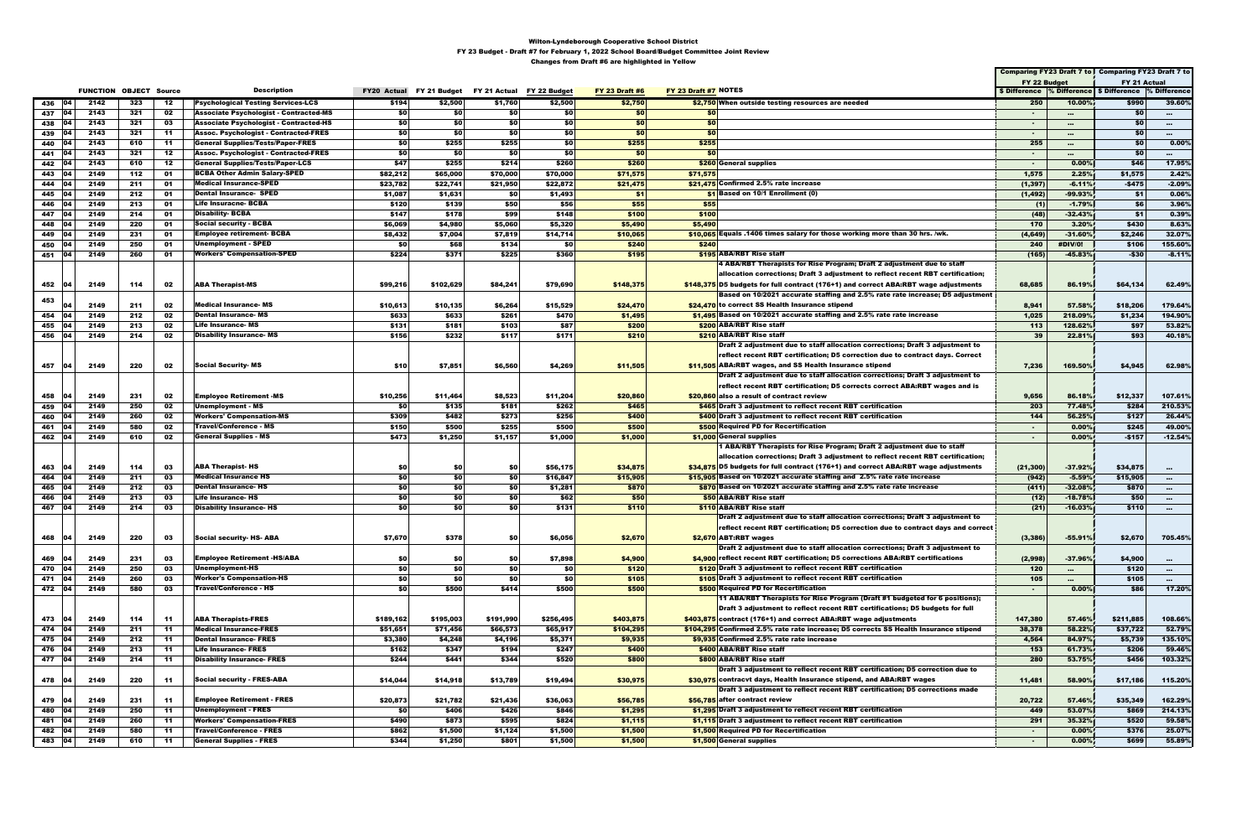|                   |                               |     |           |                                               |                  |           |                                                    |           |                       |                      |                                                                                      |               |           | Comparing FY23 Draft 7 to Comparing FY23 Draft 7 to |                  |
|-------------------|-------------------------------|-----|-----------|-----------------------------------------------|------------------|-----------|----------------------------------------------------|-----------|-----------------------|----------------------|--------------------------------------------------------------------------------------|---------------|-----------|-----------------------------------------------------|------------------|
|                   |                               |     |           |                                               |                  |           |                                                    |           |                       |                      |                                                                                      | FY 22 Budget  |           | FY 21 Actual                                        |                  |
|                   | <b>FUNCTION OBJECT Source</b> |     |           | <b>Description</b>                            |                  |           | FY20 Actual FY 21 Budget FY 21 Actual FY 22 Budget |           | <b>FY 23 Draft #6</b> | FY 23 Draft #7 NOTES |                                                                                      | \$ Difference |           | <b>Solution Space 5 Difference 9% Difference</b>    |                  |
| 104<br>436        | 2142                          | 323 | 12        | <b>Psychological Testing Services-LCS</b>     | \$194            | \$2,500   | \$1,760                                            | \$2,500   | \$2,750               |                      | \$2,750 When outside testing resources are needed                                    | 250           | 10.00%    | \$990                                               | 39.60%           |
| 437<br>04         | 2143                          | 321 | 02        | <b>Associate Psychologist - Contracted-MS</b> | \$0              | \$O       | \$0                                                | \$0       | \$0                   | \$0                  |                                                                                      | $\sim$        | $\cdots$  | <b>SO</b>                                           | $\sim$ 100 $\pm$ |
| 438<br>104        | 2143                          | 321 | 03        | <b>Associate Psychologist - Contracted-HS</b> | \$0              | \$0       | \$0                                                | \$0       | \$0                   | \$0                  |                                                                                      | $\sim$        |           | \$0                                                 |                  |
| 04                | 2143                          | 321 | -11       | <b>Assoc. Psychologist - Contracted-FRES</b>  | \$0              | \$0       | \$0                                                | \$0       | \$0                   | \$0                  |                                                                                      | $\sim$        | $\cdots$  | \$0                                                 | $\sim$           |
| 439<br>104        |                               |     |           | <b>General Supplies/Tests/Paper-FRES</b>      | \$0              |           |                                                    | \$0       |                       |                      |                                                                                      |               | $\cdots$  | \$0                                                 | $\sim$           |
| 440               | 2143                          | 610 | -11       |                                               |                  | \$255     | \$255                                              |           | \$255                 | \$255                |                                                                                      | 255           |           |                                                     | $0.00\%$         |
| 04<br>441         | 2143                          | 321 | 12        | <b>Assoc. Psychologist - Contracted-FRES</b>  | \$0              | \$0       | \$0                                                | \$0       | \$0                   | \$0                  |                                                                                      | $\sim$        | $\cdots$  | \$0                                                 | $\sim$ 100 $\pm$ |
| 442<br>104        | 2143                          | 610 | -12       | <b>General Supplies/Tests/Paper-LCS</b>       | \$47             | \$255     | \$214                                              | \$260     | \$260                 |                      | \$260 General supplies                                                               | $\sim$        | 0.00%     | \$46                                                | 17.95%           |
| 443<br>04         | 2149                          | 112 | 01        | <b>BCBA Other Admin Salary-SPED</b>           | \$82,212         | \$65,000  | \$70,000                                           | \$70,000  | \$71,575              | \$71,575             |                                                                                      | 1,575         | 2.25%     | \$1,575                                             | 2.42%            |
| 444<br>በ4         | 2149                          | 211 | 01        | <b>Medical Insurance-SPED</b>                 | \$23,782         | \$22,741  | \$21,950                                           | \$22,872  | \$21,475              |                      | \$21,475 Confirmed 2.5% rate increase                                                | (1, 397)      | $-6.11%$  | $-$475$                                             | $-2.09%$         |
| 445               | 2149                          | 212 | 01        | <b>Dental Insurance- SPED</b>                 | \$1,087          | \$1,631   | \$0                                                | \$1,493   | \$1                   |                      | \$1 Based on 10/1 Enrollment (0)                                                     | (1, 492)      | $-99.93%$ | \$1                                                 | 0.06%            |
| 446<br>04         | 2149                          | 213 | 01        | <b>Life Insuracne- BCBA</b>                   | \$120            | \$139     | \$50                                               | \$56      | \$55                  | \$55                 |                                                                                      | (1)           | $-1.79%$  | \$6                                                 | 3.96%            |
| 447<br>104        | 2149                          | 214 | 01        | <b>Disability-BCBA</b>                        | \$147            | \$178     | \$99                                               | \$148     | \$100                 | \$100                |                                                                                      | (48)          | $-32.43%$ | \$1                                                 | 0.39%            |
| 04<br>448         | 2149                          | 220 | 01        | <b>Social security - BCBA</b>                 | \$6,069          | \$4,980   | \$5,060                                            | \$5,320   | \$5,490               | \$5,490              |                                                                                      | 170           | 3.20%     | \$430                                               | 8.63%            |
| 449               | 2149                          | 231 | 01        | <b>Employee retirement- BCBA</b>              | \$8,432          | \$7,004   | \$7,819                                            | \$14,714  | \$10,065              |                      | \$10,065 Equals .1406 times salary for those working more than 30 hrs. /wk.          | (4, 649)      | $-31.60%$ | \$2,246                                             | 32.07%           |
| 04<br>450         | 2149                          | 250 | 01        | <b>Unemployment - SPED</b>                    | \$0              | \$68      | \$134                                              | \$0       | \$240                 | \$240                |                                                                                      | 240           | #DIV/0!   | \$106                                               | 155.60%          |
| 451 04            | 2149                          | 260 | 01        | <b>Workers' Compensation-SPED</b>             | \$224            | \$371     | \$225                                              | \$360     | \$195                 |                      | \$195 ABA/RBT Rise staff                                                             | (165)         | $-45.83%$ | -\$30                                               | $-8.11%$         |
|                   |                               |     |           |                                               |                  |           |                                                    |           |                       |                      | 4 ABA/RBT Therapists for Rise Program; Draft 2 adjustment due to staff               |               |           |                                                     |                  |
|                   |                               |     |           |                                               |                  |           |                                                    |           |                       |                      | allocation corrections; Draft 3 adjustment to reflect recent RBT certification;      |               |           |                                                     |                  |
| 452 04            | 2149                          | 114 | 02        | <b>ABA Therapist-MS</b>                       | \$99,216         | \$102,629 | \$84,241                                           | \$79,690  | \$148,375             |                      | \$148,375 D5 budgets for full contract (176+1) and correct ABA:RBT wage adjustments  | 68,685        | 86.19%    | \$64,134                                            | 62.49%           |
|                   |                               |     |           |                                               |                  |           |                                                    |           |                       |                      | Based on 10/2021 accurate staffing and 2.5% rate rate increase; D5 adjustment        |               |           |                                                     |                  |
| 453<br>04         | 2149                          | 211 | 02        | <b>Medical Insurance-MS</b>                   | \$10,613         | \$10,135  | \$6,264                                            | \$15,529  | \$24,470              |                      | \$24,470 to correct SS Health Insurance stipend                                      | 8,941         | 57.58%    | \$18,206                                            | 179.64%          |
| 04<br>454         | 2149                          | 212 | 02        | <b>Dental Insurance-MS</b>                    | \$633            | \$633     | \$261                                              | \$470     | \$1,495               |                      | \$1,495 Based on 10/2021 accurate staffing and 2.5% rate rate increase               | 1,025         | 218.09%   | \$1,234                                             | 194.90%          |
| 455<br>104        | 2149                          | 213 | 02        | <b>Life Insurance- MS</b>                     | \$131            | \$181     | \$103                                              | \$87      | \$200                 |                      | \$200 ABA/RBT Rise staff                                                             | 113           | 128.62%   | \$97                                                | 53.82%           |
| - 04<br>456       | 2149                          | 214 | 02        | <b>Disability Insurance- MS</b>               | \$156            | \$232     | \$117                                              | \$171     | \$210                 |                      | \$210 ABA/RBT Rise staff                                                             | 39            | 22.81%    | \$93                                                | 40.18%           |
|                   |                               |     |           |                                               |                  |           |                                                    |           |                       |                      | Draft 2 adjustment due to staff allocation corrections; Draft 3 adjustment to        |               |           |                                                     |                  |
|                   |                               |     |           |                                               |                  |           |                                                    |           |                       |                      | reflect recent RBT certification; D5 correction due to contract days. Correct        |               |           |                                                     |                  |
| 457<br>104        | 2149                          | 220 | 02        | <b>Social Security-MS</b>                     | \$10             | \$7,851   | \$6,560                                            | \$4,269   | \$11,505              |                      | \$11,505 ABA:RBT wages, and SS Health Insurance stipend                              | 7,236         | 169.50%   | \$4,945                                             | 62.98%           |
|                   |                               |     |           |                                               |                  |           |                                                    |           |                       |                      | Draft 2 adjustment due to staff allocation corrections; Draft 3 adjustment to        |               |           |                                                     |                  |
|                   |                               |     |           |                                               |                  |           |                                                    |           |                       |                      | reflect recent RBT certification; D5 corrects correct ABA:RBT wages and is           |               |           |                                                     |                  |
|                   |                               |     |           |                                               |                  |           |                                                    |           |                       |                      |                                                                                      |               |           |                                                     |                  |
| 458<br>104        | 2149                          | 231 | 02        | <b>Employee Retirement -MS</b>                | \$10,256         | \$11,464  | \$8,523                                            | \$11,204  | \$20,860              |                      | \$20,860 also a result of contract review                                            | 9,656         | 86.18%    | \$12,337                                            | 107.61%          |
| 104<br>459        | 2149                          | 250 | 02        | Unemployment - MS                             | \$0              | \$135     | \$181                                              | \$262     | \$465                 |                      | \$465 Draft 3 adjustment to reflect recent RBT certification                         | 203           | 77.48%    | \$284                                               | 210.53%          |
| 04<br>460         | 2149                          | 260 | 02        | <b>Workers' Compensation-MS</b>               | \$309            | \$482     | \$273                                              | \$256     | \$400                 |                      | \$400 Draft 3 adjustment to reflect recent RBT certification                         | 144           | 56.25%    | \$127                                               | 26.44%           |
| 104<br>461        | 2149                          | 580 | 02        | Travel/Conference - MS                        | \$150            | \$500     | \$255                                              | \$500     | \$500                 |                      | \$500 Required PD for Recertification                                                | $\sim$        | 0.00%     | \$245                                               | 49.00%           |
| 04<br>462         | 2149                          | 610 | 02        | <b>General Supplies - MS</b>                  | \$473            | \$1,250   | \$1,157                                            | \$1,000   | \$1,000               |                      | \$1,000 General supplies                                                             | $\sim$        | 0.00%     | $-$157$                                             | $-12.54%$        |
|                   |                               |     |           |                                               |                  |           |                                                    |           |                       |                      | 1 ABA/RBT Therapists for Rise Program; Draft 2 adjustment due to staff               |               |           |                                                     |                  |
|                   |                               |     |           |                                               |                  |           |                                                    |           |                       |                      | allocation corrections; Draft 3 adjustment to reflect recent RBT certification;      |               |           |                                                     |                  |
| 463<br>104        | 2149                          | 114 | 03        | <b>ABA Therapist-HS</b>                       | \$0              | \$0       | \$0                                                | \$56,175  | \$34,875              |                      | \$34.875 D5 budgets for full contract (176+1) and correct ABA:RBT wage adjustments   | (21, 300)     | $-37.92%$ | \$34,875                                            | $\sim$           |
| 464<br>104        | 2149                          | 211 | 03        | <b>Medical Insurance HS</b>                   | \$0              | \$0       | \$0                                                | \$16,847  | \$15,905              |                      | \$15,905 Based on 10/2021 accurate staffing and 2.5% rate rate increase              | (942)         | $-5.59%$  | \$15,905                                            | $\sim$           |
| 465<br>104        | 2149                          | 212 | 03        | <b>Dental Insurance- HS</b>                   | \$0              | \$0       | \$0                                                | \$1,281   | \$870                 |                      | \$870 Based on 10/2021 accurate staffing and 2.5% rate rate increase                 | (411)         | $-32.08%$ | \$870                                               | $\sim$           |
| 466<br>104        | 2149                          | 213 | 03        | <b>Life Insurance- HS</b>                     | \$0              | \$0       | \$0                                                | \$62      | \$50                  |                      | <b>\$50 ABA/RBT Rise staff</b>                                                       | (12)          | $-18.78%$ | \$50                                                | $\sim$           |
| 467 04            | 2149                          | 214 | 03        | <b>Disability Insurance- HS</b>               | \$0              | \$0       | \$0                                                | \$131     | \$110                 |                      | \$110 ABA/RBT Rise staff                                                             | (21)          | $-16.03%$ | \$110                                               | $\sim$           |
|                   |                               |     |           |                                               |                  |           |                                                    |           |                       |                      | Draft 2 adjustment due to staff allocation corrections; Draft 3 adjustment to        |               |           |                                                     |                  |
|                   |                               |     |           |                                               |                  |           |                                                    |           |                       |                      | reflect recent RBT certification; D5 correction due to contract days and correct     |               |           |                                                     |                  |
| 468<br> 04        | 2149                          | 220 | 03        | <b>Social security- HS-ABA</b>                | \$7,670          | \$378     | \$0                                                | \$6,056   | \$2,670               |                      | \$2,670 ABT:RBT wages                                                                | (3, 386)      | $-55.91%$ | \$2,670                                             | 705.45%          |
|                   |                               |     |           |                                               |                  |           |                                                    |           |                       |                      | Draft 2 adjustment due to staff allocation corrections; Draft 3 adjustment to        |               |           |                                                     |                  |
| 469<br><b>104</b> | 2149                          | 231 | 03        | <b>Employee Retirement -HS/ABA</b>            | \$0              | \$0       | \$0                                                | \$7,898   | \$4,900               |                      | \$4,900 reflect recent RBT certification; D5 corrections ABA:RBT certifications      | (2,998)       | $-37.96%$ | \$4,900                                             | $\sim$           |
| 470<br>04         | 2149                          | 250 | 03        | Unemployment-HS                               | \$0              | \$0       | \$0                                                | \$0       | \$120                 |                      | \$120 Draft 3 adjustment to reflect recent RBT certification                         | 120           | $\cdots$  | \$120                                               | $\sim 100$       |
| 471 04            | 2149                          | 260 | 03        | <b>Worker's Compensation-HS</b>               | \$0              | \$0       | \$0                                                | \$0       | \$105                 |                      | \$105 Draft 3 adjustment to reflect recent RBT certification                         | 105           | $\cdots$  | \$105                                               | $\sim 100$       |
| 472 04            | 2149                          | 580 | 03        | Travel/Conference - HS                        | SO <sub>I</sub>  | \$500     | \$414                                              | \$500     | \$500                 |                      | \$500 Required PD for Recertification                                                | $\sim$        | 0.00%     | \$86                                                | 17.20%           |
|                   |                               |     |           |                                               |                  |           |                                                    |           |                       |                      | 11 ABA/RBT Therapists for Rise Program (Draft #1 budgeted for 6 positions);          |               |           |                                                     |                  |
|                   |                               |     |           |                                               |                  |           |                                                    |           |                       |                      | Draft 3 adjustment to reflect recent RBT certifications; D5 budgets for full         |               |           |                                                     |                  |
| 473<br>104        | 2149                          | 114 | -11       | <b>ABA Therapists-FRES</b>                    | \$189,162        | \$195,003 | \$191,990                                          | \$256,495 | \$403,875             |                      | \$403,875 contract (176+1) and correct ABA:RBT wage adjustments                      | 147,380       | 57.46%    | \$211,885                                           | 108.66%          |
| 474 04            | 2149                          | 211 | 11        | <b>Medical Insurance-FRES</b>                 | \$51,651         | \$71,456  | \$66,573                                           | \$65,917  | \$104,295             |                      | \$104,295 Confirmed 2.5% rate rate increase; D5 corrects SS Health Insurance stipend | 38,378        | 58.22%    | \$37,722                                            | 52.79%           |
| 475 04            | 2149                          | 212 |           | <b>Dental Insurance- FRES</b>                 |                  | \$4,248   |                                                    | \$5,371   |                       |                      | \$9.935 Confirmed 2.5% rate rate increase                                            |               | 84.97%    |                                                     | 135.10%          |
| 476 04            | 2149                          | 213 | -11<br>11 | <b>Life Insurance- FRES</b>                   | \$3,380<br>\$162 | \$347     | \$4,196<br>\$194                                   | \$247     | \$9,935<br>\$400      |                      | \$400 ABA/RBT Rise staff                                                             | 4,564<br>153  | 61.73%    | \$5,739<br>\$206                                    | 59.46%           |
|                   |                               |     |           | <b>Disability Insurance- FRES</b>             |                  |           | \$344                                              |           | \$800                 |                      | \$800 ABA/RBT Rise staff                                                             |               |           | \$456                                               |                  |
| 477   04          | 2149                          | 214 | -11       |                                               | \$244            | \$441     |                                                    | \$520     |                       |                      |                                                                                      | 280           | 53.75%    |                                                     | 103.32%          |
|                   |                               |     |           |                                               |                  |           |                                                    |           |                       |                      | Draft 3 adjustment to reflect recent RBT certification; D5 correction due to         |               |           |                                                     |                  |
| 478 04            | 2149                          | 220 | -11       | <b>Social security - FRES-ABA</b>             | \$14,044         | \$14,918  | \$13,789                                           | \$19,494  | \$30,975              |                      | \$30,975 contracvt days, Health Insurance stipend, and ABA:RBT wages                 | 11,481        | 58.90%    | \$17,186                                            | 115.20%          |
|                   |                               |     |           |                                               |                  |           |                                                    |           |                       |                      | Draft 3 adjustment to reflect recent RBT certification; D5 corrections made          |               |           |                                                     |                  |
| 479 04            | 2149                          | 231 | $-11$     | <b>Employee Retirement - FRES</b>             | \$20,873         | \$21,782  | \$21,436                                           | \$36,063  | \$56,785              |                      | \$56,785 after contract review                                                       | 20,722        | 57.46%    | \$35,349                                            | 162.29%          |
| 480<br> 04        | 2149                          | 250 | 11        | <b>Unemployment - FRES</b>                    | \$0              | \$406     | \$426                                              | \$846     | \$1,295               |                      | \$1,295 Draft 3 adjustment to reflect recent RBT certification                       | 449           | 53.07%    | \$869                                               | 214.13%          |
| 481<br>104        | 2149                          | 260 | 11        | <b>Workers' Compensation-FRES</b>             | \$490            | \$873     | \$595                                              | \$824     | \$1,115               |                      | \$1,115 Draft 3 adjustment to reflect recent RBT certification                       | 291           | 35.32%    | \$520                                               | 59.58%           |
| 482<br>104        | 2149                          | 580 | -11       | <b>Travel/Conference - FRES</b>               | \$862            | \$1,500   | \$1,124                                            | \$1,500   | \$1,500               |                      | \$1,500 Required PD for Recertification                                              | $\sim$        | $0.00\%$  | \$376                                               | 25.07%           |
| 483 04            | 2149                          | 610 | -11       | <b>General Supplies - FRES</b>                | \$344            | \$1,250   | \$801                                              | \$1,500   | \$1,500               |                      | \$1,500 General supplies                                                             | $\sim$        | 0.00%     | \$699                                               | 55.89%           |
|                   |                               |     |           |                                               |                  |           |                                                    |           |                       |                      |                                                                                      |               |           |                                                     |                  |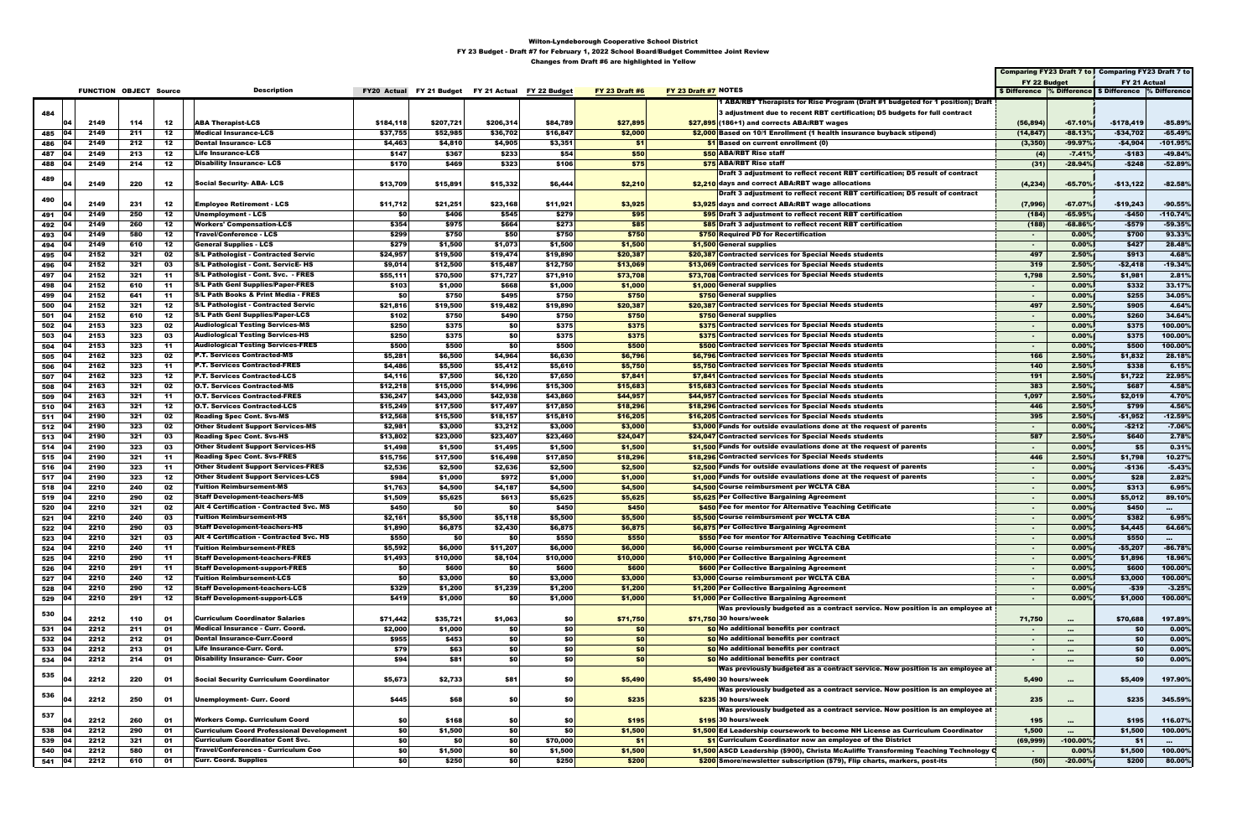|                    |           |                               |            |           |                                                                                   |                       |                                                    |                   |                      |                       |                      |                                                                                                                          |                        |                        | Comparing FY23 Draft 7 to Comparing FY23 Draft 7 to      |                        |
|--------------------|-----------|-------------------------------|------------|-----------|-----------------------------------------------------------------------------------|-----------------------|----------------------------------------------------|-------------------|----------------------|-----------------------|----------------------|--------------------------------------------------------------------------------------------------------------------------|------------------------|------------------------|----------------------------------------------------------|------------------------|
|                    |           |                               |            |           |                                                                                   |                       |                                                    |                   |                      |                       |                      |                                                                                                                          | FY 22 Budget           |                        | FY 21 Actual                                             |                        |
|                    |           | <b>FUNCTION OBJECT Source</b> |            |           | <b>Description</b>                                                                |                       | FY20 Actual FY 21 Budget FY 21 Actual FY 22 Budget |                   |                      | <b>FY 23 Draft #6</b> | FY 23 Draft #7 NOTES |                                                                                                                          |                        |                        | \$ Difference % Difference   \$ Difference  % Difference |                        |
|                    |           |                               |            |           |                                                                                   |                       |                                                    |                   |                      |                       |                      | 1 ABA/RBT Therapists for Rise Program (Draft #1 budgeted for 1 position); Draft                                          |                        |                        |                                                          |                        |
| 484                |           | 2149                          |            | 12        | <b>ABA Therapist-LCS</b>                                                          |                       | \$207,721                                          | \$206,314         |                      |                       |                      | 3 adjustment due to recent RBT certification; D5 budgets for full contract                                               |                        |                        |                                                          |                        |
|                    | 104       | 2149                          | 114<br>211 | 12        | <b>Medical Insurance-LCS</b>                                                      | \$184,118<br>\$37,755 | \$52,985                                           | \$36,702          | \$84,789<br>\$16,847 | \$27,895<br>\$2,000   |                      | $$27,895$ (186+1) and corrects ABA:RBT wages<br>\$2,000 Based on 10/1 Enrollment (1 health insurance buyback stipend)    | (56, 894)<br>(14, 847) | $-67.10%$<br>$-88.13%$ | -\$178,419<br>$-$34,702$                                 | $-85.89%$<br>$-65.49%$ |
| 485<br>486         |           | 2149                          | 212        | 12        | <b>Dental Insurance-LCS</b>                                                       | \$4,463               | \$4,810                                            | \$4,905           | \$3,351              | \$1                   |                      | $\frac{1}{2}$ Based on current enrollment (0)                                                                            | (3, 350)               | $-99.97%$              | $-$4,904$                                                | $-101.95%$             |
| 487                |           | 2149                          | 213        | 12        | <b>Life Insurance-LCS</b>                                                         | \$147                 | \$367                                              | \$233             | \$54                 | \$50                  |                      | \$50 ABA/RBT Rise staff                                                                                                  | (4)                    | $-7.41%$               | $-$183$                                                  | $-49.84%$              |
| 488 04             |           | 2149                          | 214        | 12        | <b>Disability Insurance-LCS</b>                                                   | \$170                 | \$469                                              | \$323             | \$106                | \$75                  |                      | <b>\$75 ABA/RBT Rise staff</b>                                                                                           | (31)                   | $-28.94%$              | $-$248$                                                  | $-52.89%$              |
|                    |           |                               |            |           |                                                                                   |                       |                                                    |                   |                      |                       |                      | Draft 3 adjustment to reflect recent RBT certification; D5 result of contract                                            |                        |                        |                                                          |                        |
| 489                |           | 2149                          | 220        | 12        | <b>Social Security-ABA-LCS</b>                                                    | \$13,709              | \$15,891                                           | \$15,332          | \$6,444              | \$2,210               |                      | \$2,210 days and correct ABA:RBT wage allocations                                                                        | (4, 234)               | $-65.70%$              | $-$13,122$                                               | $-82.58%$              |
|                    |           |                               |            |           |                                                                                   |                       |                                                    |                   |                      |                       |                      | Draft 3 adjustment to reflect recent RBT certification; D5 result of contract                                            |                        |                        |                                                          |                        |
| 490                |           | 2149                          | 231        | 12        | <b>Employee Retirement - LCS</b>                                                  | \$11,712              | \$21,251                                           | \$23,168          | \$11,921             | \$3,925               |                      | \$3,925 days and correct ABA:RBT wage allocations                                                                        | (7,996)                | $-67.07%$              | $-$19,243$                                               | $-90.55%$              |
| 491                |           | 2149                          | 250        | 12        | Unemployment - LCS                                                                | \$0                   | \$406                                              | \$545             | \$279                | \$95                  |                      | \$95 Draft 3 adjustment to reflect recent RBT certification                                                              | (184)                  | $-65.95%$              | $-$450$                                                  | $-110.74%$             |
| 492   04           |           | 2149                          | 260        | 12        | <b>Workers' Compensation-LCS</b>                                                  | \$354                 | \$975                                              | \$664             | \$273                | \$85                  |                      | \$85 Draft 3 adjustment to reflect recent RBT certification                                                              | (188)                  | $-68.86%$              | -\$579                                                   | $-59.35%$              |
| 493                |           | 2149                          | 580        | 12        | <b>Travel/Conference - LCS</b>                                                    | \$299                 | \$750                                              | \$50              | \$750                | \$750                 |                      | \$750 Required PD for Recertification                                                                                    | $\sim$                 | 0.00%                  | \$700                                                    | 93.33%                 |
| 494 04             |           | 2149                          | 610        | 12        | General Supplies - LCS                                                            | \$279                 | \$1,500                                            | \$1,073           | \$1,500              | \$1,500               |                      | \$1,500 General supplies                                                                                                 | $\sim$                 | $0.00\%$               | \$427                                                    | 28.48%                 |
| 495   04           |           | 2152                          | 321        | 02        | <b>S/L Pathologist - Contracted Servic</b>                                        | \$24,957              | \$19,500                                           | \$19,474          | \$19,890             | \$20,387              |                      | \$20,387 Contracted services for Special Needs students                                                                  | 497                    | 2.50%                  | \$913                                                    | 4.68%                  |
| 496                |           | 2152                          | 321        | 03        | S/L Pathologist - Cont. ServicE-HS                                                | \$9,014               | \$12,500                                           | \$15,487          | \$12,750             | \$13,069              |                      | \$13,069 Contracted services for Special Needs students                                                                  | 319                    | 2.50%                  | -\$2,418                                                 | $-19.34%$              |
| 497                |           | 2152                          | 321        | -11       | S/L Pathologist - Cont. Svc. - FRES                                               | \$55,111              | \$70,500                                           | \$71,727          | \$71,910             | \$73,708              |                      | \$73,708 Contracted services for Special Needs students                                                                  | 1,798                  | 2.50%                  | \$1,981                                                  | 2.81%                  |
| 498                |           | 2152                          | 610        | -11       | <b>S/L Path Genl Supplies/Paper-FRES</b>                                          | \$103                 | \$1,000                                            | \$668             | \$1,000              | \$1,000               |                      | \$1,000 General supplies                                                                                                 | $\sim$                 | 0.00%                  | \$332                                                    | 33.17%                 |
| 499                |           | 2152<br>2152                  | 641<br>321 | -11<br>12 | S/L Path Books & Print Media - FRES<br><b>S/L Pathologist - Contracted Servic</b> | \$0                   | \$750                                              | \$495<br>\$19,482 | \$750<br>\$19,890    | \$750<br>\$20,387     |                      | \$750 General supplies                                                                                                   | $\sim$<br>497          | 0.00%<br>2.50%         | \$255<br>\$905                                           | 34.05%<br>4.64%        |
| 500<br>501 04      |           | 2152                          | 610        | 12        | <b>S/L Path Geni Supplies/Paper-LCS</b>                                           | \$21,816<br>\$102     | \$19,500<br>\$750                                  | \$490             | \$750                | \$750                 |                      | \$20,387 Contracted services for Special Needs students<br>\$750 General supplies                                        | $\sim$                 | $0.00\%$               | \$260                                                    | 34.64%                 |
| 502 04             |           | 2153                          | 323        | 02        | <b>Audiological Testing Services-MS</b>                                           | \$250                 | \$375                                              | <b>\$0</b>        | \$375                | \$375                 |                      | \$375 Contracted services for Special Needs students                                                                     | $\sim$                 | 0.00%                  | \$375                                                    | 100.00%                |
| 503                |           | 2153                          | 323        | 03        | <b>Audiological Testing Services-HS</b>                                           | \$250                 | \$375                                              | <b>\$0</b>        | \$375                | \$375                 |                      | \$375 Contracted services for Special Needs students                                                                     | $\sim$                 | 0.00%                  | \$375                                                    | 100.00%                |
| 504                |           | 2153                          | 323        | -11       | <b>Audiological Testing Services-FRES</b>                                         | \$500                 | \$500                                              | <b>\$0</b>        | \$500                | \$500                 |                      | \$500 Contracted services for Special Needs students                                                                     | $\sim$                 | 0.00%                  | \$500                                                    | 100.00%                |
| 505                |           | 2162                          | 323        | 02        | <b>P.T. Services Contracted-MS</b>                                                | \$5,281               | \$6,500                                            | \$4,964           | \$6,630              | \$6,796               |                      | \$6,796 Contracted services for Special Needs students                                                                   | 166                    | 2.50%                  | \$1,832                                                  | 28.18%                 |
| 506                |           | 2162                          | 323        | -11       | <b>P.T. Services Contracted-FRES</b>                                              | \$4,486               | \$5,500                                            | \$5,412           | \$5,610              | \$5,750               |                      | \$5,750 Contracted services for Special Needs students                                                                   | 140                    | 2.50%                  | \$338                                                    | 6.15%                  |
| 507   04           |           | 2162                          | 323        | 12        | <b>P.T. Services Contracted-LCS</b>                                               | \$4,116               | \$7,500                                            | \$6,120           | \$7,650              | \$7,841               |                      | \$7,841 Contracted services for Special Needs students                                                                   | 191                    | 2.50%                  | \$1,722                                                  | 22.95%                 |
| 508                |           | 2163                          | 321        | 02        | O.T. Services Contracted-MS                                                       | \$12,218              | \$15,000                                           | \$14,996          | \$15,300             | \$15,683              |                      | \$15,683 Contracted services for Special Needs students                                                                  | 383                    | 2.50%                  | \$687                                                    | 4.58%                  |
| 509                |           | 2163                          | 321        | -11       | <b>O.T. Services Contracted-FRES</b>                                              | \$36,247              | \$43,000                                           | \$42,938          | \$43,860             | \$44,957              |                      | \$44,957 Contracted services for Special Needs students                                                                  | 1,097                  | 2.50%                  | \$2,019                                                  | 4.70%                  |
| 510                |           | 2163                          | 321        | 12        | O.T. Services Contracted-LCS                                                      | \$15,249              | \$17,500                                           | \$17,497          | \$17,850             | \$18,296              |                      | \$18,296 Contracted services for Special Needs students                                                                  | 446                    | 2.50%                  | \$799                                                    | 4.56%                  |
| 511 04             |           | 2190                          | 321        | 02        | <b>Reading Spec Cont. Svs-MS</b>                                                  | \$12,568              | \$15,500                                           | \$18,157          | \$15,810             | \$16,205              |                      | \$16,205 Contracted services for Special Needs students                                                                  | 395                    | 2.50%                  | $-$1,952$                                                | $-12.59%$              |
| 512 04             |           | 2190                          | 323        | 02        | <b>Other Student Support Services-MS</b>                                          | \$2,981               | \$3,000                                            | \$3,212           | \$3,000              | \$3,000               |                      | \$3,000 Funds for outside evaulations done at the request of parents                                                     | $\sim$                 | 0.00%                  | $-5212$                                                  | $-7.06%$               |
| 513   04           |           | 2190                          | 321        | 03        | <b>Reading Spec Cont. Svs-HS</b>                                                  | \$13,802              | \$23,000                                           | \$23,407          | \$23,460             | \$24,047              |                      | \$24,047 Contracted services for Special Needs students                                                                  | 587                    | 2.50%                  | \$640                                                    | 2.78%                  |
| 514 04             |           | 2190                          | 323        | 03        | Other Student Support Services-HS                                                 | \$1,498               | \$1,500                                            | \$1,495           | \$1,500              | \$1,500               |                      | \$1,500 Funds for outside evaulations done at the request of parents                                                     | $\sim$                 | 0.00%                  | \$5                                                      | 0.31%                  |
| 515   04           |           | 2190                          | 321        | -11       | <b>Reading Spec Cont. Svs-FRES</b>                                                | \$15,756              | \$17,500                                           | \$16,498          | \$17,850             | \$18,296              |                      | \$18,296 Contracted services for Special Needs students                                                                  | 446                    | 2.50%                  | \$1,798                                                  | 10.27%                 |
| 516 04             |           | 2190                          | 323        | -11       | <b>Other Student Support Services-FRES</b>                                        | \$2,536               | \$2,500                                            | \$2,636           | \$2,500              | \$2,500               |                      | \$2,500 Funds for outside evaulations done at the request of parents                                                     | $\sim$                 | 0.00%                  | $-$136$                                                  | $-5.43%$               |
| 517 04             |           | 2190<br>2210                  | 323<br>240 | 12<br>02  | <b>Other Student Support Services-LCS</b><br><b>Tuition Reimbursement-MS</b>      | \$984<br>\$1,763      | \$1,000<br>\$4,500                                 | \$972<br>\$4,187  | \$1,000<br>\$4,500   | \$1,000<br>\$4,500    |                      | \$1,000 Funds for outside evaulations done at the request of parents<br>\$4,500 Course reimbursment per WCLTA CBA        | $\sim$                 | 0.00%<br>0.00%         | \$28<br>\$313                                            | 2.82%<br>6.95%         |
| 518 04<br>519   04 |           | 2210                          | 290        | 02        | <b>Staff Development-teachers-MS</b>                                              | \$1,509               | \$5,625                                            | \$613             | \$5,625              | \$5,625               |                      | \$5,625 Per Collective Bargaining Agreement                                                                              | $\sim$                 | $0.00\%$               | \$5,012                                                  | 89.10%                 |
| 520                |           | 2210                          | 321        | 02        | Alt 4 Certification - Contracted Svc. MS                                          | \$450                 | \$0                                                | <b>\$0</b>        | \$450                | \$450                 |                      | \$450 Fee for mentor for Alternative Teaching Cetificate                                                                 | $\sim$<br>$\sim$       | 0.00%                  | \$450                                                    | $\sim$                 |
| 521 04             |           | 2210                          | 240        | 03        | <b>Tuition Reimbursement-HS</b>                                                   | \$2,161               | \$5,500                                            | \$5,118           | \$5,500              | \$5,500               |                      | \$5.500 Course reimbursment per WCLTA CBA                                                                                | ж.                     | 0.00%                  | \$382                                                    | 6.95%                  |
| 522                |           | 2210                          | 290        |           | Staff Development-teachers-HS                                                     | \$1,890               | \$6,875                                            | \$2,430           | \$6,875              | \$6,875               |                      | \$6,875 Per Collective Bargaining Agreement                                                                              |                        | $0.00\%$               | \$4,445                                                  | 64.66 <sup>°</sup>     |
| 523                | 04        | 2210                          | 321        | 03        | <b>Alt 4 Certification - Contracted Svc. HS</b>                                   | \$550                 | \$0                                                | \$0               | \$550                | \$550                 |                      | \$550 Fee for mentor for Alternative Teaching Cetificate                                                                 | $\sim$                 | 0.00%                  | \$550                                                    | $\sim 10^{-1}$         |
| 524 04             |           | 2210                          | 240        | -11       | <b>Tuition Reimbursement-FRES</b>                                                 | \$5,592               | \$6,000                                            | \$11,207          | \$6,000              | \$6,000               |                      | \$6,000 Course reimbursment per WCLTA CBA                                                                                | $\sim$                 | 0.00%                  | $-$5,207$                                                | $-86.78%$              |
| 525 04             |           | 2210                          | 290        | - 11      | <b>Staff Development-teachers-FRES</b>                                            | \$1,493               | \$10,000                                           | \$8,104           | \$10,000             | \$10,000              |                      | \$10,000 Per Collective Bargaining Agreement                                                                             | $\sim$                 | 0.00%                  | \$1,896                                                  | 18.96%                 |
| 526 04             |           | 2210                          | 291        | -11       | <b>Staff Development-support-FRES</b>                                             | \$0                   | \$600                                              | <b>\$0</b>        | \$600                | \$600                 |                      | \$600 Per Collective Bargaining Agreement                                                                                | $\sim$                 | 0.00%                  | \$600                                                    | 100.00%                |
| 527 04             |           | 2210                          | 240        | 12        | <b>Tuition Reimbursement-LCS</b>                                                  | \$0                   | \$3,000                                            | \$0               | \$3,000              | \$3,000               |                      | \$3,000 Course reimbursment per WCLTA CBA                                                                                | $\sim$                 | 0.00%                  | \$3,000                                                  | 100.00%                |
| 528 04             |           | 2210                          | 290        | 12        | <b>Staff Development-teachers-LCS</b>                                             | \$329                 | \$1,200                                            | \$1,239           | \$1,200              | \$1,200               |                      | \$1,200 Per Collective Bargaining Agreement                                                                              | $\sim$                 | 0.00%                  | -\$39                                                    | $-3.25%$               |
| 529 04             |           | 2210                          | 291        | 12        | <b>Staff Development-support-LCS</b>                                              | \$419                 | \$1,000                                            | \$0               | \$1,000              | \$1,000               |                      | \$1,000 Per Collective Bargaining Agreement                                                                              | $\sim$                 | 0.00%                  | \$1,000                                                  | 100.00%                |
| 530                |           |                               |            |           |                                                                                   |                       |                                                    |                   |                      |                       |                      | Was previously budgeted as a contract service. Now position is an employee at                                            |                        |                        |                                                          |                        |
|                    |           | 2212                          | 110        | 01        | <b>Curriculum Coordinator Salaries</b>                                            | \$71,442              | \$35,721                                           | \$1,063           | \$0                  | \$71,750              |                      | \$71,750 30 hours/week                                                                                                   | 71,750                 | $\cdots$               | \$70,688                                                 | 197.89%                |
| 531 04             |           | 2212                          | 211        | 01        | Medical Insurance - Curr. Coord.                                                  | \$2,000               | \$1,000                                            | <b>\$0</b>        | \$0                  | \$0                   |                      | \$0 No additional benefits per contract                                                                                  | $\sim$                 | $\cdots$               | \$0                                                      | 0.00%                  |
| 532                |           | 2212                          | 212        | 01        | <b>Dental Insurance-Curr.Coord</b>                                                | \$955                 | \$453                                              | <b>\$0</b>        | \$0                  | \$0                   |                      | \$0 No additional benefits per contract                                                                                  | $\sim$                 | $\cdots$               | \$0                                                      | 0.00%                  |
| 533 04             |           | 2212                          | 213        | 01        | Life Insurance-Curr. Cord.<br><b>Disability Insurance- Curr. Coor</b>             | \$79                  | \$63                                               | \$0               | \$0                  | \$0<br>\$0            |                      | \$0 No additional benefits per contract                                                                                  | $\blacksquare$         | $\cdots$               | \$0                                                      | 0.00%                  |
| 534 04             |           | 2212                          | 214        | 01        |                                                                                   | \$94                  | \$81                                               | <b>\$0</b>        | \$0                  |                       |                      | \$0 No additional benefits per contract<br>Was previously budgeted as a contract service. Now position is an employee at | $\sim$                 | $\cdots$               | \$0                                                      | 0.00%                  |
| 535                |           | 2212                          | 220        | 01        | <b>Social Security Curriculum Coordinator</b>                                     | \$5,673               | \$2,733                                            | \$81              | \$0                  | \$5,490               |                      | \$5,490 30 hours/week                                                                                                    | 5,490                  |                        | \$5,409                                                  | 197.90%                |
|                    |           |                               |            |           |                                                                                   |                       |                                                    |                   |                      |                       |                      | Was previously budgeted as a contract service. Now position is an employee at                                            |                        | $\cdots$               |                                                          |                        |
| 536                |           | 2212                          | 250        | 01        | <b>Unemployment- Curr. Coord</b>                                                  | \$445                 | \$68                                               | \$0               | \$0                  | \$235                 |                      | \$235 30 hours/week                                                                                                      | 235                    | $\cdots$               | \$235                                                    | 345.59%                |
|                    |           |                               |            |           |                                                                                   |                       |                                                    |                   |                      |                       |                      | Was previously budgeted as a contract service. Now position is an employee at                                            |                        |                        |                                                          |                        |
| 537                |           | 2212                          | 260        | 01        | <b>Workers Comp. Curriculum Coord</b>                                             | \$0                   | \$168                                              | \$0               | \$0                  | \$195                 |                      | \$195 30 hours/week                                                                                                      | 195                    | $\cdots$               | \$195                                                    | 116.07%                |
| 538                | <b>04</b> | 2212                          | 290        | 01        | <b>Curriculum Coord Professional Development</b>                                  | \$0                   | \$1,500                                            | <b>\$0</b>        | \$0                  | \$1,500               |                      | \$1,500 Ed Leadership coursework to become NH License as Curriculum Coordinator                                          | 1,500                  | $\cdots$               | \$1,500                                                  | 100.00%                |
| 539                |           | 2212                          | 321        | 01        | <b>Curriculum Coordinator Cont Svc.</b>                                           | \$0                   | \$0                                                | <b>\$0</b>        | \$70,000             | \$1                   |                      | \$1 Curriculum Coordinator now an employee of the District                                                               | (69, 999)              | $-100.00%$             | \$1                                                      | $\cdots$               |
| 540                |           | 2212                          | 580        | 01        | <b>Travel/Conferences - Curriculum Coo</b>                                        | \$0                   | \$1,500                                            | <b>\$0</b>        | \$1,500              | \$1,500               |                      | \$1,500 ASCD Leadership (\$900), Christa McAuliffe Transforming Teaching Technology Q                                    | $\sim$                 | 0.00%                  | \$1,500                                                  | 100.00%                |
| 541 04             |           | 2212                          | 610        | 01        | <b>Curr. Coord. Supplies</b>                                                      | \$0                   | \$250                                              | \$0               | \$250                | \$200                 |                      | \$200 Smore/newsletter subscription (\$79), Flip charts, markers, post-its                                               | (50)                   | $-20.00%$              | \$200                                                    | 80.00%                 |
|                    |           |                               |            |           |                                                                                   |                       |                                                    |                   |                      |                       |                      |                                                                                                                          |                        |                        |                                                          |                        |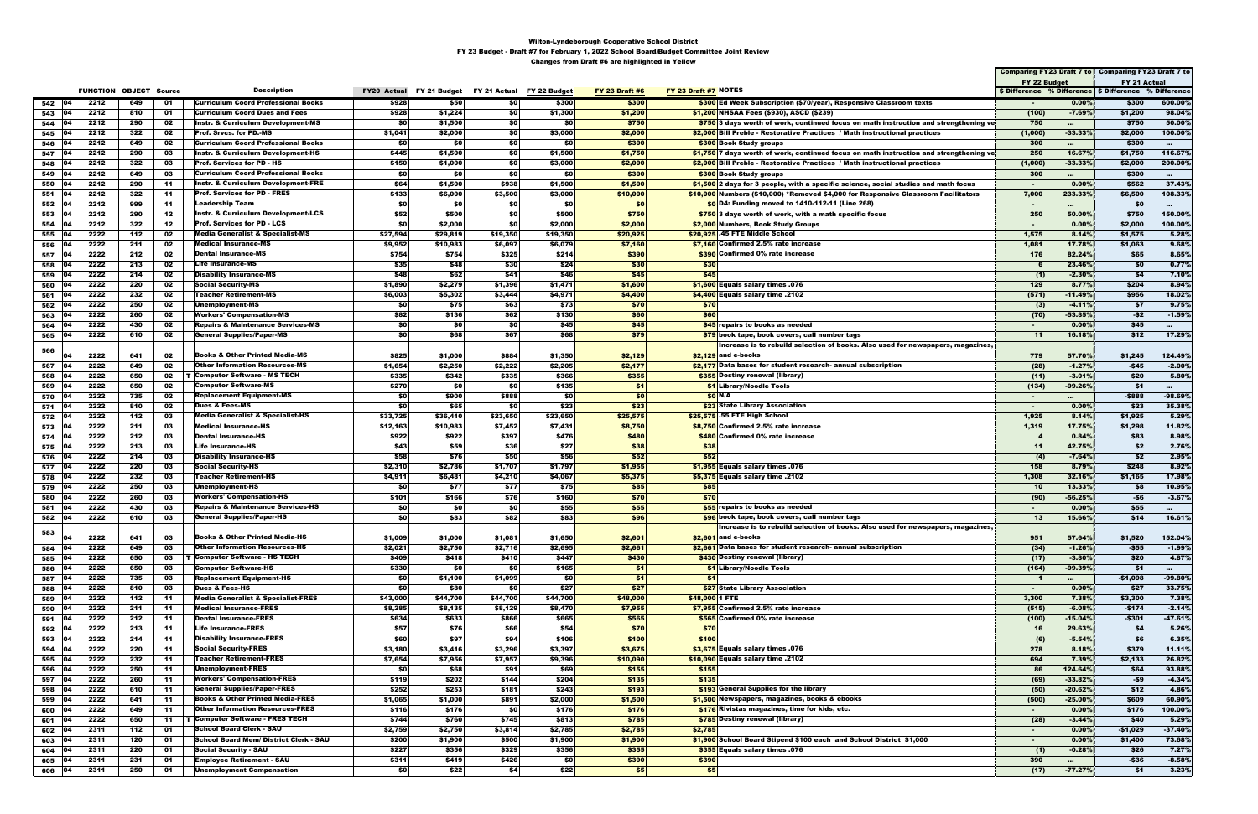|                      |              |                               |          |                                                                                      |                    |                  |                                        |                  |                       |                                                                                              |                |                     | Comparing FY23 Draft 7 to   Comparing FY23 Draft 7 to    |                    |
|----------------------|--------------|-------------------------------|----------|--------------------------------------------------------------------------------------|--------------------|------------------|----------------------------------------|------------------|-----------------------|----------------------------------------------------------------------------------------------|----------------|---------------------|----------------------------------------------------------|--------------------|
|                      |              |                               |          |                                                                                      |                    |                  |                                        |                  |                       |                                                                                              | FY 22 Budget   |                     | FY 21 Actual                                             |                    |
|                      |              | <b>FUNCTION OBJECT Source</b> |          | <b>Description</b>                                                                   | <b>FY20 Actual</b> |                  | FY 21 Budget FY 21 Actual FY 22 Budget |                  | <b>FY 23 Draft #6</b> | FY 23 Draft #7 NOTES                                                                         |                |                     | \$ Difference % Difference   \$ Difference  % Difference |                    |
| 542 04               | 2212         | 649                           | 01       | <b>Curriculum Coord Professional Books</b>                                           | \$928              | \$50             | \$0                                    | \$300            | \$300                 | \$300 Ed Week Subscription (\$70/year), Responsive Classroom texts                           |                | 0.00%               | \$300                                                    | 600.00%            |
| 543<br> 04           | 2212         | 810                           | 01       | <b>Curriculum Coord Dues and Fees</b>                                                | \$928              | \$1,224          | \$0                                    | \$1,300          | \$1,200               | \$1,200 NHSAA Fees (\$930), ASCD (\$239)                                                     | (100)          | $-7.69%$            | \$1,200                                                  | 98.04%             |
| 544<br>104           | 2212         | 290                           | 02       | <b>Instr. &amp; Curriculum Development-MS</b>                                        | 50                 | \$1,500          | \$0                                    | \$0              | \$750                 | \$750 3 days worth of work, continued focus on math instruction and strengthening ve         | 750            | $\cdots$            | \$750                                                    | 50.00%             |
| 545<br>104           | 2212         | 322                           | 02       | <b>Prof. Srvcs. for PD.-MS</b>                                                       | \$1,041            | \$2,000          | \$0                                    | \$3,000          | \$2,000               | \$2,000 Bill Preble - Restorative Practices / Math instructional practices                   | (1,000)        | $-33.33%$           | \$2,000                                                  | 100.00%            |
| 546<br>104           | 2212         | 649                           | 02       | <b>Curriculum Coord Professional Books</b>                                           | \$0                | \$0              | \$0                                    | \$0              | \$300                 | \$300 Book Study groups                                                                      | 300            | $\cdots$            | \$300                                                    | $\sim$             |
| 547<br>104           | 2212         | 290                           | 03       | Instr. & Curriculum Development-HS                                                   | \$445              | \$1,500          | \$0                                    | \$1,500          | \$1,750               | \$1,750 7 days worth of work, continued focus on math instruction and strengthening ve       | 250            | 16.67%              | \$1,750                                                  | 116.67%            |
| 548<br>104           | 2212         | 322                           | 03       | <b>Prof. Services for PD - HS</b>                                                    | \$150              | \$1,000          | \$0                                    | \$3,000          | \$2,000               | \$2,000 Bill Preble - Restorative Practices / Math instructional practices                   | (1,000)        | $-33.33%$           | \$2,000                                                  | 200.00%            |
| 549<br>04            | 2212         | 649                           | 03       | <b>Curriculum Coord Professional Books</b>                                           | \$0                | \$0              | \$0                                    | \$0              | \$300                 | <b>\$300 Book Study groups</b>                                                               | 300            | $\cdots$            | \$300                                                    | $\sim$             |
| 550<br>104           | 2212         | 290                           | -11      | <b>Instr. &amp; Curriculum Development-FRE</b>                                       | \$64               | \$1,500          | \$938                                  | \$1,500          | \$1,500               | \$1,500 2 days for 3 people, with a specific science, social studies and math focus          | $\sim$         | 0.00%               | \$562                                                    | 37.43%             |
| 551<br>104           | 2212         | 322                           | -11      | <b>Prof. Services for PD - FRES</b>                                                  | \$133              | \$6,000          | \$3,500                                | \$3,000          | \$10,000              | \$10,000 Numbers (\$10,000) *Removed \$4,000 for Responsive Classroom Facilitators           | 7,000          | 233.33%             | \$6,500                                                  | 108.33%            |
| 104<br>552<br> 04    | 2212         | 999                           | -11      | Leadership Team                                                                      | \$0                | \$0              | \$0                                    | \$0              | \$0                   | \$0 D4: Funding moved to 1410-112-11 (Line 268)                                              | $\sim$         | $\cdots$            | \$0                                                      | <b>PRINT</b>       |
| 553<br>554<br> 04    | 2212<br>2212 | 290<br>322                    | 12<br>12 | <b>Instr. &amp; Curriculum Development-LCS</b><br><b>Prof. Services for PD - LCS</b> | \$52<br>\$0        | \$500<br>\$2,000 | \$0<br>\$0                             | \$500<br>\$2,000 | \$750<br>\$2,000      | \$750 3 days worth of work, with a math specific focus<br>\$2,000 Numbers, Book Study Groups | 250<br>$\sim$  | 50.00%<br>0.00%     | \$750<br>\$2,000                                         | 150.00%<br>100.00% |
| 555<br>104           | 2222         | 112                           | 02       | <b>Media Generalist &amp; Specialist-MS</b>                                          | \$27,594           | \$29,819         | \$19,350                               | \$19,350         | \$20,925              | \$20,925 .45 FTE Middle School                                                               | 1,575          | 8.14%               | \$1,575                                                  | 5.28%              |
| 556<br>104           | 2222         | 211                           | 02       | <b>Medical Insurance-MS</b>                                                          | \$9,952            | \$10,983         | \$6,097                                | \$6,079          | \$7,160               | \$7,160 Confirmed 2.5% rate increase                                                         | 1,081          | 17.78%              | \$1,063                                                  | 9.68%              |
| 557<br><b>04</b>     | 2222         | 212                           | 02       | <b>Dental Insurance-MS</b>                                                           | \$754              | \$754            | \$325                                  | \$214            | \$390                 | \$390 Confirmed 0% rate increase                                                             | 176            | 82.24%              | \$65                                                     | 8.65%              |
| 558<br>104           | 2222         | 213                           | 02       | Life Insurance-MS                                                                    | \$35               | \$48             | \$30                                   | \$24             | \$30                  | \$30                                                                                         |                | 23.46%              | \$0                                                      | 0.77%              |
| 104<br>559           | 2222         | 214                           | 02       | Disability Insurance-MS                                                              | \$48               | \$62             | \$41                                   | \$46             | \$45                  | \$45                                                                                         | (1)            | $-2.30%$            | \$4                                                      | 7.10%              |
| 560<br>104           | 2222         | 220                           | 02       | <b>Social Security-MS</b>                                                            | \$1,890            | \$2,279          | \$1,396                                | \$1,471          | \$1,600               | \$1,600 Equals salary times .076                                                             | 129            | 8.77%               | \$204                                                    | 8.94%              |
| 561<br><b>04</b>     | 2222         | 232                           | 02       | <b>Teacher Retirement-MS</b>                                                         | \$6,003            | \$5,302          | \$3,444                                | \$4,971          | \$4,400               | \$4,400 Equals salary time $.2102$                                                           | (571)          | $-11.49%$           | \$956                                                    | 18.02%             |
| 562<br>104           | 2222         | 250                           | 02       | Unemployment-MS                                                                      | \$0                | \$75             | \$63                                   | \$73             | \$70                  | \$70                                                                                         | (3)            | $-4.11%$            | \$7                                                      | 9.75%              |
| 104<br>563           | 2222         | 260                           | 02       | <b>Workers' Compensation-MS</b>                                                      | \$82               | \$136            | \$62                                   | \$130            | \$60                  | \$60                                                                                         | (70)           | $-53.85%$           | $-52$                                                    | $-1.59%$           |
| 564<br>104           | 2222         | 430                           | 02       | Repairs & Maintenance Services-MS                                                    | \$0                | \$0              | \$0                                    | \$45             | \$45                  | \$45 repairs to books as needed                                                              | $\sim$         | 0.00%               | \$45                                                     | $\sim 10^{-1}$     |
| 565 04               | 2222         | 610                           | 02       | <b>General Supplies/Paper-MS</b>                                                     | \$0                | \$68             | \$67                                   | \$68             | \$79                  | \$79 book tape, book covers, call number tags                                                | $-11$          | 16.18%              | \$12                                                     | 17.29%             |
|                      |              |                               |          |                                                                                      |                    |                  |                                        |                  |                       | Increase is to rebuild selection of books. Also used for newspapers, magazines,              |                |                     |                                                          |                    |
| 566<br>104           | 2222         | 641                           | 02       | <b>Books &amp; Other Printed Media-MS</b>                                            | \$825              | \$1,000          | \$884                                  | \$1,350          | \$2,129               | $$2,129$ and e-books                                                                         | 779            | 57.70%              | \$1,245                                                  | 124.49%            |
| 567<br>04            | 2222         | 649                           | 02       | <b>Other Information Resources-MS</b>                                                | \$1,654            | \$2,250          | \$2,222                                | \$2,205          | \$2,177               | \$2,177 Data bases for student research- annual subscription                                 | (28)           | $-1.27%$            | $-$45$                                                   | $-2.00\%$          |
| 568<br>104           | 2222         | 650                           | 02       | <b>T Computer Software - MS TECH</b>                                                 | \$335              | \$342            | \$335                                  | \$366            | \$355                 | \$355 Destiny renewal (library)                                                              | (11)           | $-3.01%$            | \$20                                                     | 5.80%              |
| 04<br>569            | 2222         | 650                           | 02       | <b>Computer Software-MS</b>                                                          | \$270              | - \$0            | \$0                                    | \$135            | \$1                   | \$1 Library/Noodle Tools                                                                     | (134)          | $-99.26%$           | - \$1                                                    | $\mathbf{r}$       |
| 570<br><b>04</b>     | 2222         | 735                           | 02       | <b>Replacement Equipment-MS</b>                                                      | \$0                | \$900            | \$888                                  | \$0              | \$0                   | SO N/A                                                                                       | $\sim$         | $\sim$              | $- $888$                                                 | $-98.69%$          |
| 571 04               | 2222         | 810                           | 02       | Dues & Fees-MS                                                                       | \$0                | \$65             | \$0                                    | \$23             | \$23                  | \$23 State Library Association                                                               | $\sim$         | 0.00%               | \$23                                                     | 35.38%             |
| 572<br>104           | 2222         | 112                           | 03       | <b>Media Generalist &amp; Specialist-HS</b>                                          | \$33,725           | \$36,410         | \$23,650                               | \$23,650         | \$25,575              | \$25,575 .55 FTE High School                                                                 | 1,925          | 8.14%               | \$1,925                                                  | 5.29%              |
| 573 04               | 2222         | 211                           | 03       | <b>Medical Insurance-HS</b>                                                          | \$12,163           | \$10,983         | \$7,452                                | \$7,431          | \$8,750               | \$8,750 Confirmed 2.5% rate increase                                                         | 1,319          | 17.75%              | \$1,298                                                  | 11.82%             |
| 574 04               | 2222         | 212                           | 03       | Dental Insurance-HS                                                                  | \$922              | \$922            | \$397                                  | \$476            | \$480                 | \$480 Confirmed 0% rate increase                                                             | $\overline{4}$ | 0.84%               | \$83                                                     | 8.98%              |
| 575 04               | 2222         | 213                           | 03       | <b>Life Insurance-HS</b>                                                             | \$43               | \$59             | \$36                                   | \$27             | \$38                  | \$38                                                                                         | $-11$          | 42.75%              | \$2                                                      | 2.76%              |
| 576 04               | 2222         | 214                           | 03       | <b>Disability Insurance-HS</b>                                                       | \$58               | \$76             | \$50                                   | \$56             | \$52                  | \$52                                                                                         | (4)            | $-7.64%$            | \$2                                                      | 2.95%              |
| 577<br>104           | 2222         | 220                           | 03       | <b>Social Security-HS</b>                                                            | \$2,310            | \$2,786          | \$1,707                                | \$1,797          | \$1,955               | \$1,955 Equals salary times .076                                                             | 158            | 8.79%               | \$248                                                    | 8.92%              |
| 578   04             | 2222         | 232                           | 03       | <b>Teacher Retirement-HS</b><br>Unemployment-HS                                      | \$4,911<br>\$0     | \$6,481          | \$4,210                                | \$4,067          | \$5,375               | \$5,375 Equals salary time .2102                                                             | 1,308<br>10    | 32.16%              | \$1,165                                                  | 17.98%             |
| 579 04<br>580<br>104 | 2222<br>2222 | 250<br>260                    | 03<br>03 | <b>Workers' Compensation-HS</b>                                                      | \$101              | \$77<br>\$166    | \$77<br>\$76                           | \$75<br>\$160    | \$85<br>\$70          | \$85<br>\$70                                                                                 | (90)           | 13.33%<br>$-56.25%$ | \$8<br>$-56$                                             | 10.95%<br>$-3.67%$ |
| 581<br>104           | 2222         | 430                           | 03       | <b>Repairs &amp; Maintenance Services-HS</b>                                         | \$0                | \$0              | \$0                                    | \$55             | \$55                  | \$55 repairs to books as needed                                                              | $\blacksquare$ | 0.00%               | \$55                                                     | $\sim$             |
| 582 04               | 2222         | 610                           | 03       | <b>General Supplies/Paper-HS</b>                                                     | \$0                | \$83             | \$82                                   | \$83             | \$96                  | \$96 book tape, book covers, call number tags                                                | 13             | 15.66%              | \$14                                                     | 16.61%             |
|                      |              |                               |          |                                                                                      |                    |                  |                                        |                  |                       | Increase is to rebuild selection of books. Also used for newspapers, magazines               |                |                     |                                                          |                    |
| 583<br>104           | 2222         | 641                           | 03       | <b>Books &amp; Other Printed Media-HS</b>                                            | \$1,009            | \$1,000          | \$1,081                                | \$1,650          | \$2,601               | $$2,601$ and e-books                                                                         | 951            | 57.64%              | \$1,520                                                  | 152.04%            |
| 584<br> 04           | 2222         | 649                           | 03       | <b>Other Information Resources-HS</b>                                                | \$2,021            | \$2,750          | \$2,716                                | \$2,695          | \$2,661               | \$2,661 Data bases for student research- annual subscription                                 | (34)           | $-1.26%$            | $-$55$                                                   | $-1.99%$           |
| 585<br>104           | 2222         | 650                           | 03       | T Computer Software - HS TECH                                                        | \$409              | \$418            | \$410                                  | \$447            | \$430                 | \$430 Destiny renewal (library)                                                              | (17)           | $-3.80%$            | \$20                                                     | 4.87%              |
| 586<br>104           | 2222         | 650                           | 03       | <b>Computer Software-HS</b>                                                          | \$330              | \$0              | \$0                                    | \$165            | \$1                   | \$1 Library/Noodle Tools                                                                     | (164)          | $-99.39%$           | \$1                                                      | $\sim$             |
| 587<br>104           | 2222         | 735                           | 03       | <b>Replacement Equipment-HS</b>                                                      | \$0                | \$1,100          | \$1,099                                | \$0              | \$1                   | \$1                                                                                          | $\mathbf{1}$   |                     | $-$1,098$                                                | $-99.80%$          |
| 588<br>104           | 2222         | 810                           | 03       | <b>Dues &amp; Fees-HS</b>                                                            | \$0                | \$80             | \$0                                    | \$27             | \$27                  | \$27 State Library Association                                                               | $\sim$         | 0.00%               | \$27                                                     | 33.75%             |
| 589<br>104           | 2222         | 112                           | -11      | <b>Media Generalist &amp; Specialist-FRES</b>                                        | \$43,000           | \$44,700         | \$44,700                               | \$44,700         | \$48,000              | \$48,000 1 FTE                                                                               | 3,300          | 7.38%               | \$3,300                                                  | 7.38%              |
| 590<br> 04           | 2222         | 211                           | -11      | <b>Medical Insurance-FRES</b>                                                        | \$8,285            | \$8,135          | \$8,129                                | \$8,470          | \$7,955               | \$7,955 Confirmed 2.5% rate increase                                                         | (515)          | $-6.08%$            | $-$174$                                                  | $-2.14%$           |
| 591<br> 04           | 2222         | 212                           | -11      | <b>Dental Insurance-FRES</b>                                                         | \$634              | \$633            | \$866                                  | \$665            | \$565                 | \$565 Confirmed 0% rate increase                                                             | (100)          | $-15.04%$           | $-$301$                                                  | $-47.61%$          |
| 592<br>104           | 2222         | 213                           | 11       | <b>Life Insurance-FRES</b>                                                           | \$57               | \$76             | \$66                                   | \$54             | \$70                  | \$70                                                                                         | -16            | 29.63%              | \$4                                                      | 5.26%              |
| 593<br>04            | 2222         | 214                           | -11      | <b>Disability Insurance-FRES</b>                                                     | \$60               | \$97             | \$94                                   | \$106            | \$100                 | \$100                                                                                        | (6)            | $-5.54%$            | \$6                                                      | 6.35%              |
| 594<br> 04           | 2222         | 220                           | 11       | <b>Social Security-FRES</b>                                                          | \$3,180            | \$3,416          | \$3,296                                | \$3,397          | \$3,675               | \$3,675 Equals salary times .076                                                             | 278            | 8.18%               | \$379                                                    | 11.11%             |
| 595 04               | 2222         | 232                           | -11      | <b>Teacher Retirement-FRES</b>                                                       | \$7,654            | \$7,956          | \$7,957                                | \$9,396          | \$10,090              | \$10,090 Equals salary time .2102                                                            | 694            | 7.39%               | \$2,133                                                  | 26.82%             |
| 04<br>596            | 2222         | 250                           | 11       | <b>Unemployment-FRES</b>                                                             | \$0                | \$68             | \$91                                   | \$69             | \$155                 | \$155                                                                                        | 86             | 124.64%             | \$64                                                     | 93.88%             |
| 597<br>104           | 2222         | 260                           | -11      | <b>Workers' Compensation-FRES</b>                                                    | \$119              | \$202            | \$144                                  | \$204            | \$135                 | \$135                                                                                        | (69)           | $-33.82%$           | -\$9                                                     | $-4.34%$           |
| 598<br><b>04</b>     | 2222         | 610                           | 11       | <b>General Supplies/Paper-FRES</b>                                                   | \$252              | \$253            | \$181                                  | \$243            | \$193                 | \$193 General Supplies for the library                                                       | (50)           | $-20.62%$           | \$12                                                     | 4.86%              |
| 599<br>104           | 2222         | 641                           | -11      | <b>Books &amp; Other Printed Media-FRES</b>                                          | \$1,065            | \$1,000          | \$891                                  | \$2,000          | \$1,500               | \$1,500 Newspapers, magazines, books & ebooks                                                | (500)          | $-25.00%$           | \$609                                                    | 60.90%             |
| 04<br>600            | 2222         | 649                           | 11       | <b>Other Information Resources-FRES</b>                                              | \$116              | \$176            | \$0                                    | \$176            | \$176                 | \$176 Rivistas magazines, time for kids, etc.                                                | $\sim$         | 0.00%               | \$176                                                    | 100.00%            |
| 601<br>04            | 2222         | 650                           | 11       | <b>T</b> Computer Software - FRES TECH                                               | \$744              | \$760            | \$745                                  | \$813            | \$785                 | <b>\$785</b> Destiny renewal (library)                                                       | (28)           | $-3.44%$            | \$40                                                     | 5.29%              |
| 602<br>104           | 2311         | 112                           | 01       | <b>School Board Clerk - SAU</b>                                                      | \$2,759            | \$2,750          | \$3,814                                | \$2,785          | \$2,785               | \$2,785                                                                                      | $\sim$         | 0.00%               | $-$1,029$                                                | $-37.40%$          |
| 603<br>104           | 2311         | 120                           | 01       | <b>School Board Mem/ District Clerk - SAU</b>                                        | \$200              | \$1,900          | \$500                                  | \$1,900          | \$1,900               | \$1,900 School Board Stipend \$100 each and School District \$1,000                          | $\sim$         | 0.00%               | \$1,400                                                  | 73.68%             |
| 604<br>104           | 2311         | 220                           | 01       | <b>Social Security - SAU</b><br><b>Employee Retirement - SAU</b>                     | \$227              | \$356            | \$329                                  | \$356            | \$355                 | \$355 Equals salary times .076                                                               | (1)            | $-0.28%$            | \$26                                                     | 7.27%              |
| 605 04               | 2311         | 231                           | 01       | Unemployment Compensation                                                            | \$311<br>\$0       | \$419<br>\$22    | \$426<br>\$4                           | \$0<br>\$22      | \$390<br>\$5          | \$390<br>\$5                                                                                 | 390            | $\cdots$            | $-$36$<br><b>\$1</b>                                     | $-8.58%$           |
| 606 04               | 2311         | 250                           | 01       |                                                                                      |                    |                  |                                        |                  |                       |                                                                                              | (17)           | $-77.27%$           |                                                          | 3.23%              |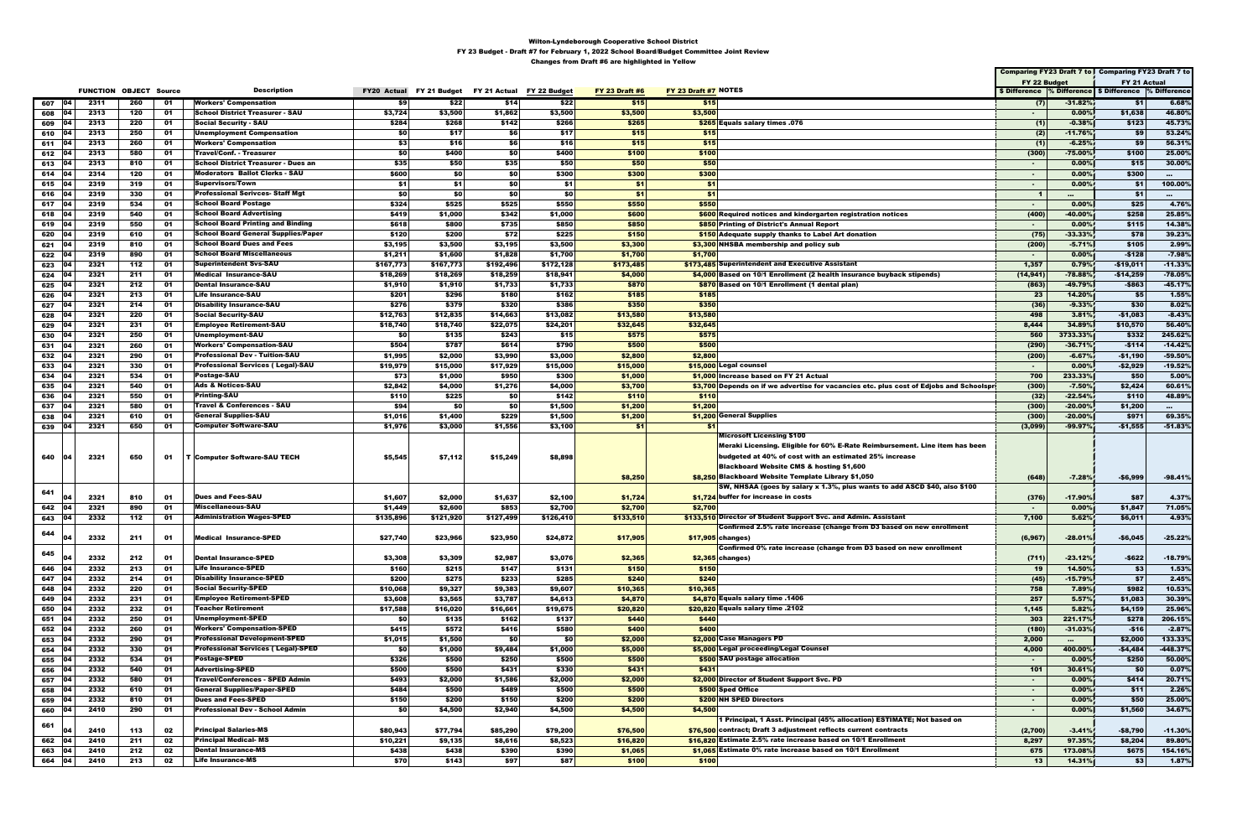|                     |              |                               |          |                                            |                    |                   |                           |                   |                       |                                                                                         |                  |                            | Comparing FY23 Draft 7 to Comparing FY23 Draft 7 to      |                   |
|---------------------|--------------|-------------------------------|----------|--------------------------------------------|--------------------|-------------------|---------------------------|-------------------|-----------------------|-----------------------------------------------------------------------------------------|------------------|----------------------------|----------------------------------------------------------|-------------------|
|                     |              |                               |          |                                            |                    |                   |                           |                   |                       |                                                                                         | FY 22 Budget     |                            | FY 21 Actual                                             |                   |
|                     |              | <b>FUNCTION OBJECT Source</b> |          | <b>Description</b>                         | <b>FY20 Actual</b> | FY 21 Budget      | FY 21 Actual FY 22 Budget |                   | <b>FY 23 Draft #6</b> | FY 23 Draft #7 NOTES                                                                    |                  |                            | \$ Difference % Difference   \$ Difference  % Difference |                   |
| 104<br>607          | 2311         | 260                           | 01       | <b>Workers' Compensation</b>               | \$9                | \$22              | \$14                      | \$22              | \$15                  | \$15                                                                                    | (7)              | $-31.82%$                  | \$1                                                      | 6.68%             |
| 608 04              | 2313         | 120                           | 01       | <b>School District Treasurer - SAU</b>     | \$3,724            | \$3,500           | \$1,862                   | \$3,500           | \$3,500               | \$3,500                                                                                 | ж.               | 0.00%                      | \$1,638                                                  | 46.80%            |
| 104<br>609          | 2313         | 220                           | 01       | Social Security - SAU                      | \$284              | \$268             | \$142                     | \$266             | \$265                 | \$265 Equals salary times .076                                                          | (1)              | $-0.38%$                   | \$123                                                    | 45.73%            |
| 610<br>104          | 2313         | 250                           | 01       | <b>Unemployment Compensation</b>           | \$0                | \$17              | \$6                       | \$17              | \$15                  | \$15                                                                                    | (2)              | $-11.76%$                  | \$9                                                      | 53.24%            |
| 104<br>611          | 2313         | 260                           | 01       | <b>Workers' Compensation</b>               | \$3                | \$16              | \$6                       | \$16              | \$15                  | \$15                                                                                    |                  | $-6.25%$                   | \$9                                                      | 56.31%            |
| 612                 | 2313         | 580                           | 01       | Travel/Conf. - Treasurer                   | \$0                | \$400             | \$0                       | \$400             | \$100                 | \$100                                                                                   | (300)            | $-75.00%$                  | \$100                                                    | 25.00%            |
| 04<br>613           | 2313         | 810                           | 01       | School District Treasurer - Dues an        | \$35               | \$50              | \$35                      | \$50              | \$50                  | \$50                                                                                    | $\sim$           | 0.00%                      | \$15                                                     | 30.00%            |
| 614<br>104          | 2314         | 120                           | 01       | <b>Moderators Ballot Clerks - SAU</b>      | \$600              | \$0               | \$0                       | \$300             | \$300                 | \$300                                                                                   | $\sim$           | $0.00\%$                   | \$300                                                    | $\sim$            |
| - 04<br>615         | 2319         | 319                           | 01       | Supervisors/Town                           | \$1                | \$1               | \$0                       | \$1               | \$1                   | \$1                                                                                     | $\sim$           | 0.00%                      | \$1                                                      | 100.00%           |
| 104<br>616          | 2319         | 330                           | 01       | <b>Professional Serivces- Staff Mgt</b>    | \$0                | \$0               | \$0                       | \$0               | \$1                   | \$1                                                                                     | $\blacksquare$   | $\cdots$                   | \$1                                                      | $\sim$ 0.0 $\sim$ |
| 617<br>$ 04\rangle$ | 2319         | 534                           | 01       | School Board Postage                       | \$324              | \$525             | \$525                     | \$550             | \$550                 | \$550                                                                                   | $\sim$           | 0.00%                      | \$25                                                     | 4.76%             |
| 618<br>104          | 2319         | 540                           | 01       | <b>School Board Advertising</b>            | \$419              | \$1,000           | \$342                     | \$1,000           | \$600                 | \$600 Required notices and kindergarten registration notices                            | (400)            | -40.00%                    | \$258                                                    | 25.85%            |
| $619$ 04            | 2319         | 550                           | 01       | <b>School Board Printing and Binding</b>   | \$618              | \$800             | \$735                     | \$850             | \$850                 | \$850 Printing of District's Annual Report                                              | $\sim$           | 0.00%                      | \$115                                                    | 14.38%            |
| 104<br>620          | 2319         | 610                           | 01       | <b>School Board General Supplies/Paper</b> | \$120              | \$200             | \$72                      | \$225             | \$150                 | \$150 Adequate supply thanks to Label Art donation                                      | (75)             | $-33.33%$                  | \$78                                                     | 39.23%            |
| 621<br>104          | 2319         | 810                           | 01       | <b>School Board Dues and Fees</b>          | \$3,195            | \$3,500           | \$3,195                   | \$3,500           | \$3,300               | \$3,300 NHSBA membership and policy sub                                                 | (200)            | $-5.71%$                   | \$105                                                    | 2.99%             |
| 104<br>622          | 2319         | 890                           | 01       | School Board Miscellaneous                 | \$1,211            | \$1,600           | \$1,828                   | \$1,700           | \$1,700               | \$1,700                                                                                 | $\blacksquare$   | 0.00%                      | $-$128$                                                  | $-7.98%$          |
| 623                 | 2321         | 112                           | 01       | Superintendent Svs-SAU                     | \$167,773          | \$167,773         | \$192,496                 | \$172,128         | \$173,485             | \$173,485 Superintendent and Executive Assistant                                        | 1,357            | 0.79%                      | -\$19,011                                                | $-11.33%$         |
| 624<br>104          | 2321         | 211                           | 01       | <b>Medical Insurance-SAU</b>               | \$18,269           | \$18,269          | \$18,259                  | \$18,941          | \$4,000               | \$4,000 Based on 10/1 Enrollment (2 health insurance buyback stipends)                  | (14, 941)        | $-78.88%$                  | $-$14,259$                                               | $-78.05%$         |
| 625<br>104          | 2321         | 212                           | 01       | <b>Dental Insurance-SAU</b>                | \$1,910            | \$1,910           | \$1,733                   | \$1,733           | \$870                 | \$870 Based on 10/1 Enrollment (1 dental plan)                                          | (863)            | -49.79%                    | $-$863$                                                  | $-45.17%$         |
| 626                 | 2321         | 213                           | 01       | <b>Life Insurance-SAU</b>                  | \$201              | \$296             | \$180                     | \$162             | \$185                 | \$185                                                                                   | 23               | 14.20%                     | \$5                                                      | 1.55%             |
| 627<br>04           | 2321         | 214                           | 01       | <b>Disability Insurance-SAU</b>            | \$276              | \$379             | \$320                     | \$386             | \$350                 | \$350                                                                                   | (36)             | $-9.33%$                   | \$30                                                     | 8.02%             |
| 628<br>104          | 2321         | 220                           | 01       | <b>Social Security-SAU</b>                 | \$12,763           | \$12,835          | \$14,663                  | \$13,082          | \$13,580              | \$13,580                                                                                | 498              | 3.81%                      | -\$1,083                                                 | $-8.43%$          |
| 629                 | 2321         | 231                           | 01       | <b>Employee Retirement-SAU</b>             | \$18,740           | \$18,740          | \$22,075                  | \$24,201          | \$32,645              | \$32,645                                                                                | 8,444            | 34.89 <sup>9</sup>         | \$10,570                                                 | 56.40%            |
| 630                 | 2321         | 250                           | 01       | Unemployment-SAU                           | \$0                | \$135             | \$243                     | \$15              | \$575                 | \$575                                                                                   | 560              | 3733.33%                   | \$332                                                    | 245.62%           |
| 631<br>04           | 2321         | 260                           | 01       | <b>Workers' Compensation-SAU</b>           | \$504              | \$787             | \$614                     | \$790             | \$500                 | \$500                                                                                   | (290)            | $-36.71%$                  | $-$114$                                                  | $-14.42%$         |
| 632                 | 2321         | 290                           | 01       | <b>Professional Dev - Tuition-SAU</b>      | \$1,995            | \$2,000           | \$3,990                   | \$3,000           | \$2,800               | \$2,800                                                                                 | (200)            | $-6.67%$                   | -\$1,190                                                 | -59.50%           |
| 633                 | 2321         | 330                           | 01       | <b>Professional Services (Legal)-SAU</b>   | \$19,979           | \$15,000          | \$17,929                  | \$15,000          | \$15,000              | \$15,000 Legal counsel                                                                  | $\sim$           | 0.00%                      | $-$2,929$                                                | $-19.52%$         |
| 634<br>104          | 2321         | 534                           | 01       | Postage-SAU                                | \$73               | \$1,000           | \$950                     | \$300             | \$1,000               | \$1,000 Increase based on FY 21 Actual                                                  | 700              | 233.33%                    | \$50                                                     | 5.00%             |
| 635<br>104          | 2321         | 540                           | 01       | <b>Ads &amp; Notices-SAU</b>               | \$2,842            | \$4,000           | \$1,276                   | \$4,000           | \$3,700               | \$3,700 Depends on if we advertise for vacancies etc. plus cost of Edjobs and Schoolspr | (300)            | $-7.50%$                   | \$2,424                                                  | 60.61%            |
| 636                 | 2321         | 550                           | 01       | <b>Printing-SAU</b>                        | \$110              | \$225             | \$0                       | \$142             | \$110                 | \$110                                                                                   | (32)             | $-22.54%$                  | \$110                                                    | 48.89%            |
| 637                 | 2321         | 580                           | 01       | <b>Travel &amp; Conferences - SAU</b>      | \$94               | \$0               | \$0                       | \$1,500           | \$1,200               | \$1,200                                                                                 | (300)            | $-20.00%$                  | \$1,200                                                  | $\cdots$          |
| 04<br>638           | 2321         | 610                           | 01       | <b>General Supplies-SAU</b>                | \$1,016            | \$1,400           | \$229                     | \$1,500           | \$1,200               | \$1,200 General Supplies                                                                | (300)            | $-20.00%$                  | \$971                                                    | 69.35%            |
| 639<br>104          | 2321         | 650                           | 01       | <b>Computer Software-SAU</b>               | \$1,976            | \$3,000           | \$1,556                   | \$3,100           | \$1                   | \$1                                                                                     | (3,099)          | -99.97%                    | $-$1,555$                                                | $-51.83%$         |
|                     |              |                               |          |                                            |                    |                   |                           |                   |                       | Microsoft Licensing \$100                                                               |                  |                            |                                                          |                   |
|                     |              |                               |          |                                            |                    |                   |                           |                   |                       | Meraki Licensing. Eligible for 60% E-Rate Reimbursement. Line item has been             |                  |                            |                                                          |                   |
| 640<br>104          | 2321         | 650                           |          | 01   T Computer Software-SAU TECH          | \$5,545            | \$7,112           | \$15,249                  | \$8,898           |                       | budgeted at 40% of cost with an estimated 25% increase                                  |                  |                            |                                                          |                   |
|                     |              |                               |          |                                            |                    |                   |                           |                   |                       | <b>Blackboard Website CMS &amp; hosting \$1,600</b>                                     |                  |                            |                                                          |                   |
|                     |              |                               |          |                                            |                    |                   |                           |                   | \$8,250               | \$8,250 Blackboard Website Template Library \$1,050                                     | (648)            | $-7.28%$                   | $-$6,999$                                                | $-98.41%$         |
| 641                 |              |                               |          |                                            |                    |                   |                           |                   |                       | SW, NHSAA (goes by salary x 1.3%, plus wants to add ASCD \$40, also \$100               |                  |                            |                                                          |                   |
|                     | 2321         | 810                           | 01       | <b>Dues and Fees-SAU</b>                   | \$1,607            | \$2,000           | \$1,637                   | \$2,100           | \$1,724               | \$1,724 buffer for increase in costs                                                    | (376)            | $-17.90%$                  | \$87                                                     | 4.37%             |
| 642<br>104          | 2321         | 890                           | 01       | Miscellaneous-SAU                          | \$1,449            | \$2,600           | \$853                     | \$2,700           | \$2,700               | \$2,700                                                                                 | $\blacksquare$   | 0.00%                      | \$1,847                                                  | 71.05%            |
| 643 04              | 2332         | 112                           | 01       | <b>Administration Wages-SPED</b>           | \$135,896          | \$121,920         | \$127,499                 | \$126,410         | \$133,510             | \$133,510 Director of Student Support Svc. and Admin. Assistant                         | 7,100            | 5.62%                      | \$6,011                                                  | 4.93%             |
| 644                 |              |                               |          |                                            |                    |                   |                           |                   |                       | Confirmed 2.5% rate increase (change from D3 based on new enrollment                    |                  |                            |                                                          |                   |
| 04                  | 2332         | 211                           | 01       | <b>Medical Insurance-SPED</b>              | \$27,740           | \$23,966          | \$23,950                  | \$24,872          | \$17,905              | $$17,905$ changes)                                                                      | (6, 967)         | $-28.01%$                  | $-$6,045$                                                | $-25.22%$         |
| 645                 |              |                               |          | <b>Dental Insurance-SPED</b>               |                    |                   |                           |                   |                       | Confirmed 0% rate increase (change from D3 based on new enrollment                      |                  |                            |                                                          |                   |
| 04<br>04            | 2332         | 212                           | 01       | <b>Life Insurance-SPED</b>                 | \$3,308            | \$3,309           | \$2,987<br>\$147          | \$3,076           | \$2,365               | $$2,365$ changes)                                                                       | (711)<br>19      | $-23.12%$<br>14.50%        | $-$ \$622<br>\$3                                         | $-18.79%$         |
| 646<br>104          | 2332         | 213                           | 01       | <b>Disability Insurance-SPED</b>           | \$160              | \$215             |                           | \$131             | \$150                 | \$150                                                                                   |                  |                            |                                                          | 1.53%             |
| 647<br>04           | 2332         | 214                           | 01<br>01 | <b>Social Security-SPED</b>                | \$200              | \$275<br>\$9,327  | \$233                     | \$285<br>\$9,607  | \$240                 | \$240                                                                                   | (45)<br>758      | $-15.79%$<br>7.89%         | \$7<br>\$982                                             | 2.45%             |
| 648<br>04           | 2332         | 220                           |          | <b>Employee Retirement-SPED</b>            | \$10,068           |                   | \$9,383                   |                   | \$10,365              | \$10,365<br>\$4,870 Equals salary time .1406                                            |                  |                            |                                                          | 10.53%            |
| 649<br>104          | 2332         | 231                           | 01       | Teacher Retirement                         | \$3,608            | \$3,565           | \$3,787                   | \$4,613           | \$4,870               | \$20,820 Equals salary time .2102                                                       | 257              | 5.57%<br>5.82%             | \$1,083                                                  | 30.39%            |
| 650<br>04           | 2332<br>2332 | 232<br>250                    | 01<br>01 | <b>Unemployment-SPED</b>                   | \$17,588<br>\$0    | \$16,020<br>\$135 | \$16,661<br>\$162         | \$19,675<br>\$137 | \$20,820<br>\$440     | \$440                                                                                   | 1,145<br>303     | 221.17%                    | \$4,159<br>\$278                                         | 25.96%<br>206.15% |
| 651<br>104          | 2332         | 260                           | 01       | <b>Workers' Compensation-SPED</b>          | \$415              | \$572             | \$416                     | \$580             | \$400                 | \$400                                                                                   |                  | $-31.03%$                  | $-$16$                                                   | $-2.87%$          |
| 652<br>04           | 2332         | 290                           | 01       | <b>Professional Development-SPED</b>       |                    | \$1,500           | \$0                       | \$0               | \$2,000               | \$2,000 Case Managers PD                                                                | (180)            |                            | \$2,000                                                  | 133.33%           |
| 653<br>104          | 2332         | 330                           | 01       | <b>Professional Services (Legal)-SPED</b>  | \$1,015<br>\$0     | \$1,000           | \$9,484                   | \$1,000           | \$5,000               | \$5,000 Legal proceeding/Legal Counsel                                                  | 2,000<br>4,000   | $\sim 10^{-11}$<br>400.00% | $-$4,484$                                                | $-448.37%$        |
| 654<br>04           | 2332         | 534                           | 01       | <b>Postage-SPED</b>                        | \$326              | \$500             | \$250                     | \$500             | \$500                 | \$500 SAU postage allocation                                                            | $\sim$           | 0.00%                      | \$250                                                    | 50.00%            |
| 655<br>656<br>104   | 2332         | 540                           | 01       | <b>Advertising-SPED</b>                    | \$500              | \$500             | \$431                     | \$330             | \$431                 | \$431                                                                                   | 101              | 30.61%                     | <b>\$0</b>                                               | 0.07%             |
| 104                 | 2332         | 580                           | 01       | <b>Travel/Conferences - SPED Admin</b>     | \$493              | \$2,000           | \$1,586                   | \$2,000           | \$2,000               | \$2,000 Director of Student Support Svc. PD                                             |                  | 0.00%                      | \$414                                                    | 20.71%            |
| 657<br>104          | 2332         | 610                           | 01       | <b>General Supplies/Paper-SPED</b>         | \$484              | \$500             | \$489                     | \$500             | \$500                 | \$500 Sped Office                                                                       | $\sim$           | 0.00%                      | \$11                                                     | 2.26%             |
| 658<br>04<br>659    | 2332         | 810                           | 01       | <b>Dues and Fees-SPED</b>                  | \$150              | \$200             | \$150                     | \$200             | \$200                 | \$200 NH SPED Directors                                                                 | $\sim$<br>$\sim$ | 0.00%                      | \$50                                                     | 25.00%            |
| 660<br>04           | 2410         | 290                           | 01       | <b>Professional Dev - School Admin</b>     | \$0                | \$4,500           | \$2,940                   | \$4,500           | \$4,500               | \$4,500                                                                                 | $\sim$           | 0.00%                      | \$1,560                                                  | 34.67%            |
|                     |              |                               |          |                                            |                    |                   |                           |                   |                       | 1 Principal, 1 Asst. Principal (45% allocation) ESTIMATE; Not based on                  |                  |                            |                                                          |                   |
| 661<br>04           | 2410         | 113                           | 02       | <b>Principal Salaries-MS</b>               | \$80,943           | \$77,794          | \$85,290                  | \$79,200          | \$76,500              | \$76,500 contract; Draft 3 adjustment reflects current contracts                        | (2,700)          | $-3.41%$                   | $-$8,790$                                                | $-11.30%$         |
| 104                 | 2410         | 211                           | 02       | <b>Principal Medical-MS</b>                | \$10,221           | \$9,135           | \$8,616                   | \$8,523           | \$16,820              | \$16,820 Estimate 2.5% rate increase based on 10/1 Enrollment                           | 8,297            | 97.35%                     | \$8,204                                                  | 89.80%            |
| 662<br>663<br>104   | 2410         | 212                           | 02       | <b>Dental Insurance-MS</b>                 | \$438              | \$438             | \$390                     | \$390             | \$1,065               | \$1,065 Estimate 0% rate increase based on 10/1 Enrollment                              | 675              | 173.08%                    | \$675                                                    | 154.16%           |
|                     | 2410         | 213                           | 02       | <b>Life Insurance-MS</b>                   | \$70               | \$143             | \$97                      | \$87              | \$100                 | \$100                                                                                   | 13               | 14.31%                     | \$3                                                      | 1.87%             |
| 664 04              |              |                               |          |                                            |                    |                   |                           |                   |                       |                                                                                         |                  |                            |                                                          |                   |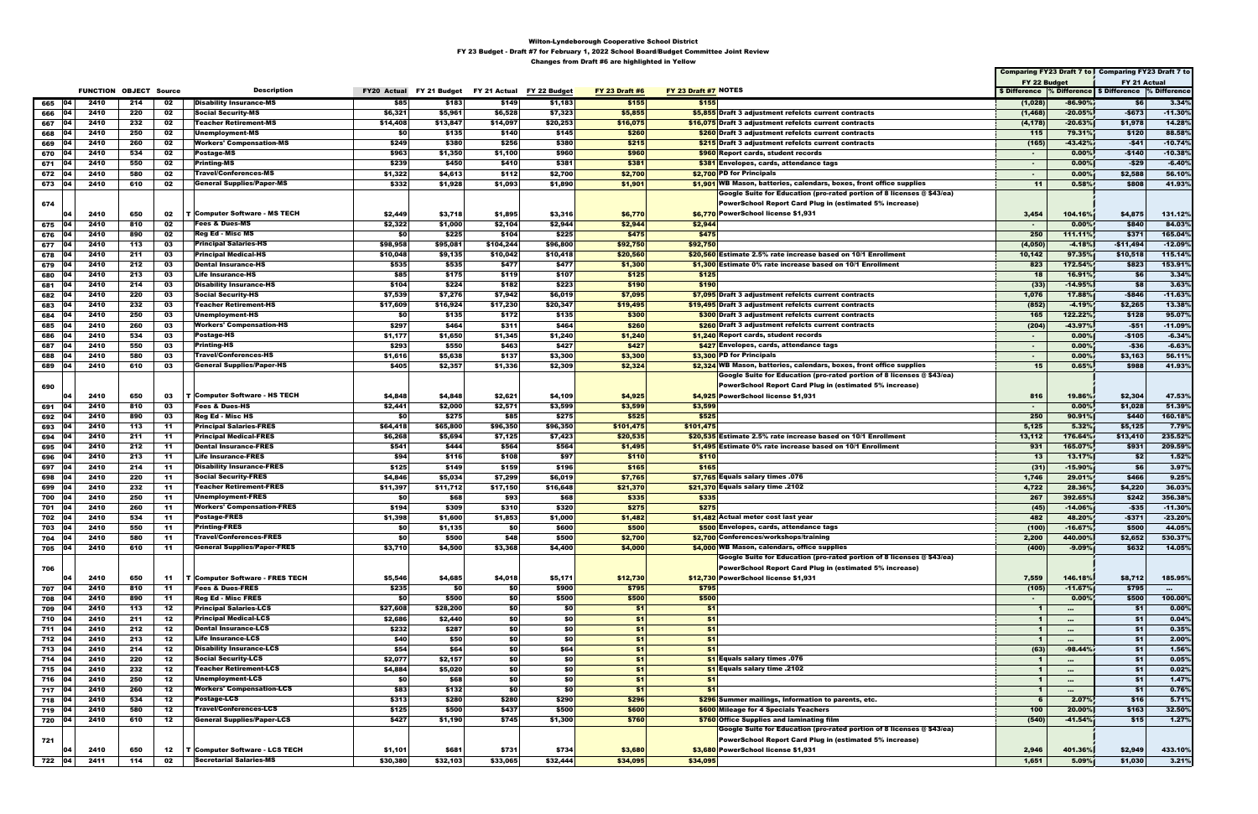|                     |      |                               |     |                                      |                    |          |                                        |          |                       |                                                                        |                |           | Comparing FY23 Draft 7 to   Comparing FY23 Draft 7 to |           |
|---------------------|------|-------------------------------|-----|--------------------------------------|--------------------|----------|----------------------------------------|----------|-----------------------|------------------------------------------------------------------------|----------------|-----------|-------------------------------------------------------|-----------|
|                     |      |                               |     | <b>Description</b>                   |                    |          |                                        |          |                       | FY 23 Draft #7 NOTES                                                   | FY 22 Budget   |           | FY 21 Actual                                          |           |
|                     |      | <b>FUNCTION OBJECT Source</b> |     |                                      | <b>FY20 Actual</b> |          | FY 21 Budget FY 21 Actual FY 22 Budget |          | <b>FY 23 Draft #6</b> |                                                                        |                |           | \$ Difference % Difference \$ Difference % Difference |           |
| 04 <br>665          | 2410 | 214                           | 02  | <b>Disability Insurance-MS</b>       | \$85               | \$183    | \$149                                  | \$1,183  | \$155                 | \$155                                                                  | (1,028)        | $-86.90%$ | \$6                                                   | 3.34%     |
| 04<br>666           | 2410 | 220                           | 02  | <b>Social Security-MS</b>            | \$6,321            | \$5,961  | \$6,528                                | \$7,323  | \$5,855               | \$5,855 Draft 3 adjustment refelcts current contracts                  | (1, 468)       | $-20.05%$ | $-$673$                                               | $-11.30%$ |
| 04<br>667           | 2410 | 232                           | 02  | <b>Teacher Retirement-MS</b>         | \$14,408           | \$13,847 | \$14,097                               | \$20,253 | \$16,075              | \$16,075 Draft 3 adjustment refelcts current contracts                 | (4, 178)       | $-20.63%$ | \$1,978                                               | 14.28%    |
| 668<br>በ4           | 2410 | 250                           | 02  | Unemployment-MS                      | \$0                | \$135    | \$140                                  | \$145    | \$260                 | \$260 Draft 3 adjustment refelcts current contracts                    | 115            | 79.31%    | \$120                                                 | 88.58%    |
| 669                 | 2410 | 260                           | 02  | <b>Workers' Compensation-MS</b>      | \$249              | \$380    | \$256                                  | \$380    | \$215                 | \$215 Draft 3 adjustment refelcts current contracts                    | (165)          | $-43.42%$ | -\$41                                                 | $-10.74%$ |
| 104<br>670          | 2410 | 534                           | 02  | Postage-MS                           | \$963              | \$1,350  | \$1,100                                | \$960    | \$960                 | \$960 Report cards, student records                                    | $\sim$         | 0.00%     | -\$140                                                | $-10.38%$ |
| 671<br>104          | 2410 | 550                           | 02  | Printing-MS                          | \$239              | \$450    |                                        |          |                       | <b>\$381</b> Envelopes, cards, attendance tags                         |                | $0.00\%$  |                                                       | $-6.40%$  |
|                     |      |                               |     |                                      |                    |          | \$410                                  | \$381    | \$381                 |                                                                        | $\sim$         |           | -\$29                                                 |           |
| 672<br>104          | 2410 | 580                           | 02  | Travel/Conferences-MS                | \$1,322            | \$4,613  | \$112                                  | \$2,700  | \$2,700               | \$2,700 PD for Principals                                              | $\sim$         | 0.00%     | \$2,588                                               | 56.10%    |
| 673 04              | 2410 | 610                           | 02  | <b>General Supplies/Paper-MS</b>     | \$332              | \$1,928  | \$1,093                                | \$1,890  | \$1,901               | \$1,901 WB Mason, batteries, calendars, boxes, front office supplies   | $-11$          | 0.58%     | \$808                                                 | 41.93%    |
|                     |      |                               |     |                                      |                    |          |                                        |          |                       | Google Suite for Education (pro-rated portion of 8 licenses @ \$43/ea) |                |           |                                                       |           |
| 674                 |      |                               |     |                                      |                    |          |                                        |          |                       | PowerSchool Report Card Plug in (estimated 5% increase)                |                |           |                                                       |           |
| 104                 | 2410 | 650                           | 02  | <b>T Computer Software - MS TECH</b> | \$2,449            | \$3,718  | \$1,895                                | \$3,316  | \$6,770               | \$6,770 PowerSchool license \$1,931                                    | 3,454          | 104.16%   | \$4,875                                               | 131.12%   |
| 04<br>675           | 2410 | 810                           | 02  | <b>Fees &amp; Dues-MS</b>            | \$2,322            | \$1,000  | \$2,104                                | \$2,944  | \$2,944               | \$2,944                                                                | $\sim$         | 0.00%     | \$840                                                 | 84.03%    |
| 676<br>04           | 2410 | 890                           | 02  | <b>Reg Ed - Misc MS</b>              | \$0                | \$225    | \$104                                  | \$225    | \$475                 | \$475                                                                  | 250            | 111.11%   | \$371                                                 | 165.04%   |
| 677<br>104          | 2410 | 113                           | 03  | <b>Principal Salaries-HS</b>         | \$98,958           | \$95,081 | \$104,244                              | \$96,800 | \$92,750              | \$92,750                                                               | (4,050)        | $-4.18%$  | $-$11,494$                                            | $-12.09%$ |
|                     | 2410 |                               | 03  | <b>Principal Medical-HS</b>          |                    |          |                                        |          |                       | \$20,560 Estimate 2.5% rate increase based on 10/1 Enrollment          |                | 97.35%    |                                                       | 115.14%   |
| 678   04            |      | 211                           |     |                                      | \$10,048           | \$9,135  | \$10,042                               | \$10,418 | \$20,560              |                                                                        | 10,142         |           | \$10,518                                              |           |
| 04<br>679           | 2410 | 212                           | 03  | <b>Dental Insurance-HS</b>           | \$535              | \$535    | \$477                                  | \$477    | \$1,300               | \$1,300 Estimate 0% rate increase based on 10/1 Enrollment             | 823            | 172.54%   | \$823                                                 | 153.91%   |
| 680                 | 2410 | 213                           | 03  | <b>Life Insurance-HS</b>             | \$85               | \$175    | \$119                                  | \$107    | \$125                 | \$125                                                                  | 18             | 16.91%    | \$6                                                   | 3.34%     |
| 681<br>104          | 2410 | 214                           | 03  | <b>Disability Insurance-HS</b>       | \$104              | \$224    | \$182                                  | \$223    | \$190                 | \$190                                                                  | (33)           | $-14.95%$ | \$8                                                   | 3.63%     |
| 682<br>104          | 2410 | 220                           | 03  | Social Security-HS                   | \$7,539            | \$7,276  | \$7,942                                | \$6,019  | \$7,095               | \$7,095 Draft 3 adjustment refelcts current contracts                  | 1,076          | 17.88%    | $-$846$                                               | $-11.63%$ |
| 683<br>104          | 2410 | 232                           | 03  | Teacher Retirement-HS                | \$17,609           | \$16,924 | \$17,230                               | \$20,347 | \$19,495              | \$19,495 Draft 3 adjustment refelcts current contracts                 | (852)          | $-4.19%$  | \$2,265                                               | 13.38%    |
| 684<br>04           | 2410 | 250                           | 03  | Unemployment-HS                      | \$0                | \$135    | \$172                                  | \$135    | \$300                 | \$300 Draft 3 adjustment refelcts current contracts                    | 165            | 122.22%   | \$128                                                 | 95.07%    |
| 685                 | 2410 | 260                           | 03  | <b>Workers' Compensation-HS</b>      | \$297              | \$464    | \$311                                  | \$464    | \$260                 | \$260 Draft 3 adjustment refelcts current contracts                    | (204)          | -43.97%   | -\$51                                                 | $-11.09%$ |
| 686<br>04           | 2410 | 534                           | 03  | Postage-HS                           | \$1,177            | \$1,650  | \$1,345                                | \$1,240  | \$1,240               | \$1,240 Report cards, student records                                  | $\sim$         | 0.00%     | $-$105$                                               | $-6.34%$  |
| 104                 |      |                               |     |                                      |                    |          |                                        |          |                       |                                                                        |                |           |                                                       |           |
| 687                 | 2410 | 550                           | 03  | Printing-HS                          | \$293              | \$550    | \$463                                  | \$427    | \$427                 | \$427 Envelopes, cards, attendance tags                                | $\sim$         | 0.00%     | -\$36                                                 | $-6.63%$  |
| 688                 | 2410 | 580                           | 03  | Travel/Conferences-HS                | \$1,616            | \$5,638  | \$137                                  | \$3,300  | \$3,300               | \$3,300 PD for Principals                                              | $\sim$         | 0.00%     | \$3,163                                               | 56.11%    |
| 04<br>689           | 2410 | 610                           | 03  | <b>General Supplies/Paper-HS</b>     | \$405              | \$2,357  | \$1,336                                | \$2,309  | \$2,324               | \$2,324 WB Mason, batteries, calendars, boxes, front office supplies   | 15             | 0.65%     | \$988                                                 | 41.93%    |
|                     |      |                               |     |                                      |                    |          |                                        |          |                       | Google Suite for Education (pro-rated portion of 8 licenses @ \$43/ea) |                |           |                                                       |           |
| 690                 |      |                               |     |                                      |                    |          |                                        |          |                       | PowerSchool Report Card Plug in (estimated 5% increase)                |                |           |                                                       |           |
| 104                 | 2410 | 650                           | 03  | T Computer Software - HS TECH        | \$4,848            | \$4,848  | \$2,621                                | \$4,109  | \$4,925               | \$4,925 PowerSchool license \$1,931                                    | 816            | 19.86%    | \$2,304                                               | 47.53%    |
| 04<br>691           | 2410 | 810                           | 03  | <b>Fees &amp; Dues-HS</b>            | \$2,441            | \$2,000  | \$2,571                                | \$3,599  | \$3,599               | \$3,599                                                                | $\sim$         | $0.00\%$  | \$1,028                                               | 51.39%    |
| 692<br>104          | 2410 | 890                           | 03  | Reg Ed - Misc HS                     | \$0                | \$275    | \$85                                   | \$275    | \$525                 | \$525                                                                  | 250            | 90.91%    | \$440                                                 | 160.18%   |
| 104                 | 2410 | 113                           | -11 | <b>Principal Salaries-FRES</b>       |                    |          | \$96,350                               |          |                       |                                                                        | 5,125          | 5.32%     | \$5,125                                               | 7.79%     |
| 693                 |      |                               |     |                                      | \$64,418           | \$65,800 |                                        | \$96,350 | \$101,475             | \$101,475                                                              |                |           |                                                       |           |
| 694                 | 2410 | 211                           | -11 | <b>Principal Medical-FRES</b>        | \$6,268            | \$5,694  | \$7,125                                | \$7,423  | \$20,535              | \$20,535 Estimate 2.5% rate increase based on 10/1 Enrollment          | 13,112         | 176.64%   | \$13,410                                              | 235.52%   |
| 695<br>104          | 2410 | 212                           | -11 | <b>Dental Insurance-FRES</b>         | \$541              | \$444    | \$564                                  | \$564    | \$1,495               | \$1,495 Estimate 0% rate increase based on 10/1 Enrollment             | 931            | 165.07%   | \$931                                                 | 209.59%   |
| 04<br>696           | 2410 | 213                           | -11 | <b>Life Insurance-FRES</b>           | \$94               | \$116    | \$108                                  | \$97     | \$110                 | \$110                                                                  | 13             | 13.17%    | \$2                                                   | 1.52%     |
| 697<br>104          | 2410 | 214                           | -11 | <b>Disability Insurance-FRES</b>     | \$125              | \$149    | \$159                                  | \$196    | \$165                 | \$165                                                                  | (31)           | $-15.90%$ | \$6                                                   | 3.97%     |
| 04<br>698           | 2410 | 220                           | -11 | <b>Social Security-FRES</b>          | \$4,846            | \$5,034  | \$7,299                                | \$6,019  | \$7,765               | \$7,765 Equals salary times .076                                       | 1,746          | 29.01%    | \$466                                                 | 9.25%     |
| 699<br>104          | 2410 | 232                           | -11 | Teacher Retirement-FRES              | \$11,397           | \$11,712 | \$17,150                               | \$16,648 | \$21,370              | \$21,370 Equals salary time .2102                                      | 4,722          | 28.36%    | \$4,220                                               | 36.03%    |
| 700                 | 2410 | 250                           | -11 | Unemployment-FRES                    | \$0                | \$68     | \$93                                   | \$68     | \$335                 | \$335                                                                  | 267            | 392.65%   | \$242                                                 | 356.38%   |
| 701<br>104          | 2410 | 260                           | -11 | Workers' Compensation-FRES           | \$194              | \$309    | \$310                                  | \$320    | \$275                 | \$275                                                                  | (45)           | $-14.06%$ | $-$35$                                                | $-11.30%$ |
| 104                 |      |                               |     | <b>Postage-FRES</b>                  |                    |          |                                        |          |                       |                                                                        |                |           |                                                       |           |
| 702                 | 2410 | 534                           | 11  |                                      | \$1,398            | \$1,600  | \$1,853                                | \$1,000  | \$1,482               | \$1,482 Actual meter cost last year                                    | 482            | 48.20%    | $-$371$                                               | $-23.20%$ |
| 703                 | 2410 | 550                           | -11 | <b>Printing-FRES</b>                 | \$0                | \$1,135  | \$0                                    | \$600    | \$500                 | \$500 Envelopes, cards, attendance tags                                | (100)          | $-16.67%$ | \$500                                                 | 44.05%    |
| 04<br>704           | 2410 | 580                           | 11  | <b>Travel/Conferences-FRES</b>       | \$0                | \$500    | \$48                                   | \$500    | \$2,700               | \$2,700 Conferences/workshops/training                                 | 2,200          | 440.00%   | \$2,652                                               | 530.37%   |
| 705 04              | 2410 | 610                           | -11 | <b>General Supplies/Paper-FRES</b>   | \$3,710            | \$4,500  | \$3,368                                | \$4,400  | \$4,000               | \$4,000 WB Mason, calendars, office supplies                           | (400)          | $-9.09%$  | \$632                                                 | 14.05%    |
|                     |      |                               |     |                                      |                    |          |                                        |          |                       | Google Suite for Education (pro-rated portion of 8 licenses @ \$43/ea) |                |           |                                                       |           |
| 706                 |      |                               |     |                                      |                    |          |                                        |          |                       | <b>PowerSchool Report Card Plug in (estimated 5% increase)</b>         |                |           |                                                       |           |
| 04                  | 2410 | 650                           | 11  | T Computer Software - FRES TECH      | \$5,546            | \$4,685  | \$4,018                                | \$5,171  | \$12,730              | \$12.730 PowerSchool license \$1,931                                   | 7,559          | 146.18%   | \$8,712                                               | 185.95%   |
| 707<br>04           | 2410 | 810                           | 11  | <b>Fees &amp; Dues-FRES</b>          | \$235              | \$O      | \$0                                    | \$900    | \$795                 | \$795                                                                  | (105)          | $-11.67%$ | \$795                                                 | $\sim$    |
| 708<br>04           | 2410 | 890                           | 11  | <b>Reg Ed - Misc FRES</b>            | \$0                | \$500    | \$0                                    | \$500    | \$500                 | \$500                                                                  | $\sim$         | 0.00%     | \$500                                                 | 100.00%   |
| 104                 |      |                               |     | <b>Principal Salaries-LCS</b>        |                    |          | \$0                                    |          |                       | \$1                                                                    |                |           |                                                       |           |
| 709                 | 2410 | 113                           | 12  |                                      | \$27,608           | \$28,200 |                                        | \$0      | \$1                   |                                                                        | $\mathbf{1}$   | $\sim$    | \$1                                                   | $0.00\%$  |
| 04<br>710           | 2410 | 211                           | 12  | <b>Principal Medical-LCS</b>         | \$2,686            | \$2,440  | \$0                                    | \$0      | \$1                   | \$1                                                                    | $\mathbf{1}$   | $\cdots$  | \$1                                                   | 0.04%     |
| 711 04              | 2410 | 212                           | 12  | <b>Dental Insurance-LCS</b>          | \$232              | \$287    | \$0                                    | \$0      | \$1                   | \$1                                                                    | $\blacksquare$ | $\cdots$  | \$1                                                   | 0.35%     |
| 712<br>04           | 2410 | 213                           | 12  | <b>Life Insurance-LCS</b>            | \$40               | \$50     | \$0                                    | \$0      | \$1                   | \$1                                                                    | $\mathbf{1}$   | $\cdots$  | \$1                                                   | 2.00%     |
| 713 04              | 2410 | 214                           | 12  | <b>Disability Insurance-LCS</b>      | \$54               | \$64     | \$0                                    | \$64     | \$1                   | \$1                                                                    | (63)           | $-98.44%$ | \$1                                                   | 1.56%     |
| 714<br>$ 04\rangle$ | 2410 | 220                           | 12  | <b>Social Security-LCS</b>           | \$2,077            | \$2,157  | \$0                                    | \$0      | \$1                   | \$1 Equals salary times .076                                           | $\mathbf{1}$   | $\cdots$  | \$1                                                   | 0.05%     |
| 715<br>04           | 2410 | 232                           | 12  | <b>Teacher Retirement-LCS</b>        | \$4,884            | \$5,020  | \$0                                    | \$0      | \$1                   | \$1 Equals salary time .2102                                           | $\mathbf{1}$   | $\sim$    | \$1                                                   | 0.02%     |
| 716 04              | 2410 | 250                           | 12  | <b>Unemployment-LCS</b>              | \$0                | \$68     | \$0                                    | \$0      | \$1                   | \$1                                                                    | $\mathbf{1}$   | $\sim$    | \$1                                                   | 1.47%     |
| 717 04              | 2410 | 260                           | 12  | <b>Workers' Compensation-LCS</b>     | \$83               | \$132    | \$0                                    | \$0      | \$1                   | \$1                                                                    | $\mathbf 1$    | $\cdots$  | \$1                                                   | 0.76%     |
| - 04                | 2410 | 534                           |     | Postage-LCS                          | \$313              | \$280    | \$280                                  | \$290    | \$296                 | \$296 Summer mailings, Information to parents, etc.                    | 6              | 2.07%     | \$16                                                  | 5.71%     |
| 718                 |      |                               | 12  |                                      |                    |          |                                        |          |                       |                                                                        |                |           |                                                       |           |
| 04<br>719           | 2410 | 580                           | 12  | Travel/Conferences-LCS               | \$125              | \$500    | \$437                                  | \$500    | \$600                 | \$600 Mileage for 4 Specials Teachers                                  | 100            | 20.00%    | \$163                                                 | 32.50%    |
| 720 04              | 2410 | 610                           | 12  | <b>General Supplies/Paper-LCS</b>    | \$427              | \$1,190  | \$745                                  | \$1,300  | \$760                 | \$760 Office Supplies and laminating film                              | (540)          | $-41.54%$ | \$15                                                  | 1.27%     |
|                     |      |                               |     |                                      |                    |          |                                        |          |                       | Google Suite for Education (pro-rated portion of 8 licenses @ \$43/ea) |                |           |                                                       |           |
| 721                 |      |                               |     |                                      |                    |          |                                        |          |                       | PowerSchool Report Card Plug in (estimated 5% increase)                |                |           |                                                       |           |
| 04                  | 2410 | 650                           | 12  | T Computer Software - LCS TECH       | \$1,101            | \$681    | \$731                                  | \$734    | \$3,680               | \$3,680 PowerSchool license \$1,931                                    | 2,946          | 401.36%   | \$2,949                                               | 433.10%   |
| 722 04              | 2411 | 114                           | 02  | <b>Secretarial Salaries-MS</b>       | \$30,380           | \$32,103 | \$33,065                               | \$32,444 | \$34,095              | \$34,095                                                               | 1,651          | 5.09%     | \$1,030                                               | 3.21%     |
|                     |      |                               |     |                                      |                    |          |                                        |          |                       |                                                                        |                |           |                                                       |           |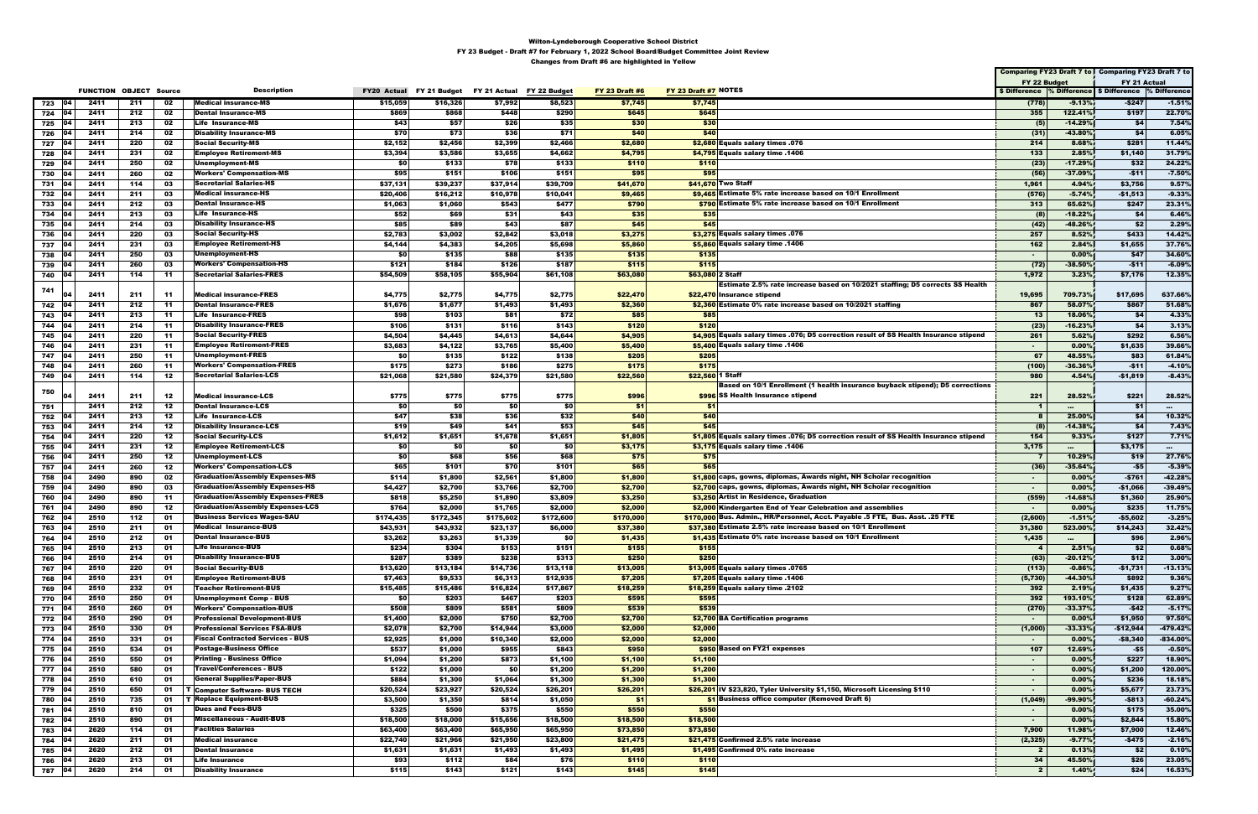|            |            |                               |            |           |                                                                      |                     |                     |                           |                    |                       |                                                                                                                                              |                         |                         | Comparing FY23 Draft 7 to   Comparing FY23 Draft 7 to    |                    |
|------------|------------|-------------------------------|------------|-----------|----------------------------------------------------------------------|---------------------|---------------------|---------------------------|--------------------|-----------------------|----------------------------------------------------------------------------------------------------------------------------------------------|-------------------------|-------------------------|----------------------------------------------------------|--------------------|
|            |            |                               |            |           |                                                                      |                     |                     |                           |                    |                       |                                                                                                                                              | FY 22 Budget            |                         | FY 21 Actual                                             |                    |
|            |            | <b>FUNCTION OBJECT Source</b> |            |           | <b>Description</b>                                                   | <b>FY20 Actual</b>  | FY 21 Budget        | FY 21 Actual FY 22 Budget |                    | <b>FY 23 Draft #6</b> | FY 23 Draft #7 NOTES                                                                                                                         |                         |                         | \$ Difference % Difference   \$ Difference  % Difference |                    |
| 723        | 04         | 2411                          | 211        | 02        | <b>Medical insurance-MS</b>                                          | \$15,059            | \$16,326            | \$7,992                   | \$8,523            | \$7,745               | \$7,745                                                                                                                                      | (778)                   | $-9.13%$                | $-$247$                                                  | $-1.51%$           |
| 724        | 04         | 2411                          | 212        | 02        | <b>Dental Insurance-MS</b>                                           | \$869               | \$868               | \$448                     | \$290              | \$645                 | \$645                                                                                                                                        | 355                     | 122.41%                 | \$197                                                    | 22.70%             |
| 725        | 104        | 2411                          | 213        | 02        | <b>Life Insurance-MS</b>                                             | \$43                | \$57                | \$26                      | \$35               | \$30                  | \$30                                                                                                                                         | (5)                     | $-14.29%$               | \$4                                                      | 7.54%              |
| 726        | 104        | 2411                          | 214        | 02        | <b>Disability Insurance-MS</b>                                       | \$70                | \$73                | \$36                      | \$71               | \$40                  | \$40                                                                                                                                         | (31)                    | $-43.80%$               | \$4                                                      | 6.05%              |
| 727        | 04         | 2411                          | 220        | 02        | <b>Social Security-MS</b>                                            | \$2,152             | \$2,456             | \$2,399                   | \$2,466            | \$2,680               | \$2,680 Equals salary times .076                                                                                                             | 214                     | 8.68%                   | \$281                                                    | 11.44%             |
| 728        | 04         | 2411                          | 231        | 02        | <b>Employee Retirement-MS</b>                                        | \$3,394             | \$3,586             | \$3,655                   | \$4,662            | \$4,795               | \$4,795 Equals salary time .1406                                                                                                             | 133                     | 2.85%                   | \$1,140                                                  | 31.79%             |
| 729<br>730 |            | 2411<br>2411                  | 250<br>260 | 02<br>02  | Unemployment-MS<br><b>Workers' Compensation-MS</b>                   | \$0<br>\$95         | \$133<br>\$151      | \$78<br>\$106             | \$133<br>\$151     | \$110<br>\$95         | \$110<br>\$95                                                                                                                                | (23)<br>(56)            | $-17.29%$<br>$-37.09%$  | \$32<br>$-$11$                                           | 24.22%<br>$-7.50%$ |
| 731        |            | 2411                          | 114        | 03        | <b>Secretarial Salaries-HS</b>                                       | \$37,131            | \$39,237            | \$37,914                  | \$39,709           | \$41,670              | \$41,670 Two Staff                                                                                                                           | 1,961                   | 4.94%                   | \$3,756                                                  | 9.57%              |
| 732        | 104        | 2411                          | 211        | 03        | <b>Medical insurance-HS</b>                                          | \$20,406            | \$16,212            | \$10,978                  | \$10,041           | \$9,465               | \$9,465 Estimate 5% rate increase based on 10/1 Enrollment                                                                                   | (576)                   | $-5.74%$                | $-$1,513$                                                | $-9.33%$           |
| 733        | 104        | 2411                          | 212        | 03        | <b>Dental Insurance-HS</b>                                           | \$1,063             | \$1,060             | \$543                     | \$477              | \$790                 | \$790 Estimate 5% rate increase based on 10/1 Enrollment                                                                                     | 313                     | 65.62%                  | \$247                                                    | 23.31%             |
| 734        |            | 2411                          | 213        | 03        | <b>Life Insurance-HS</b>                                             | \$52                | \$69                | \$31                      | \$43               | \$35                  | \$35                                                                                                                                         | (8)                     | $-18.22%$               | \$4                                                      | 6.46%              |
| 735        | ∣04        | 2411                          | 214        | 03        | <b>Disability Insurance-HS</b>                                       | \$85                | \$89                | \$43                      | \$87               | \$45                  | \$45                                                                                                                                         | (42)                    | -48.26%                 | \$2                                                      | 2.29%              |
| 736        | 04         | 2411                          | 220        | 03        | <b>Social Security-HS</b>                                            | \$2,783             | \$3,002             | \$2,842                   | \$3,018            | \$3,275               | \$3,275 Equals salary times .076                                                                                                             | 257                     | 8.52%                   | \$433                                                    | 14.42%             |
| 737        |            | 2411                          | 231        | 03        | <b>Employee Retirement-HS</b>                                        | \$4,144             | \$4,383             | \$4,205                   | \$5,698            | \$5,860               | \$5,860 Equals salary time .1406                                                                                                             | 162                     | 2.84%                   | \$1,655                                                  | 37.76%             |
| 738        |            | 2411                          | 250        | 03        | Unemployment-HS                                                      | \$0                 | \$135               | \$88                      | \$135              | \$135                 | \$135                                                                                                                                        | $\blacksquare$          | 0.00%                   | \$47                                                     | 34.60%             |
| 739        |            | 2411                          | 260        | 03        | <b>Workers' Compensation-HS</b>                                      | \$121               | \$184               | \$126                     | \$187              | \$115                 | \$115                                                                                                                                        | (72)                    | $-38.50%$               | -\$11                                                    | $-6.09%$           |
| 740        | 104        | 2411                          | 114        | -11       | <b>Secretarial Salaries-FRES</b>                                     | \$54,509            | \$58,105            | \$55,904                  | \$61,108           | \$63,080              | \$63,080 2 Staff                                                                                                                             | 1,972                   | 3.23%                   | \$7,176                                                  | 12.35%             |
| 741        |            |                               |            |           |                                                                      |                     |                     |                           |                    |                       | Estimate 2.5% rate increase based on 10/2021 staffing; D5 corrects SS Health                                                                 |                         |                         |                                                          |                    |
|            |            | 2411                          | 211        | -11       | <b>Medical insurance-FRES</b>                                        | \$4,775             | \$2,775             | \$4,775                   | \$2,775            | \$22,470              | \$22.470 Insurance stipend                                                                                                                   | 19,695                  | 709.73%                 | \$17,695                                                 | 637.66%            |
| 742        | 104        | 2411                          | 212        | $-11$     | <b>Dental Insurance-FRES</b>                                         | \$1,676             | \$1,677             | \$1,493                   | \$1,493            | \$2,360               | \$2,360 Estimate 0% rate increase based on 10/2021 staffing                                                                                  | 867                     | 58.07%                  | \$867                                                    | 51.68%             |
| 743        | 04         | 2411                          | 213        | -11       | <b>Life Insurance-FRES</b>                                           | \$98                | \$103               | \$81                      | \$72               | \$85                  | \$85                                                                                                                                         | $-13$                   | 18.06%                  | \$4                                                      | 4.33%              |
| 744        |            | 2411                          | 214        | 11        | <b>Disability Insurance-FRES</b>                                     | \$106               | \$131               | \$116                     | \$143              | \$120                 | \$120                                                                                                                                        | (23)                    | $-16.23%$               | \$4                                                      | 3.13%              |
| 745        | 104        | 2411                          | 220        | -11       | <b>Social Security-FRES</b>                                          | \$4,504             | \$4,445             | \$4,613                   | \$4,644            | \$4,905               | \$4,905 Equals salary times .076; D5 correction result of SS Health Insurance stipend                                                        | 261                     | 5.62%                   | \$292                                                    | 6.56%              |
| 746        | 104        | 2411                          | 231        | -11       | <b>Employee Retirement-FRES</b><br>Unemployment-FRES                 | \$3,683             | \$4,122             | \$3,765                   | \$5,400            | \$5,400               | \$5,400 Equals salary time $.1406$                                                                                                           | $\sim$<br>67            | 0.00%                   | \$1,635                                                  | 39.66%             |
| 747<br>748 |            | 2411<br>2411                  | 250<br>260 | -11<br>11 | <b>Workers' Compensation-FRES</b>                                    | \$0<br>\$175        | \$135<br>\$273      | \$122<br>\$186            | \$138<br>\$275     | \$205<br>\$175        | \$205<br>\$175                                                                                                                               | (100)                   | 48.55%<br>$-36.36%$     | \$83<br>$-511$                                           | 61.84%<br>$-4.10%$ |
| 749        | 04         | 2411                          | 114        | 12        | <b>Secretarial Salaries-LCS</b>                                      | \$21,068            | \$21,580            | \$24,379                  | \$21,580           | \$22,560              | \$22,560 1 Staff                                                                                                                             | 980                     | 4.54%                   | -\$1,819                                                 | $-8.43%$           |
|            |            |                               |            |           |                                                                      |                     |                     |                           |                    |                       | Based on 10/1 Enrollment (1 health insurance buyback stipend); D5 corrections                                                                |                         |                         |                                                          |                    |
| 750        |            | 2411                          | 211        | 12        | <b>Medical insurance-LCS</b>                                         | \$775               | \$775               | \$775                     | \$775              | \$996                 | \$996 SS Health Insurance stipend                                                                                                            | 221                     | 28.52%                  | \$221                                                    | 28.52%             |
| 751        |            | 2411                          | 212        | 12        | <b>Dental Insurance-LCS</b>                                          | \$0                 | -\$0                | \$0                       | -\$0               | \$1                   | - \$1                                                                                                                                        | -1                      | $\cdots$                | - \$1                                                    |                    |
| 752        |            | 2411                          | 213        | 12        | <b>Life Insurance-LCS</b>                                            | \$47                | \$38                | \$36                      | \$32               | \$40                  | \$40                                                                                                                                         |                         | 25.00%                  | \$4                                                      | 10.32%             |
| 753        | 04         | 2411                          | 214        | 12        | <b>Disability Insurance-LCS</b>                                      | \$19                | \$49                | \$41                      | \$53               | \$45                  | \$45                                                                                                                                         |                         | $-14.38%$               | \$4                                                      | 7.43%              |
| 754        |            | 2411                          | 220        | 12        | <b>Social Security-LCS</b>                                           | \$1,612             | \$1,651             | \$1,678                   | \$1,651            | \$1,805               | \$1,805 Equals salary times .076; D5 correction result of SS Health Insurance stipend                                                        | 154                     | 9.33%                   | \$127                                                    | 7.71%              |
| 755        | 04         | 2411                          | 231        | 12        | <b>Employee Retirement-LCS</b>                                       | \$0                 | \$0                 | \$0                       | -\$0               | \$3,175               | \$3,175 Equals salary time $.1406$                                                                                                           | 3,175                   | $\cdots$                | \$3,175                                                  | $\sim$             |
| 756        | 04         | 2411                          | 250        | 12        | Unemployment-LCS                                                     | \$0                 | \$68                | \$56                      | \$68               | \$75                  | \$75                                                                                                                                         | - 7                     | 10.29%                  | \$19                                                     | 27.76%             |
| 757        |            | 2411                          | 260        | 12        | <b>Workers' Compensation-LCS</b>                                     | \$65                | \$101               | \$70                      | \$101              | \$65                  | \$65                                                                                                                                         | (36)                    | $-35.64%$               | -\$5                                                     | $-5.39%$           |
| 758        | 104        | 2490                          | 890        | 02        | <b>Graduation/Assembly Expenses-MS</b>                               | \$114               | \$1,800             | \$2,561                   | \$1,800            | \$1,800               | \$1,800 caps, gowns, diplomas, Awards night, NH Scholar recognition                                                                          | $\sim$                  | 0.00%                   | $-5761$                                                  | $-42.28%$          |
| 759        | 04         | 2490                          | 890        | 03        | <b>Graduation/Assembly Expenses-HS</b>                               | \$4,427             | \$2,700             | \$3,766                   | \$2,700            | \$2,700               | \$2,700 caps, gowns, diplomas, Awards night, NH Scholar recognition                                                                          | $\sim$                  | 0.00%                   | -\$1,066                                                 | $-39.49%$          |
| 760        |            | 2490                          | 890        | -11       | <b>Graduation/Assembly Expenses-FRES</b>                             | \$818               | \$5,250             | \$1,890                   | \$3,809            | \$3,250               | \$3,250 Artist in Residence, Graduation                                                                                                      | (559)                   | $-14.68%$               | \$1,360                                                  | 25.90%             |
| 761        |            | 2490                          | 890        | 12        | <b>Graduation/Assembly Expenses-LCS</b>                              | \$764               | \$2,000             | \$1,765                   | \$2,000            | \$2,000               | \$2,000 Kindergarten End of Year Celebration and assemblies<br>\$170.000 Bus. Admin., HR/Personnel, Acct. Payable .5 FTE, Bus. Asst. .25 FTE | $\blacksquare$          | 0.00%                   | \$235                                                    | 11.75%             |
| 762        | 04         | 2510                          | 112        | 01        | <b>Business Services Wages-SAU</b>                                   | \$174,435           | \$172,345           | \$175,602                 | \$172,600          | \$170,000             |                                                                                                                                              | (2,600)                 | $-1.51%$                | -\$5,602                                                 | $-3.25%$           |
| 763<br>764 | 04         | 2510<br>2510                  | 211<br>212 | 01<br>01  | Medical Insurance-BUS<br><b>Dental Insurance-BUS</b>                 | \$43,931<br>\$3,262 | \$43,932<br>\$3,263 | \$23,137<br>\$1,339       | \$6,000<br>\$0     | \$37,380<br>\$1,435   | \$37,380 Estimate 2.5% rate increase based on 10/1 Enrollment<br>\$1,435 Estimate 0% rate increase based on 10/1 Enrollment                  | 31,380<br>1,435         | 523.00%                 | \$14,243<br>\$96                                         | 32.42%<br>2.96%    |
| 765        | 104        | 2510                          | 213        | 01        | <b>Life Insurance-BUS</b>                                            | \$234               | \$304               | \$153                     | \$151              | \$155                 | \$155                                                                                                                                        | $\overline{4}$          | $\sim 10^{-1}$<br>2.51% | <b>\$2</b>                                               | 0.68%              |
| 766        | 04         | 2510                          | 214        | 01        | <b>Disability Insurance-BUS</b>                                      | \$287               | \$389               | \$238                     | \$313              | \$250                 | \$250                                                                                                                                        | (63)                    | $-20.12%$               | \$12                                                     | 3.00%              |
| 767        | 04         | 2510                          | 220        | 01        | <b>Social Security-BUS</b>                                           | \$13,620            | \$13,184            | \$14,736                  | \$13,118           | \$13,005              | \$13,005 Equals salary times .0765                                                                                                           | (113)                   | $-0.86%$                | $-$1,731$                                                | $-13.13%$          |
| 768        | 04         | 2510                          | 231        | 01        | <b>Employee Retirement-BUS</b>                                       | \$7,463             | \$9,533             | \$6,313                   | \$12,935           | \$7,205               | \$7,205 Equals salary time .1406                                                                                                             | (5,730)                 | $-44.30%$               | \$892                                                    | 9.36%              |
| 769        | 104        | 2510                          | 232        | 01        | <b>Teacher Retirement-BUS</b>                                        | \$15,485            | \$15,486            | \$16,824                  | \$17,867           | \$18,259              | \$18,259 Equals salary time .2102                                                                                                            | 392                     | 2.19%                   | \$1,435                                                  | 9.27%              |
| 770        | 104        | 2510                          | 250        | 01        | <b>Unemployment Comp - BUS</b>                                       | \$0                 | \$203               | \$467                     | \$203              | \$595                 | \$595                                                                                                                                        | 392                     | 193.10%                 | \$128                                                    | 62.89%             |
| 771        | 04         | 2510                          | 260        | 01        | <b>Workers' Compensation-BUS</b>                                     | \$508               | \$809               | \$581                     | \$809              | \$539                 | \$539                                                                                                                                        | (270)                   | $-33.37%$               | $-$42$                                                   | $-5.17%$           |
| 772        | 04         | 2510                          | 290        | 01        | <b>Professional Development-BUS</b>                                  | \$1,400             | \$2,000             | \$750                     | \$2,700            | \$2,700               | \$2,700 BA Certification programs                                                                                                            | $\sim$                  | 0.00%                   | \$1,950                                                  | 97.50%             |
| 773        | 04         | 2510                          | 330        | 01        | <b>Professional Services FSA-BUS</b>                                 | \$2,078             | \$2,700             | \$14,944                  | \$3,000            | \$2,000               | \$2,000                                                                                                                                      | (1,000)                 | $-33.33%$               | $-$12,944$                                               | $-479.42%$         |
| 774        | 104        | 2510                          | 331        | 01        | <b>Fiscal Contracted Services - BUS</b>                              | \$2,925             | \$1,000             | \$10,340                  | \$2,000            | \$2,000               | \$2,000                                                                                                                                      | $\sim$                  | 0.00%                   | $-$8,340$                                                | $-834.00\%$        |
| 775        | 04         | 2510                          | 534        | 01        | <b>Postage-Business Office</b>                                       | \$537               | \$1,000             | \$955                     | \$843              | \$950                 | \$950 Based on FY21 expenses                                                                                                                 | 107                     | 12.69%                  | $-55$                                                    | $-0.50%$           |
| 776        | <b>04</b>  | 2510                          | 550        | 01        | <b>Printing - Business Office</b><br><b>Travel/Conferences - BUS</b> | \$1,094             | \$1,200             | \$873                     | \$1,100            | \$1,100               | \$1,100                                                                                                                                      | $\sim$                  | 0.00%                   | \$227                                                    | 18.90%             |
| 777        | 104<br> 04 | 2510                          | 580        | 01<br>01  | <b>General Supplies/Paper-BUS</b>                                    | \$122<br>\$884      | \$1,000<br>\$1,300  | <b>\$0</b><br>\$1,064     | \$1,200<br>\$1,300 | \$1,200<br>\$1,300    | \$1,200<br>\$1,300                                                                                                                           | $\sim$                  | 0.00%                   | \$1,200<br>\$236                                         | 120.00%<br>18.18%  |
| 778<br>779 | 104        | 2510<br>2510                  | 610<br>650 | 01        | T Computer Software- BUS TECH                                        | \$20,524            | \$23,927            | \$20,524                  | \$26,201           | \$26,201              | \$26,201 IV \$23,820, Tyler University \$1,150, Microsoft Licensing \$110                                                                    | $\sim$<br>$\sim$        | 0.00%<br>0.00%          | \$5,677                                                  | 23.73%             |
| 780        | 04         | 2510                          | 735        | 01        | <b>Replace Equipment-BUS</b>                                         | \$3,500             | \$1,350             | \$814                     | \$1,050            | \$1                   | \$1 Business office computer (Removed Draft 6)                                                                                               | (1,049)                 | -99.90%                 | $-$813$                                                  | $-60.24%$          |
| 781        | 104        | 2510                          | 810        | 01        | <b>Dues and Fees-BUS</b>                                             | \$325               | \$500               | \$375                     | \$550              | \$550                 | \$550                                                                                                                                        | $\sim$                  | 0.00%                   | \$175                                                    | 35.00%             |
| 782        | 04         | 2510                          | 890        | 01        | <b>Miscellaneous - Audit-BUS</b>                                     | \$18,500            | \$18,000            | \$15,656                  | \$18,500           | \$18,500              | \$18,500                                                                                                                                     | $\sim$                  | 0.00%                   | \$2,844                                                  | 15.80%             |
| 783        | 104        | 2620                          | 114        | 01        | <b>Faclities Salaries</b>                                            | \$63,400            | \$63,400            | \$65,950                  | \$65,950           | \$73,850              | \$73,850                                                                                                                                     | 7,900                   | 11.98%                  | \$7,900                                                  | 12.46%             |
| 784        | 04         | 2620                          | 211        | 01        | <b>Medical insurance</b>                                             | \$22,740            | \$21,966            | \$21,950                  | \$23,800           | \$21,475              | \$21,475 Confirmed 2.5% rate increase                                                                                                        | (2, 325)                | $-9.77%$                | $-$475$                                                  | $-2.16%$           |
| 785        | 04         | 2620                          | 212        | 01        | <b>Dental Insurance</b>                                              | \$1,631             | \$1,631             | \$1,493                   | \$1,493            | \$1,495               | \$1,495 Confirmed 0% rate increase                                                                                                           | $\overline{\mathbf{2}}$ | 0.13%                   | \$2                                                      | 0.10%              |
| 786        | 104        | 2620                          | 213        | 01        | <b>Life Insurance</b>                                                | \$93                | \$112               | \$84                      | \$76               | \$110                 | \$110                                                                                                                                        | 34                      | 45.50%                  | \$26                                                     | 23.05%             |
| 787 04     |            | 2620                          | 214        | 01        | <b>Disability Insurance</b>                                          | \$115               | \$143               | \$121                     | \$143              | \$145                 | \$145                                                                                                                                        | $\overline{2}$          | 1.40%                   | \$24                                                     | 16.53%             |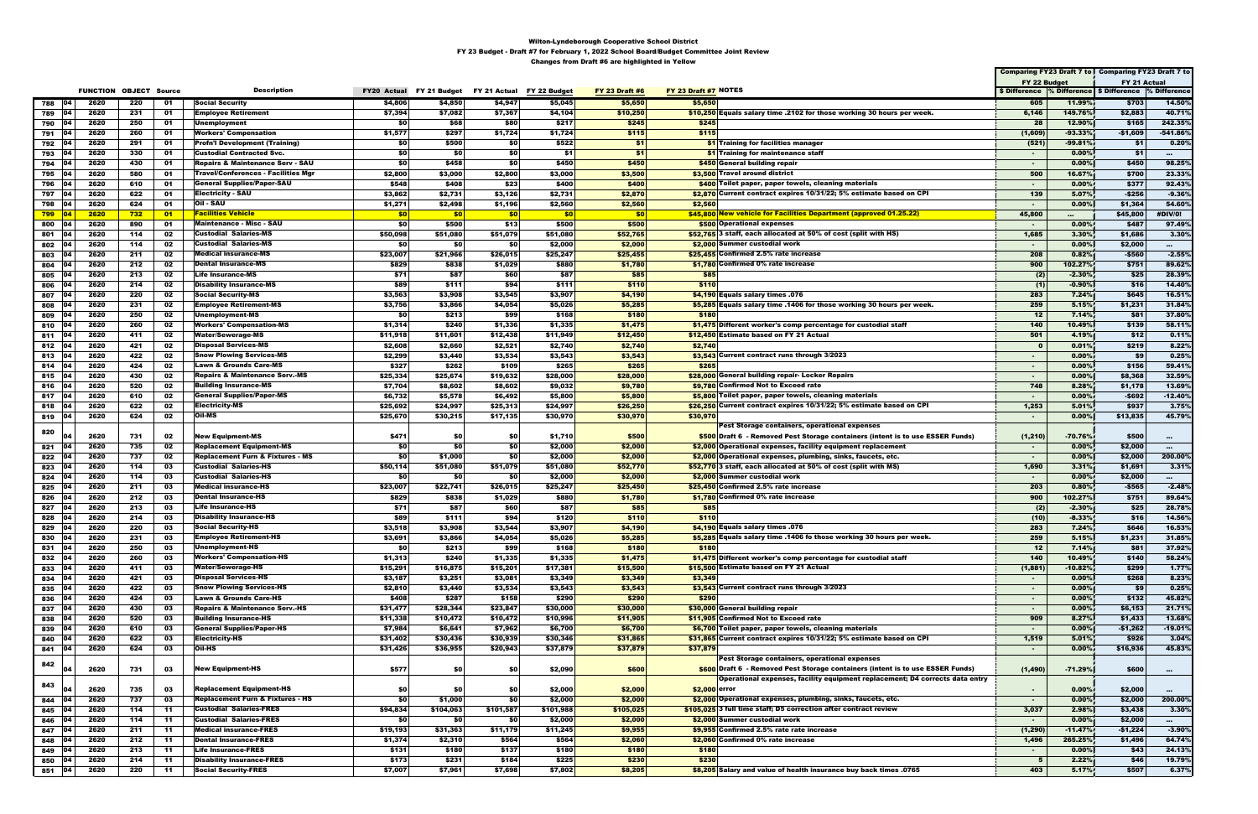|                   |      |                               |                 |                                             |                    |              |              |              |                       |                                                                                |              |           | Comparing FY23 Draft 7 to Comparing FY23 Draft 7 to      |                |
|-------------------|------|-------------------------------|-----------------|---------------------------------------------|--------------------|--------------|--------------|--------------|-----------------------|--------------------------------------------------------------------------------|--------------|-----------|----------------------------------------------------------|----------------|
|                   |      |                               |                 |                                             |                    |              |              |              |                       |                                                                                | FY 22 Budget |           | FY 21 Actual                                             |                |
|                   |      | <b>FUNCTION OBJECT Source</b> |                 | <b>Description</b>                          | <b>FY20 Actual</b> | FY 21 Budget | FY 21 Actual | FY 22 Budget | <b>FY 23 Draft #6</b> | FY 23 Draft #7 NOTES                                                           |              |           | \$ Difference % Difference   \$ Difference  % Difference |                |
| 104               | 2620 | 220                           | 01              | <b>Social Security</b>                      | \$4,806            | \$4,850      | \$4,947      | \$5,045      | \$5,650               | \$5,650                                                                        | 605          | 11.99%    | \$703                                                    | 14.50%         |
| 788               |      |                               |                 |                                             |                    |              |              |              |                       |                                                                                |              |           |                                                          |                |
| 789<br><b>04</b>  | 2620 | 231                           | 01              | <b>Employee Retirement</b>                  | \$7,394            | \$7,082      | \$7,367      | \$4,104      | \$10,250              | \$10,250 Equals salary time .2102 for those working 30 hours per week.         | 6,146        | 149.76%   | \$2,883                                                  | 40.71%         |
| 104<br>790        | 2620 | 250                           | 01              | Unemployment                                | SO.                | \$68         | \$80         | \$217        | \$245                 | \$245                                                                          | 28           | 12.90%    | \$165                                                    | 242.35%        |
| 791<br>04         | 2620 | 260                           | 01              | <b>Workers' Compensation</b>                | \$1,577            | \$297        | \$1,724      | \$1,724      | \$115                 | \$115                                                                          | (1,609)      | $-93.33%$ | $-$1,609$                                                | $-541.86%$     |
| 792<br>104        | 2620 | 291                           | 01              | <b>Profn'l Development (Training)</b>       | \$0                | \$500        | \$0          | \$522        | \$1                   | \$1 Training for facilities manager                                            | (521)        | $-99.81%$ | \$1                                                      | 0.20%          |
| 793<br>104        | 2620 | 330                           | 01              | Custodial Contracted Svc.                   | \$0                | \$0          | \$0          | \$1          | \$1                   | \$1 Training for maintenance staff                                             | $\sim$       | 0.00%     | \$1                                                      | $\sim 10^{-1}$ |
| 794<br>104        | 2620 | 430                           | 01              | <b>Repairs &amp; Maintenance Serv - SAU</b> | \$O                | \$458        | \$O          | \$450        | \$450                 | \$450 General building repair                                                  | $\sim$       | 0.00%     | \$450                                                    | 98.25%         |
| 795<br><b>04</b>  | 2620 | 580                           | 01              | <b>Travel/Conferences - Facilities Mgr</b>  | \$2,800            | \$3,000      | \$2,800      | \$3,000      | \$3,500               | \$3,500 Travel around district                                                 | 500          | 16.67%    | \$700                                                    | 23.33%         |
| 796<br>104        | 2620 | 610                           | 01              | General Supplies/Paper-SAU                  | \$548              | \$408        | \$23         | \$400        | \$400                 | \$400 Toilet paper, paper towels, cleaning materials                           | $\sim$       | 0.00%     | \$377                                                    | 92.43%         |
|                   |      |                               |                 |                                             |                    |              |              |              |                       |                                                                                |              |           |                                                          |                |
| 104<br>797        | 2620 | 622                           | 01              | Electricity - SAU                           | \$3,862            | \$2,731      | \$3,126      | \$2,731      | \$2,870               | \$2,870 Current contract expires 10/31/22; 5% estimate based on CPI            | 139          | 5.07%     | $-$256$                                                  | $-9.36%$       |
| 798<br>04         | 2620 | 624                           | 01              | Oil - SAU                                   | \$1,271            | \$2,498      | \$1,196      | \$2,560      | \$2,560               | \$2,560                                                                        | $\sim$       | 0.00%     | \$1,364                                                  | 54.60%         |
| $799$ 04          | 2620 | 732                           | $\overline{01}$ | <b>Facilities Vehicle</b>                   | \$0                | \$0          | \$0          | \$0          | \$0                   | \$45,800 New vehicle for Facilities Department (approved 01.25.22)             | 45,800       |           | \$45,800                                                 | #DIV/0!        |
| 800<br> 04        | 2620 | 890                           | 01              | <b>Maintenance - Misc - SAU</b>             | \$0                | \$500        | \$13         | \$500        | \$500                 | \$500 Operational expenses                                                     | $\sim$       | 0.00%     | \$487                                                    | 97.49%         |
| 104<br>801        | 2620 | 114                           | 02              | Custodial Salaries-MS                       | \$50,098           | \$51,080     | \$51,079     | \$51,080     | \$52,765              | \$52,765 3 staff, each allocated at 50% of cost (split with HS)                | 1,685        | 3.30%     | \$1,686                                                  | 3.30%          |
| 802<br> 04        | 2620 | 114                           | 02              | <b>Custodial Salaries-MS</b>                | \$0                | \$0          | \$0          | \$2,000      | \$2,000               | \$2,000 Summer custodial work                                                  | $\sim$       | 0.00%     | \$2,000                                                  | $\sim$         |
| 803<br>104        | 2620 | 211                           | 02              | <b>Medical insurance-MS</b>                 | \$23,007           | \$21,966     | \$26,015     | \$25,247     | \$25,455              | \$25,455 Confirmed 2.5% rate increase                                          | 208          | 0.82%     | -\$560                                                   | $-2.55%$       |
| 804<br>104        | 2620 | 212                           | 02              | Dental Insurance-MS                         | \$829              | \$838        | \$1,029      | \$880        | \$1,780               | \$1,780 Confirmed 0% rate increase                                             | 900          | 102.27%   | \$751                                                    | 89.62%         |
| 104               | 2620 | 213                           | 02              | <b>Life Insurance-MS</b>                    | \$71               | \$87         | \$60         | \$87         | \$85                  | \$85                                                                           |              | $-2.30%$  | \$25                                                     | 28.39%         |
| 805               |      |                               |                 |                                             |                    |              |              |              |                       |                                                                                | (2)          |           |                                                          |                |
| 806<br><b>04</b>  | 2620 | 214                           | 02              | <b>Disability Insurance-MS</b>              | \$89               | \$111        | \$94         | \$111        | \$110                 | \$110                                                                          | (1)          | $-0.90%$  | \$16                                                     | 14.40%         |
| 807<br>104        | 2620 | 220                           | 02              | <b>Social Security-MS</b>                   | \$3,563            | \$3,908      | \$3,545      | \$3,907      | \$4,190               | \$4,190 Equals salary times .076                                               | 283          | 7.24%     | \$645                                                    | 16.51%         |
| 808<br>104        | 2620 | 231                           | 02              | Employee Retirement-MS                      | \$3,756            | \$3,866      | \$4,054      | \$5,026      | \$5,285               | \$5,285 Equals salary time .1406 for those working 30 hours per week.          | 259          | 5.15%     | \$1,231                                                  | 31.84%         |
| 809<br>104        | 2620 | 250                           | 02              | Unemployment-MS                             | \$0                | \$213        | \$99         | \$168        | \$180                 | \$180                                                                          | 12           | 7.14%     | \$81                                                     | 37.80%         |
| 810<br>-104       | 2620 | 260                           | 02              | Workers' Compensation-MS                    | \$1,314            | \$240        | \$1,336      | \$1,335      | \$1,475               | \$1,475 Different worker's comp percentage for custodial staff                 | 140          | 10.49%    | \$139                                                    | 58.11%         |
| 811 04            | 2620 | 411                           | 02              | <b>Water/Sewerage-MS</b>                    | \$11,918           | \$11,601     | \$12,438     | \$11,949     | \$12,450              | \$12,450 Estimate based on FY 21 Actual                                        | 501          | 4.19%     | \$12                                                     | 0.11%          |
| 812 04            | 2620 | 421                           | 02              | <b>Disposal Services-MS</b>                 | \$2,608            | \$2,660      | \$2,521      | \$2,740      | \$2,740               | \$2,740                                                                        | $\mathbf{0}$ | 0.01%     | \$219                                                    | 8.22%          |
| 813 04            | 2620 | 422                           | 02              | <b>Snow Plowing Services-MS</b>             | \$2,299            | \$3,440      | \$3,534      | \$3,543      | \$3,543               | \$3,543 Current contract runs through 3/2023                                   | $\sim$       | 0.00%     | \$9                                                      | 0.25%          |
|                   | 2620 | 424                           | 02              | <b>Lawn &amp; Grounds Care-MS</b>           | \$327              | \$262        | \$109        | \$265        | \$265                 | \$265                                                                          |              | 0.00%     | \$156                                                    | 59.41%         |
| 814   04          |      |                               |                 |                                             |                    |              |              |              |                       |                                                                                | $\sim$       |           |                                                          |                |
| 815 04            | 2620 | 430                           | 02              | Repairs & Maintenance Serv.-MS              | \$25,334           | \$25,674     | \$19,632     | \$28,000     | \$28,000              | \$28,000 General building repair- Locker Repairs                               | $\sim$       | 0.00%     | \$8,368                                                  | 32.59%         |
| 04<br>816         | 2620 | 520                           | 02              | <b>Building Insurance-MS</b>                | \$7,704            | \$8,602      | \$8,602      | \$9,032      | \$9,780               | \$9,780 Confirmed Not to Exceed rate                                           | 748          | 8.28%     | \$1,178                                                  | 13.69%         |
| 817<br>104        | 2620 | 610                           | 02              | <b>General Supplies/Paper-MS</b>            | \$6,732            | \$5,578      | \$6,492      | \$5,800      | \$5,800               | \$5,800 Toilet paper, paper towels, cleaning materials                         | $\sim$       | 0.00%     | $-$ \$692                                                | $-12.40%$      |
| 104<br>818        | 2620 | 622                           | 02              | Electricity-MS                              | \$25,692           | \$24,997     | \$25,313     | \$24,997     | \$26,250              | \$26,250 Current contract expires 10/31/22; 5% estimate based on CPI           | 1,253        | 5.01%     | \$937                                                    | 3.75%          |
| 819 04            | 2620 | 624                           | 02              | Oil-MS                                      | \$25,670           | \$30,215     | \$17,135     | \$30,970     | \$30,970              | \$30,970                                                                       | $\sim$       | 0.00%     | \$13,835                                                 | 45.79%         |
|                   |      |                               |                 |                                             |                    |              |              |              |                       | Pest Storage containers, operational expenses                                  |              |           |                                                          |                |
| 820               | 2620 | 731                           | 02              | <b>New Equipment-MS</b>                     | \$471              | \$0          | \$0          | \$1,710      | \$500                 | \$500 Draft 6 - Removed Pest Storage containers (intent is to use ESSER Funds) | (1, 210)     | $-70.76%$ | \$500                                                    | $\sim$         |
| 104<br>821        | 2620 | 735                           | 02              | <b>Replacement Equipment-MS</b>             | \$0                | \$0          | \$0          | \$2,000      | \$2,000               | \$2,000 Operational expenses, facility equipment replacement                   | $\sim$ $-$   | 0.00%     | \$2,000                                                  | $\sim$         |
| 04                | 2620 | 737                           | 02              | <b>Replacement Furn &amp; Fixtures - MS</b> | \$0                | \$1,000      | \$0          | \$2,000      | \$2,000               | \$2,000 Operational expenses, plumbing, sinks, faucets, etc.                   | $\sim$       | 0.00%     | \$2,000                                                  | 200.00%        |
| 822               |      |                               |                 |                                             |                    |              |              |              |                       |                                                                                |              |           |                                                          |                |
| 823<br>104        | 2620 | 114                           | 03              | <b>Custodial Salaries-HS</b>                | \$50,114           | \$51,080     | \$51,079     | \$51,080     | \$52,770              | \$52,770 3 staff, each allocated at 50% of cost (split with MS)                | 1,690        | 3.31%     | \$1,691                                                  | 3.31%          |
| 824 04            | 2620 | 114                           | 03              | <b>Custodial Salaries-HS</b>                | \$0                | \$0          | \$0          | \$2,000      | \$2,000               | \$2,000 Summer custodial work                                                  | $\sim$       | 0.00%     | \$2,000                                                  | $\sim 10^{-1}$ |
| 825<br>104        | 2620 | 211                           | 03              | <b>Medical insurance-HS</b>                 | \$23,007           | \$22,741     | \$26,015     | \$25,247     | \$25,450              | \$25,450 Confirmed 2.5% rate increase                                          | 203          | 0.80%     | $-$565$                                                  | $-2.48%$       |
| 826<br> 04        | 2620 | 212                           | 03              | <b>Dental Insurance-HS</b>                  | \$829              | \$838        | \$1,029      | \$880        | \$1,780               | \$1,780 Confirmed 0% rate increase                                             | 900          | 102.27%   | \$751                                                    | 89.64%         |
| 827<br>104        | 2620 | 213                           | 03              | <b>Life Insurance-HS</b>                    | \$71               | \$87         | \$60         | \$87         | \$85                  | \$85                                                                           | (2)          | $-2.30%$  | \$25                                                     | 28.78%         |
| 828 04            | 2620 | 214                           | 03              | <b>Disability Insurance-HS</b>              | \$89               | \$111        | <b>\$94</b>  | \$120        | \$110                 | \$110                                                                          | (10)         | $-8.33%$  | \$16                                                     | 14.56%         |
| 829               | 2620 | 220                           | 03              | <b>Social Security-HS</b>                   | \$3,518            | \$3,908      | \$3,544      | \$3,907      | \$4,190               | \$4,190 Equals salary times .076                                               | 283          | 7.24%     | \$646                                                    | 16.53%         |
| 830<br>104        | 2620 | 231                           | 03              | <b>Employee Retirement-HS</b>               | \$3,691            | \$3,866      | \$4,054      | \$5,026      | \$5,285               | \$5,285 Equals salary time .1406 fo those working 30 hours per week.           | 259          | 5.15%     | \$1,231                                                  | 31.85%         |
|                   | 2620 | 250                           | 03              | Unemployment-HS                             | \$0                | \$213        | \$99         | \$168        | \$180                 | \$180                                                                          | 12           | 7.14%     | \$81                                                     | 37.92%         |
| 831 04            |      |                               |                 |                                             |                    |              |              |              |                       |                                                                                |              |           |                                                          |                |
| 832<br><b>104</b> | 2620 | 260                           | 03              | Workers' Compensation-HS                    | \$1,313            | \$240        | \$1,335      | \$1,335      | \$1,475               | \$1,475 Different worker's comp percentage for custodial staff                 | 140          | 10.49%    | \$140                                                    | 58.24%         |
| 833 04            | 2620 | 411                           | 03              | <b>Water/Sewerage-HS</b>                    | \$15,291           | \$16,875     | \$15,201     | \$17,381     | \$15,500              | \$15,500 Estimate based on FY 21 Actual                                        | (1, 881)     | $-10.82%$ | \$299                                                    | 1.77%          |
| 834<br>104        | 2620 | 421                           | 03              | <b>Disposal Services-HS</b>                 | \$3,187            | \$3,251      | \$3,081      | \$3,349      | \$3,349               | \$3,349                                                                        | $\sim$       | 0.00%     | \$268                                                    | 8.23%          |
| 835 04            | 2620 | 422                           | 03              | <b>Snow Plowing Services-HS</b>             | \$2,810            | \$3,440      | \$3,534      | \$3,543      | \$3,543               | \$3,543 Current contract runs through 3/2023                                   | $\sim$       | 0.00%     | \$9                                                      | 0.25%          |
| 836<br>04         | 2620 | 424                           | 03              | <b>Lawn &amp; Grounds Care-HS</b>           | \$408              | \$287        | \$158        | \$290        | \$290                 | \$290                                                                          | $\sim$       | 0.00%     | \$132                                                    | 45.82%         |
| 837 04            | 2620 | 430                           | 03              | <b>Repairs &amp; Maintenance Serv.-HS</b>   | \$31,477           | \$28,344     | \$23,847     | \$30,000     | \$30,000              | \$30,000 General building repair                                               | $\sim$       | 0.00%     | \$6,153                                                  | 21.71%         |
| 838<br><b>04</b>  | 2620 | 520                           | 03              | <b>Building Insurance-HS</b>                | \$11,338           | \$10,472     | \$10,472     | \$10,996     | \$11,905              | \$11,905 Confirmed Not to Exceed rate                                          | 909          | 8.27%     | \$1,433                                                  | 13.68%         |
| 839<br>104        | 2620 | 610                           | 03              | <b>General Supplies/Paper-HS</b>            | \$7,984            | \$6,641      | \$7,962      | \$6,700      | \$6,700               | \$6,700 Toilet paper, paper towels, cleaning materials                         | $\sim$       | 0.00%     | $-$1,262$                                                | $-19.01%$      |
| 840<br>104        | 2620 | 622                           | 03              | <b>Electricity-HS</b>                       | \$31,402           | \$30,436     | \$30,939     | \$30,346     | \$31,865              | \$31,865 Current contract expires 10/31/22; 5% estimate based on CPI           | 1,519        | 5.01%     | \$926                                                    | 3.04%          |
|                   | 2620 |                               | 03              | Oil-HS                                      |                    | \$36,955     |              |              |                       |                                                                                |              | 0.00%     |                                                          | 45.83%         |
| 841 04            |      | 624                           |                 |                                             | \$31,426           |              | \$20,943     | \$37,879     | \$37,879              | \$37,879                                                                       | $\sim$       |           | \$16,936                                                 |                |
| 842               |      |                               |                 |                                             |                    |              |              |              |                       | Pest Storage containers, operational expenses                                  |              |           |                                                          |                |
| 104               | 2620 | 731                           | 03              | <b>New Equipment-HS</b>                     | \$577              | \$O          | \$0          | \$2,090      | \$600                 | \$600 Draft 6 - Removed Pest Storage containers (intent is to use ESSER Funds) | (1, 490)     | $-71.29%$ | \$600                                                    | $\sim$         |
| 843               |      |                               |                 |                                             |                    |              |              |              |                       | Operational expenses, facility equipment replacement; D4 corrects data entry   |              |           |                                                          |                |
|                   | 2620 | 735                           | 03              | <b>Replacement Equipment-HS</b>             | \$0                | \$0          | \$0          | \$2,000      | \$2,000               | \$2,000 error                                                                  | $\sim$       | 0.00%     | \$2,000                                                  | $\sim$         |
| 04<br>844         | 2620 | 737                           | 03              | <b>Replacement Furn &amp; Fixtures - HS</b> | \$0                | \$1,000      | \$0          | \$2,000      | \$2,000               | \$2,000 Operational expenses, plumbing, sinks, faucets, etc.                   | $\sim$       | 0.00%     | \$2,000                                                  | 200.00%        |
| 845 04            | 2620 | 114                           | -11             | <b>Custodial Salaries-FRES</b>              | \$94,834           | \$104,063    | \$101,587    | \$101,988    | \$105,025             | \$105,025 3 full time staff; D5 correction after contract review               | 3,037        | 2.98%     | \$3,438                                                  | 3.30%          |
| 846<br>- 104      | 2620 | 114                           | -11             | <b>Custodial Salaries-FRES</b>              | \$0                | \$0          | \$0          | \$2,000      | \$2,000               | \$2,000 Summer custodial work                                                  | $\sim$       | 0.00%     | \$2,000                                                  | $\sim 10^{-1}$ |
| 847<br>104        | 2620 | 211                           | -11             | <b>Medical insurance-FRES</b>               | \$19,193           | \$31,363     | \$11,179     | \$11,245     | \$9,955               | \$9,955 Confirmed 2.5% rate rate increase                                      | (1, 290)     | $-11.47%$ | $-$1,224$                                                | $-3.90\%$      |
|                   |      |                               |                 |                                             |                    |              |              |              |                       |                                                                                |              |           |                                                          |                |
| 848<br>104        | 2620 | 212                           | -11             | <b>Dental Insurance-FRES</b>                | \$1,374            | \$2,310      | \$564        | \$564        | \$2,060               | \$2,060 Confirmed 0% rate increase                                             | 1,496        | 265.25%   | \$1,496                                                  | 64.74%         |
| 849<br>104        | 2620 | 213                           | 11              | <b>Life Insurance-FRES</b>                  | \$131              | \$180        | \$137        | \$180        | \$180                 | \$180                                                                          | $\sim$       | 0.00%     | \$43                                                     | 24.13%         |
| 850<br>104        | 2620 | 214                           | -11             | <b>Disability Insurance-FRES</b>            | \$173              | \$231        | \$184        | \$225        | \$230                 | \$230                                                                          | 5            | 2.22%     | \$46                                                     | 19.79%         |
| 851   04          | 2620 | 220                           | 11              | <b>Social Security-FRES</b>                 | \$7,007            | \$7,961      | \$7,698      | \$7,802      | \$8,205               | \$8,205 Salary and value of health insurance buy back times .0765              | 403          | 5.17%     | \$507                                                    | 6.37%          |
|                   |      |                               |                 |                                             |                    |              |              |              |                       |                                                                                |              |           |                                                          |                |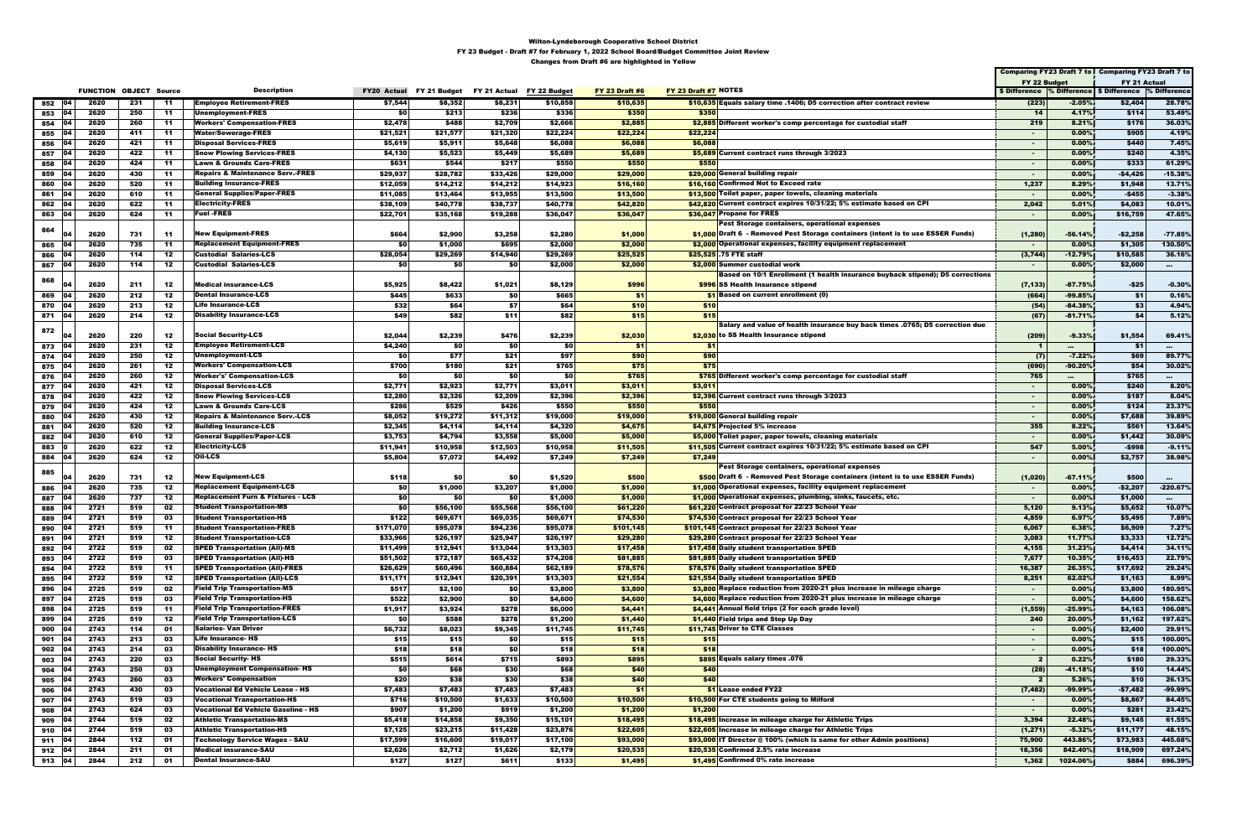|                          |                               |            |            |                                                                               |                          |                      |                           |                      |                       |                                                                                          |                         |                    | Comparing FY23 Draft 7 to Comparing FY23 Draft 7 to      |                     |
|--------------------------|-------------------------------|------------|------------|-------------------------------------------------------------------------------|--------------------------|----------------------|---------------------------|----------------------|-----------------------|------------------------------------------------------------------------------------------|-------------------------|--------------------|----------------------------------------------------------|---------------------|
|                          |                               |            |            |                                                                               |                          |                      |                           |                      |                       |                                                                                          | FY 22 Budget            |                    | FY 21 Actual                                             |                     |
|                          | <b>FUNCTION OBJECT Source</b> |            |            | <b>Description</b>                                                            | FY20 Actual FY 21 Budget |                      | FY 21 Actual FY 22 Budget |                      | <b>FY 23 Draft #6</b> | FY 23 Draft #7 NOTES                                                                     |                         |                    | \$ Difference % Difference   \$ Difference  % Difference |                     |
| <b>104</b><br>852        | 2620                          | 231        | -11        | <b>Employee Retirement-FRES</b>                                               | \$7,544                  | \$8,352              | \$8,231                   | \$10,858             | \$10,635              | \$10.635 Equals salary time .1406; D5 correction after contract review                   | (223)                   | $-2.05%$           | \$2,404                                                  | 28.78%              |
| 853<br>04                | 2620                          | 250        | -11        | <b>Unemployment-FRES</b>                                                      | \$0                      | \$213                | \$236                     | \$336                | \$350                 | \$350                                                                                    | 14                      | 4.17%              | \$114                                                    | 53.49%              |
| 854                      | 2620                          | 260        | 11         | <b>Workers' Compensation-FRES</b>                                             | \$2,478                  | \$488                | \$2,709                   | \$2,666              | \$2,885               | \$2,885 Different worker's comp percentage for custodial staff                           | 219                     | 8.21%              | \$176                                                    | 36.03%              |
| 855<br>104               | 2620                          | 411        | -11        | <b>Water/Sewerage-FRES</b>                                                    | \$21,521                 | \$21,577             | \$21,320                  | \$22,224             | \$22,224              | \$22,224                                                                                 |                         | 0.00%              | \$905                                                    | 4.19%               |
| 856<br>04                | 2620                          | 421        | -11        | <b>Disposal Services-FRES</b>                                                 | \$5,619                  | \$5,911              | \$5,648                   | \$6,088              | \$6,088               | \$6,088                                                                                  | $\sim$                  | 0.00%              | \$440                                                    | 7.45%               |
| 857                      | 2620                          | 422        | -11        | <b>Snow Plowing Services-FRES</b>                                             | \$4,130                  | \$5,523              | \$5,449                   | \$5,689              | \$5,689               | \$5,689 Current contract runs through 3/2023                                             | $\sim$                  | 0.00%              | \$240                                                    | 4.35%               |
| 858<br>104               | 2620                          | 424        | -11        | Lawn & Grounds Care-FRES                                                      | \$631                    | \$544                | \$217                     | \$550                | \$550                 | \$550<br>\$29,000 General building repair                                                | $\sim$                  | 0.00%              | \$333                                                    | 61.29%              |
| 859<br>104               | 2620<br>2620                  | 430<br>520 | -11<br>-11 | <b>Repairs &amp; Maintenance Serv.-FRES</b><br><b>Building Insurance-FRES</b> | \$29,937                 | \$28,782<br>\$14,212 | \$33,426<br>\$14,212      | \$29,000<br>\$14,923 | \$29,000<br>\$16,160  | \$16,160 Confirmed Not to Exceed rate                                                    | $\sim$                  | 0.00%<br>8.29%     | -\$4,426<br>\$1,948                                      | $-15.38%$<br>13.71% |
| 860<br>861               | 2620                          | 610        | -11        | <b>General Supplies/Paper-FRES</b>                                            | \$12,059<br>\$11,085     | \$13,464             | \$13,955                  | \$13,500             | \$13,500              | \$13,500 Toilet paper, paper towels, cleaning materials                                  | 1,237<br>$\sim$         | 0.00%              | $-$455$                                                  | $-3.38%$            |
| 862                      | 2620                          | 622        | -11        | <b>Electricity-FRES</b>                                                       | \$38,109                 | \$40,778             | \$38,737                  | \$40,778             | \$42,820              | \$42.820 Current contract expires 10/31/22; 5% estimate based on CPI                     | 2,042                   | 5.01%              | \$4,083                                                  | 10.01%              |
| 04<br>863                | 2620                          | 624        | $-11$      | <b>Fuel -FRES</b>                                                             | \$22,701                 | \$35,168             | \$19,288                  | \$36,047             | \$36,047              | \$36,047 Propane for FRES                                                                | $\sim$                  | 0.00%              | \$16,759                                                 | 47.65%              |
|                          |                               |            |            |                                                                               |                          |                      |                           |                      |                       | Pest Storage containers, operational expenses                                            |                         |                    |                                                          |                     |
| 864                      | 2620                          | 731        | 11         | <b>New Equipment-FRES</b>                                                     | \$664                    | \$2,900              | \$3,258                   | \$2,280              | \$1,000               | \$1,000 Draft 6 - Removed Pest Storage containers (intent is to use ESSER Funds)         | (1, 280)                | $-56.14%$          | -\$2,258                                                 | $-77.85%$           |
| 865<br>04                | 2620                          | 735        | $-11$      | <b>Replacement Equipment-FRES</b>                                             | \$0                      | \$1,000              | \$695                     | \$2,000              | \$2,000               | \$2,000 Operational expenses, facility equipment replacement                             | $\sim$                  | 0.00%              | \$1,305                                                  | 130.50%             |
| 866<br>104               | 2620                          | 114        | 12         | <b>Custodial Salaries-LCS</b>                                                 | \$28,054                 | \$29,269             | \$14,940                  | \$29,269             | \$25,525              | \$25,525 .75 FTE staff                                                                   | (3,744)                 | $-12.79%$          | \$10,585                                                 | 36.16%              |
| 04<br>867                | 2620                          | 114        | 12         | <b>Custodial Salaries-LCS</b>                                                 | \$0                      | \$0                  | \$0                       | \$2,000              | \$2,000               | \$2,000 Summer custodial work                                                            | $\sim$                  | 0.00%              | \$2,000                                                  | $\sim 10^{-11}$     |
|                          |                               |            |            |                                                                               |                          |                      |                           |                      |                       | Based on 10/1 Enrollment (1 health insurance buyback stipend); D5 corrections            |                         |                    |                                                          |                     |
| 868                      | 2620                          | 211        | 12         | <b>Medical insurance-LCS</b>                                                  | \$5,925                  | \$8,422              | \$1,021                   | \$8,129              | \$996                 | \$996 SS Health Insurance stipend                                                        | (7, 133)                | $-87.75%$          | $-$25$                                                   | $-0.30%$            |
| 869                      | 2620                          | 212        | 12         | <b>Dental Insurance-LCS</b>                                                   | \$445                    | \$633                | \$0                       | \$665                | \$1                   | \$1 Based on current enrollment (0)                                                      | (664)                   | $-99.85%$          | - \$1                                                    | 0.16%               |
| 870                      | 2620                          | 213        | 12         | <b>Life Insurance-LCS</b>                                                     | \$32                     | \$64                 | \$7                       | \$64                 | \$10                  | \$10                                                                                     | (54)                    | $-84.38%$          | \$3                                                      | 4.94%               |
| 871 04                   | 2620                          | 214        | 12         | <b>Disability Insurance-LCS</b>                                               | \$49                     | \$82                 | \$11                      | \$82                 | \$15                  | \$15                                                                                     | (67)                    | $-81.71%$          | \$4                                                      | 5.12%               |
| 872                      |                               |            |            |                                                                               |                          |                      |                           |                      |                       | Salary and value of health insurance buy back times .0765; D5 correction due             |                         |                    |                                                          |                     |
|                          | 2620                          | 220        | 12         | <b>Social Security-LCS</b>                                                    | \$2,044                  | \$2,239              | \$476                     | \$2,239              | \$2,030               | \$2,030 to SS Health Insurance stipend                                                   | (209)                   | $-9.33%$           | \$1,554                                                  | 69.41%              |
| 873<br>- 04              | 2620                          | 231        | 12         | <b>Employee Retirement-LCS</b>                                                | \$4,240                  | \$0                  | \$0                       | \$0                  | \$1                   | \$1                                                                                      | -1                      | $\cdots$           | \$1                                                      |                     |
| 874<br>104               | 2620                          | 250        | 12         | <b>Unemployment-LCS</b>                                                       | \$0                      | \$77                 | \$21                      | \$97                 | \$90                  | \$90                                                                                     | (7)                     | $-7.22%$           | \$69                                                     | 89.77%              |
| 104<br>875               | 2620                          | 261        | 12         | <b>Workers' Compensation-LCS</b>                                              | \$700                    | \$180                | \$21                      | \$765                | \$75                  | \$75                                                                                     | (690)                   | $-90.20%$          | \$54                                                     | 30.02%              |
| 876                      | 2620<br>2620                  | 260<br>421 | 12         | <b>Worker's' Compensation-LCS</b><br><b>Disposal Services-LCS</b>             | \$0                      | \$0                  | \$0<br>\$2,771            | \$0                  | \$765                 | \$765 Different worker's comp percentage for custodial staff                             | 765                     | $\sim 10^{-11}$    | \$765                                                    |                     |
| 877<br>104<br>878<br>104 | 2620                          | 422        | -12<br>12  | <b>Snow Plowing Services-LCS</b>                                              | \$2,771<br>\$2,280       | \$2,923<br>\$2,326   | \$2,209                   | \$3,011<br>\$2,396   | \$3,011<br>\$2,396    | \$3,011<br>\$2,396 Current contract runs through 3/2023                                  | $\sim$<br>$\sim$        | 0.00%<br>0.00%     | \$240<br>\$187                                           | 8.20%<br>8.04%      |
| 04<br>879                | 2620                          | 424        | 12         | <b>Lawn &amp; Grounds Care-LCS</b>                                            | \$286                    | \$529                | \$426                     | \$550                | \$550                 | \$550                                                                                    | $\sim$                  | 0.00%              | \$124                                                    | 23.37%              |
| 104<br>880               | 2620                          | 430        | 12         | <b>Repairs &amp; Maintenance Serv.-LCS</b>                                    | \$8,052                  | \$19,272             | \$11,312                  | \$19,000             | \$19,000              | \$19,000 General building repair                                                         | $\sim$                  | 0.00%              | \$7,688                                                  | 39.89%              |
| 881<br>104               | 2620                          | 520        | 12         | <b>Building Insurance-LCS</b>                                                 | \$2,345                  | \$4,114              | \$4,114                   | \$4,320              | \$4,675               | \$4,675 Projected 5% increase                                                            | 355                     | 8.22%              | \$561                                                    | 13.64%              |
| 882<br>104               | 2620                          | 610        | 12         | <b>General Supplies/Paper-LCS</b>                                             | \$3,753                  | \$4,794              | \$3,558                   | \$5,000              | \$5,000               | \$5,000 Toliet paper, paper towels, cleaning materials                                   | $\sim$                  | 0.00%              | \$1,442                                                  | 30.09%              |
| 883                      | 2620                          | 622        | 12         | <b>Electricity-LCS</b>                                                        | \$11,941                 | \$10,958             | \$12,503                  | \$10,958             | \$11,505              | \$11,505 Current contract expires 10/31/22; 5% estimate based on CPI                     | 547                     | 5.00%              | -\$998                                                   | $-9.11%$            |
| 884 04                   | 2620                          | 624        | 12         | Oil-LCS                                                                       | \$5,804                  | \$7,072              | \$4,492                   | \$7,249              | \$7,249               | \$7,249                                                                                  | $\sim$                  | 0.00%              | \$2,757                                                  | 38.98%              |
|                          |                               |            |            |                                                                               |                          |                      |                           |                      |                       | Pest Storage containers, operational expenses                                            |                         |                    |                                                          |                     |
| 885                      | 2620                          | 731        | 12         | <b>New Equipment-LCS</b>                                                      | \$118                    | -\$0                 | \$0                       | \$1,520              | \$500                 | \$500 Draft 6 - Removed Pest Storage containers (intent is to use ESSER Funds)           | (1, 020)                | $-67.11%$          | \$500                                                    | $\sim$ 100 $\sim$   |
| 886                      | 2620                          | 735        | 12         | <b>Replacement Equipment-LCS</b>                                              | \$0                      | \$1,000              | \$3,207                   | \$1,000              | \$1,000               | \$1,000 Operational expenses, facility equipment replacement                             | $\sim$                  | $0.00\%$           | -\$2,207                                                 | $-220.67%$          |
| 04<br>887                | 2620                          | 737        | 12         | <b>Replacement Furn &amp; Fixtures - LCS</b>                                  | \$O                      | \$0                  | \$0                       | \$1,000              | \$1,000               | \$1,000 Operational expenses, plumbing, sinks, faucets, etc.                             | $\sim$                  | 0.00%              | \$1,000                                                  | $\sim$ 0.0 $\sim$   |
| 04<br>888                | 2721                          | 519        | 02         | <b>Student Transportation-MS</b>                                              | \$0                      | \$56,100             | \$55,568                  | \$56,100             | \$61,220              | \$61,220 Contract proposal for 22/23 School Year                                         | 5,120                   | 9.13%              | \$5,652                                                  | 10.07%              |
| 889                      | 2721                          | 519        | 03         | <b>Student Transportation-HS</b>                                              | \$122                    | \$69,671             | \$69,035                  | \$69,671             | \$74,530              | \$74,530 Contract proposal for 22/23 School Year                                         | 4,859                   | 6.97%              | \$5,495                                                  | 7.89%               |
| 890                      | 2721                          | 519        | -11        | Student Transportation-FRES                                                   | \$171,070                | \$95,078             | \$94,236                  | \$95,078             | \$101,145             | \$101,145 Contract proposal for 22/23 School Year                                        | 6,067                   | 6.38%              | \$6,909                                                  | 7.27%               |
| 891<br>04                | 2721                          | 519        | 12         | <b>Student Transportation-LCS</b>                                             | \$33,966                 | \$26,197             | \$25,947                  | \$26,197             | \$29,280              | \$29,280 Contract proposal for 22/23 School Year                                         | 3,083                   | 11.77%             | \$3,333                                                  | 12.72%              |
| 892<br>104               | 2722                          | 519        | 02         | <b>SPED Transportation (All)-MS</b>                                           | \$11,499                 | \$12,941             | \$13,044                  | \$13,303             | \$17,458              | \$17,458 Daily student transportation SPED                                               | 4,155                   | 31.23%             | \$4,414                                                  | 34.11%              |
| 893<br>104<br>04         | 2722<br>2722                  | 519<br>519 | 03<br>-11  | <b>SPED Transportation (All)-HS</b><br><b>SPED Transportation (All)-FRES</b>  | \$51,502<br>\$26,629     | \$72,187             | \$65,432<br>\$60,884      | \$74,208<br>\$62,189 | \$81,885<br>\$78,576  | \$81,885 Daily student transportation SPED<br>\$78,576 Daily student transportation SPED | 7,677                   | 10.35%<br>26.35%   | \$16,453<br>\$17,692                                     | 22.79%<br>29.24%    |
| 894<br>895<br>04         | 2722                          | 519        | 12         | <b>SPED Transportation (All)-LCS</b>                                          | \$11,171                 | \$60,496<br>\$12,941 | \$20,391                  | \$13,303             | \$21,554              | \$21,554 Daily student transportation SPED                                               | 16,387<br>8,251         | 62.02%             | \$1,163                                                  | 8.99%               |
| 896<br>04                | 2725                          | 519        | 02         | <b>Field Trip Transportation-MS</b>                                           | \$517                    | \$2,100              | \$0                       | \$3,800              | \$3,800               | \$3,800 Replace reduction from 2020-21 plus increase in mileage charge                   | $\sim$                  | 0.00%              | \$3,800                                                  | 180.95%             |
| 04<br>897                | 2725                          | 519        | 03         | <b>Field Trip Transportation-HS</b>                                           | \$522                    | \$2,900              | \$0                       | \$4,600              | \$4,600               | \$4,600 Replace reduction from 2020-21 plus increase in mileage charge                   | $\sim$                  | 0.00%              | \$4,600                                                  | 158.62%             |
| 898<br>104               | 2725                          | 519        | -11        | <b>Field Trip Transportation-FRES</b>                                         | \$1,917                  | \$3,924              | \$278                     | \$6,000              | \$4,441               | \$4,441 Annual field trips (2 for each grade level)                                      | (1, 559)                | $-25.99%$          | \$4,163                                                  | 106.08%             |
| 899<br>104               | 2725                          | 519        | 12         | <b>Field Trip Transportation-LCS</b>                                          | \$O                      | \$588                | \$278                     | \$1,200              | \$1,440               | \$1,440 Field trips and Step Up Day                                                      | 240                     | 20.00%             | \$1,162                                                  | 197.62%             |
| 900<br>104               | 2743                          | 114        | 01         | <b>Salaries- Van Driver</b>                                                   | \$6,732                  | \$8,023              | \$9,345                   | \$11,745             | \$11,745              | \$11,745 Driver to CTE Classes                                                           | $\sim$                  | 0.00%              | \$2,400                                                  | 29.91%              |
| 04<br>901                | 2743                          | 213        | 03         | <b>Life Insurance- HS</b>                                                     | \$15                     | \$15                 | \$0                       | \$15                 | \$15                  | \$15                                                                                     | $\sim$                  | 0.00%              | \$15                                                     | 100.00%             |
| 902<br>104               | 2743                          | 214        | 03         | <b>Disability Insurance- HS</b>                                               | \$18                     | \$18                 | \$0                       | \$18                 | \$18                  | \$18                                                                                     | $\sim$                  | 0.00%              | \$18                                                     | 100.00%             |
| 903<br>104               | 2743                          | 220        | 03         | <b>Social Security- HS</b>                                                    | \$515                    | \$614                | \$715                     | \$893                | \$895                 | \$895 Equals salary times .076                                                           | $\overline{\mathbf{2}}$ | 0.22%              | \$180                                                    | 29.33%              |
| 904<br>104               | 2743                          | 250        | 03         | <b>Unemployment Compensation-HS</b>                                           | \$0                      | \$68                 | \$30                      | \$68                 | \$40                  | \$40                                                                                     | (28)                    | $-41.18%$          | \$10                                                     | 14.44%              |
| 905<br>104               | 2743                          | 260        | 03         | Workers' Compensation                                                         | \$20                     | \$38                 | \$30                      | \$38                 | \$40                  | \$40                                                                                     | $\mathbf{2}$            | 5.26%              | \$10                                                     | 26.13%              |
| 906<br>04                | 2743                          | 430        | 03         | Vocational Ed Vehicle Lease - HS                                              | \$7,483                  | \$7,483              | \$7,483                   | \$7,483              | \$1                   | \$1 Lease ended FY22                                                                     | (7, 482)                | $-99.99%$          | $-57,482$                                                | $-99.99\%$          |
| 104<br>907               | 2743                          | 519        | 03         | Vocational Transportation-HS                                                  | \$716                    | \$10,500             | \$1,633                   | \$10,500             | \$10,500              | \$10,500 For CTE students going to Milford                                               | $\sim$                  | 0.00%              | \$8,867                                                  | 84.45%              |
| 908<br>104               | 2743                          | 624        | 03         | <b>Vocational Ed Vehicle Gasoline - HS</b>                                    | \$907                    | \$1,200              | \$919                     | \$1,200              | \$1,200               | \$1,200                                                                                  | $\sim$                  | 0.00%              | \$281                                                    | 23.42%              |
| 909<br>04                | 2744                          | 519        | 02         | <b>Athletic Transportation-MS</b>                                             | \$5,418                  | \$14,858             | \$9,350                   | \$15,101             | \$18,495              | \$18,495 Increase in mileage charge for Athletic Trips                                   | 3,394                   | 22.48%             | \$9,145                                                  | 61.55%              |
| 04<br>910                | 2744                          | 519        | 03         | <b>Athletic Transportation-HS</b>                                             | \$7,125                  | \$23,215             | \$11,428                  | \$23,876             | \$22,605              | \$22,605 Increase in mileage charge for Athletic Trips                                   | (1, 271)                | $-5.32%$           | \$11,177                                                 | 48.15%              |
| $911$ 04<br>04           | 2844<br>2844                  | 112<br>211 | 01<br>01   | <b>Technology Service Wages - SAU</b><br><b>Medical insurance-SAU</b>         | \$17,599<br>\$2,626      | \$16,600<br>\$2,712  | \$19,017<br>\$1,626       | \$17,100<br>\$2,179  | \$93,000<br>\$20,535  | \$93,000 IT Director @ 100% (which is same for other Admin positions)                    | 75,900<br>18,356        | 443.86%<br>842.40% | \$73,983<br>\$18,909                                     | 445.68%<br>697.24%  |
| 912<br>913 04            | 2844                          | 212        | 01         | <b>Dental Insurance-SAU</b>                                                   | \$127                    | \$127                | \$611                     | \$133                | \$1,495               | \$20,535 Confirmed 2.5% rate increase<br>\$1,495 Confirmed 0% rate increase              | 1,362                   | 1024.06%           | \$884                                                    | 696.39%             |
|                          |                               |            |            |                                                                               |                          |                      |                           |                      |                       |                                                                                          |                         |                    |                                                          |                     |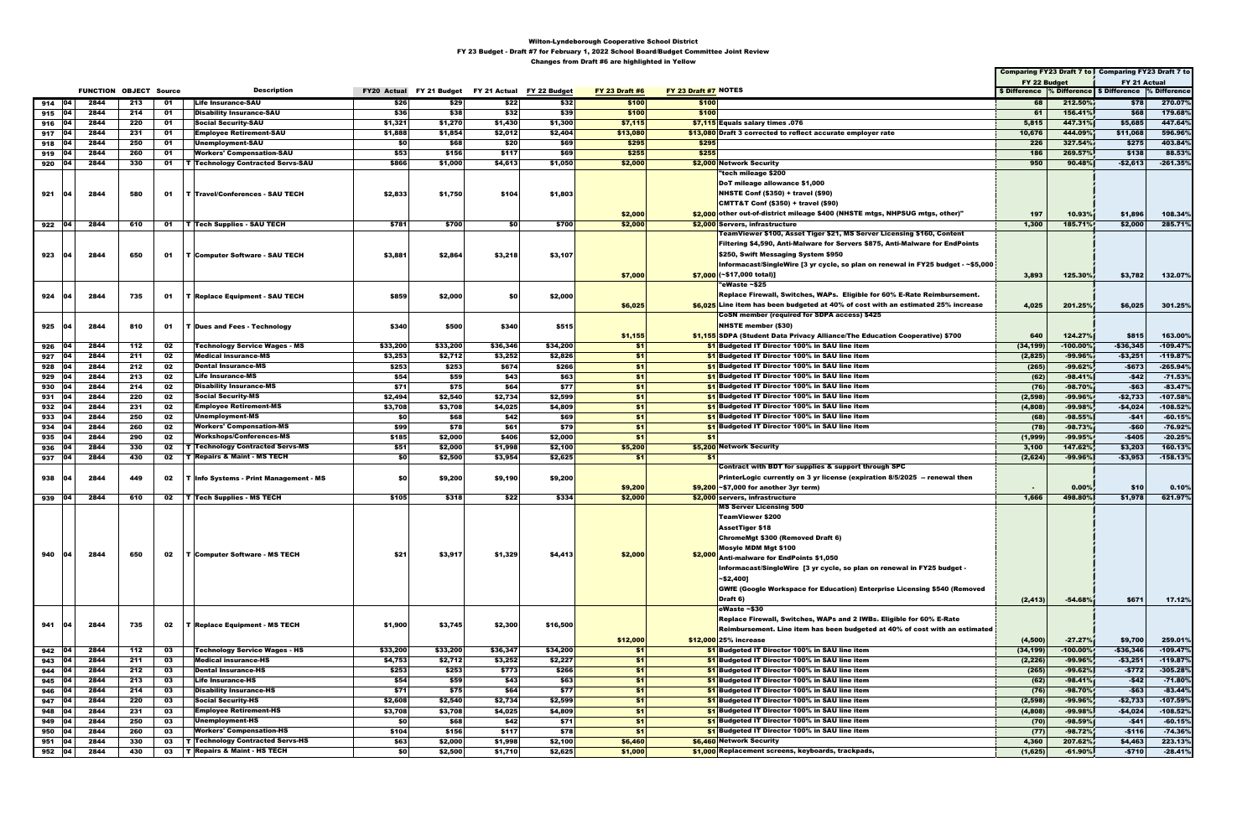|          |              |                               |     |    |                                                 |          |          |                                                    |          |                       |                                                                                      | Comparing FY23 Draft 7 to Comparing FY23 Draft 7 to      |             |              |            |
|----------|--------------|-------------------------------|-----|----|-------------------------------------------------|----------|----------|----------------------------------------------------|----------|-----------------------|--------------------------------------------------------------------------------------|----------------------------------------------------------|-------------|--------------|------------|
|          |              |                               |     |    |                                                 |          |          |                                                    |          |                       |                                                                                      | FY 22 Budget                                             |             | FY 21 Actual |            |
|          |              | <b>FUNCTION OBJECT Source</b> |     |    | <b>Description</b>                              |          |          | FY20 Actual FY 21 Budget FY 21 Actual FY 22 Budget |          | <b>FY 23 Draft #6</b> | FY 23 Draft #7 NOTES                                                                 | \$ Difference % Difference   \$ Difference  % Difference |             |              |            |
| 914 04   |              | 2844                          | 213 | 01 | <b>Life Insurance-SAU</b>                       | \$26     | \$29     | \$22                                               | \$32     | \$100                 | \$100                                                                                | 68                                                       | 212.50%     | \$78         | 270.07%    |
| 915      | $ 04\rangle$ | 2844                          | 214 | 01 | <b>Disability Insurance-SAU</b>                 | \$36     | \$38     | \$32                                               | \$39     | \$100                 | \$100                                                                                | 61                                                       | 156.41%     | \$68         | 179.68%    |
| 916      | 104          | 2844                          | 220 | 01 | <b>Social Security-SAU</b>                      | \$1,321  | \$1,270  | \$1,430                                            | \$1,300  | \$7,115               | \$7,115 Equals salary times .076                                                     | 5,815                                                    | 447.31%     | \$5,685      | 447.64%    |
| 917      | 104          | 2844                          | 231 | 01 | <b>Employee Retirement-SAU</b>                  | \$1,888  | \$1,854  | \$2,012                                            | \$2,404  | \$13,080              | \$13,080 Draft 3 corrected to reflect accurate employer rate                         | 10,676                                                   | 444.09%     | \$11,068     | 596.96%    |
| 918      | ∣04          | 2844                          | 250 | 01 | Unemployment-SAU                                | \$0      | \$68     | \$20                                               | \$69     | \$295                 | \$295                                                                                | 226                                                      | 327.54%     | \$275        | 403.84%    |
| 919      | 104          | 2844                          | 260 | 01 | <b>Workers' Compensation-SAU</b>                | \$53     | \$156    | \$117                                              | \$69     | \$255                 | \$255                                                                                | 186                                                      | 269.57%     | \$138        | 88.53%     |
| 920      | 04           | 2844                          | 330 |    | <b>01   T</b>   Technology Contracted Servs-SAU | \$866    | \$1,000  | \$4,613                                            | \$1,050  | \$2,000               | \$2,000 Network Security                                                             | 950                                                      | 90.48%      | $-$2,613$    | $-261.35%$ |
|          |              |                               |     |    |                                                 |          |          |                                                    |          |                       | "tech mileage \$200                                                                  |                                                          |             |              |            |
|          |              |                               |     |    |                                                 |          |          |                                                    |          |                       | DoT mileage allowance \$1,000                                                        |                                                          |             |              |            |
| 921      | 04           | 2844                          | 580 |    | 01   T   Travel/Conferences - SAU TECH          | \$2,833  | \$1,750  | \$104                                              | \$1,803  |                       | <b>NHSTE Conf (\$350) + travel (\$90)</b>                                            |                                                          |             |              |            |
|          |              |                               |     |    |                                                 |          |          |                                                    |          |                       | CMTT&T Conf (\$350) + travel (\$90)                                                  |                                                          |             |              |            |
|          |              |                               |     |    |                                                 |          |          |                                                    |          | \$2,000               | \$2,000 other out-of-district mileage \$400 (NHSTE mtgs, NHPSUG mtgs, other)"        | 197                                                      | 10.93%      | \$1,896      | 108.34%    |
| 922 04   |              | 2844                          | 610 |    | 01   T   Tech Supplies - SAU TECH               | \$781    | \$700    | \$O                                                | \$700    | \$2,000               | \$2,000 Servers, infrastructure                                                      | 1,300                                                    | 185.71%     | \$2,000      | 285.71%    |
|          |              |                               |     |    |                                                 |          |          |                                                    |          |                       | TeamViewer \$100, Asset Tiger \$21, MS Server Licensing \$160, Content               |                                                          |             |              |            |
|          |              |                               |     |    |                                                 |          |          |                                                    |          |                       | <b>Filtering \$4,590, Anti-Malware for Servers \$875, Anti-Malware for EndPoints</b> |                                                          |             |              |            |
| 923      | 04           | 2844                          | 650 |    | 01   T Computer Software - SAU TECH             | \$3,881  | \$2,864  | \$3,218                                            | \$3,107  |                       | \$250, Swift Messaging System \$950                                                  |                                                          |             |              |            |
|          |              |                               |     |    |                                                 |          |          |                                                    |          |                       | Informacast/SingleWire [3 yr cycle, so plan on renewal in FY25 budget - ~\$5,000     |                                                          |             |              |            |
|          |              |                               |     |    |                                                 |          |          |                                                    |          | \$7,000               | $$7,000$ (~\$17,000 total)]                                                          | 3,893                                                    | 125.30%     | \$3,782      | 132.07%    |
|          |              |                               |     |    |                                                 |          |          |                                                    |          |                       | "eWaste ~\$25                                                                        |                                                          |             |              |            |
| 924      |              | 2844                          | 735 |    | 01   T Replace Equipment - SAU TECH             | \$859    | \$2,000  | \$0                                                | \$2,000  |                       | Replace Firewall, Switches, WAPs. Eligible for 60% E-Rate Reimbursement.             |                                                          |             |              |            |
|          |              |                               |     |    |                                                 |          |          |                                                    |          | \$6,025               | \$6,025 Line item has been budgeted at 40% of cost with an estimated 25% increase    | 4,025                                                    | 201.25%     | \$6,025      | 301.25%    |
|          |              |                               |     |    |                                                 |          |          |                                                    |          |                       | CoSN member (required for SDPA access) \$425                                         |                                                          |             |              |            |
| 925      |              | 2844                          | 810 | 01 | <b>T Dues and Fees - Technology</b>             | \$340    | \$500    | \$340                                              | \$515    |                       | <b>NHSTE member (\$30)</b>                                                           |                                                          |             |              |            |
|          |              |                               |     |    |                                                 |          |          |                                                    |          | \$1,155               | \$1,155 SDPA (Student Data Privacy Alliance/The Education Cooperative) \$700         | 640                                                      | 124.27%     | \$815        | 163.00%    |
| 926      | 04           | 2844                          | 112 | 02 | <b>Technology Service Wages - MS</b>            | \$33,200 | \$33,200 | \$36,346                                           | \$34,200 | -\$1                  | \$1 Budgeted IT Director 100% in SAU line item                                       | (34, 199)                                                | $-100.00%$  | $-$36,345$   | $-109.47%$ |
| 927      | - 04         | 2844                          | 211 | 02 | <b>Medical insurance-MS</b>                     | \$3,253  | \$2,712  | \$3,252                                            | \$2,826  | \$1                   | \$1 Budgeted IT Director 100% in SAU line item                                       | (2,825)                                                  | $-99.96%$   | $-$ \$3,251  | $-119.87%$ |
| 928      | 104          | 2844                          | 212 | 02 | <b>Dental Insurance-MS</b>                      | \$253    | \$253    | \$674                                              | \$266    | \$1                   | \$1 Budgeted IT Director 100% in SAU line item                                       | (265)                                                    | $-99.62%$   | $-$673$      | $-265.94%$ |
| 929      | 04           | 2844                          | 213 | 02 | <b>Life Insurance-MS</b>                        | \$54     | \$59     | \$43                                               | \$63     | \$1                   | \$1 Budgeted IT Director 100% in SAU line item                                       | (62)                                                     | $-98.41%$   | $-$42$       | $-71.53%$  |
| 930      | 04           | 2844                          | 214 | 02 | <b>Disability Insurance-MS</b>                  | \$71     | \$75     | \$64                                               | \$77     | \$1                   | \$1 Budgeted IT Director 100% in SAU line item                                       | (76)                                                     | -98.70%     | $-$63$       | $-83.47%$  |
| 931      | <b>04</b>    | 2844                          | 220 | 02 | <b>Social Security-MS</b>                       | \$2,494  | \$2,540  | \$2,734                                            | \$2,599  | \$1                   | \$1 Budgeted IT Director 100% in SAU line item                                       | (2, 598)                                                 | -99.96%     | $-$2,733$    | $-107.58%$ |
| 932      | 104          | 2844                          | 231 | 02 | <b>Employee Retirement-MS</b>                   | \$3,708  | \$3,708  | \$4,025                                            | \$4,809  | \$1                   | \$1 Budgeted IT Director 100% in SAU line item                                       | (4,808)                                                  | $-99.98%$   | -\$4,024     | $-108.52%$ |
| 933      | 104          | 2844                          | 250 | 02 | <b>Unemployment-MS</b>                          | \$0      | \$68     | \$42                                               | \$69     | \$1                   | \$1 Budgeted IT Director 100% in SAU line item                                       | (68)                                                     | $-98.55%$   | $-$41$       | $-60.15%$  |
| 934      | 104          | 2844                          | 260 | 02 | <b>Workers' Compensation-MS</b>                 | \$99     | \$78     | \$61                                               | \$79     | \$1                   | \$1 Budgeted IT Director 100% in SAU line item                                       | (78)                                                     | $-98.73%$   | -\$60        | $-76.92%$  |
| 935      | 104          | 2844                          | 290 | 02 | <b>Workshops/Conferences-MS</b>                 | \$185    | \$2,000  | \$406                                              | \$2,000  | \$1                   | \$1                                                                                  | (1,999)                                                  | $-99.95%$   | $-$405$      | $-20.25%$  |
| 936      | 04           | 2844                          | 330 | 02 | <b>T Technology Contracted Servs-MS</b>         | \$51     | \$2,000  | \$1,998                                            | \$2,100  | \$5,200               | \$5,200 Network Security                                                             | 3,100                                                    | 147.62%     | \$3,203      | 160.13%    |
| 937      | <b>04</b>    | 2844                          | 430 | 02 | <b>T</b> Repairs & Maint - MS TECH              | \$0      | \$2,500  | \$3,954                                            | \$2,625  | \$1                   | \$1                                                                                  | (2,624)                                                  | -99.96%     | $-$3,953$    | $-158.13%$ |
|          |              |                               |     |    |                                                 |          |          |                                                    |          |                       | Contract with BDT for supplies & support through SPC                                 |                                                          |             |              |            |
| 938      |              | 2844                          | 449 |    |                                                 | SO.      | \$9,200  | \$9,190                                            | \$9,200  |                       | PrinterLogic currently on 3 yr license (expiration 8/5/2025 -- renewal then          |                                                          |             |              |            |
|          |              |                               |     |    | 02   T   Info Systems - Print Management - MS   |          |          |                                                    |          | \$9,200               | $\frac{1}{29,200}$ ~\$7,000 for another 3yr term)                                    | $\sim$                                                   | 0.00%       | \$10         | 0.10%      |
| $939$ 04 |              | 2844                          | 610 |    | 02   T   Tech Supplies - MS TECH                | \$105    | \$318    | \$22                                               | \$334    | \$2,000               | \$2,000 servers, infrastructure                                                      | 1,666                                                    | 498.80%     | \$1,978      | 621.97%    |
|          |              |                               |     |    |                                                 |          |          |                                                    |          |                       | <b>MS Server Licensing 500</b>                                                       |                                                          |             |              |            |
|          |              |                               |     |    |                                                 |          |          |                                                    |          |                       | TeamViewer \$200                                                                     |                                                          |             |              |            |
|          |              |                               |     |    |                                                 |          |          |                                                    |          |                       | <b>AssetTiger \$18</b>                                                               |                                                          |             |              |            |
|          |              |                               |     |    |                                                 |          |          |                                                    |          |                       | ChromeMgt \$300 (Removed Draft 6)                                                    |                                                          |             |              |            |
|          |              |                               |     |    |                                                 |          |          |                                                    |          |                       | Mosyle MDM Mgt \$100                                                                 |                                                          |             |              |            |
| 940      | 04           | 2844                          | 650 |    | 02   T Computer Software - MS TECH              | \$21     | \$3,917  | \$1,329                                            | \$4,413  | \$2,000               | $\left  \frac{\$2,000}{\$4} \right $ Anti-malware for EndPoints $\$1,050$            |                                                          |             |              |            |
|          |              |                               |     |    |                                                 |          |          |                                                    |          |                       | Informacast/SingleWire [3 yr cycle, so plan on renewal in FY25 budget -              |                                                          |             |              |            |
|          |              |                               |     |    |                                                 |          |          |                                                    |          |                       |                                                                                      |                                                          |             |              |            |
|          |              |                               |     |    |                                                 |          |          |                                                    |          |                       | ~\$2,400]                                                                            |                                                          |             |              |            |
|          |              |                               |     |    |                                                 |          |          |                                                    |          |                       | <b>GWfE (Google Workspace for Education) Enterprise Licensing \$540 (Removed</b>     |                                                          |             |              |            |
|          |              |                               |     |    |                                                 |          |          |                                                    |          |                       | Draft 6)                                                                             | (2, 413)                                                 | $-54.68%$   | \$671        | 17.12%     |
|          |              |                               |     |    |                                                 |          |          |                                                    |          |                       | eWaste ~\$30                                                                         |                                                          |             |              |            |
| 941      | $ 04\rangle$ | 2844                          | 735 | 02 | <b>T Replace Equipment - MS TECH</b>            | \$1,900  | \$3,745  | \$2,300                                            | \$16,500 |                       | Replace Firewall, Switches, WAPs and 2 IWBs. Eligible for 60% E-Rate                 |                                                          |             |              |            |
|          |              |                               |     |    |                                                 |          |          |                                                    |          |                       | Reimbursement. Line item has been budgeted at 40% of cost with an estimated          |                                                          |             |              |            |
|          |              |                               |     |    |                                                 |          |          |                                                    |          | \$12,000              | \$12,000 25% increase                                                                | (4,500)                                                  | $-27.27%$   | \$9,700      | 259.01%    |
| 942      | 104          | 2844                          | 112 | 03 | <b>Technology Service Wages - HS</b>            | \$33,200 | \$33,200 | \$36,347                                           | \$34,200 | \$1                   | \$1 Budgeted IT Director 100% in SAU line item                                       | (34, 199)                                                | $-100.00\%$ | $-$36,346$   | $-109.47%$ |
| 943      | 04           | 2844                          | 211 | 03 | <b>Medical insurance-HS</b>                     | \$4,753  | \$2,712  | \$3,252                                            | \$2,227  | \$1                   | \$1 Budgeted IT Director 100% in SAU line item                                       | (2, 226)                                                 | -99.96%     | $-$3,251$    | $-119.87%$ |
| 944      | 104          | 2844                          | 212 | 03 | <b>Dental Insurance-HS</b>                      | \$253    | \$253    | \$773                                              | \$266    | \$1                   | \$1 Budgeted IT Director 100% in SAU line item                                       | (265)                                                    | $-99.62%$   | $-5772$      | $-305.28%$ |
| 945      | 104          | 2844                          | 213 | 03 | Life Insurance-HS                               | \$54     | \$59     | \$43                                               | \$63     | \$1                   | <b>\$1 Budgeted IT Director 100% in SAU line item</b>                                | (62)                                                     | $-98.41%$   | $-$42$       | $-71.80%$  |
| 946      | 104          | 2844                          | 214 | 03 | <b>Disability Insurance-HS</b>                  | \$71     | \$75     | \$64                                               | \$77     | \$1                   | <b>\$1 Budgeted IT Director 100% in SAU line item</b>                                | (76)                                                     | $-98.70%$   | $-$63$       | $-83.44%$  |
| 947      | 04           | 2844                          | 220 | 03 | <b>Social Security-HS</b>                       | \$2,608  | \$2,540  | \$2,734                                            | \$2,599  | \$1                   | \$1 Budgeted IT Director 100% in SAU line item                                       | (2, 598)                                                 | -99.96%     | $-$2,733$    | $-107.59%$ |
| 948      | 104          | 2844                          | 231 | 03 | <b>Employee Retirement-HS</b>                   | \$3,708  | \$3,708  | \$4,025                                            | \$4,809  | \$1                   | \$1 Budgeted IT Director 100% in SAU line item                                       | (4,808)                                                  | $-99.98%$   | $-$4,024$    | $-108.52%$ |
| 949      | 104          | 2844                          | 250 | 03 | Unemployment-HS                                 | SO I     | \$68     | \$42                                               | \$71     | \$1                   | \$1 Budgeted IT Director 100% in SAU line item                                       | (70)                                                     | $-98.59%$   | $-$41$       | $-60.15%$  |
| 950      | 04           | 2844                          | 260 | 03 | <b>Workers' Compensation-HS</b>                 | \$104    | \$156    | \$117                                              | \$78     | \$1                   | \$1 Budgeted IT Director 100% in SAU line item                                       | (77)                                                     | $-98.72%$   | $-$116$      | $-74.36%$  |
| 951      | 104          | 2844                          | 330 | 03 | <b>T Technology Contracted Servs-HS</b>         | \$63     | \$2,000  | \$1,998                                            | \$2,100  | \$6,460               | \$6,460 Network Security                                                             | 4,360                                                    | 207.62%     | \$4,463      | 223.13%    |
| 952 04   |              | 2844                          | 430 |    | 03   T Repairs & Maint - HS TECH                | \$0      | \$2,500  | \$1,710                                            | \$2,625  | \$1,000               | \$1,000 Replacement screens, keyboards, trackpads,                                   | (1,625)                                                  | $-61.90%$   | $-$710$      | $-28.41%$  |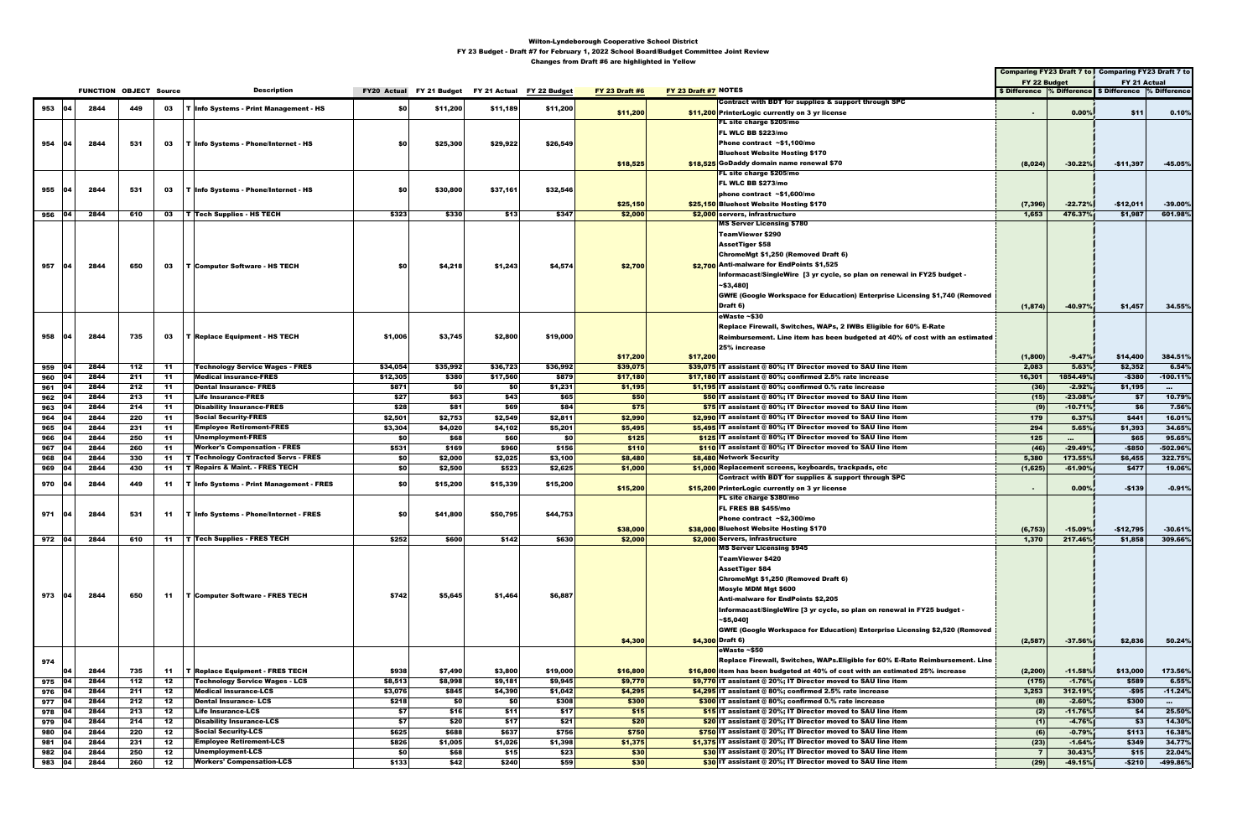|        |              |                               |     |       |                                                 |            |          |                                                    |          | <u>changed nom start #c are mgmgmoa m-romen</u> |                                                                                    |                |           | Comparing FY23 Draft 7 to Comparing FY23 Draft 7 to   |                  |
|--------|--------------|-------------------------------|-----|-------|-------------------------------------------------|------------|----------|----------------------------------------------------|----------|-------------------------------------------------|------------------------------------------------------------------------------------|----------------|-----------|-------------------------------------------------------|------------------|
|        |              |                               |     |       |                                                 |            |          |                                                    |          |                                                 |                                                                                    | FY 22 Budget   |           | FY 21 Actual                                          |                  |
|        |              | <b>FUNCTION OBJECT Source</b> |     |       | <b>Description</b>                              |            |          | FY20 Actual FY 21 Budget FY 21 Actual FY 22 Budget |          | <b>FY 23 Draft #6</b>                           | FY 23 Draft #7 NOTES                                                               |                |           | \$ Difference % Difference \$ Difference % Difference |                  |
|        |              |                               |     |       |                                                 |            |          |                                                    |          |                                                 | Contract with BDT for supplies & support through SPC                               |                |           |                                                       |                  |
| 953    | 04           | 2844                          | 449 |       | 03   T Info Systems - Print Management - HS     | <b>SO</b>  | \$11,200 | \$11,189                                           | \$11,200 | \$11,200                                        | \$11,200 PrinterLogic currently on 3 yr license                                    | $\sim$         | 0.00%     | \$11                                                  | 0.10%            |
|        |              |                               |     |       |                                                 |            |          |                                                    |          |                                                 | FL site charge \$205/mo                                                            |                |           |                                                       |                  |
|        |              |                               |     |       |                                                 |            |          |                                                    |          |                                                 | FL WLC BB \$223/mo                                                                 |                |           |                                                       |                  |
|        |              |                               |     |       |                                                 |            |          |                                                    |          |                                                 |                                                                                    |                |           |                                                       |                  |
| 954    | $ 04\rangle$ | 2844                          | 531 |       | 03   T Info Systems - Phone/Internet - HS       | <b>SO</b>  | \$25,300 | \$29,922                                           | \$26,549 |                                                 | Phone contract ~\$1,100/mo                                                         |                |           |                                                       |                  |
|        |              |                               |     |       |                                                 |            |          |                                                    |          |                                                 | <b>Bluehost Website Hosting \$170</b>                                              |                |           |                                                       |                  |
|        |              |                               |     |       |                                                 |            |          |                                                    |          | \$18,525                                        | \$18,525 GoDaddy domain name renewal \$70                                          | (8,024)        | $-30.22%$ | $-$11,397$                                            | $-45.05%$        |
|        |              |                               |     |       |                                                 |            |          |                                                    |          |                                                 | FL site charge \$205/mo                                                            |                |           |                                                       |                  |
|        |              |                               |     |       |                                                 |            |          |                                                    |          |                                                 | FL WLC BB \$273/mo                                                                 |                |           |                                                       |                  |
| 955    | 04           | 2844                          | 531 |       | 03   T Info Systems - Phone/Internet - HS       | SO.        | \$30,800 | \$37,161                                           | \$32,546 |                                                 | phone contract $~51,600$ /mo                                                       |                |           |                                                       |                  |
|        |              |                               |     |       |                                                 |            |          |                                                    |          | \$25,150                                        | \$25.150 Bluehost Website Hosting \$170                                            | (7, 396)       | $-22.72%$ | $-$12,011$                                            | $-39.00%$        |
| 956 04 |              | 2844                          | 610 |       | $03$   T   Tech Supplies - HS TECH              | \$323      | \$330    | \$13                                               | \$347    | \$2,000                                         | \$2,000 servers, infrastructure                                                    | 1,653          | 476.37%   | \$1,987                                               | 601.98%          |
|        |              |                               |     |       |                                                 |            |          |                                                    |          |                                                 | <b>MS Server Licensing \$780</b>                                                   |                |           |                                                       |                  |
|        |              |                               |     |       |                                                 |            |          |                                                    |          |                                                 | <b>TeamViewer \$290</b>                                                            |                |           |                                                       |                  |
|        |              |                               |     |       |                                                 |            |          |                                                    |          |                                                 |                                                                                    |                |           |                                                       |                  |
|        |              |                               |     |       |                                                 |            |          |                                                    |          |                                                 | AssetTiger \$58                                                                    |                |           |                                                       |                  |
|        |              |                               |     |       |                                                 |            |          |                                                    |          |                                                 | ChromeMgt \$1,250 (Removed Draft 6)                                                |                |           |                                                       |                  |
| 957    | 04           | 2844                          | 650 | 03    | <b>T Computer Software - HS TECH</b>            | <b>SO</b>  | \$4,218  | \$1,243                                            | \$4,574  | \$2,700                                         | \$2.700 Anti-malware for EndPoints \$1,525                                         |                |           |                                                       |                  |
|        |              |                               |     |       |                                                 |            |          |                                                    |          |                                                 | Informacast/SingleWire [3 yr cycle, so plan on renewal in FY25 budget -            |                |           |                                                       |                  |
|        |              |                               |     |       |                                                 |            |          |                                                    |          |                                                 | ~\$3,480]                                                                          |                |           |                                                       |                  |
|        |              |                               |     |       |                                                 |            |          |                                                    |          |                                                 | <b>GWfE (Google Workspace for Education) Enterprise Licensing \$1,740 (Removed</b> |                |           |                                                       |                  |
|        |              |                               |     |       |                                                 |            |          |                                                    |          |                                                 | Draft 6)                                                                           | (1, 874)       | $-40.97%$ | \$1,457                                               | 34.55%           |
|        |              |                               |     |       |                                                 |            |          |                                                    |          |                                                 |                                                                                    |                |           |                                                       |                  |
|        |              |                               |     |       |                                                 |            |          |                                                    |          |                                                 | eWaste ~\$30                                                                       |                |           |                                                       |                  |
|        |              |                               |     |       |                                                 |            |          |                                                    |          |                                                 | Replace Firewall, Switches, WAPs, 2 IWBs Eligible for 60% E-Rate                   |                |           |                                                       |                  |
| 958    | 04           | 2844                          | 735 | 03    | <b>T Replace Equipment - HS TECH</b>            | \$1,006    | \$3,745  | \$2,800                                            | \$19,000 |                                                 | Reimbursement. Line item has been budgeted at 40% of cost with an estimated        |                |           |                                                       |                  |
|        |              |                               |     |       |                                                 |            |          |                                                    |          |                                                 | 25% increase                                                                       |                |           |                                                       |                  |
|        |              |                               |     |       |                                                 |            |          |                                                    |          | \$17,200                                        | \$17,200                                                                           | (1,800)        | $-9.47%$  | \$14,400                                              | 384.51%          |
| 959    | 04           | 2844                          | 112 | -11   | <b>Technology Service Wages - FRES</b>          | \$34,054   | \$35,992 | \$36,723                                           | \$36,992 | \$39,075                                        | \$39,075 IT assistant @ 80%; IT Director moved to SAU line item                    | 2,083          | 5.63%     | \$2,352                                               | 6.54%            |
| 960    |              | 2844                          | 211 | $-11$ | <b>Medical insurance-FRES</b>                   | \$12,305   | \$380    | \$17,560                                           | \$879    | \$17,180                                        | \$17,180 IT assistant @ 80%; confirmed 2.5% rate increase                          | 16,301         | 1854.49%  | $-$380$                                               | $-100.11%$       |
| 961    | 104          | 2844                          | 212 | -11   | <b>Dental Insurance- FRES</b>                   | \$871      | SO I     | \$0                                                | \$1,231  | \$1,195                                         | $\frac{1}{2}$ 1,195 IT assistant @ 80%; confirmed 0.% rate increase                | (36)           | $-2.92%$  | \$1,195                                               | $\sim 10^{-1}$   |
| 962    | 04           | 2844                          | 213 | -11   | <b>Life Insurance-FRES</b>                      | \$27       | \$63     | \$43                                               | \$65     | \$50                                            | \$50 IT assistant @ 80%; IT Director moved to SAU line item                        | (15)           | $-23.08%$ | \$7                                                   | 10.79%           |
|        | 04           | 2844                          |     |       | <b>Disability Insurance-FRES</b>                | \$28       | \$81     | \$69                                               |          |                                                 | \$75 IT assistant @ 80%; IT Director moved to SAU line item                        |                |           | \$6                                                   |                  |
| 963    |              |                               | 214 | -11   |                                                 |            |          |                                                    | \$84     | \$75                                            |                                                                                    | (9)            | $-10.71%$ |                                                       | 7.56%            |
| 964    | 104          | 2844                          | 220 | -11   | <b>Social Security-FRES</b>                     | \$2,501    | \$2,753  | \$2,549                                            | \$2,811  | \$2,990                                         | \$2,990 IT assistant @ 80%; IT Director moved to SAU line item                     | 179            | 6.37%     | \$441                                                 | 16.01%           |
| 965    | 104          | 2844                          | 231 | -11   | <b>Employee Retirement-FRES</b>                 | \$3,304    | \$4,020  | \$4,102                                            | \$5,201  | \$5,495                                         | \$5,495 IT assistant @ 80%; IT Director moved to SAU line item                     | 294            | 5.65%     | \$1,393                                               | 34.65%           |
| 966    | 04           | 2844                          | 250 | -11   | <b>Unemployment-FRES</b>                        | \$0        | \$68     | \$60                                               | \$0      | \$125                                           | \$125 IT assistant @ 80%; IT Director moved to SAU line item                       | 125            | $\sim$    | \$65                                                  | 95.65%           |
| 967    | 04           | 2844                          | 260 | 11    | <b>Worker's Compensation - FRES</b>             | \$531      | \$169    | \$960                                              | \$156    | \$110                                           | \$110 IT assistant @ 80%; IT Director moved to SAU line item                       | (46)           | $-29.49%$ | $-$850$                                               | -502.96%         |
| 968    | 104          | 2844                          | 330 |       | 11   T   Technology Contracted Servs - FRES     | \$0        | \$2,000  | \$2,025                                            | \$3,100  | \$8,480                                         | \$8,480 Network Security                                                           | 5,380          | 173.55%   | \$6,455                                               | 322.75%          |
| 969    | 104          | 2844                          | 430 | -11   | <b>T</b> Repairs & Maint. - FRES TECH           | SO I       | \$2,500  | \$523                                              | \$2,625  | \$1,000                                         | \$1,000 Replacement screens, keyboards, trackpads, etc                             | (1,625)        | $-61.90%$ | \$477                                                 | 19.06%           |
|        |              |                               |     |       |                                                 |            |          |                                                    |          |                                                 | Contract with BDT for supplies & support through SPC                               |                |           |                                                       |                  |
| 970    | 104          | 2844                          | 449 |       | 11   T   Info Systems - Print Management - FRES | SO.        | \$15,200 | \$15,339                                           | \$15,200 | \$15,200                                        | \$15,200 PrinterLogic currently on 3 yr license                                    |                | 0.00%     | $-$139$                                               | $-0.91%$         |
|        |              |                               |     |       |                                                 |            |          |                                                    |          |                                                 | FL site charge \$380/mo                                                            |                |           |                                                       |                  |
|        |              |                               |     |       |                                                 |            |          |                                                    |          |                                                 | FL FRES BB \$455/mo                                                                |                |           |                                                       |                  |
| 971 04 |              | 2844                          | 531 |       | 11   T   Info Systems - Phone/Internet - FRES   | <b>SOI</b> | \$41,800 | \$50,795                                           | \$44,753 |                                                 | Phone contract ~\$2,300/mo                                                         |                |           |                                                       |                  |
|        |              |                               |     |       |                                                 |            |          |                                                    |          |                                                 |                                                                                    |                |           |                                                       |                  |
|        |              |                               |     |       |                                                 |            |          |                                                    |          | \$38,000                                        | \$38,000 Bluehost Website Hosting \$170                                            | (6, 753)       | $-15.09%$ | $-$12,795$                                            | $-30.61%$        |
| 972 04 |              | 2844                          | 610 |       | 11   T   Tech Supplies - FRES TECH              | \$252      | \$600    | \$142                                              | \$630    | \$2,000                                         | \$2,000 Servers, infrastructure                                                    | 1,370          | 217.46%   | \$1,858                                               | 309.66%          |
|        |              |                               |     |       |                                                 |            |          |                                                    |          |                                                 | <b>MS Server Licensing \$945</b>                                                   |                |           |                                                       |                  |
|        |              |                               |     |       |                                                 |            |          |                                                    |          |                                                 | TeamViewer \$420                                                                   |                |           |                                                       |                  |
|        |              |                               |     |       |                                                 |            |          |                                                    |          |                                                 | <b>AssetTiger \$84</b>                                                             |                |           |                                                       |                  |
|        |              |                               |     |       |                                                 |            |          |                                                    |          |                                                 | ChromeMgt \$1,250 (Removed Draft 6)                                                |                |           |                                                       |                  |
|        |              |                               |     |       |                                                 |            |          |                                                    |          |                                                 | Mosyle MDM Mgt \$600                                                               |                |           |                                                       |                  |
| 973    | 104          | 2844                          | 650 |       | 11   T Computer Software - FRES TECH            | \$742      | \$5,645  | \$1,464                                            | \$6,887  |                                                 | <b>Anti-malware for EndPoints \$2,205</b>                                          |                |           |                                                       |                  |
|        |              |                               |     |       |                                                 |            |          |                                                    |          |                                                 | Informacast/SingleWire [3 yr cycle, so plan on renewal in FY25 budget -            |                |           |                                                       |                  |
|        |              |                               |     |       |                                                 |            |          |                                                    |          |                                                 |                                                                                    |                |           |                                                       |                  |
|        |              |                               |     |       |                                                 |            |          |                                                    |          |                                                 | ~\$5,040]                                                                          |                |           |                                                       |                  |
|        |              |                               |     |       |                                                 |            |          |                                                    |          |                                                 | <b>GWfE (Google Workspace for Education) Enterprise Licensing \$2,520 (Removed</b> |                |           |                                                       |                  |
|        |              |                               |     |       |                                                 |            |          |                                                    |          | \$4,300                                         | \$4,300 Draft 6)                                                                   | (2, 587)       | $-37.56%$ | \$2,836                                               | 50.24%           |
|        |              |                               |     |       |                                                 |            |          |                                                    |          |                                                 | eWaste ~\$50                                                                       |                |           |                                                       |                  |
| 974    |              |                               |     |       |                                                 |            |          |                                                    |          |                                                 | Replace Firewall, Switches, WAPs. Eligible for 60% E-Rate Reimbursement. Line      |                |           |                                                       |                  |
|        | 04           | 2844                          | 735 | 11    | <b>T Replace Equipment - FRES TECH</b>          | \$938      | \$7,490  | \$3,800                                            | \$19,000 | \$16,800                                        | \$16,800 item has been budgeted at 40% of cost with an estimated 25% increase      | (2, 200)       | $-11.58%$ | \$13,000                                              | 173.56%          |
| 975    | 104          | 2844                          | 112 | -12   | <b>Technology Service Wages - LCS</b>           | \$8,513    | \$8,998  | \$9,181                                            | \$9,945  | \$9,770                                         | \$9,770 IT assistant @ 20%; IT Director moved to SAU line item                     | (175)          | $-1.76%$  | \$589                                                 | 6.55%            |
| 976    | <b>04</b>    | 2844                          | 211 | 12    | <b>Medical insurance-LCS</b>                    | \$3,076    | \$845    | \$4,390                                            | \$1,042  | \$4,295                                         | $$4,295$ IT assistant @ 80%; confirmed 2.5% rate increase                          | 3,253          | 312.19%   | $-$95$                                                | $-11.24%$        |
|        | $ 04\rangle$ | 2844                          |     |       | <b>Dental Insurance-LCS</b>                     |            |          |                                                    |          |                                                 | \$300 IT assistant @ 80%; confirmed 0.% rate increase                              |                |           | \$300                                                 |                  |
| 977    |              |                               | 212 | 12    |                                                 | \$218      | \$0      | \$0                                                | \$308    | \$300                                           |                                                                                    | (8)            | $-2.60%$  |                                                       | $\sim$ 100 $\pm$ |
| 978    | 104          | 2844                          | 213 | 12    | <b>Life Insurance-LCS</b>                       | \$7        | \$16     | \$11                                               | \$17     | \$15                                            | $\frac{15}{15}$ IT assistant @ 20%; IT Director moved to SAU line item             | (2)            | $-11.76%$ | \$4                                                   | 25.50%           |
| 979    | 104          | 2844                          | 214 | 12    | <b>Disability Insurance-LCS</b>                 | \$7        | \$20     | \$17                                               | \$21     | \$20                                            | \$20 IT assistant @ 20%; IT Director moved to SAU line item                        | (1)            | $-4.76%$  | \$3                                                   | 14.30%           |
| 980    | 104          | 2844                          | 220 | 12    | <b>Social Security-LCS</b>                      | \$625      | \$688    | \$637                                              | \$756    | \$750                                           | \$750 IT assistant $@20\%;$ IT Director moved to SAU line item                     | (6)            | $-0.79%$  | \$113                                                 | 16.38%           |
| 981    | 104          | 2844                          | 231 | 12    | <b>Employee Retirement-LCS</b>                  | \$826      | \$1,005  | \$1,026                                            | \$1,398  | \$1,375                                         | \$1,375 IT assistant @ 20%; IT Director moved to SAU line item                     | (23)           | $-1.64%$  | \$349                                                 | 34.77%           |
| 982    | 104          | 2844                          | 250 | 12    | Unemployment-LCS                                | \$0        | \$68     | \$15                                               | \$23     | \$30                                            | \$30 IT assistant @ 20%; IT Director moved to SAU line item                        | $\overline{7}$ | 30.43%    | \$15                                                  | 22.04%           |
| 983 04 |              | 2844                          | 260 | 12    | <b>Workers' Compensation-LCS</b>                | \$133      | \$42     | \$240                                              | \$59     | \$30                                            | \$30 IT assistant @ 20%; IT Director moved to SAU line item                        | (29)           | $-49.15%$ | $-$210$                                               | -499.86%         |
|        |              |                               |     |       |                                                 |            |          |                                                    |          |                                                 |                                                                                    |                |           |                                                       |                  |